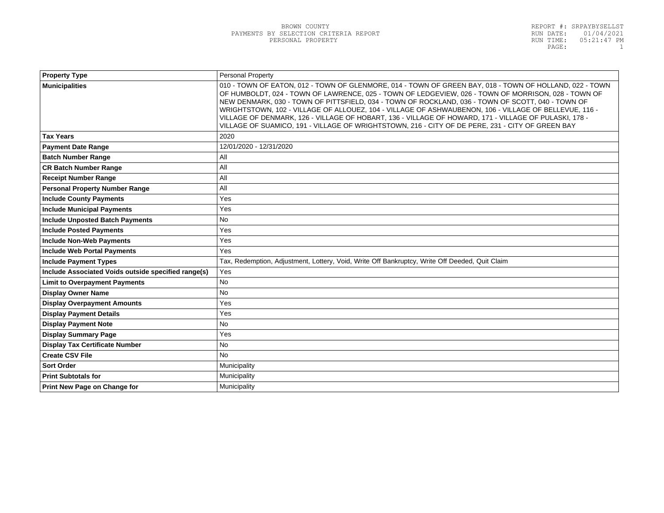| <b>Property Type</b>                                | Personal Property                                                                                                                                                                                                                                                                                                                                                                                                                                                                                                                                                                                                                         |  |
|-----------------------------------------------------|-------------------------------------------------------------------------------------------------------------------------------------------------------------------------------------------------------------------------------------------------------------------------------------------------------------------------------------------------------------------------------------------------------------------------------------------------------------------------------------------------------------------------------------------------------------------------------------------------------------------------------------------|--|
| <b>Municipalities</b>                               | 010 - TOWN OF EATON, 012 - TOWN OF GLENMORE, 014 - TOWN OF GREEN BAY, 018 - TOWN OF HOLLAND, 022 - TOWN<br>OF HUMBOLDT, 024 - TOWN OF LAWRENCE, 025 - TOWN OF LEDGEVIEW, 026 - TOWN OF MORRISON, 028 - TOWN OF<br>NEW DENMARK, 030 - TOWN OF PITTSFIELD, 034 - TOWN OF ROCKLAND, 036 - TOWN OF SCOTT, 040 - TOWN OF<br>WRIGHTSTOWN, 102 - VILLAGE OF ALLOUEZ, 104 - VILLAGE OF ASHWAUBENON, 106 - VILLAGE OF BELLEVUE, 116 -<br>VILLAGE OF DENMARK, 126 - VILLAGE OF HOBART, 136 - VILLAGE OF HOWARD, 171 - VILLAGE OF PULASKI, 178 -<br>VILLAGE OF SUAMICO, 191 - VILLAGE OF WRIGHTSTOWN, 216 - CITY OF DE PERE, 231 - CITY OF GREEN BAY |  |
| <b>Tax Years</b>                                    | 2020                                                                                                                                                                                                                                                                                                                                                                                                                                                                                                                                                                                                                                      |  |
| <b>Payment Date Range</b>                           | 12/01/2020 - 12/31/2020                                                                                                                                                                                                                                                                                                                                                                                                                                                                                                                                                                                                                   |  |
| <b>Batch Number Range</b>                           | All                                                                                                                                                                                                                                                                                                                                                                                                                                                                                                                                                                                                                                       |  |
| <b>CR Batch Number Range</b>                        | All                                                                                                                                                                                                                                                                                                                                                                                                                                                                                                                                                                                                                                       |  |
| <b>Receipt Number Range</b>                         | All                                                                                                                                                                                                                                                                                                                                                                                                                                                                                                                                                                                                                                       |  |
| <b>Personal Property Number Range</b>               | All                                                                                                                                                                                                                                                                                                                                                                                                                                                                                                                                                                                                                                       |  |
| <b>Include County Payments</b>                      | Yes                                                                                                                                                                                                                                                                                                                                                                                                                                                                                                                                                                                                                                       |  |
| <b>Include Municipal Payments</b>                   | Yes                                                                                                                                                                                                                                                                                                                                                                                                                                                                                                                                                                                                                                       |  |
| <b>Include Unposted Batch Payments</b>              | <b>No</b>                                                                                                                                                                                                                                                                                                                                                                                                                                                                                                                                                                                                                                 |  |
| <b>Include Posted Payments</b>                      | Yes                                                                                                                                                                                                                                                                                                                                                                                                                                                                                                                                                                                                                                       |  |
| <b>Include Non-Web Payments</b>                     | Yes                                                                                                                                                                                                                                                                                                                                                                                                                                                                                                                                                                                                                                       |  |
| <b>Include Web Portal Payments</b>                  | Yes                                                                                                                                                                                                                                                                                                                                                                                                                                                                                                                                                                                                                                       |  |
| <b>Include Payment Types</b>                        | Tax, Redemption, Adjustment, Lottery, Void, Write Off Bankruptcy, Write Off Deeded, Quit Claim                                                                                                                                                                                                                                                                                                                                                                                                                                                                                                                                            |  |
| Include Associated Voids outside specified range(s) | Yes                                                                                                                                                                                                                                                                                                                                                                                                                                                                                                                                                                                                                                       |  |
| <b>Limit to Overpayment Payments</b>                | No                                                                                                                                                                                                                                                                                                                                                                                                                                                                                                                                                                                                                                        |  |
| <b>Display Owner Name</b>                           | <b>No</b>                                                                                                                                                                                                                                                                                                                                                                                                                                                                                                                                                                                                                                 |  |
| <b>Display Overpayment Amounts</b>                  | Yes                                                                                                                                                                                                                                                                                                                                                                                                                                                                                                                                                                                                                                       |  |
| <b>Display Payment Details</b>                      | Yes                                                                                                                                                                                                                                                                                                                                                                                                                                                                                                                                                                                                                                       |  |
| <b>Display Payment Note</b>                         | <b>No</b>                                                                                                                                                                                                                                                                                                                                                                                                                                                                                                                                                                                                                                 |  |
| <b>Display Summary Page</b>                         | Yes                                                                                                                                                                                                                                                                                                                                                                                                                                                                                                                                                                                                                                       |  |
| <b>Display Tax Certificate Number</b>               | <b>No</b>                                                                                                                                                                                                                                                                                                                                                                                                                                                                                                                                                                                                                                 |  |
| <b>Create CSV File</b>                              | <b>No</b>                                                                                                                                                                                                                                                                                                                                                                                                                                                                                                                                                                                                                                 |  |
| <b>Sort Order</b>                                   | Municipality                                                                                                                                                                                                                                                                                                                                                                                                                                                                                                                                                                                                                              |  |
| <b>Print Subtotals for</b>                          | Municipality                                                                                                                                                                                                                                                                                                                                                                                                                                                                                                                                                                                                                              |  |
| Print New Page on Change for                        | Municipality                                                                                                                                                                                                                                                                                                                                                                                                                                                                                                                                                                                                                              |  |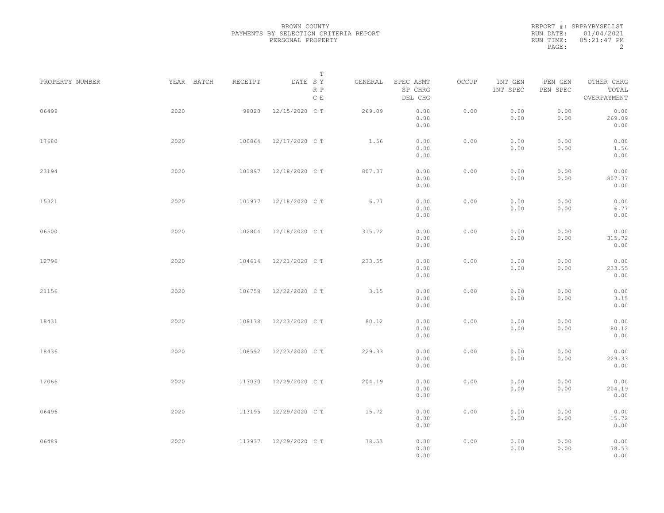|           | REPORT #: SRPAYBYSELLST |
|-----------|-------------------------|
|           | RUN DATE: 01/04/2021    |
| RUN TIME: | 05:21:47 PM             |
| PAGE:     |                         |

|                 |            |         | T                     |         |                                 |       |                     |                     |                                    |  |
|-----------------|------------|---------|-----------------------|---------|---------------------------------|-------|---------------------|---------------------|------------------------------------|--|
| PROPERTY NUMBER | YEAR BATCH | RECEIPT | DATE SY<br>R P<br>C E | GENERAL | SPEC ASMT<br>SP CHRG<br>DEL CHG | OCCUP | INT GEN<br>INT SPEC | PEN GEN<br>PEN SPEC | OTHER CHRG<br>TOTAL<br>OVERPAYMENT |  |
| 06499           | 2020       | 98020   | 12/15/2020 C T        | 269.09  | 0.00<br>0.00<br>0.00            | 0.00  | 0.00<br>0.00        | 0.00<br>0.00        | 0.00<br>269.09<br>0.00             |  |
| 17680           | 2020       | 100864  | 12/17/2020 C T        | 1.56    | 0.00<br>0.00<br>0.00            | 0.00  | 0.00<br>0.00        | 0.00<br>0.00        | 0.00<br>1.56<br>0.00               |  |
| 23194           | 2020       | 101897  | 12/18/2020 C T        | 807.37  | 0.00<br>0.00<br>0.00            | 0.00  | 0.00<br>0.00        | 0.00<br>0.00        | 0.00<br>807.37<br>0.00             |  |
| 15321           | 2020       |         | 101977 12/18/2020 CT  | 6.77    | 0.00<br>0.00<br>0.00            | 0.00  | 0.00<br>0.00        | 0.00<br>0.00        | 0.00<br>6.77<br>0.00               |  |
| 06500           | 2020       | 102804  | 12/18/2020 C T        | 315.72  | 0.00<br>0.00<br>0.00            | 0.00  | 0.00<br>0.00        | 0.00<br>0.00        | 0.00<br>315.72<br>0.00             |  |
| 12796           | 2020       | 104614  | 12/21/2020 C T        | 233.55  | 0.00<br>0.00<br>0.00            | 0.00  | 0.00<br>0.00        | 0.00<br>0.00        | 0.00<br>233.55<br>0.00             |  |
| 21156           | 2020       | 106758  | 12/22/2020 C T        | 3.15    | 0.00<br>0.00<br>0.00            | 0.00  | 0.00<br>0.00        | 0.00<br>0.00        | 0.00<br>3.15<br>0.00               |  |
| 18431           | 2020       | 108178  | 12/23/2020 C T        | 80.12   | 0.00<br>0.00<br>0.00            | 0.00  | 0.00<br>0.00        | 0.00<br>0.00        | 0.00<br>80.12<br>0.00              |  |
| 18436           | 2020       | 108592  | 12/23/2020 C T        | 229.33  | 0.00<br>0.00<br>0.00            | 0.00  | 0.00<br>0.00        | 0.00<br>0.00        | 0.00<br>229.33<br>0.00             |  |
| 12066           | 2020       | 113030  | 12/29/2020 C T        | 204.19  | 0.00<br>0.00<br>0.00            | 0.00  | 0.00<br>0.00        | 0.00<br>0.00        | 0.00<br>204.19<br>0.00             |  |
| 06496           | 2020       | 113195  | 12/29/2020 C T        | 15.72   | 0.00<br>0.00<br>0.00            | 0.00  | 0.00<br>0.00        | 0.00<br>0.00        | 0.00<br>15.72<br>0.00              |  |
| 06489           | 2020       |         | 113937 12/29/2020 CT  | 78.53   | 0.00<br>0.00<br>0.00            | 0.00  | 0.00<br>0.00        | 0.00<br>0.00        | 0.00<br>78.53<br>0.00              |  |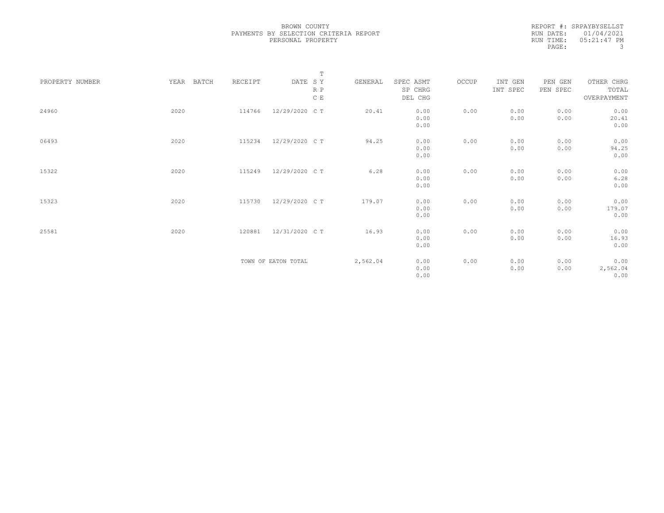REPORT #: SRPAYBYSELLST RUN DATE: 01/04/2021 RUN TIME: 05:21:47 PM PAGE: 3

|                 |               |         |                     | $\mathbb T$ |          |           |       |          |          |             |  |
|-----------------|---------------|---------|---------------------|-------------|----------|-----------|-------|----------|----------|-------------|--|
| PROPERTY NUMBER | BATCH<br>YEAR | RECEIPT | DATE SY             |             | GENERAL  | SPEC ASMT | OCCUP | INT GEN  | PEN GEN  | OTHER CHRG  |  |
|                 |               |         |                     | R P         |          | SP CHRG   |       | INT SPEC | PEN SPEC | TOTAL       |  |
|                 |               |         |                     | C E         |          | DEL CHG   |       |          |          | OVERPAYMENT |  |
| 24960           | 2020          | 114766  | 12/29/2020 C T      |             | 20.41    | 0.00      | 0.00  | 0.00     | 0.00     | 0.00        |  |
|                 |               |         |                     |             |          | 0.00      |       | 0.00     | 0.00     | 20.41       |  |
|                 |               |         |                     |             |          | 0.00      |       |          |          | 0.00        |  |
|                 |               |         |                     |             |          |           |       |          |          |             |  |
| 06493           | 2020          | 115234  | 12/29/2020 C T      |             | 94.25    | 0.00      | 0.00  | 0.00     | 0.00     | 0.00        |  |
|                 |               |         |                     |             |          | 0.00      |       | 0.00     | 0.00     | 94.25       |  |
|                 |               |         |                     |             |          | 0.00      |       |          |          | 0.00        |  |
|                 |               |         |                     |             |          |           |       |          |          |             |  |
| 15322           | 2020          | 115249  | 12/29/2020 C T      |             | 6.28     | 0.00      | 0.00  | 0.00     | 0.00     | 0.00        |  |
|                 |               |         |                     |             |          | 0.00      |       | 0.00     | 0.00     | 6.28        |  |
|                 |               |         |                     |             |          | 0.00      |       |          |          | 0.00        |  |
|                 |               |         |                     |             |          |           |       |          |          |             |  |
| 15323           | 2020          | 115730  | 12/29/2020 C T      |             | 179.07   | 0.00      | 0.00  | 0.00     | 0.00     | 0.00        |  |
|                 |               |         |                     |             |          | 0.00      |       | 0.00     | 0.00     | 179.07      |  |
|                 |               |         |                     |             |          | 0.00      |       |          |          | 0.00        |  |
|                 |               |         |                     |             |          |           |       |          |          |             |  |
| 25581           | 2020          | 120881  | 12/31/2020 C T      |             | 16.93    | 0.00      | 0.00  | 0.00     | 0.00     | 0.00        |  |
|                 |               |         |                     |             |          | 0.00      |       | 0.00     | 0.00     | 16.93       |  |
|                 |               |         |                     |             |          | 0.00      |       |          |          | 0.00        |  |
|                 |               |         |                     |             |          |           |       |          |          |             |  |
|                 |               |         | TOWN OF EATON TOTAL |             | 2,562.04 | 0.00      | 0.00  | 0.00     | 0.00     | 0.00        |  |
|                 |               |         |                     |             |          | 0.00      |       | 0.00     | 0.00     | 2,562.04    |  |
|                 |               |         |                     |             |          | 0.00      |       |          |          | 0.00        |  |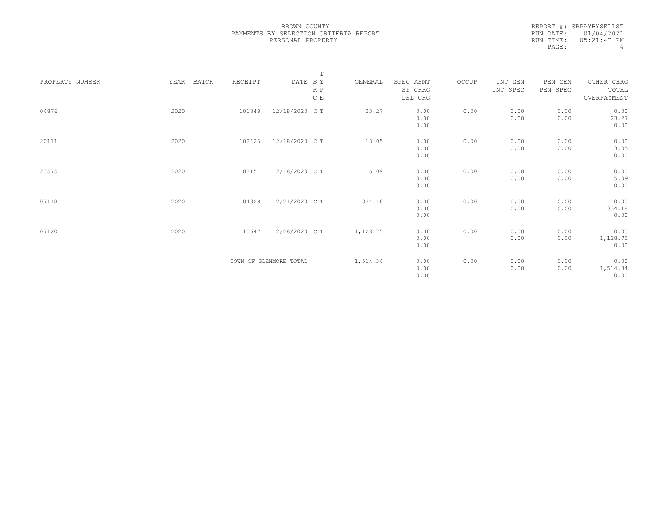REPORT #: SRPAYBYSELLST RUN DATE: 01/04/2021 RUN TIME: 05:21:47 PM<br>PAGE: 4 PAGE:

|                 |               |         |                        | $\mathbb T$ |          |                                 |       |                     |                     |                                    |
|-----------------|---------------|---------|------------------------|-------------|----------|---------------------------------|-------|---------------------|---------------------|------------------------------------|
| PROPERTY NUMBER | YEAR<br>BATCH | RECEIPT | DATE SY                | R P<br>C E  | GENERAL  | SPEC ASMT<br>SP CHRG<br>DEL CHG | OCCUP | INT GEN<br>INT SPEC | PEN GEN<br>PEN SPEC | OTHER CHRG<br>TOTAL<br>OVERPAYMENT |
| 04876           | 2020          | 101848  | 12/18/2020 C T         |             | 23.27    | 0.00<br>0.00<br>0.00            | 0.00  | 0.00<br>0.00        | 0.00<br>0.00        | 0.00<br>23.27<br>0.00              |
| 20111           | 2020          | 102425  | 12/18/2020 C T         |             | 13.05    | 0.00<br>0.00<br>0.00            | 0.00  | 0.00<br>0.00        | 0.00<br>0.00        | 0.00<br>13.05<br>0.00              |
| 23575           | 2020          | 103151  | 12/18/2020 C T         |             | 15.09    | 0.00<br>0.00<br>0.00            | 0.00  | 0.00<br>0.00        | 0.00<br>0.00        | 0.00<br>15.09<br>0.00              |
| 07118           | 2020          | 104829  | 12/21/2020 C T         |             | 334.18   | 0.00<br>0.00<br>0.00            | 0.00  | 0.00<br>0.00        | 0.00<br>0.00        | 0.00<br>334.18<br>0.00             |
| 07120           | 2020          | 110647  | 12/28/2020 C T         |             | 1,128.75 | 0.00<br>0.00<br>0.00            | 0.00  | 0.00<br>0.00        | 0.00<br>0.00        | 0.00<br>1,128.75<br>0.00           |
|                 |               |         | TOWN OF GLENMORE TOTAL |             | 1,514.34 | 0.00<br>0.00<br>0.00            | 0.00  | 0.00<br>0.00        | 0.00<br>0.00        | 0.00<br>1,514.34<br>0.00           |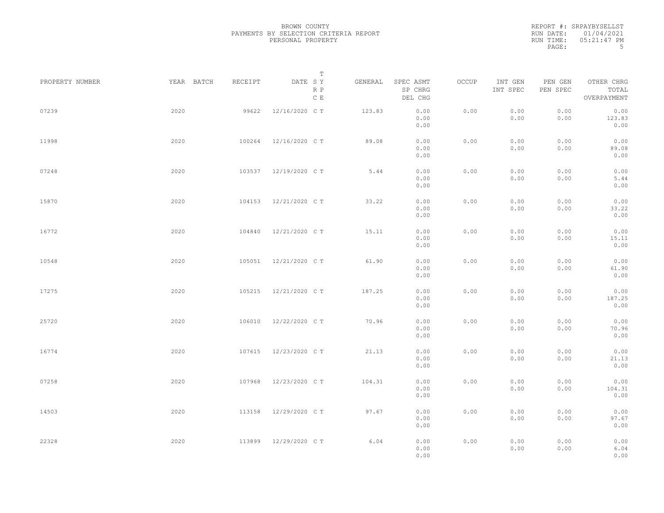|           | REPORT #: SRPAYBYSELLST |
|-----------|-------------------------|
|           | RUN DATE: 01/04/2021    |
| RUN TIME: | $05:21:47$ PM           |
| PAGE:     | .5                      |

|                 |            |         | $\mathbb T$           |         |                                 |       |                     |                     |                                    |
|-----------------|------------|---------|-----------------------|---------|---------------------------------|-------|---------------------|---------------------|------------------------------------|
| PROPERTY NUMBER | YEAR BATCH | RECEIPT | DATE SY<br>R P<br>C E | GENERAL | SPEC ASMT<br>SP CHRG<br>DEL CHG | OCCUP | INT GEN<br>INT SPEC | PEN GEN<br>PEN SPEC | OTHER CHRG<br>TOTAL<br>OVERPAYMENT |
| 07239           | 2020       | 99622   | 12/16/2020 C T        | 123.83  | 0.00<br>0.00<br>0.00            | 0.00  | 0.00<br>0.00        | 0.00<br>0.00        | 0.00<br>123.83<br>0.00             |
| 11998           | 2020       | 100264  | 12/16/2020 C T        | 89.08   | 0.00<br>0.00<br>0.00            | 0.00  | 0.00<br>0.00        | 0.00<br>0.00        | 0.00<br>89.08<br>0.00              |
| 07248           | 2020       | 103537  | 12/19/2020 C T        | 5.44    | 0.00<br>0.00<br>0.00            | 0.00  | 0.00<br>0.00        | 0.00<br>0.00        | 0.00<br>5.44<br>0.00               |
| 15870           | 2020       | 104153  | 12/21/2020 C T        | 33.22   | 0.00<br>0.00<br>0.00            | 0.00  | 0.00<br>0.00        | 0.00<br>0.00        | 0.00<br>33.22<br>0.00              |
| 16772           | 2020       | 104840  | 12/21/2020 C T        | 15.11   | 0.00<br>0.00<br>0.00            | 0.00  | 0.00<br>0.00        | 0.00<br>0.00        | 0.00<br>15.11<br>0.00              |
| 10548           | 2020       | 105051  | 12/21/2020 C T        | 61.90   | 0.00<br>0.00<br>0.00            | 0.00  | 0.00<br>0.00        | 0.00<br>0.00        | 0.00<br>61.90<br>0.00              |
| 17275           | 2020       | 105215  | 12/21/2020 C T        | 187.25  | 0.00<br>0.00<br>0.00            | 0.00  | 0.00<br>0.00        | 0.00<br>0.00        | 0.00<br>187.25<br>0.00             |
| 25720           | 2020       | 106010  | 12/22/2020 C T        | 70.96   | 0.00<br>0.00<br>0.00            | 0.00  | 0.00<br>0.00        | 0.00<br>0.00        | 0.00<br>70.96<br>0.00              |
| 16774           | 2020       | 107615  | 12/23/2020 C T        | 21.13   | 0.00<br>0.00<br>0.00            | 0.00  | 0.00<br>0.00        | 0.00<br>0.00        | 0.00<br>21.13<br>0.00              |
| 07258           | 2020       | 107968  | 12/23/2020 C T        | 104.31  | 0.00<br>0.00<br>0.00            | 0.00  | 0.00<br>0.00        | 0.00<br>0.00        | 0.00<br>104.31<br>0.00             |
| 14503           | 2020       | 113158  | 12/29/2020 C T        | 97.67   | 0.00<br>0.00<br>0.00            | 0.00  | 0.00<br>0.00        | 0.00<br>0.00        | 0.00<br>97.67<br>0.00              |
| 22328           | 2020       | 113899  | 12/29/2020 C T        | 6.04    | 0.00<br>0.00<br>0.00            | 0.00  | 0.00<br>0.00        | 0.00<br>0.00        | 0.00<br>6.04<br>0.00               |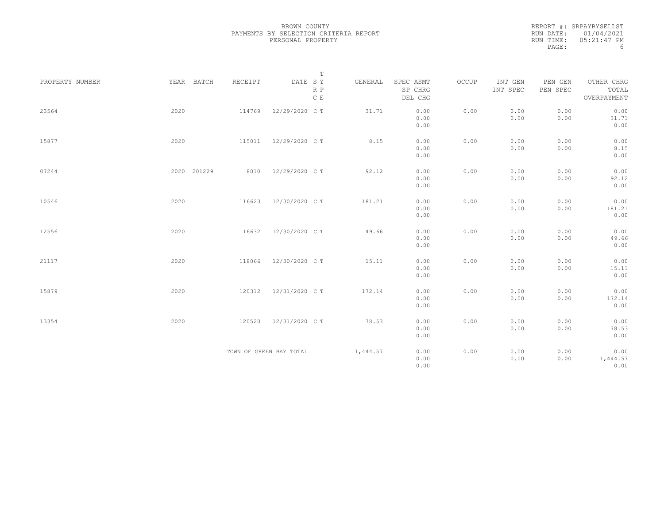|           | REPORT #: SRPAYBYSELLST |
|-----------|-------------------------|
|           | RUN DATE: $01/04/2021$  |
| RUN TIME: | $05:21:47$ PM           |
| PAGE:     | h                       |

|                 |             |         | $\mathbb T$                     |          |                                 |       |                     |                     |                                    |
|-----------------|-------------|---------|---------------------------------|----------|---------------------------------|-------|---------------------|---------------------|------------------------------------|
| PROPERTY NUMBER | YEAR BATCH  | RECEIPT | DATE SY<br>R P<br>$\,$ C $\,$ E | GENERAL  | SPEC ASMT<br>SP CHRG<br>DEL CHG | OCCUP | INT GEN<br>INT SPEC | PEN GEN<br>PEN SPEC | OTHER CHRG<br>TOTAL<br>OVERPAYMENT |
| 23564           | 2020        | 114769  | 12/29/2020 C T                  | 31.71    | 0.00<br>0.00<br>0.00            | 0.00  | 0.00<br>0.00        | 0.00<br>0.00        | 0.00<br>31.71<br>0.00              |
| 15877           | 2020        | 115011  | 12/29/2020 C T                  | 8.15     | 0.00<br>0.00<br>0.00            | 0.00  | 0.00<br>0.00        | 0.00<br>0.00        | 0.00<br>8.15<br>0.00               |
| 07244           | 2020 201229 | 8010    | 12/29/2020 C T                  | 92.12    | 0.00<br>0.00<br>0.00            | 0.00  | 0.00<br>0.00        | 0.00<br>0.00        | 0.00<br>92.12<br>0.00              |
| 10546           | 2020        | 116623  | 12/30/2020 C T                  | 181.21   | 0.00<br>0.00<br>0.00            | 0.00  | 0.00<br>0.00        | 0.00<br>0.00        | 0.00<br>181.21<br>0.00             |
| 12556           | 2020        | 116632  | 12/30/2020 C T                  | 49.66    | 0.00<br>0.00<br>0.00            | 0.00  | 0.00<br>0.00        | 0.00<br>0.00        | 0.00<br>49.66<br>0.00              |
| 21117           | 2020        | 118066  | 12/30/2020 C T                  | 15.11    | 0.00<br>0.00<br>0.00            | 0.00  | 0.00<br>0.00        | 0.00<br>0.00        | 0.00<br>15.11<br>0.00              |
| 15879           | 2020        | 120312  | 12/31/2020 C T                  | 172.14   | 0.00<br>0.00<br>0.00            | 0.00  | 0.00<br>0.00        | 0.00<br>0.00        | 0.00<br>172.14<br>0.00             |
| 13354           | 2020        | 120520  | 12/31/2020 C T                  | 78.53    | 0.00<br>0.00<br>0.00            | 0.00  | 0.00<br>0.00        | 0.00<br>0.00        | 0.00<br>78.53<br>0.00              |
|                 |             |         | TOWN OF GREEN BAY TOTAL         | 1,444.57 | 0.00<br>0.00<br>0.00            | 0.00  | 0.00<br>0.00        | 0.00<br>0.00        | 0.00<br>1,444.57<br>0.00           |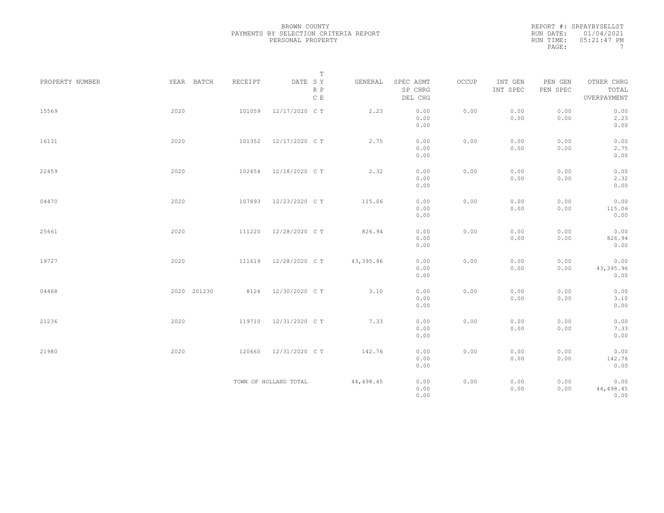|           | REPORT #: SRPAYBYSELLST |
|-----------|-------------------------|
|           | RUN DATE: $01/04/2021$  |
| RUN TIME: | 05:21:47 PM             |
| PAGE:     |                         |

|                 |             |         | $\mathbb T$           |           |                                 |       |                     |                     |                                    |
|-----------------|-------------|---------|-----------------------|-----------|---------------------------------|-------|---------------------|---------------------|------------------------------------|
| PROPERTY NUMBER | YEAR BATCH  | RECEIPT | DATE SY<br>R P<br>C E | GENERAL   | SPEC ASMT<br>SP CHRG<br>DEL CHG | OCCUP | INT GEN<br>INT SPEC | PEN GEN<br>PEN SPEC | OTHER CHRG<br>TOTAL<br>OVERPAYMENT |
| 15569           | 2020        | 101059  | 12/17/2020 C T        | 2.23      | 0.00<br>0.00<br>0.00            | 0.00  | 0.00<br>0.00        | 0.00<br>0.00        | 0.00<br>2.23<br>0.00               |
| 16131           | 2020        | 101352  | 12/17/2020 C T        | 2.75      | 0.00<br>0.00<br>0.00            | 0.00  | 0.00<br>0.00        | 0.00<br>0.00        | 0.00<br>2.75<br>0.00               |
| 22459           | 2020        | 102454  | 12/18/2020 C T        | 2.32      | 0.00<br>0.00<br>0.00            | 0.00  | 0.00<br>0.00        | 0.00<br>0.00        | 0.00<br>2.32<br>0.00               |
| 04470           | 2020        | 107893  | 12/23/2020 C T        | 115.06    | 0.00<br>0.00<br>0.00            | 0.00  | 0.00<br>0.00        | 0.00<br>0.00        | 0.00<br>115.06<br>0.00             |
| 25661           | 2020        | 111220  | 12/28/2020 C T        | 826.94    | 0.00<br>0.00<br>0.00            | 0.00  | 0.00<br>0.00        | 0.00<br>0.00        | 0.00<br>826.94<br>0.00             |
| 19727           | 2020        |         | 111619 12/28/2020 CT  | 43,395.96 | 0.00<br>0.00<br>0.00            | 0.00  | 0.00<br>0.00        | 0.00<br>0.00        | 0.00<br>43,395.96<br>0.00          |
| 04468           | 2020 201230 |         | 8124 12/30/2020 CT    | 3.10      | 0.00<br>0.00<br>0.00            | 0.00  | 0.00<br>0.00        | 0.00<br>0.00        | 0.00<br>3.10<br>0.00               |
| 21236           | 2020        | 119710  | 12/31/2020 C T        | 7.33      | 0.00<br>0.00<br>0.00            | 0.00  | 0.00<br>0.00        | 0.00<br>0.00        | 0.00<br>7.33<br>0.00               |
| 21980           | 2020        | 120660  | 12/31/2020 C T        | 142.76    | 0.00<br>0.00<br>0.00            | 0.00  | 0.00<br>0.00        | 0.00<br>0.00        | 0.00<br>142.76<br>0.00             |
|                 |             |         | TOWN OF HOLLAND TOTAL | 44,498.45 | 0.00<br>0.00<br>0.00            | 0.00  | 0.00<br>0.00        | 0.00<br>0.00        | 0.00<br>44,498.45<br>0.00          |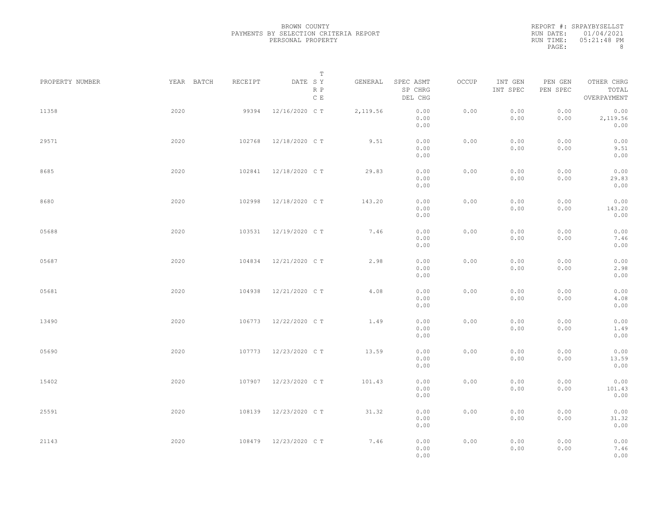|           | REPORT #: SRPAYBYSELLST |
|-----------|-------------------------|
|           | RUN DATE: 01/04/2021    |
| RUN TIME: | 05:21:48 PM             |
| PAGE:     | 8                       |

|                 |            |         | T                     |          |                                 |       |                     |                     |                                    |  |
|-----------------|------------|---------|-----------------------|----------|---------------------------------|-------|---------------------|---------------------|------------------------------------|--|
| PROPERTY NUMBER | YEAR BATCH | RECEIPT | DATE SY<br>R P<br>C E | GENERAL  | SPEC ASMT<br>SP CHRG<br>DEL CHG | OCCUP | INT GEN<br>INT SPEC | PEN GEN<br>PEN SPEC | OTHER CHRG<br>TOTAL<br>OVERPAYMENT |  |
| 11358           | 2020       | 99394   | 12/16/2020 C T        | 2,119.56 | 0.00<br>0.00<br>0.00            | 0.00  | 0.00<br>0.00        | 0.00<br>0.00        | 0.00<br>2,119.56<br>0.00           |  |
| 29571           | 2020       | 102768  | 12/18/2020 C T        | 9.51     | 0.00<br>0.00<br>0.00            | 0.00  | 0.00<br>0.00        | 0.00<br>0.00        | 0.00<br>9.51<br>0.00               |  |
| 8685            | 2020       | 102841  | 12/18/2020 C T        | 29.83    | 0.00<br>0.00<br>0.00            | 0.00  | 0.00<br>0.00        | 0.00<br>0.00        | 0.00<br>29.83<br>0.00              |  |
| 8680            | 2020       | 102998  | 12/18/2020 C T        | 143.20   | 0.00<br>0.00<br>0.00            | 0.00  | 0.00<br>0.00        | 0.00<br>0.00        | 0.00<br>143.20<br>0.00             |  |
| 05688           | 2020       | 103531  | 12/19/2020 C T        | 7.46     | 0.00<br>0.00<br>0.00            | 0.00  | 0.00<br>0.00        | 0.00<br>0.00        | 0.00<br>7.46<br>0.00               |  |
| 05687           | 2020       | 104834  | 12/21/2020 C T        | 2.98     | 0.00<br>0.00<br>0.00            | 0.00  | 0.00<br>0.00        | 0.00<br>0.00        | 0.00<br>2.98<br>0.00               |  |
| 05681           | 2020       | 104938  | 12/21/2020 C T        | 4.08     | 0.00<br>0.00<br>0.00            | 0.00  | 0.00<br>0.00        | 0.00<br>0.00        | 0.00<br>4.08<br>0.00               |  |
| 13490           | 2020       | 106773  | 12/22/2020 C T        | 1.49     | 0.00<br>0.00<br>0.00            | 0.00  | 0.00<br>0.00        | 0.00<br>0.00        | 0.00<br>1.49<br>0.00               |  |
| 05690           | 2020       | 107773  | 12/23/2020 C T        | 13.59    | 0.00<br>0.00<br>0.00            | 0.00  | 0.00<br>0.00        | 0.00<br>0.00        | 0.00<br>13.59<br>0.00              |  |
| 15402           | 2020       | 107907  | 12/23/2020 C T        | 101.43   | 0.00<br>0.00<br>0.00            | 0.00  | 0.00<br>0.00        | 0.00<br>0.00        | 0.00<br>101.43<br>0.00             |  |
| 25591           | 2020       | 108139  | 12/23/2020 C T        | 31.32    | 0.00<br>0.00<br>0.00            | 0.00  | 0.00<br>0.00        | 0.00<br>0.00        | 0.00<br>31.32<br>0.00              |  |
| 21143           | 2020       |         | 108479 12/23/2020 CT  | 7.46     | 0.00<br>0.00<br>0.00            | 0.00  | 0.00<br>0.00        | 0.00<br>0.00        | 0.00<br>7.46<br>0.00               |  |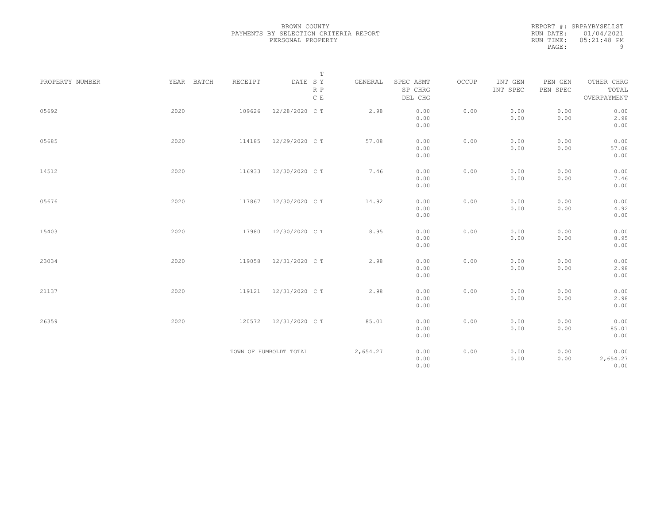|           | REPORT #: SRPAYBYSELLST |
|-----------|-------------------------|
|           | RUN DATE: 01/04/2021    |
| RUN TIME: | 05:21:48 PM             |
| PAGE:     | q                       |

|                 |            |         | $\mathbb T$                     |          |                                 |       |                     |                     |                                    |
|-----------------|------------|---------|---------------------------------|----------|---------------------------------|-------|---------------------|---------------------|------------------------------------|
| PROPERTY NUMBER | YEAR BATCH | RECEIPT | DATE SY<br>R P<br>$\,$ C $\,$ E | GENERAL  | SPEC ASMT<br>SP CHRG<br>DEL CHG | OCCUP | INT GEN<br>INT SPEC | PEN GEN<br>PEN SPEC | OTHER CHRG<br>TOTAL<br>OVERPAYMENT |
| 05692           | 2020       | 109626  | 12/28/2020 C T                  | 2.98     | 0.00<br>0.00<br>0.00            | 0.00  | 0.00<br>0.00        | 0.00<br>0.00        | 0.00<br>2.98<br>0.00               |
| 05685           | 2020       | 114185  | 12/29/2020 C T                  | 57.08    | 0.00<br>0.00<br>0.00            | 0.00  | 0.00<br>0.00        | 0.00<br>0.00        | 0.00<br>57.08<br>0.00              |
| 14512           | 2020       | 116933  | 12/30/2020 C T                  | 7.46     | 0.00<br>0.00<br>0.00            | 0.00  | 0.00<br>0.00        | 0.00<br>0.00        | 0.00<br>7.46<br>0.00               |
| 05676           | 2020       | 117867  | 12/30/2020 C T                  | 14.92    | 0.00<br>0.00<br>0.00            | 0.00  | 0.00<br>0.00        | 0.00<br>0.00        | 0.00<br>14.92<br>0.00              |
| 15403           | 2020       | 117980  | 12/30/2020 C T                  | 8.95     | 0.00<br>0.00<br>0.00            | 0.00  | 0.00<br>0.00        | 0.00<br>0.00        | 0.00<br>8.95<br>0.00               |
| 23034           | 2020       | 119058  | 12/31/2020 C T                  | 2.98     | 0.00<br>0.00<br>0.00            | 0.00  | 0.00<br>0.00        | 0.00<br>0.00        | 0.00<br>2.98<br>0.00               |
| 21137           | 2020       | 119121  | 12/31/2020 C T                  | 2.98     | 0.00<br>0.00<br>0.00            | 0.00  | 0.00<br>0.00        | 0.00<br>0.00        | 0.00<br>2.98<br>0.00               |
| 26359           | 2020       | 120572  | 12/31/2020 C T                  | 85.01    | 0.00<br>0.00<br>0.00            | 0.00  | 0.00<br>0.00        | 0.00<br>0.00        | 0.00<br>85.01<br>0.00              |
|                 |            |         | TOWN OF HUMBOLDT TOTAL          | 2,654.27 | 0.00<br>0.00<br>0.00            | 0.00  | 0.00<br>0.00        | 0.00<br>0.00        | 0.00<br>2,654.27<br>0.00           |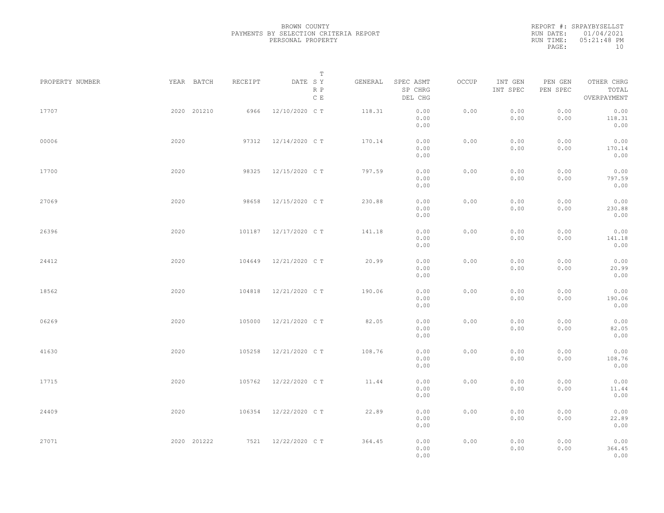REPORT #: SRPAYBYSELLST RUN DATE: 01/04/2021 RUN TIME: 05:21:48 PM PAGE: 10

|                 |             |         | $\mathbb T$           |         |                                 |       |                     |                     |                                    |  |
|-----------------|-------------|---------|-----------------------|---------|---------------------------------|-------|---------------------|---------------------|------------------------------------|--|
| PROPERTY NUMBER | YEAR BATCH  | RECEIPT | DATE SY<br>R P<br>C E | GENERAL | SPEC ASMT<br>SP CHRG<br>DEL CHG | OCCUP | INT GEN<br>INT SPEC | PEN GEN<br>PEN SPEC | OTHER CHRG<br>TOTAL<br>OVERPAYMENT |  |
| 17707           | 2020 201210 | 6966    | 12/10/2020 C T        | 118.31  | 0.00<br>0.00<br>0.00            | 0.00  | 0.00<br>0.00        | 0.00<br>0.00        | 0.00<br>118.31<br>0.00             |  |
| 00006           | 2020        | 97312   | 12/14/2020 C T        | 170.14  | 0.00<br>0.00<br>0.00            | 0.00  | 0.00<br>0.00        | 0.00<br>0.00        | 0.00<br>170.14<br>0.00             |  |
| 17700           | 2020        | 98325   | 12/15/2020 C T        | 797.59  | 0.00<br>0.00<br>0.00            | 0.00  | 0.00<br>0.00        | 0.00<br>0.00        | 0.00<br>797.59<br>0.00             |  |
| 27069           | 2020        | 98658   | 12/15/2020 C T        | 230.88  | 0.00<br>0.00<br>0.00            | 0.00  | 0.00<br>0.00        | 0.00<br>0.00        | 0.00<br>230.88<br>0.00             |  |
| 26396           | 2020        | 101187  | 12/17/2020 C T        | 141.18  | 0.00<br>0.00<br>0.00            | 0.00  | 0.00<br>0.00        | 0.00<br>0.00        | 0.00<br>141.18<br>0.00             |  |
| 24412           | 2020        | 104649  | 12/21/2020 C T        | 20.99   | 0.00<br>0.00<br>0.00            | 0.00  | 0.00<br>0.00        | 0.00<br>0.00        | 0.00<br>20.99<br>0.00              |  |
| 18562           | 2020        | 104818  | 12/21/2020 C T        | 190.06  | 0.00<br>0.00<br>0.00            | 0.00  | 0.00<br>0.00        | 0.00<br>0.00        | 0.00<br>190.06<br>0.00             |  |
| 06269           | 2020        | 105000  | 12/21/2020 C T        | 82.05   | 0.00<br>0.00<br>0.00            | 0.00  | 0.00<br>0.00        | 0.00<br>0.00        | 0.00<br>82.05<br>0.00              |  |
| 41630           | 2020        | 105258  | 12/21/2020 C T        | 108.76  | 0.00<br>0.00<br>0.00            | 0.00  | 0.00<br>0.00        | 0.00<br>0.00        | 0.00<br>108.76<br>0.00             |  |
| 17715           | 2020        | 105762  | 12/22/2020 C T        | 11.44   | 0.00<br>0.00<br>0.00            | 0.00  | 0.00<br>0.00        | 0.00<br>0.00        | 0.00<br>11.44<br>0.00              |  |
| 24409           | 2020        | 106354  | 12/22/2020 C T        | 22.89   | 0.00<br>0.00<br>0.00            | 0.00  | 0.00<br>0.00        | 0.00<br>0.00        | 0.00<br>22.89<br>0.00              |  |
| 27071           | 2020 201222 |         | 7521 12/22/2020 CT    | 364.45  | 0.00<br>0.00<br>0.00            | 0.00  | 0.00<br>0.00        | 0.00<br>0.00        | 0.00<br>364.45<br>0.00             |  |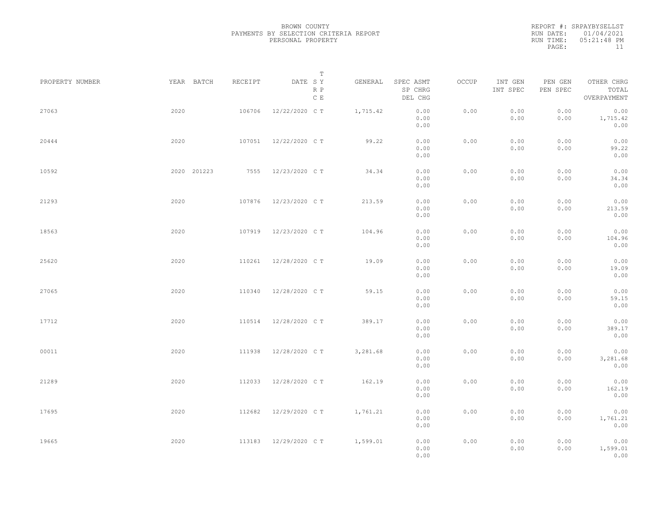|           | REPORT #: SRPAYBYSELLST |
|-----------|-------------------------|
|           | RUN DATE: 01/04/2021    |
| RUN TIME: | $0.5:21:48$ PM          |
| PAGE:     | 11                      |

| PROPERTY NUMBER |      | YEAR BATCH  | RECEIPT | DATE SY        | Т<br>R P      | GENERAL  | SPEC ASMT<br>SP CHRG         | OCCUP | INT GEN<br>INT SPEC | PEN GEN<br>PEN SPEC | OTHER CHRG<br>TOTAL            |  |
|-----------------|------|-------------|---------|----------------|---------------|----------|------------------------------|-------|---------------------|---------------------|--------------------------------|--|
|                 |      |             |         |                | $\,$ C $\,$ E |          | DEL CHG                      |       |                     |                     | OVERPAYMENT                    |  |
| 27063           | 2020 |             | 106706  | 12/22/2020 C T |               | 1,715.42 | 0.00<br>0.00<br>0.00         | 0.00  | 0.00<br>0.00        | 0.00<br>0.00        | 0.00<br>1,715.42<br>0.00       |  |
| 20444           | 2020 |             | 107051  | 12/22/2020 C T |               | 99.22    | 0.00<br>0.00<br>0.00         | 0.00  | 0.00<br>0.00        | 0.00<br>0.00        | 0.00<br>99.22<br>0.00          |  |
| 10592           |      | 2020 201223 | 7555    | 12/23/2020 C T |               | 34.34    | 0.00<br>0.00<br>0.00         | 0.00  | 0.00<br>0.00        | 0.00<br>0.00        | 0.00<br>34.34<br>0.00          |  |
| 21293           | 2020 |             | 107876  | 12/23/2020 C T |               | 213.59   | 0.00<br>0.00<br>0.00         | 0.00  | 0.00<br>0.00        | 0.00<br>0.00        | 0.00<br>213.59<br>0.00         |  |
| 18563           | 2020 |             | 107919  | 12/23/2020 C T |               | 104.96   | 0.00<br>0.00<br>0.00         | 0.00  | 0.00<br>0.00        | 0.00<br>0.00        | 0.00<br>104.96<br>0.00         |  |
| 25620           | 2020 |             | 110261  | 12/28/2020 C T |               | 19.09    | 0.00<br>0.00<br>0.00         | 0.00  | 0.00<br>0.00        | 0.00<br>0.00        | 0.00<br>19.09<br>0.00          |  |
| 27065           | 2020 |             | 110340  | 12/28/2020 C T |               | 59.15    | 0.00<br>0.00                 | 0.00  | 0.00<br>0.00        | 0.00<br>0.00        | 0.00<br>59.15                  |  |
| 17712           | 2020 |             | 110514  | 12/28/2020 C T |               | 389.17   | 0.00<br>0.00<br>0.00         | 0.00  | 0.00<br>0.00        | 0.00<br>0.00        | 0.00<br>0.00<br>389.17<br>0.00 |  |
| 00011           | 2020 |             | 111938  | 12/28/2020 C T |               | 3,281.68 | 0.00<br>0.00<br>0.00<br>0.00 | 0.00  | 0.00<br>0.00        | 0.00<br>0.00        | 0.00<br>3,281.68<br>0.00       |  |
| 21289           | 2020 |             | 112033  | 12/28/2020 C T |               | 162.19   | 0.00<br>0.00<br>0.00         | 0.00  | 0.00<br>0.00        | 0.00<br>0.00        | 0.00<br>162.19<br>0.00         |  |
| 17695           | 2020 |             | 112682  | 12/29/2020 C T |               | 1,761.21 | 0.00<br>0.00<br>0.00         | 0.00  | 0.00<br>0.00        | 0.00<br>0.00        | 0.00<br>1,761.21<br>0.00       |  |
| 19665           | 2020 |             | 113183  | 12/29/2020 C T |               | 1,599.01 | 0.00<br>0.00<br>0.00         | 0.00  | 0.00<br>0.00        | 0.00<br>0.00        | 0.00<br>1,599.01<br>0.00       |  |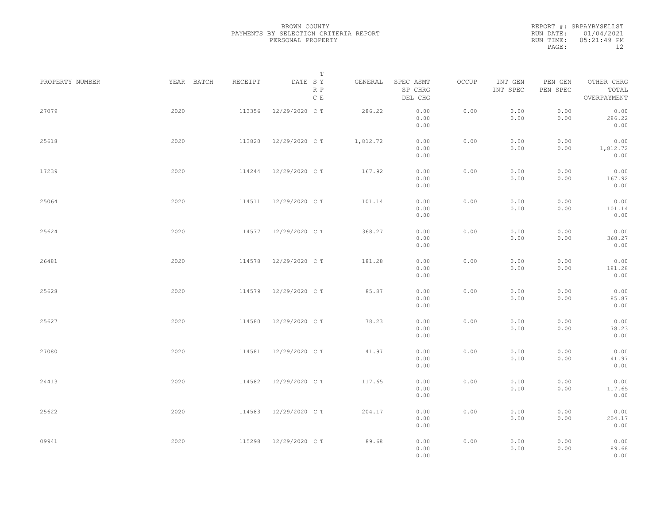|           | REPORT #: SRPAYBYSELLST |
|-----------|-------------------------|
|           | RUN DATE: 01/04/2021    |
| RUN TIME: | 05:21:49 PM             |
| PAGE:     | 12                      |

|                 |            |         | T                     |          |                                 |       |                     |                     |                                    |  |
|-----------------|------------|---------|-----------------------|----------|---------------------------------|-------|---------------------|---------------------|------------------------------------|--|
| PROPERTY NUMBER | YEAR BATCH | RECEIPT | DATE SY<br>R P<br>C E | GENERAL  | SPEC ASMT<br>SP CHRG<br>DEL CHG | OCCUP | INT GEN<br>INT SPEC | PEN GEN<br>PEN SPEC | OTHER CHRG<br>TOTAL<br>OVERPAYMENT |  |
| 27079           | 2020       | 113356  | 12/29/2020 C T        | 286.22   | 0.00<br>0.00<br>0.00            | 0.00  | 0.00<br>0.00        | 0.00<br>0.00        | 0.00<br>286.22<br>0.00             |  |
| 25618           | 2020       | 113820  | 12/29/2020 C T        | 1,812.72 | 0.00<br>0.00<br>0.00            | 0.00  | 0.00<br>0.00        | 0.00<br>0.00        | 0.00<br>1,812.72<br>0.00           |  |
| 17239           | 2020       | 114244  | 12/29/2020 C T        | 167.92   | 0.00<br>0.00<br>0.00            | 0.00  | 0.00<br>0.00        | 0.00<br>0.00        | 0.00<br>167.92<br>0.00             |  |
| 25064           | 2020       |         | 114511 12/29/2020 CT  | 101.14   | 0.00<br>0.00<br>0.00            | 0.00  | 0.00<br>0.00        | 0.00<br>0.00        | 0.00<br>101.14<br>0.00             |  |
| 25624           | 2020       | 114577  | 12/29/2020 C T        | 368.27   | 0.00<br>0.00<br>0.00            | 0.00  | 0.00<br>0.00        | 0.00<br>0.00        | 0.00<br>368.27<br>0.00             |  |
| 26481           | 2020       | 114578  | 12/29/2020 C T        | 181.28   | 0.00<br>0.00<br>0.00            | 0.00  | 0.00<br>0.00        | 0.00<br>0.00        | 0.00<br>181.28<br>0.00             |  |
| 25628           | 2020       | 114579  | 12/29/2020 C T        | 85.87    | 0.00<br>0.00<br>0.00            | 0.00  | 0.00<br>0.00        | 0.00<br>0.00        | 0.00<br>85.87<br>0.00              |  |
| 25627           | 2020       | 114580  | 12/29/2020 C T        | 78.23    | 0.00<br>0.00<br>0.00            | 0.00  | 0.00<br>0.00        | 0.00<br>0.00        | 0.00<br>78.23<br>0.00              |  |
| 27080           | 2020       | 114581  | 12/29/2020 C T        | 41.97    | 0.00<br>0.00<br>0.00            | 0.00  | 0.00<br>0.00        | 0.00<br>0.00        | 0.00<br>41.97<br>0.00              |  |
| 24413           | 2020       | 114582  | 12/29/2020 C T        | 117.65   | 0.00<br>0.00<br>0.00            | 0.00  | 0.00<br>0.00        | 0.00<br>0.00        | 0.00<br>117.65<br>0.00             |  |
| 25622           | 2020       | 114583  | 12/29/2020 C T        | 204.17   | 0.00<br>0.00<br>0.00            | 0.00  | 0.00<br>0.00        | 0.00<br>0.00        | 0.00<br>204.17<br>0.00             |  |
| 09941           | 2020       | 115298  | 12/29/2020 C T        | 89.68    | 0.00<br>0.00<br>0.00            | 0.00  | 0.00<br>0.00        | 0.00<br>0.00        | 0.00<br>89.68<br>0.00              |  |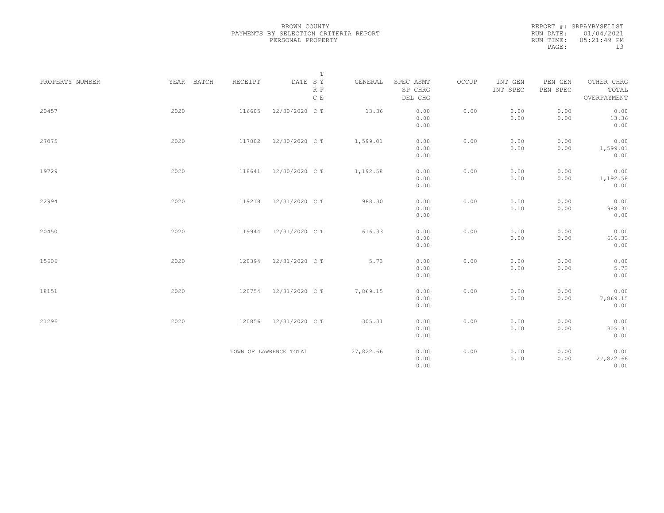|           | REPORT #: SRPAYBYSELLST |
|-----------|-------------------------|
|           | RUN DATE: 01/04/2021    |
| RUN TIME: | $05:21:49$ PM           |
| PAGE:     | 13                      |

|                 |            |         | $\mathbb T$                     |           |                                 |       |                     |                     |                                    |
|-----------------|------------|---------|---------------------------------|-----------|---------------------------------|-------|---------------------|---------------------|------------------------------------|
| PROPERTY NUMBER | YEAR BATCH | RECEIPT | DATE SY<br>R P<br>$\,$ C $\,$ E | GENERAL   | SPEC ASMT<br>SP CHRG<br>DEL CHG | OCCUP | INT GEN<br>INT SPEC | PEN GEN<br>PEN SPEC | OTHER CHRG<br>TOTAL<br>OVERPAYMENT |
| 20457           | 2020       | 116605  | 12/30/2020 C T                  | 13.36     | 0.00<br>0.00<br>0.00            | 0.00  | 0.00<br>0.00        | 0.00<br>0.00        | 0.00<br>13.36<br>0.00              |
| 27075           | 2020       | 117002  | 12/30/2020 C T                  | 1,599.01  | 0.00<br>0.00<br>0.00            | 0.00  | 0.00<br>0.00        | 0.00<br>0.00        | 0.00<br>1,599.01<br>0.00           |
| 19729           | 2020       | 118641  | 12/30/2020 C T                  | 1,192.58  | 0.00<br>0.00<br>0.00            | 0.00  | 0.00<br>0.00        | 0.00<br>0.00        | 0.00<br>1,192.58<br>0.00           |
| 22994           | 2020       | 119218  | 12/31/2020 C T                  | 988.30    | 0.00<br>0.00<br>0.00            | 0.00  | 0.00<br>0.00        | 0.00<br>0.00        | 0.00<br>988.30<br>0.00             |
| 20450           | 2020       | 119944  | 12/31/2020 C T                  | 616.33    | 0.00<br>0.00<br>0.00            | 0.00  | 0.00<br>0.00        | 0.00<br>0.00        | 0.00<br>616.33<br>0.00             |
| 15606           | 2020       | 120394  | 12/31/2020 C T                  | 5.73      | 0.00<br>0.00<br>0.00            | 0.00  | 0.00<br>0.00        | 0.00<br>0.00        | 0.00<br>5.73<br>0.00               |
| 18151           | 2020       | 120754  | 12/31/2020 C T                  | 7,869.15  | 0.00<br>0.00<br>0.00            | 0.00  | 0.00<br>0.00        | 0.00<br>0.00        | 0.00<br>7,869.15<br>0.00           |
| 21296           | 2020       | 120856  | 12/31/2020 C T                  | 305.31    | 0.00<br>0.00<br>0.00            | 0.00  | 0.00<br>0.00        | 0.00<br>0.00        | 0.00<br>305.31<br>0.00             |
|                 |            |         | TOWN OF LAWRENCE TOTAL          | 27,822.66 | 0.00<br>0.00<br>0.00            | 0.00  | 0.00<br>0.00        | 0.00<br>0.00        | 0.00<br>27,822.66<br>0.00          |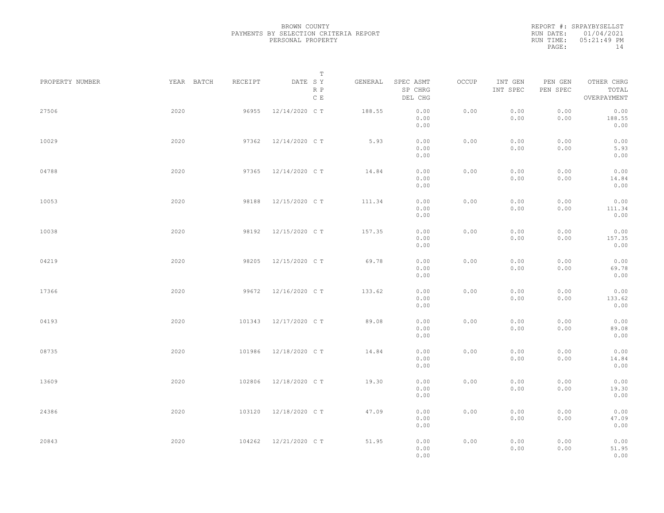|           | REPORT #: SRPAYBYSELLST |
|-----------|-------------------------|
|           | RUN DATE: 01/04/2021    |
| RUN TIME: | 05:21:49 PM             |
| PAGE:     | 14                      |

|                 |            |         | T                               |         |                                 |       |                     |                     |                                    |  |
|-----------------|------------|---------|---------------------------------|---------|---------------------------------|-------|---------------------|---------------------|------------------------------------|--|
| PROPERTY NUMBER | YEAR BATCH | RECEIPT | DATE SY<br>R P<br>$\,$ C $\,$ E | GENERAL | SPEC ASMT<br>SP CHRG<br>DEL CHG | OCCUP | INT GEN<br>INT SPEC | PEN GEN<br>PEN SPEC | OTHER CHRG<br>TOTAL<br>OVERPAYMENT |  |
| 27506           | 2020       | 96955   | 12/14/2020 C T                  | 188.55  | 0.00<br>0.00<br>0.00            | 0.00  | 0.00<br>0.00        | 0.00<br>0.00        | 0.00<br>188.55<br>0.00             |  |
| 10029           | 2020       | 97362   | 12/14/2020 C T                  | 5.93    | 0.00<br>0.00<br>0.00            | 0.00  | 0.00<br>0.00        | 0.00<br>0.00        | 0.00<br>5.93<br>0.00               |  |
| 04788           | 2020       | 97365   | 12/14/2020 C T                  | 14.84   | 0.00<br>0.00<br>0.00            | 0.00  | 0.00<br>0.00        | 0.00<br>0.00        | 0.00<br>14.84<br>0.00              |  |
| 10053           | 2020       | 98188   | 12/15/2020 C T                  | 111.34  | 0.00<br>0.00<br>0.00            | 0.00  | 0.00<br>0.00        | 0.00<br>0.00        | 0.00<br>111.34<br>0.00             |  |
| 10038           | 2020       | 98192   | 12/15/2020 C T                  | 157.35  | 0.00<br>0.00<br>0.00            | 0.00  | 0.00<br>0.00        | 0.00<br>0.00        | 0.00<br>157.35<br>0.00             |  |
| 04219           | 2020       | 98205   | 12/15/2020 C T                  | 69.78   | 0.00<br>0.00<br>0.00            | 0.00  | 0.00<br>0.00        | 0.00<br>0.00        | 0.00<br>69.78<br>0.00              |  |
| 17366           | 2020       | 99672   | 12/16/2020 C T                  | 133.62  | 0.00<br>0.00<br>0.00            | 0.00  | 0.00<br>0.00        | 0.00<br>0.00        | 0.00<br>133.62<br>0.00             |  |
| 04193           | 2020       | 101343  | 12/17/2020 C T                  | 89.08   | 0.00<br>0.00<br>0.00            | 0.00  | 0.00<br>0.00        | 0.00<br>0.00        | 0.00<br>89.08<br>0.00              |  |
| 08735           | 2020       | 101986  | 12/18/2020 C T                  | 14.84   | 0.00<br>0.00<br>0.00            | 0.00  | 0.00<br>0.00        | 0.00<br>0.00        | 0.00<br>14.84<br>0.00              |  |
| 13609           | 2020       | 102806  | 12/18/2020 C T                  | 19.30   | 0.00<br>0.00<br>0.00            | 0.00  | 0.00<br>0.00        | 0.00<br>0.00        | 0.00<br>19.30<br>0.00              |  |
| 24386           | 2020       | 103120  | 12/18/2020 C T                  | 47.09   | 0.00<br>0.00<br>0.00            | 0.00  | 0.00<br>0.00        | 0.00<br>0.00        | 0.00<br>47.09<br>0.00              |  |
| 20843           | 2020       | 104262  | 12/21/2020 C T                  | 51.95   | 0.00<br>0.00<br>0.00            | 0.00  | 0.00<br>0.00        | 0.00<br>0.00        | 0.00<br>51.95<br>0.00              |  |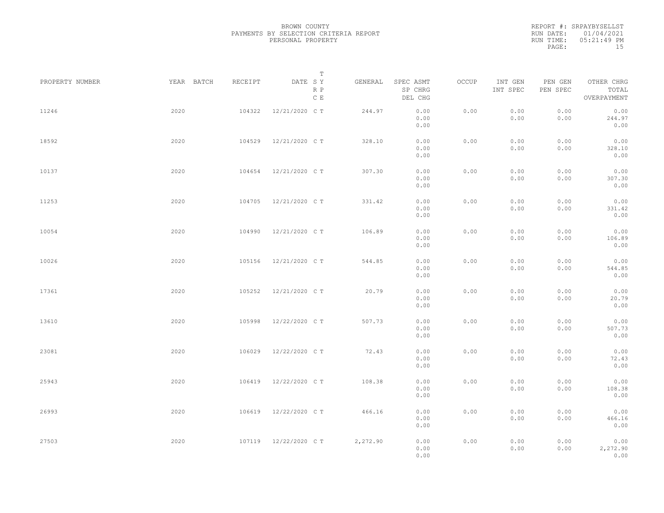REPORT #: SRPAYBYSELLST RUN DATE: 01/04/2021 RUN TIME: 05:21:49 PM PAGE: 15

|                 |            |         | $\mathbb T$           |          |                                 |       |                     |                     |                                    |  |
|-----------------|------------|---------|-----------------------|----------|---------------------------------|-------|---------------------|---------------------|------------------------------------|--|
| PROPERTY NUMBER | YEAR BATCH | RECEIPT | DATE SY<br>R P<br>C E | GENERAL  | SPEC ASMT<br>SP CHRG<br>DEL CHG | OCCUP | INT GEN<br>INT SPEC | PEN GEN<br>PEN SPEC | OTHER CHRG<br>TOTAL<br>OVERPAYMENT |  |
| 11246           | 2020       | 104322  | 12/21/2020 C T        | 244.97   | 0.00<br>0.00<br>0.00            | 0.00  | 0.00<br>0.00        | 0.00<br>0.00        | 0.00<br>244.97<br>0.00             |  |
| 18592           | 2020       | 104529  | 12/21/2020 C T        | 328.10   | 0.00<br>0.00<br>0.00            | 0.00  | 0.00<br>0.00        | 0.00<br>0.00        | 0.00<br>328.10<br>0.00             |  |
| 10137           | 2020       | 104654  | 12/21/2020 C T        | 307.30   | 0.00<br>0.00<br>0.00            | 0.00  | 0.00<br>0.00        | 0.00<br>0.00        | 0.00<br>307.30<br>0.00             |  |
| 11253           | 2020       | 104705  | 12/21/2020 C T        | 331.42   | 0.00<br>0.00<br>0.00            | 0.00  | 0.00<br>0.00        | 0.00<br>0.00        | 0.00<br>331.42<br>0.00             |  |
| 10054           | 2020       | 104990  | 12/21/2020 C T        | 106.89   | 0.00<br>0.00<br>0.00            | 0.00  | 0.00<br>0.00        | 0.00<br>0.00        | 0.00<br>106.89<br>0.00             |  |
| 10026           | 2020       | 105156  | 12/21/2020 C T        | 544.85   | 0.00<br>0.00<br>0.00            | 0.00  | 0.00<br>0.00        | 0.00<br>0.00        | 0.00<br>544.85<br>0.00             |  |
| 17361           | 2020       | 105252  | 12/21/2020 C T        | 20.79    | 0.00<br>0.00<br>0.00            | 0.00  | 0.00<br>0.00        | 0.00<br>0.00        | 0.00<br>20.79<br>0.00              |  |
| 13610           | 2020       | 105998  | 12/22/2020 C T        | 507.73   | 0.00<br>0.00<br>0.00            | 0.00  | 0.00<br>0.00        | 0.00<br>0.00        | 0.00<br>507.73<br>0.00             |  |
| 23081           | 2020       | 106029  | 12/22/2020 C T        | 72.43    | 0.00<br>0.00<br>0.00            | 0.00  | 0.00<br>0.00        | 0.00<br>0.00        | 0.00<br>72.43<br>0.00              |  |
| 25943           | 2020       | 106419  | 12/22/2020 C T        | 108.38   | 0.00<br>0.00<br>0.00            | 0.00  | 0.00<br>0.00        | 0.00<br>0.00        | 0.00<br>108.38<br>0.00             |  |
| 26993           | 2020       | 106619  | 12/22/2020 C T        | 466.16   | 0.00<br>0.00<br>0.00            | 0.00  | 0.00<br>0.00        | 0.00<br>0.00        | 0.00<br>466.16<br>0.00             |  |
| 27503           | 2020       |         | 107119 12/22/2020 CT  | 2,272.90 | 0.00<br>0.00<br>0.00            | 0.00  | 0.00<br>0.00        | 0.00<br>0.00        | 0.00<br>2,272.90<br>0.00           |  |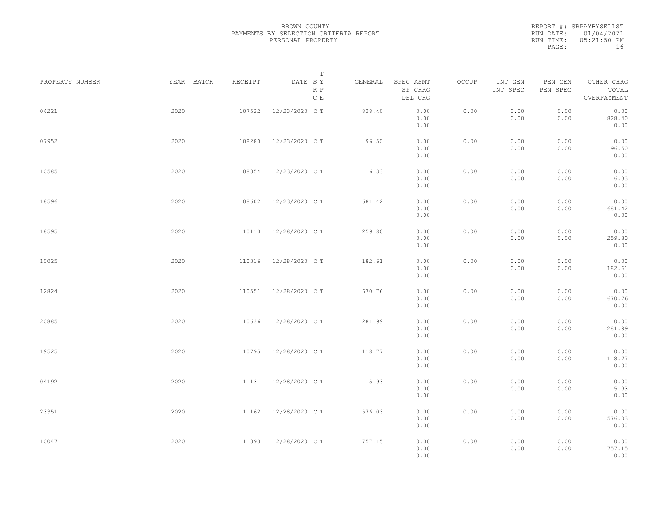|           | REPORT #: SRPAYBYSELLST |
|-----------|-------------------------|
|           | RUN DATE: 01/04/2021    |
| RUN TIME: | 05:21:50 PM             |
| PAGE:     | 16                      |

|                 |            |         | T                               |         |                                 |       |                     |                     |                                    |  |
|-----------------|------------|---------|---------------------------------|---------|---------------------------------|-------|---------------------|---------------------|------------------------------------|--|
| PROPERTY NUMBER | YEAR BATCH | RECEIPT | DATE SY<br>R P<br>$\,$ C $\,$ E | GENERAL | SPEC ASMT<br>SP CHRG<br>DEL CHG | OCCUP | INT GEN<br>INT SPEC | PEN GEN<br>PEN SPEC | OTHER CHRG<br>TOTAL<br>OVERPAYMENT |  |
| 04221           | 2020       | 107522  | 12/23/2020 C T                  | 828.40  | 0.00<br>0.00<br>0.00            | 0.00  | 0.00<br>0.00        | 0.00<br>0.00        | 0.00<br>828.40<br>0.00             |  |
| 07952           | 2020       | 108280  | 12/23/2020 C T                  | 96.50   | 0.00<br>0.00<br>0.00            | 0.00  | 0.00<br>0.00        | 0.00<br>0.00        | 0.00<br>96.50<br>0.00              |  |
| 10585           | 2020       | 108354  | 12/23/2020 C T                  | 16.33   | 0.00<br>0.00<br>0.00            | 0.00  | 0.00<br>0.00        | 0.00<br>0.00        | 0.00<br>16.33<br>0.00              |  |
| 18596           | 2020       | 108602  | 12/23/2020 C T                  | 681.42  | 0.00<br>0.00<br>0.00            | 0.00  | 0.00<br>0.00        | 0.00<br>0.00        | 0.00<br>681.42<br>0.00             |  |
| 18595           | 2020       | 110110  | 12/28/2020 C T                  | 259.80  | 0.00<br>0.00<br>0.00            | 0.00  | 0.00<br>0.00        | 0.00<br>0.00        | 0.00<br>259.80<br>0.00             |  |
| 10025           | 2020       | 110316  | 12/28/2020 C T                  | 182.61  | 0.00<br>0.00<br>0.00            | 0.00  | 0.00<br>0.00        | 0.00<br>0.00        | 0.00<br>182.61<br>0.00             |  |
| 12824           | 2020       | 110551  | 12/28/2020 C T                  | 670.76  | 0.00<br>0.00<br>0.00            | 0.00  | 0.00<br>0.00        | 0.00<br>0.00        | 0.00<br>670.76<br>0.00             |  |
| 20885           | 2020       | 110636  | 12/28/2020 C T                  | 281.99  | 0.00<br>0.00<br>0.00            | 0.00  | 0.00<br>0.00        | 0.00<br>0.00        | 0.00<br>281.99<br>0.00             |  |
| 19525           | 2020       | 110795  | 12/28/2020 C T                  | 118.77  | 0.00<br>0.00<br>0.00            | 0.00  | 0.00<br>0.00        | 0.00<br>0.00        | 0.00<br>118.77<br>0.00             |  |
| 04192           | 2020       | 111131  | 12/28/2020 C T                  | 5.93    | 0.00<br>0.00<br>0.00            | 0.00  | 0.00<br>0.00        | 0.00<br>0.00        | 0.00<br>5.93<br>0.00               |  |
| 23351           | 2020       | 111162  | 12/28/2020 C T                  | 576.03  | 0.00<br>0.00<br>0.00            | 0.00  | 0.00<br>0.00        | 0.00<br>0.00        | 0.00<br>576.03<br>0.00             |  |
| 10047           | 2020       |         | 111393 12/28/2020 CT            | 757.15  | 0.00<br>0.00<br>0.00            | 0.00  | 0.00<br>0.00        | 0.00<br>0.00        | 0.00<br>757.15<br>0.00             |  |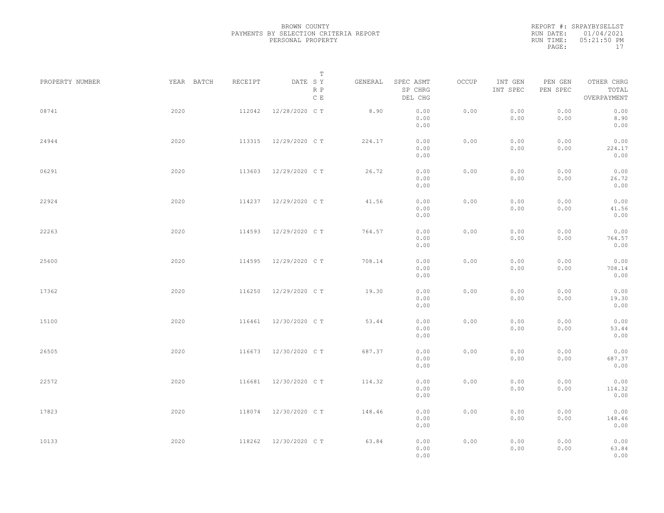|           | REPORT #: SRPAYBYSELLST |
|-----------|-------------------------|
|           | RUN DATE: 01/04/2021    |
| RUN TIME: | 05:21:50 PM             |
| PAGE:     | 17                      |

|                 |            |         | T                     |         |                                 |       |                     |                     |                                    |  |
|-----------------|------------|---------|-----------------------|---------|---------------------------------|-------|---------------------|---------------------|------------------------------------|--|
| PROPERTY NUMBER | YEAR BATCH | RECEIPT | DATE SY<br>R P<br>C E | GENERAL | SPEC ASMT<br>SP CHRG<br>DEL CHG | OCCUP | INT GEN<br>INT SPEC | PEN GEN<br>PEN SPEC | OTHER CHRG<br>TOTAL<br>OVERPAYMENT |  |
| 08741           | 2020       | 112042  | 12/28/2020 C T        | 8.90    | 0.00<br>0.00<br>0.00            | 0.00  | 0.00<br>0.00        | 0.00<br>0.00        | 0.00<br>8.90<br>0.00               |  |
| 24944           | 2020       | 113315  | 12/29/2020 C T        | 224.17  | 0.00<br>0.00<br>0.00            | 0.00  | 0.00<br>0.00        | 0.00<br>0.00        | 0.00<br>224.17<br>0.00             |  |
| 06291           | 2020       | 113603  | 12/29/2020 C T        | 26.72   | 0.00<br>0.00<br>0.00            | 0.00  | 0.00<br>0.00        | 0.00<br>0.00        | 0.00<br>26.72<br>0.00              |  |
| 22924           | 2020       | 114237  | 12/29/2020 C T        | 41.56   | 0.00<br>0.00<br>0.00            | 0.00  | 0.00<br>0.00        | 0.00<br>0.00        | 0.00<br>41.56<br>0.00              |  |
| 22263           | 2020       | 114593  | 12/29/2020 C T        | 764.57  | 0.00<br>0.00<br>0.00            | 0.00  | 0.00<br>0.00        | 0.00<br>0.00        | 0.00<br>764.57<br>0.00             |  |
| 25600           | 2020       | 114595  | 12/29/2020 C T        | 708.14  | 0.00<br>0.00<br>0.00            | 0.00  | 0.00<br>0.00        | 0.00<br>0.00        | 0.00<br>708.14<br>0.00             |  |
| 17362           | 2020       | 116250  | 12/29/2020 C T        | 19.30   | 0.00<br>0.00<br>0.00            | 0.00  | 0.00<br>0.00        | 0.00<br>0.00        | 0.00<br>19.30<br>0.00              |  |
| 15100           | 2020       | 116461  | 12/30/2020 C T        | 53.44   | 0.00<br>0.00<br>0.00            | 0.00  | 0.00<br>0.00        | 0.00<br>0.00        | 0.00<br>53.44<br>0.00              |  |
| 26505           | 2020       | 116673  | 12/30/2020 C T        | 687.37  | 0.00<br>0.00<br>0.00            | 0.00  | 0.00<br>0.00        | 0.00<br>0.00        | 0.00<br>687.37<br>0.00             |  |
| 22572           | 2020       | 116681  | 12/30/2020 C T        | 114.32  | 0.00<br>0.00<br>0.00            | 0.00  | 0.00<br>0.00        | 0.00<br>0.00        | 0.00<br>114.32<br>0.00             |  |
| 17823           | 2020       | 118074  | 12/30/2020 C T        | 148.46  | 0.00<br>0.00<br>0.00            | 0.00  | 0.00<br>0.00        | 0.00<br>0.00        | 0.00<br>148.46<br>0.00             |  |
| 10133           | 2020       | 118262  | 12/30/2020 C T        | 63.84   | 0.00<br>0.00<br>0.00            | 0.00  | 0.00<br>0.00        | 0.00<br>0.00        | 0.00<br>63.84<br>0.00              |  |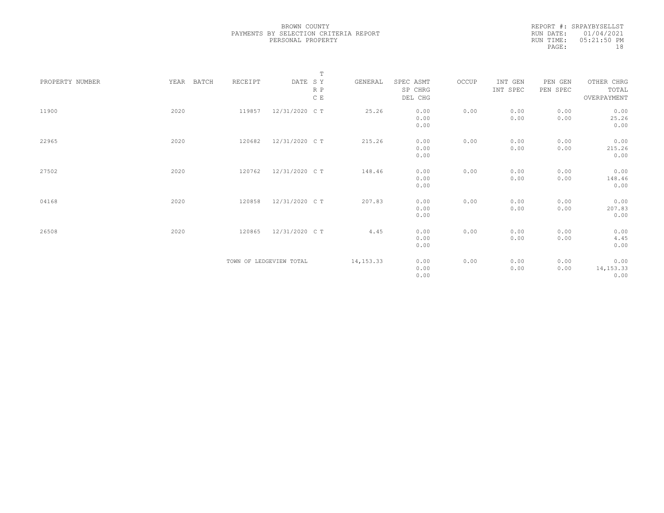| REPORT #: SRPAYBYSELLST |
|-------------------------|
| RUN DATE: 01/04/2021    |
| $05:21:50$ PM           |
| 18                      |
|                         |

|                 |               |         | $\mathbb T$             |            |           |       |          |          |             |
|-----------------|---------------|---------|-------------------------|------------|-----------|-------|----------|----------|-------------|
| PROPERTY NUMBER | YEAR<br>BATCH | RECEIPT | DATE SY                 | GENERAL    | SPEC ASMT | OCCUP | INT GEN  | PEN GEN  | OTHER CHRG  |
|                 |               |         | R P                     |            | SP CHRG   |       | INT SPEC | PEN SPEC | TOTAL       |
|                 |               |         | C E                     |            | DEL CHG   |       |          |          | OVERPAYMENT |
|                 |               |         |                         |            |           |       |          |          |             |
| 11900           | 2020          | 119857  | 12/31/2020 C T          | 25.26      | 0.00      | 0.00  | 0.00     | 0.00     | 0.00        |
|                 |               |         |                         |            | 0.00      |       | 0.00     | 0.00     | 25.26       |
|                 |               |         |                         |            | 0.00      |       |          |          | 0.00        |
|                 |               |         |                         |            |           |       |          |          |             |
| 22965           | 2020          | 120682  | 12/31/2020 C T          | 215.26     | 0.00      | 0.00  | 0.00     | 0.00     | 0.00        |
|                 |               |         |                         |            | 0.00      |       | 0.00     | 0.00     | 215.26      |
|                 |               |         |                         |            | 0.00      |       |          |          | 0.00        |
|                 |               |         |                         |            |           |       |          |          |             |
| 27502           | 2020          | 120762  | 12/31/2020 C T          | 148.46     | 0.00      | 0.00  | 0.00     | 0.00     | 0.00        |
|                 |               |         |                         |            | 0.00      |       | 0.00     | 0.00     | 148.46      |
|                 |               |         |                         |            | 0.00      |       |          |          | 0.00        |
|                 |               |         |                         |            |           |       |          |          |             |
| 04168           | 2020          | 120858  | 12/31/2020 C T          | 207.83     | 0.00      | 0.00  | 0.00     | 0.00     | 0.00        |
|                 |               |         |                         |            | 0.00      |       | 0.00     | 0.00     | 207.83      |
|                 |               |         |                         |            | 0.00      |       |          |          | 0.00        |
|                 |               |         |                         |            |           |       |          |          |             |
| 26508           | 2020          | 120865  | 12/31/2020 C T          | 4.45       | 0.00      | 0.00  | 0.00     | 0.00     | 0.00        |
|                 |               |         |                         |            | 0.00      |       | 0.00     | 0.00     | 4.45        |
|                 |               |         |                         |            | 0.00      |       |          |          | 0.00        |
|                 |               |         |                         |            |           |       |          |          |             |
|                 |               |         | TOWN OF LEDGEVIEW TOTAL | 14, 153.33 | 0.00      | 0.00  | 0.00     | 0.00     | 0.00        |
|                 |               |         |                         |            | 0.00      |       | 0.00     | 0.00     | 14, 153.33  |
|                 |               |         |                         |            | 0.00      |       |          |          | 0.00        |
|                 |               |         |                         |            |           |       |          |          |             |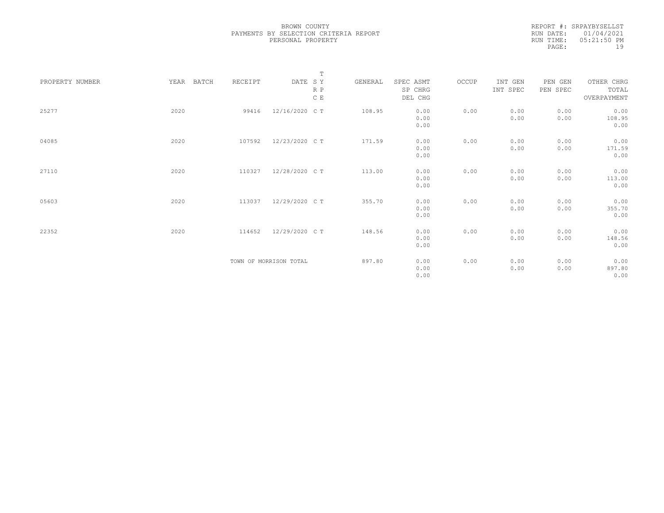|           | REPORT #: SRPAYBYSELLST |
|-----------|-------------------------|
|           | RUN DATE: 01/04/2021    |
| RUN TIME: | $05:21:50$ PM           |
| PAGE:     | 19                      |

|                 |               |         | $\mathbb T$            |         |           |       |          |          |             |
|-----------------|---------------|---------|------------------------|---------|-----------|-------|----------|----------|-------------|
| PROPERTY NUMBER | YEAR<br>BATCH | RECEIPT | DATE SY                | GENERAL | SPEC ASMT | OCCUP | INT GEN  | PEN GEN  | OTHER CHRG  |
|                 |               |         | R P                    |         | SP CHRG   |       | INT SPEC | PEN SPEC | TOTAL       |
|                 |               |         | C E                    |         | DEL CHG   |       |          |          | OVERPAYMENT |
|                 |               |         |                        |         |           |       |          |          |             |
| 25277           | 2020          | 99416   | 12/16/2020 C T         | 108.95  | 0.00      | 0.00  | 0.00     | 0.00     | 0.00        |
|                 |               |         |                        |         | 0.00      |       | 0.00     | 0.00     | 108.95      |
|                 |               |         |                        |         | 0.00      |       |          |          | 0.00        |
|                 |               |         |                        |         |           |       |          |          |             |
| 04085           | 2020          | 107592  | 12/23/2020 C T         | 171.59  | 0.00      | 0.00  | 0.00     | 0.00     | 0.00        |
|                 |               |         |                        |         | 0.00      |       | 0.00     | 0.00     | 171.59      |
|                 |               |         |                        |         | 0.00      |       |          |          | 0.00        |
|                 |               |         |                        |         |           |       |          |          |             |
| 27110           | 2020          | 110327  | 12/28/2020 C T         | 113.00  | 0.00      | 0.00  | 0.00     | 0.00     | 0.00        |
|                 |               |         |                        |         | 0.00      |       | 0.00     | 0.00     | 113.00      |
|                 |               |         |                        |         | 0.00      |       |          |          | 0.00        |
|                 |               |         |                        |         |           |       |          |          |             |
| 05603           | 2020          | 113037  | 12/29/2020 C T         | 355.70  | 0.00      | 0.00  | 0.00     | 0.00     | 0.00        |
|                 |               |         |                        |         | 0.00      |       | 0.00     | 0.00     | 355.70      |
|                 |               |         |                        |         | 0.00      |       |          |          | 0.00        |
|                 |               |         |                        |         |           |       |          |          |             |
| 22352           | 2020          | 114652  | 12/29/2020 C T         | 148.56  | 0.00      | 0.00  | 0.00     | 0.00     | 0.00        |
|                 |               |         |                        |         | 0.00      |       | 0.00     | 0.00     | 148.56      |
|                 |               |         |                        |         | 0.00      |       |          |          | 0.00        |
|                 |               |         |                        |         |           |       |          |          |             |
|                 |               |         | TOWN OF MORRISON TOTAL | 897.80  | 0.00      | 0.00  | 0.00     | 0.00     | 0.00        |
|                 |               |         |                        |         | 0.00      |       | 0.00     | 0.00     | 897.80      |
|                 |               |         |                        |         | 0.00      |       |          |          | 0.00        |
|                 |               |         |                        |         |           |       |          |          |             |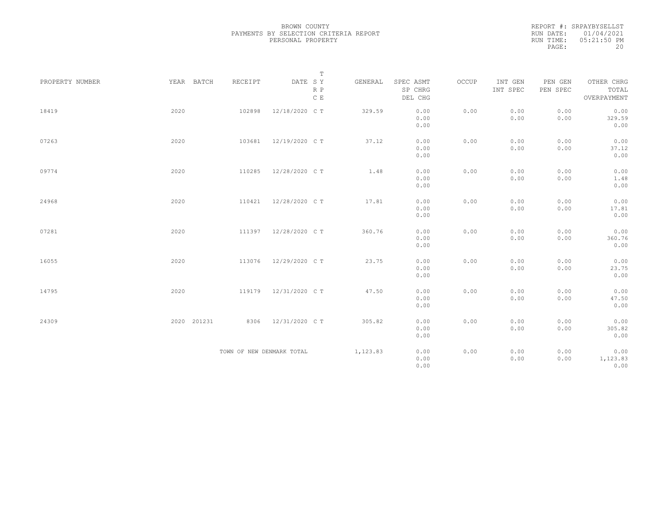|           | REPORT #: SRPAYBYSELLST |
|-----------|-------------------------|
|           | RUN DATE: 01/04/2021    |
| RUN TIME: | 05:21:50 PM             |
| PAGE:     | 20                      |

|                 |             |         | $\mathbb T$               |          |                                 |       |                     |                     |                                    |
|-----------------|-------------|---------|---------------------------|----------|---------------------------------|-------|---------------------|---------------------|------------------------------------|
| PROPERTY NUMBER | YEAR BATCH  | RECEIPT | DATE SY<br>R P<br>C E     | GENERAL  | SPEC ASMT<br>SP CHRG<br>DEL CHG | OCCUP | INT GEN<br>INT SPEC | PEN GEN<br>PEN SPEC | OTHER CHRG<br>TOTAL<br>OVERPAYMENT |
| 18419           | 2020        | 102898  | 12/18/2020 C T            | 329.59   | 0.00<br>0.00<br>0.00            | 0.00  | 0.00<br>0.00        | 0.00<br>0.00        | 0.00<br>329.59<br>0.00             |
| 07263           | 2020        | 103681  | 12/19/2020 C T            | 37.12    | 0.00<br>0.00<br>0.00            | 0.00  | 0.00<br>0.00        | 0.00<br>0.00        | 0.00<br>37.12<br>0.00              |
| 09774           | 2020        | 110285  | 12/28/2020 C T            | 1.48     | 0.00<br>0.00<br>0.00            | 0.00  | 0.00<br>0.00        | 0.00<br>0.00        | 0.00<br>1.48<br>0.00               |
| 24968           | 2020        | 110421  | 12/28/2020 C T            | 17.81    | 0.00<br>0.00<br>0.00            | 0.00  | 0.00<br>0.00        | 0.00<br>0.00        | 0.00<br>17.81<br>0.00              |
| 07281           | 2020        | 111397  | 12/28/2020 C T            | 360.76   | 0.00<br>0.00<br>0.00            | 0.00  | 0.00<br>0.00        | 0.00<br>0.00        | 0.00<br>360.76<br>0.00             |
| 16055           | 2020        | 113076  | 12/29/2020 C T            | 23.75    | 0.00<br>0.00<br>0.00            | 0.00  | 0.00<br>0.00        | 0.00<br>0.00        | 0.00<br>23.75<br>0.00              |
| 14795           | 2020        | 119179  | 12/31/2020 C T            | 47.50    | 0.00<br>0.00<br>0.00            | 0.00  | 0.00<br>0.00        | 0.00<br>0.00        | 0.00<br>47.50<br>0.00              |
| 24309           | 2020 201231 | 8306    | 12/31/2020 C T            | 305.82   | 0.00<br>0.00<br>0.00            | 0.00  | 0.00<br>0.00        | 0.00<br>0.00        | 0.00<br>305.82<br>0.00             |
|                 |             |         | TOWN OF NEW DENMARK TOTAL | 1,123.83 | 0.00<br>0.00<br>0.00            | 0.00  | 0.00<br>0.00        | 0.00<br>0.00        | 0.00<br>1,123.83<br>0.00           |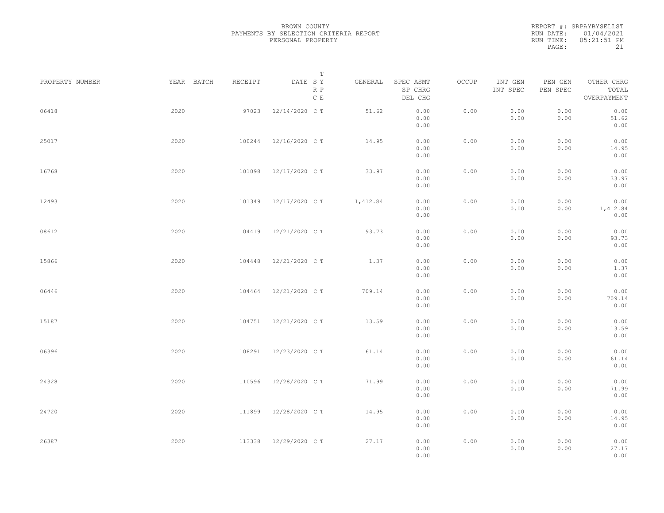|           | REPORT #: SRPAYBYSELLST |
|-----------|-------------------------|
|           | RUN DATE: 01/04/2021    |
| RUN TIME: | 05:21:51 PM             |
| PAGE:     | 21                      |

|                 |            |         | T                     |          |                                 |       |                     |                     |                                    |  |
|-----------------|------------|---------|-----------------------|----------|---------------------------------|-------|---------------------|---------------------|------------------------------------|--|
| PROPERTY NUMBER | YEAR BATCH | RECEIPT | DATE SY<br>R P<br>C E | GENERAL  | SPEC ASMT<br>SP CHRG<br>DEL CHG | OCCUP | INT GEN<br>INT SPEC | PEN GEN<br>PEN SPEC | OTHER CHRG<br>TOTAL<br>OVERPAYMENT |  |
| 06418           | 2020       | 97023   | 12/14/2020 C T        | 51.62    | 0.00<br>0.00<br>0.00            | 0.00  | 0.00<br>0.00        | 0.00<br>0.00        | 0.00<br>51.62<br>0.00              |  |
| 25017           | 2020       | 100244  | 12/16/2020 C T        | 14.95    | 0.00<br>0.00<br>0.00            | 0.00  | 0.00<br>0.00        | 0.00<br>0.00        | 0.00<br>14.95<br>0.00              |  |
| 16768           | 2020       | 101098  | 12/17/2020 C T        | 33.97    | 0.00<br>0.00<br>0.00            | 0.00  | 0.00<br>0.00        | 0.00<br>0.00        | 0.00<br>33.97<br>0.00              |  |
| 12493           | 2020       | 101349  | 12/17/2020 C T        | 1,412.84 | 0.00<br>0.00<br>0.00            | 0.00  | 0.00<br>0.00        | 0.00<br>0.00        | 0.00<br>1,412.84<br>0.00           |  |
| 08612           | 2020       | 104419  | 12/21/2020 C T        | 93.73    | 0.00<br>0.00<br>0.00            | 0.00  | 0.00<br>0.00        | 0.00<br>0.00        | 0.00<br>93.73<br>0.00              |  |
| 15866           | 2020       | 104448  | 12/21/2020 C T        | 1.37     | 0.00<br>0.00<br>0.00            | 0.00  | 0.00<br>0.00        | 0.00<br>0.00        | 0.00<br>1.37<br>0.00               |  |
| 06446           | 2020       | 104464  | 12/21/2020 C T        | 709.14   | 0.00<br>0.00<br>0.00            | 0.00  | 0.00<br>0.00        | 0.00<br>0.00        | 0.00<br>709.14<br>0.00             |  |
| 15187           | 2020       | 104751  | 12/21/2020 C T        | 13.59    | 0.00<br>0.00<br>0.00            | 0.00  | 0.00<br>0.00        | 0.00<br>0.00        | 0.00<br>13.59<br>0.00              |  |
| 06396           | 2020       | 108291  | 12/23/2020 C T        | 61.14    | 0.00<br>0.00<br>0.00            | 0.00  | 0.00<br>0.00        | 0.00<br>0.00        | 0.00<br>61.14<br>0.00              |  |
| 24328           | 2020       | 110596  | 12/28/2020 C T        | 71.99    | 0.00<br>0.00<br>0.00            | 0.00  | 0.00<br>0.00        | 0.00<br>0.00        | 0.00<br>71.99<br>0.00              |  |
| 24720           | 2020       | 111899  | 12/28/2020 C T        | 14.95    | 0.00<br>0.00<br>0.00            | 0.00  | 0.00<br>0.00        | 0.00<br>0.00        | 0.00<br>14.95<br>0.00              |  |
| 26387           | 2020       | 113338  | 12/29/2020 C T        | 27.17    | 0.00<br>0.00<br>0.00            | 0.00  | 0.00<br>0.00        | 0.00<br>0.00        | 0.00<br>27.17<br>0.00              |  |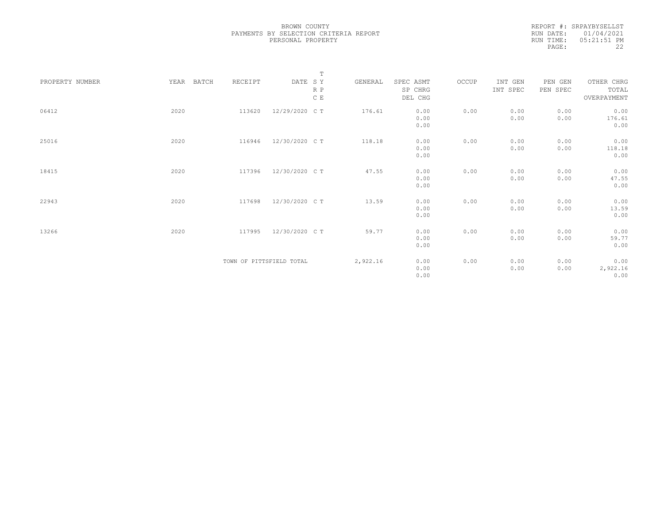| REPORT #: SRPAYBYSELLST     |
|-----------------------------|
| RUN DATE: 01/04/2021        |
| $0.5:21:51$ PM<br>RUN TIME: |
| フフ                          |
|                             |

|                 |               |                          | $\mathbb T$    |          |           |       |          |          |             |
|-----------------|---------------|--------------------------|----------------|----------|-----------|-------|----------|----------|-------------|
| PROPERTY NUMBER | BATCH<br>YEAR | RECEIPT                  | DATE SY        | GENERAL  | SPEC ASMT | OCCUP | INT GEN  | PEN GEN  | OTHER CHRG  |
|                 |               |                          | R P            |          | SP CHRG   |       | INT SPEC | PEN SPEC | TOTAL       |
|                 |               |                          | $\,$ C $\,$ E  |          | DEL CHG   |       |          |          | OVERPAYMENT |
|                 |               |                          |                |          |           |       |          |          |             |
| 06412           | 2020          | 113620                   | 12/29/2020 CT  | 176.61   | 0.00      | 0.00  | 0.00     | 0.00     | 0.00        |
|                 |               |                          |                |          | 0.00      |       | 0.00     | 0.00     | 176.61      |
|                 |               |                          |                |          | 0.00      |       |          |          | 0.00        |
|                 |               |                          |                |          |           |       |          |          |             |
| 25016           | 2020          | 116946                   | 12/30/2020 C T | 118.18   | 0.00      | 0.00  | 0.00     | 0.00     | 0.00        |
|                 |               |                          |                |          | 0.00      |       | 0.00     | 0.00     | 118.18      |
|                 |               |                          |                |          | 0.00      |       |          |          | 0.00        |
|                 |               |                          |                |          |           |       |          |          |             |
| 18415           | 2020          | 117396                   | 12/30/2020 CT  | 47.55    | 0.00      | 0.00  | 0.00     | 0.00     | 0.00        |
|                 |               |                          |                |          | 0.00      |       | 0.00     | 0.00     | 47.55       |
|                 |               |                          |                |          | 0.00      |       |          |          | 0.00        |
|                 |               |                          |                |          |           |       |          |          |             |
| 22943           | 2020          | 117698                   | 12/30/2020 C T | 13.59    | 0.00      | 0.00  | 0.00     | 0.00     | 0.00        |
|                 |               |                          |                |          | 0.00      |       | 0.00     | 0.00     | 13.59       |
|                 |               |                          |                |          | 0.00      |       |          |          | 0.00        |
|                 |               |                          |                |          |           |       |          |          |             |
| 13266           | 2020          | 117995                   | 12/30/2020 C T | 59.77    | 0.00      | 0.00  | 0.00     | 0.00     | 0.00        |
|                 |               |                          |                |          | 0.00      |       | 0.00     | 0.00     | 59.77       |
|                 |               |                          |                |          | 0.00      |       |          |          | 0.00        |
|                 |               |                          |                |          |           |       |          |          |             |
|                 |               | TOWN OF PITTSFIELD TOTAL |                | 2,922.16 | 0.00      | 0.00  | 0.00     | 0.00     | 0.00        |
|                 |               |                          |                |          | 0.00      |       | 0.00     | 0.00     | 2,922.16    |
|                 |               |                          |                |          | 0.00      |       |          |          | 0.00        |
|                 |               |                          |                |          |           |       |          |          |             |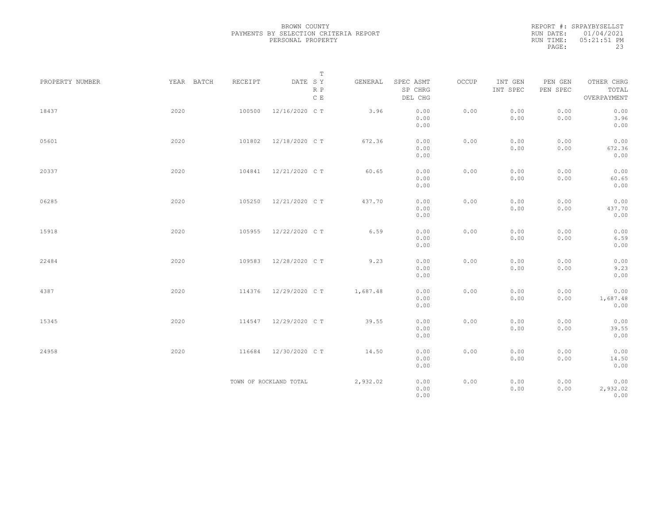|           | REPORT #: SRPAYBYSELLST |
|-----------|-------------------------|
|           | RUN DATE: 01/04/2021    |
| RUN TIME: | $05:21:51$ PM           |
| PAGE:     | 23                      |

|                 |            |         | $\mathbb T$            |          |                                 |       |                     |                     |                                    |
|-----------------|------------|---------|------------------------|----------|---------------------------------|-------|---------------------|---------------------|------------------------------------|
| PROPERTY NUMBER | YEAR BATCH | RECEIPT | DATE SY<br>R P<br>C E  | GENERAL  | SPEC ASMT<br>SP CHRG<br>DEL CHG | OCCUP | INT GEN<br>INT SPEC | PEN GEN<br>PEN SPEC | OTHER CHRG<br>TOTAL<br>OVERPAYMENT |
| 18437           | 2020       | 100500  | 12/16/2020 C T         | 3.96     | 0.00<br>0.00<br>0.00            | 0.00  | 0.00<br>0.00        | 0.00<br>0.00        | 0.00<br>3.96<br>0.00               |
| 05601           | 2020       | 101802  | 12/18/2020 C T         | 672.36   | 0.00<br>0.00<br>0.00            | 0.00  | 0.00<br>0.00        | 0.00<br>0.00        | 0.00<br>672.36<br>0.00             |
| 20337           | 2020       | 104841  | 12/21/2020 C T         | 60.65    | 0.00<br>0.00<br>0.00            | 0.00  | 0.00<br>0.00        | 0.00<br>0.00        | 0.00<br>60.65<br>0.00              |
| 06285           | 2020       | 105250  | 12/21/2020 C T         | 437.70   | 0.00<br>0.00<br>0.00            | 0.00  | 0.00<br>0.00        | 0.00<br>0.00        | 0.00<br>437.70<br>0.00             |
| 15918           | 2020       | 105955  | 12/22/2020 C T         | 6.59     | 0.00<br>0.00<br>0.00            | 0.00  | 0.00<br>0.00        | 0.00<br>0.00        | 0.00<br>6.59<br>0.00               |
| 22484           | 2020       | 109583  | 12/28/2020 C T         | 9.23     | 0.00<br>0.00<br>0.00            | 0.00  | 0.00<br>0.00        | 0.00<br>0.00        | 0.00<br>9.23<br>0.00               |
| 4387            | 2020       | 114376  | 12/29/2020 C T         | 1,687.48 | 0.00<br>0.00<br>0.00            | 0.00  | 0.00<br>0.00        | 0.00<br>0.00        | 0.00<br>1,687.48<br>0.00           |
| 15345           | 2020       | 114547  | 12/29/2020 C T         | 39.55    | 0.00<br>0.00<br>0.00            | 0.00  | 0.00<br>0.00        | 0.00<br>0.00        | 0.00<br>39.55<br>0.00              |
| 24958           | 2020       | 116684  | 12/30/2020 C T         | 14.50    | 0.00<br>0.00<br>0.00            | 0.00  | 0.00<br>0.00        | 0.00<br>0.00        | 0.00<br>14.50<br>0.00              |
|                 |            |         | TOWN OF ROCKLAND TOTAL | 2,932.02 | 0.00<br>0.00<br>0.00            | 0.00  | 0.00<br>0.00        | 0.00<br>0.00        | 0.00<br>2,932.02<br>0.00           |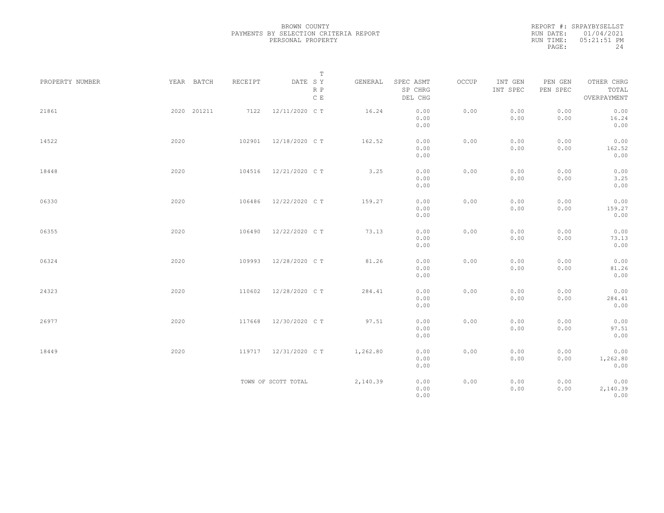|           | REPORT #: SRPAYBYSELLST |
|-----------|-------------------------|
|           | RUN DATE: 01/04/2021    |
| RUN TIME: | $0.5:21:51$ PM          |
| PAGE:     | 24                      |

|                 |             |         | $\mathbb T$                                                                    |          |                                 |       |                     |                     |                                    |
|-----------------|-------------|---------|--------------------------------------------------------------------------------|----------|---------------------------------|-------|---------------------|---------------------|------------------------------------|
| PROPERTY NUMBER | YEAR BATCH  | RECEIPT | $\begin{tabular}{lllll} \bf{DATE} & \tt S & \tt Y \end{tabular}$<br>R P<br>C E | GENERAL  | SPEC ASMT<br>SP CHRG<br>DEL CHG | OCCUP | INT GEN<br>INT SPEC | PEN GEN<br>PEN SPEC | OTHER CHRG<br>TOTAL<br>OVERPAYMENT |
| 21861           | 2020 201211 | 7122    | 12/11/2020 C T                                                                 | 16.24    | 0.00<br>0.00<br>0.00            | 0.00  | 0.00<br>0.00        | 0.00<br>0.00        | 0.00<br>16.24<br>0.00              |
| 14522           | 2020        | 102901  | 12/18/2020 C T                                                                 | 162.52   | 0.00<br>0.00<br>0.00            | 0.00  | 0.00<br>0.00        | 0.00<br>0.00        | 0.00<br>162.52<br>0.00             |
| 18448           | 2020        | 104516  | 12/21/2020 C T                                                                 | 3.25     | 0.00<br>0.00<br>0.00            | 0.00  | 0.00<br>0.00        | 0.00<br>0.00        | 0.00<br>3.25<br>0.00               |
| 06330           | 2020        | 106486  | 12/22/2020 C T                                                                 | 159.27   | 0.00<br>0.00<br>0.00            | 0.00  | 0.00<br>0.00        | 0.00<br>0.00        | 0.00<br>159.27<br>0.00             |
| 06355           | 2020        | 106490  | 12/22/2020 C T                                                                 | 73.13    | 0.00<br>0.00<br>0.00            | 0.00  | 0.00<br>0.00        | 0.00<br>0.00        | 0.00<br>73.13<br>0.00              |
| 06324           | 2020        | 109993  | 12/28/2020 C T                                                                 | 81.26    | 0.00<br>0.00<br>0.00            | 0.00  | 0.00<br>0.00        | 0.00<br>0.00        | 0.00<br>81.26<br>0.00              |
| 24323           | 2020        | 110602  | 12/28/2020 C T                                                                 | 284.41   | 0.00<br>0.00<br>0.00            | 0.00  | 0.00<br>0.00        | 0.00<br>0.00        | 0.00<br>284.41<br>0.00             |
| 26977           | 2020        | 117668  | 12/30/2020 C T                                                                 | 97.51    | 0.00<br>0.00<br>0.00            | 0.00  | 0.00<br>0.00        | 0.00<br>0.00        | 0.00<br>97.51<br>0.00              |
| 18449           | 2020        | 119717  | 12/31/2020 C T                                                                 | 1,262.80 | 0.00<br>0.00<br>0.00            | 0.00  | 0.00<br>0.00        | 0.00<br>0.00        | 0.00<br>1,262.80<br>0.00           |
|                 |             |         | TOWN OF SCOTT TOTAL                                                            | 2,140.39 | 0.00<br>0.00<br>0.00            | 0.00  | 0.00<br>0.00        | 0.00<br>0.00        | 0.00<br>2,140.39<br>0.00           |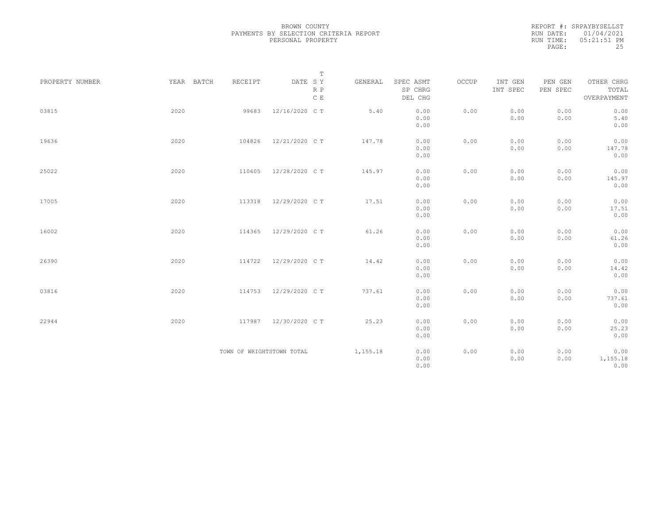| REPORT #: SRPAYBYSELLST |
|-------------------------|
| RUN DATE: 01/04/2021    |
| $05:21:51$ PM           |
| 25                      |
|                         |

|                 |            |                           | $\mathbb T$                     |          |                                 |       |                     |                     |                                    |
|-----------------|------------|---------------------------|---------------------------------|----------|---------------------------------|-------|---------------------|---------------------|------------------------------------|
| PROPERTY NUMBER | YEAR BATCH | RECEIPT                   | DATE SY<br>R P<br>$\,$ C $\,$ E | GENERAL  | SPEC ASMT<br>SP CHRG<br>DEL CHG | OCCUP | INT GEN<br>INT SPEC | PEN GEN<br>PEN SPEC | OTHER CHRG<br>TOTAL<br>OVERPAYMENT |
| 03815           | 2020       | 99683                     | 12/16/2020 C T                  | 5.40     | 0.00<br>0.00<br>0.00            | 0.00  | 0.00<br>0.00        | 0.00<br>0.00        | 0.00<br>5.40<br>0.00               |
| 19636           | 2020       | 104826                    | 12/21/2020 C T                  | 147.78   | 0.00<br>0.00<br>0.00            | 0.00  | 0.00<br>0.00        | 0.00<br>0.00        | 0.00<br>147.78<br>0.00             |
| 25022           | 2020       | 110605                    | 12/28/2020 C T                  | 145.97   | 0.00<br>0.00<br>0.00            | 0.00  | 0.00<br>0.00        | 0.00<br>0.00        | 0.00<br>145.97<br>0.00             |
| 17005           | 2020       | 113318                    | 12/29/2020 C T                  | 17.51    | 0.00<br>0.00<br>0.00            | 0.00  | 0.00<br>0.00        | 0.00<br>0.00        | 0.00<br>17.51<br>0.00              |
| 16002           | 2020       | 114365                    | 12/29/2020 C T                  | 61.26    | 0.00<br>0.00<br>0.00            | 0.00  | 0.00<br>0.00        | 0.00<br>0.00        | 0.00<br>61.26<br>0.00              |
| 26390           | 2020       | 114722                    | 12/29/2020 C T                  | 14.42    | 0.00<br>0.00<br>0.00            | 0.00  | 0.00<br>0.00        | 0.00<br>0.00        | 0.00<br>14.42<br>0.00              |
| 03816           | 2020       | 114753                    | 12/29/2020 C T                  | 737.61   | 0.00<br>0.00<br>0.00            | 0.00  | 0.00<br>0.00        | 0.00<br>0.00        | 0.00<br>737.61<br>0.00             |
| 22944           | 2020       | 117987                    | 12/30/2020 C T                  | 25.23    | 0.00<br>0.00<br>0.00            | 0.00  | 0.00<br>0.00        | 0.00<br>0.00        | 0.00<br>25.23<br>0.00              |
|                 |            | TOWN OF WRIGHTSTOWN TOTAL |                                 | 1,155.18 | 0.00<br>0.00<br>0.00            | 0.00  | 0.00<br>0.00        | 0.00<br>0.00        | 0.00<br>1,155.18<br>0.00           |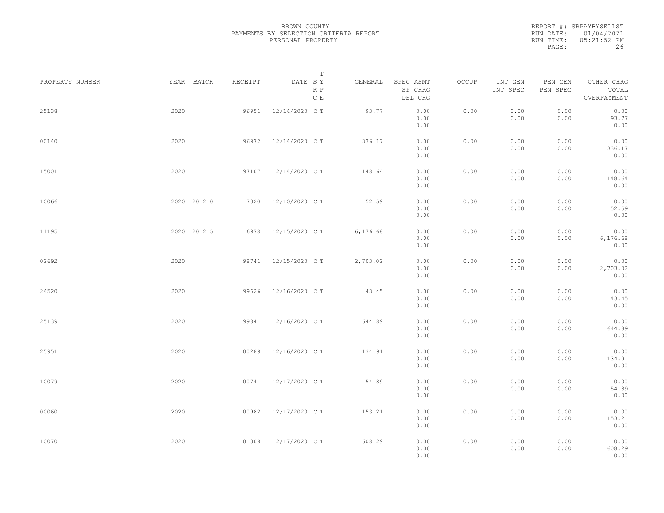REPORT #: SRPAYBYSELLST RUN DATE: 01/04/2021 RUN TIME: 05:21:52 PM PAGE: 26

|                 |      |             |         | $\mathbb T$           |          |                                 |       |                     |                     |                                    |  |
|-----------------|------|-------------|---------|-----------------------|----------|---------------------------------|-------|---------------------|---------------------|------------------------------------|--|
| PROPERTY NUMBER |      | YEAR BATCH  | RECEIPT | DATE SY<br>R P<br>C E | GENERAL  | SPEC ASMT<br>SP CHRG<br>DEL CHG | OCCUP | INT GEN<br>INT SPEC | PEN GEN<br>PEN SPEC | OTHER CHRG<br>TOTAL<br>OVERPAYMENT |  |
| 25138           | 2020 |             | 96951   | 12/14/2020 C T        | 93.77    | 0.00<br>0.00<br>0.00            | 0.00  | 0.00<br>0.00        | 0.00<br>0.00        | 0.00<br>93.77<br>0.00              |  |
| 00140           | 2020 |             | 96972   | 12/14/2020 C T        | 336.17   | 0.00<br>0.00<br>0.00            | 0.00  | 0.00<br>0.00        | 0.00<br>0.00        | 0.00<br>336.17<br>0.00             |  |
| 15001           | 2020 |             | 97107   | 12/14/2020 C T        | 148.64   | 0.00<br>0.00<br>0.00            | 0.00  | 0.00<br>0.00        | 0.00<br>0.00        | 0.00<br>148.64<br>0.00             |  |
| 10066           |      | 2020 201210 | 7020    | 12/10/2020 C T        | 52.59    | 0.00<br>0.00<br>0.00            | 0.00  | 0.00<br>0.00        | 0.00<br>0.00        | 0.00<br>52.59<br>0.00              |  |
| 11195           |      | 2020 201215 | 6978    | 12/15/2020 C T        | 6,176.68 | 0.00<br>0.00<br>0.00            | 0.00  | 0.00<br>0.00        | 0.00<br>0.00        | 0.00<br>6,176.68<br>0.00           |  |
| 02692           | 2020 |             | 98741   | 12/15/2020 C T        | 2,703.02 | 0.00<br>0.00<br>0.00            | 0.00  | 0.00<br>0.00        | 0.00<br>0.00        | 0.00<br>2,703.02<br>0.00           |  |
| 24520           | 2020 |             | 99626   | 12/16/2020 C T        | 43.45    | 0.00<br>0.00<br>0.00            | 0.00  | 0.00<br>0.00        | 0.00<br>0.00        | 0.00<br>43.45<br>0.00              |  |
| 25139           | 2020 |             | 99841   | 12/16/2020 C T        | 644.89   | 0.00<br>0.00<br>0.00            | 0.00  | 0.00<br>0.00        | 0.00<br>0.00        | 0.00<br>644.89<br>0.00             |  |
| 25951           | 2020 |             | 100289  | 12/16/2020 C T        | 134.91   | 0.00<br>0.00<br>0.00            | 0.00  | 0.00<br>0.00        | 0.00<br>0.00        | 0.00<br>134.91<br>0.00             |  |
| 10079           | 2020 |             | 100741  | 12/17/2020 C T        | 54.89    | 0.00<br>0.00<br>0.00            | 0.00  | 0.00<br>0.00        | 0.00<br>0.00        | 0.00<br>54.89<br>0.00              |  |
| 00060           | 2020 |             | 100982  | 12/17/2020 C T        | 153.21   | 0.00<br>0.00<br>0.00            | 0.00  | 0.00<br>0.00        | 0.00<br>0.00        | 0.00<br>153.21<br>0.00             |  |
| 10070           | 2020 |             | 101308  | 12/17/2020 C T        | 608.29   | 0.00<br>0.00<br>0.00            | 0.00  | 0.00<br>0.00        | 0.00<br>0.00        | 0.00<br>608.29<br>0.00             |  |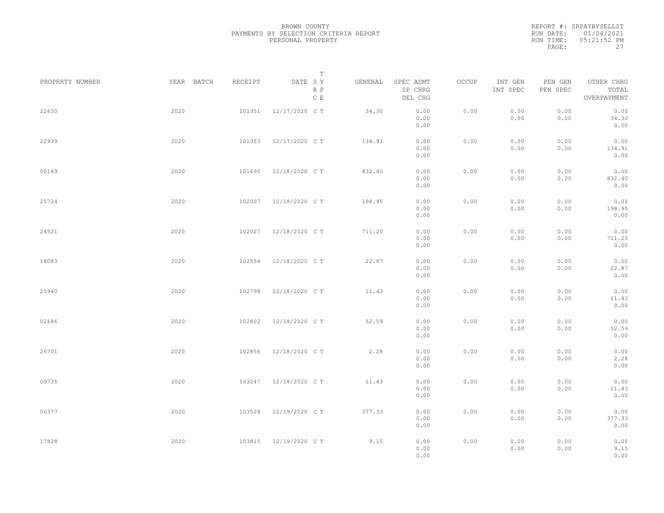|           | REPORT #: SRPAYBYSELLST |
|-----------|-------------------------|
|           | RUN DATE: 01/04/2021    |
| RUN TIME: | 05:21:52 PM             |
| PAGE:     | 27                      |

|                 |            |         | T                               |         |                                 |       |                     |                     |                                    |  |
|-----------------|------------|---------|---------------------------------|---------|---------------------------------|-------|---------------------|---------------------|------------------------------------|--|
| PROPERTY NUMBER | YEAR BATCH | RECEIPT | DATE SY<br>R P<br>$\,$ C $\,$ E | GENERAL | SPEC ASMT<br>SP CHRG<br>DEL CHG | OCCUP | INT GEN<br>INT SPEC | PEN GEN<br>PEN SPEC | OTHER CHRG<br>TOTAL<br>OVERPAYMENT |  |
| 22630           | 2020       | 101351  | 12/17/2020 C T                  | 34.30   | 0.00<br>0.00<br>0.00            | 0.00  | 0.00<br>0.00        | 0.00<br>0.00        | 0.00<br>34.30<br>0.00              |  |
| 22939           | 2020       | 101353  | 12/17/2020 C T                  | 134.91  | 0.00<br>0.00<br>0.00            | 0.00  | 0.00<br>0.00        | 0.00<br>0.00        | 0.00<br>134.91<br>0.00             |  |
| 00149           | 2020       | 101690  | 12/18/2020 C T                  | 832.40  | 0.00<br>0.00<br>0.00            | 0.00  | 0.00<br>0.00        | 0.00<br>0.00        | 0.00<br>832.40<br>0.00             |  |
| 25724           | 2020       | 102007  | 12/18/2020 C T                  | 198.95  | 0.00<br>0.00<br>0.00            | 0.00  | 0.00<br>0.00        | 0.00<br>0.00        | 0.00<br>198.95<br>0.00             |  |
| 24521           | 2020       | 102027  | 12/18/2020 C T                  | 711.20  | 0.00<br>0.00<br>0.00            | 0.00  | 0.00<br>0.00        | 0.00<br>0.00        | 0.00<br>711.20<br>0.00             |  |
| 18083           | 2020       | 102558  | 12/18/2020 C T                  | 22.87   | 0.00<br>0.00<br>0.00            | 0.00  | 0.00<br>0.00        | 0.00<br>0.00        | 0.00<br>22.87<br>0.00              |  |
| 25940           | 2020       | 102798  | 12/18/2020 C T                  | 11.43   | 0.00<br>0.00<br>0.00            | 0.00  | 0.00<br>0.00        | 0.00<br>0.00        | 0.00<br>11.43<br>0.00              |  |
| 02686           | 2020       | 102802  | 12/18/2020 C T                  | 52.59   | 0.00<br>0.00<br>0.00            | 0.00  | 0.00<br>0.00        | 0.00<br>0.00        | 0.00<br>52.59<br>0.00              |  |
| 26701           | 2020       | 102856  | 12/18/2020 C T                  | 2.28    | 0.00<br>0.00                    | 0.00  | 0.00<br>0.00        | 0.00<br>0.00        | 0.00<br>2.28                       |  |
| 09735           | 2020       | 103247  | 12/18/2020 C T                  | 11.43   | 0.00<br>0.00<br>0.00<br>0.00    | 0.00  | 0.00<br>0.00        | 0.00<br>0.00        | 0.00<br>0.00<br>11.43<br>0.00      |  |
| 06377           | 2020       | 103528  | 12/19/2020 C T                  | 377.33  | 0.00<br>0.00                    | 0.00  | 0.00<br>0.00        | 0.00<br>0.00        | 0.00<br>377.33                     |  |
| 17828           | 2020       | 103815  | 12/19/2020 C T                  | 9.15    | 0.00<br>0.00<br>0.00<br>0.00    | 0.00  | 0.00<br>0.00        | 0.00<br>0.00        | 0.00<br>0.00<br>9.15<br>0.00       |  |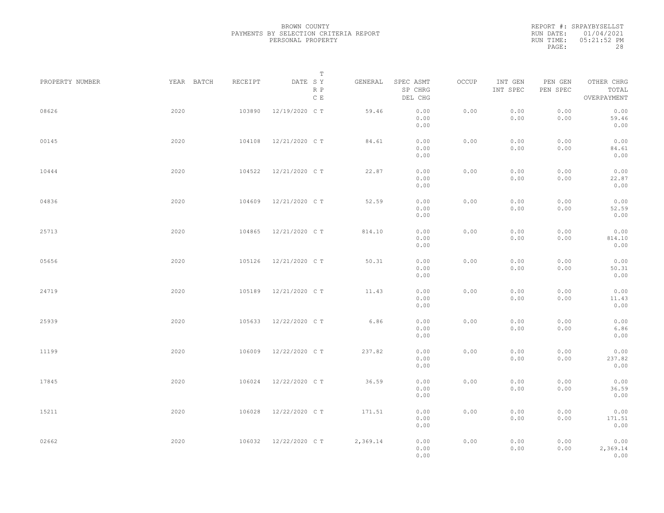|           | REPORT #: SRPAYBYSELLST |
|-----------|-------------------------|
|           | RUN DATE: 01/04/2021    |
| RUN TIME: | 05:21:52 PM             |
| PAGE:     | 28                      |

|                 |            |         | T                               |          |                                 |       |                     |                     |                                    |  |
|-----------------|------------|---------|---------------------------------|----------|---------------------------------|-------|---------------------|---------------------|------------------------------------|--|
| PROPERTY NUMBER | YEAR BATCH | RECEIPT | DATE SY<br>R P<br>$\,$ C $\,$ E | GENERAL  | SPEC ASMT<br>SP CHRG<br>DEL CHG | OCCUP | INT GEN<br>INT SPEC | PEN GEN<br>PEN SPEC | OTHER CHRG<br>TOTAL<br>OVERPAYMENT |  |
| 08626           | 2020       | 103890  | 12/19/2020 C T                  | 59.46    | 0.00<br>0.00<br>0.00            | 0.00  | 0.00<br>0.00        | 0.00<br>0.00        | 0.00<br>59.46<br>0.00              |  |
| 00145           | 2020       | 104108  | 12/21/2020 C T                  | 84.61    | 0.00<br>0.00<br>0.00            | 0.00  | 0.00<br>0.00        | 0.00<br>0.00        | 0.00<br>84.61<br>0.00              |  |
| 10444           | 2020       | 104522  | 12/21/2020 C T                  | 22.87    | 0.00<br>0.00<br>0.00            | 0.00  | 0.00<br>0.00        | 0.00<br>0.00        | 0.00<br>22.87<br>0.00              |  |
| 04836           | 2020       | 104609  | 12/21/2020 C T                  | 52.59    | 0.00<br>0.00<br>0.00            | 0.00  | 0.00<br>0.00        | 0.00<br>0.00        | 0.00<br>52.59<br>0.00              |  |
| 25713           | 2020       | 104865  | 12/21/2020 C T                  | 814.10   | 0.00<br>0.00<br>0.00            | 0.00  | 0.00<br>0.00        | 0.00<br>0.00        | 0.00<br>814.10<br>0.00             |  |
| 05656           | 2020       | 105126  | 12/21/2020 C T                  | 50.31    | 0.00<br>0.00<br>0.00            | 0.00  | 0.00<br>0.00        | 0.00<br>0.00        | 0.00<br>50.31<br>0.00              |  |
| 24719           | 2020       | 105189  | 12/21/2020 C T                  | 11.43    | 0.00<br>0.00<br>0.00            | 0.00  | 0.00<br>0.00        | 0.00<br>0.00        | 0.00<br>11.43<br>0.00              |  |
| 25939           | 2020       | 105633  | 12/22/2020 C T                  | 6.86     | 0.00<br>0.00<br>0.00            | 0.00  | 0.00<br>0.00        | 0.00<br>0.00        | 0.00<br>6.86<br>0.00               |  |
| 11199           | 2020       | 106009  | 12/22/2020 C T                  | 237.82   | 0.00<br>0.00<br>0.00            | 0.00  | 0.00<br>0.00        | 0.00<br>0.00        | 0.00<br>237.82<br>0.00             |  |
| 17845           | 2020       | 106024  | 12/22/2020 C T                  | 36.59    | 0.00<br>0.00<br>0.00            | 0.00  | 0.00<br>0.00        | 0.00<br>0.00        | 0.00<br>36.59<br>0.00              |  |
| 15211           | 2020       | 106028  | 12/22/2020 C T                  | 171.51   | 0.00<br>0.00<br>0.00            | 0.00  | 0.00<br>0.00        | 0.00<br>0.00        | 0.00<br>171.51<br>0.00             |  |
| 02662           | 2020       | 106032  | 12/22/2020 C T                  | 2,369.14 | 0.00<br>0.00<br>0.00            | 0.00  | 0.00<br>0.00        | 0.00<br>0.00        | 0.00<br>2,369.14<br>0.00           |  |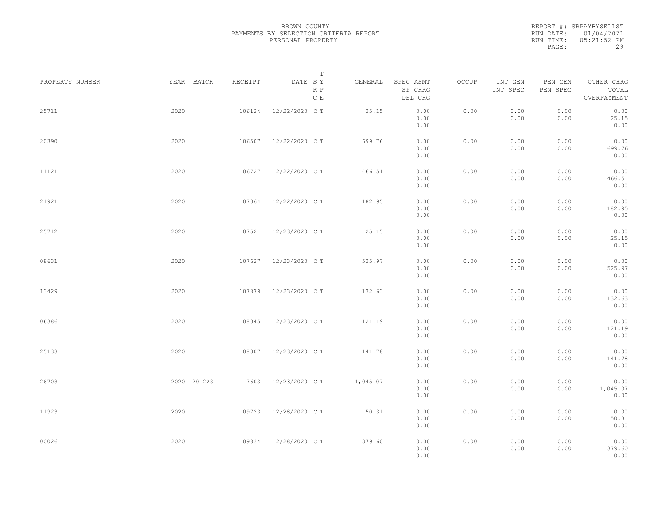|           | REPORT #: SRPAYBYSELLST |
|-----------|-------------------------|
|           | RUN DATE: 01/04/2021    |
| RUN TIME: | $05:21:52$ PM           |
| PAGE:     | 29                      |
|           |                         |

|                 |             |         | $\mathbb T$           |          |                                 |       |                     |                     |                                    |
|-----------------|-------------|---------|-----------------------|----------|---------------------------------|-------|---------------------|---------------------|------------------------------------|
| PROPERTY NUMBER | YEAR BATCH  | RECEIPT | DATE SY<br>R P<br>C E | GENERAL  | SPEC ASMT<br>SP CHRG<br>DEL CHG | OCCUP | INT GEN<br>INT SPEC | PEN GEN<br>PEN SPEC | OTHER CHRG<br>TOTAL<br>OVERPAYMENT |
| 25711           | 2020        | 106124  | 12/22/2020 C T        | 25.15    | 0.00<br>0.00<br>0.00            | 0.00  | 0.00<br>0.00        | 0.00<br>0.00        | 0.00<br>25.15<br>0.00              |
| 20390           | 2020        | 106507  | 12/22/2020 C T        | 699.76   | 0.00<br>0.00<br>0.00            | 0.00  | 0.00<br>0.00        | 0.00<br>0.00        | 0.00<br>699.76<br>0.00             |
| 11121           | 2020        | 106727  | 12/22/2020 C T        | 466.51   | 0.00<br>0.00<br>0.00            | 0.00  | 0.00<br>0.00        | 0.00<br>0.00        | 0.00<br>466.51<br>0.00             |
| 21921           | 2020        | 107064  | 12/22/2020 C T        | 182.95   | 0.00<br>0.00<br>0.00            | 0.00  | 0.00<br>0.00        | 0.00<br>0.00        | 0.00<br>182.95<br>0.00             |
| 25712           | 2020        | 107521  | 12/23/2020 C T        | 25.15    | 0.00<br>0.00<br>0.00            | 0.00  | 0.00<br>0.00        | 0.00<br>0.00        | 0.00<br>25.15<br>0.00              |
| 08631           | 2020        | 107627  | 12/23/2020 C T        | 525.97   | 0.00<br>0.00<br>0.00            | 0.00  | 0.00<br>0.00        | 0.00<br>0.00        | 0.00<br>525.97<br>0.00             |
| 13429           | 2020        | 107879  | 12/23/2020 C T        | 132.63   | 0.00<br>0.00<br>0.00            | 0.00  | 0.00<br>0.00        | 0.00<br>0.00        | 0.00<br>132.63<br>0.00             |
| 06386           | 2020        | 108045  | 12/23/2020 C T        | 121.19   | 0.00<br>0.00<br>0.00            | 0.00  | 0.00<br>0.00        | 0.00<br>0.00        | 0.00<br>121.19<br>0.00             |
| 25133           | 2020        | 108307  | 12/23/2020 C T        | 141.78   | 0.00<br>0.00<br>0.00            | 0.00  | 0.00<br>0.00        | 0.00<br>0.00        | 0.00<br>141.78<br>0.00             |
| 26703           | 2020 201223 |         | 7603 12/23/2020 CT    | 1,045.07 | 0.00<br>0.00<br>0.00            | 0.00  | 0.00<br>0.00        | 0.00<br>0.00        | 0.00<br>1,045.07<br>0.00           |
| 11923           | 2020        | 109723  | 12/28/2020 C T        | 50.31    | 0.00<br>0.00<br>0.00            | 0.00  | 0.00<br>0.00        | 0.00<br>0.00        | 0.00<br>50.31<br>0.00              |
| 00026           | 2020        | 109834  | 12/28/2020 C T        | 379.60   | 0.00<br>0.00<br>0.00            | 0.00  | 0.00<br>0.00        | 0.00<br>0.00        | 0.00<br>379.60<br>0.00             |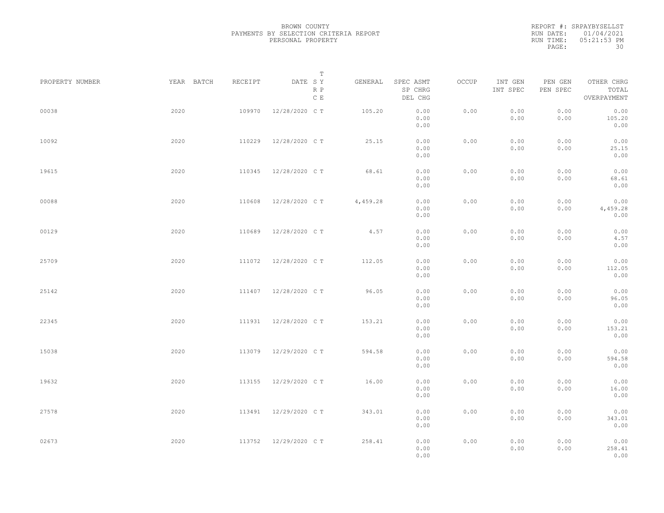|           | REPORT #: SRPAYBYSELLST |
|-----------|-------------------------|
|           | RUN DATE: 01/04/2021    |
| RUN TIME: | $05:21:53$ PM           |
| PAGE:     | 30                      |

|                 |            |         | T                               |          |                                 |       |                     |                     |                                    |  |
|-----------------|------------|---------|---------------------------------|----------|---------------------------------|-------|---------------------|---------------------|------------------------------------|--|
| PROPERTY NUMBER | YEAR BATCH | RECEIPT | DATE SY<br>R P<br>$\,$ C $\,$ E | GENERAL  | SPEC ASMT<br>SP CHRG<br>DEL CHG | OCCUP | INT GEN<br>INT SPEC | PEN GEN<br>PEN SPEC | OTHER CHRG<br>TOTAL<br>OVERPAYMENT |  |
| 00038           | 2020       | 109970  | 12/28/2020 C T                  | 105.20   | 0.00<br>0.00<br>0.00            | 0.00  | 0.00<br>0.00        | 0.00<br>0.00        | 0.00<br>105.20<br>0.00             |  |
| 10092           | 2020       | 110229  | 12/28/2020 C T                  | 25.15    | 0.00<br>0.00<br>0.00            | 0.00  | 0.00<br>0.00        | 0.00<br>0.00        | 0.00<br>25.15<br>0.00              |  |
| 19615           | 2020       | 110345  | 12/28/2020 C T                  | 68.61    | 0.00<br>0.00<br>0.00            | 0.00  | 0.00<br>0.00        | 0.00<br>0.00        | 0.00<br>68.61<br>0.00              |  |
| 00088           | 2020       | 110608  | 12/28/2020 C T                  | 4,459.28 | 0.00<br>0.00<br>0.00            | 0.00  | 0.00<br>0.00        | 0.00<br>0.00        | 0.00<br>4,459.28<br>0.00           |  |
| 00129           | 2020       | 110689  | 12/28/2020 C T                  | 4.57     | 0.00<br>0.00<br>0.00            | 0.00  | 0.00<br>0.00        | 0.00<br>0.00        | 0.00<br>4.57<br>0.00               |  |
| 25709           | 2020       | 111072  | 12/28/2020 C T                  | 112.05   | 0.00<br>0.00<br>0.00            | 0.00  | 0.00<br>0.00        | 0.00<br>0.00        | 0.00<br>112.05<br>0.00             |  |
| 25142           | 2020       | 111407  | 12/28/2020 C T                  | 96.05    | 0.00<br>0.00<br>0.00            | 0.00  | 0.00<br>0.00        | 0.00<br>0.00        | 0.00<br>96.05<br>0.00              |  |
| 22345           | 2020       | 111931  | 12/28/2020 C T                  | 153.21   | 0.00<br>0.00<br>0.00            | 0.00  | 0.00<br>0.00        | 0.00<br>0.00        | 0.00<br>153.21<br>0.00             |  |
| 15038           | 2020       | 113079  | 12/29/2020 C T                  | 594.58   | 0.00<br>0.00<br>0.00            | 0.00  | 0.00<br>0.00        | 0.00<br>0.00        | 0.00<br>594.58<br>0.00             |  |
| 19632           | 2020       | 113155  | 12/29/2020 C T                  | 16.00    | 0.00<br>0.00<br>0.00            | 0.00  | 0.00<br>0.00        | 0.00<br>0.00        | 0.00<br>16.00<br>0.00              |  |
| 27578           | 2020       | 113491  | 12/29/2020 C T                  | 343.01   | 0.00<br>0.00<br>0.00            | 0.00  | 0.00<br>0.00        | 0.00<br>0.00        | 0.00<br>343.01<br>0.00             |  |
| 02673           | 2020       |         | 113752 12/29/2020 CT            | 258.41   | 0.00<br>0.00<br>0.00            | 0.00  | 0.00<br>0.00        | 0.00<br>0.00        | 0.00<br>258.41<br>0.00             |  |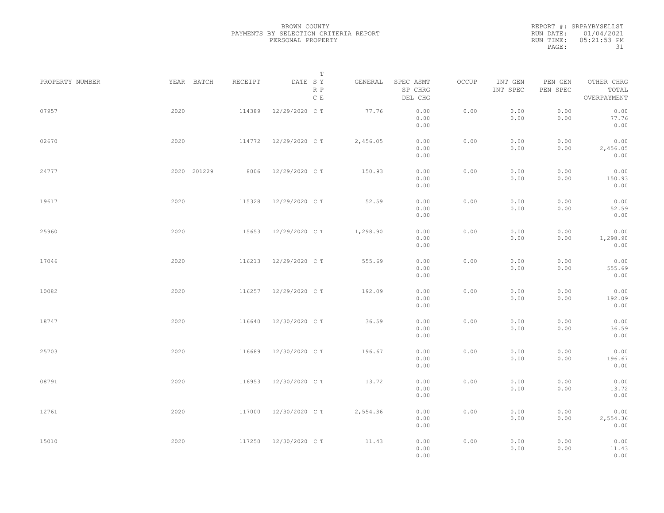REPORT #: SRPAYBYSELLST RUN DATE: 01/04/2021 RUN TIME: 05:21:53 PM PAGE: 31

|                 |             |         | $\mathbb T$                     |          |                                 |       |                     |                     |                                    |  |
|-----------------|-------------|---------|---------------------------------|----------|---------------------------------|-------|---------------------|---------------------|------------------------------------|--|
| PROPERTY NUMBER | YEAR BATCH  | RECEIPT | DATE SY<br>R P<br>$\,$ C $\,$ E | GENERAL  | SPEC ASMT<br>SP CHRG<br>DEL CHG | OCCUP | INT GEN<br>INT SPEC | PEN GEN<br>PEN SPEC | OTHER CHRG<br>TOTAL<br>OVERPAYMENT |  |
| 07957           | 2020        | 114389  | 12/29/2020 C T                  | 77.76    | 0.00<br>0.00<br>0.00            | 0.00  | 0.00<br>0.00        | 0.00<br>0.00        | 0.00<br>77.76<br>0.00              |  |
| 02670           | 2020        | 114772  | 12/29/2020 C T                  | 2,456.05 | 0.00<br>0.00<br>0.00            | 0.00  | 0.00<br>0.00        | 0.00<br>0.00        | 0.00<br>2,456.05<br>0.00           |  |
| 24777           | 2020 201229 | 8006    | 12/29/2020 C T                  | 150.93   | 0.00<br>0.00<br>0.00            | 0.00  | 0.00<br>0.00        | 0.00<br>0.00        | 0.00<br>150.93<br>0.00             |  |
| 19617           | 2020        | 115328  | 12/29/2020 C T                  | 52.59    | 0.00<br>0.00<br>0.00            | 0.00  | 0.00<br>0.00        | 0.00<br>0.00        | 0.00<br>52.59<br>0.00              |  |
| 25960           | 2020        | 115653  | 12/29/2020 C T                  | 1,298.90 | 0.00<br>0.00<br>0.00            | 0.00  | 0.00<br>0.00        | 0.00<br>0.00        | 0.00<br>1,298.90<br>0.00           |  |
| 17046           | 2020        | 116213  | 12/29/2020 C T                  | 555.69   | 0.00<br>0.00<br>0.00            | 0.00  | 0.00<br>0.00        | 0.00<br>0.00        | 0.00<br>555.69<br>0.00             |  |
| 10082           | 2020        | 116257  | 12/29/2020 C T                  | 192.09   | 0.00<br>0.00<br>0.00            | 0.00  | 0.00<br>0.00        | 0.00<br>0.00        | 0.00<br>192.09<br>0.00             |  |
| 18747           | 2020        | 116640  | 12/30/2020 C T                  | 36.59    | 0.00<br>0.00<br>0.00            | 0.00  | 0.00<br>0.00        | 0.00<br>0.00        | 0.00<br>36.59<br>0.00              |  |
| 25703           | 2020        | 116689  | 12/30/2020 C T                  | 196.67   | 0.00<br>0.00<br>0.00            | 0.00  | 0.00<br>0.00        | 0.00<br>0.00        | 0.00<br>196.67<br>0.00             |  |
| 08791           | 2020        | 116953  | 12/30/2020 C T                  | 13.72    | 0.00<br>0.00<br>0.00            | 0.00  | 0.00<br>0.00        | 0.00<br>0.00        | 0.00<br>13.72<br>0.00              |  |
| 12761           | 2020        | 117000  | 12/30/2020 C T                  | 2,554.36 | 0.00<br>0.00<br>0.00            | 0.00  | 0.00<br>0.00        | 0.00<br>0.00        | 0.00<br>2,554.36<br>0.00           |  |
| 15010           | 2020        | 117250  | 12/30/2020 C T                  | 11.43    | 0.00<br>0.00<br>0.00            | 0.00  | 0.00<br>0.00        | 0.00<br>0.00        | 0.00<br>11.43<br>0.00              |  |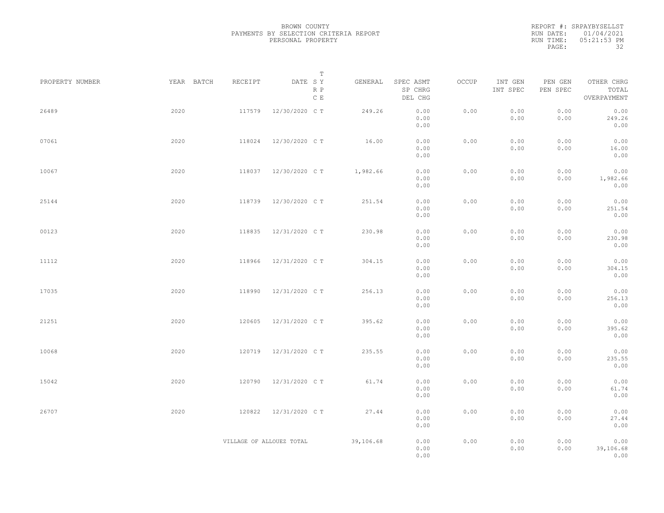|           | REPORT #: SRPAYBYSELLST |
|-----------|-------------------------|
|           | RUN DATE: 01/04/2021    |
| RUN TIME: | 05:21:53 PM             |
| PAGE:     | 32                      |

|                 |            |                          | Т                               |           |                                 |       |                     |                     |                                    |  |
|-----------------|------------|--------------------------|---------------------------------|-----------|---------------------------------|-------|---------------------|---------------------|------------------------------------|--|
| PROPERTY NUMBER | YEAR BATCH | RECEIPT                  | DATE SY<br>R P<br>$\,$ C $\,$ E | GENERAL   | SPEC ASMT<br>SP CHRG<br>DEL CHG | OCCUP | INT GEN<br>INT SPEC | PEN GEN<br>PEN SPEC | OTHER CHRG<br>TOTAL<br>OVERPAYMENT |  |
| 26489           | 2020       | 117579                   | 12/30/2020 C T                  | 249.26    | 0.00<br>0.00<br>0.00            | 0.00  | 0.00<br>0.00        | 0.00<br>0.00        | 0.00<br>249.26<br>0.00             |  |
| 07061           | 2020       | 118024                   | 12/30/2020 C T                  | 16.00     | 0.00<br>0.00<br>0.00            | 0.00  | 0.00<br>0.00        | 0.00<br>0.00        | 0.00<br>16.00<br>0.00              |  |
| 10067           | 2020       | 118037                   | 12/30/2020 C T                  | 1,982.66  | 0.00<br>0.00<br>0.00            | 0.00  | 0.00<br>0.00        | 0.00<br>0.00        | 0.00<br>1,982.66<br>0.00           |  |
| 25144           | 2020       | 118739                   | 12/30/2020 C T                  | 251.54    | 0.00<br>0.00<br>0.00            | 0.00  | 0.00<br>0.00        | 0.00<br>0.00        | 0.00<br>251.54<br>0.00             |  |
| 00123           | 2020       | 118835                   | 12/31/2020 C T                  | 230.98    | 0.00<br>0.00<br>0.00            | 0.00  | 0.00<br>0.00        | 0.00<br>0.00        | 0.00<br>230.98<br>0.00             |  |
| 11112           | 2020       | 118966                   | 12/31/2020 C T                  | 304.15    | 0.00<br>0.00<br>0.00            | 0.00  | 0.00<br>0.00        | 0.00<br>0.00        | 0.00<br>304.15<br>0.00             |  |
| 17035           | 2020       | 118990                   | 12/31/2020 C T                  | 256.13    | 0.00<br>0.00<br>0.00            | 0.00  | 0.00<br>0.00        | 0.00<br>0.00        | 0.00<br>256.13<br>0.00             |  |
| 21251           | 2020       | 120605                   | 12/31/2020 C T                  | 395.62    | 0.00<br>0.00<br>0.00            | 0.00  | 0.00<br>0.00        | 0.00<br>0.00        | 0.00<br>395.62<br>0.00             |  |
| 10068           | 2020       | 120719                   | 12/31/2020 C T                  | 235.55    | 0.00<br>0.00<br>0.00            | 0.00  | 0.00<br>0.00        | 0.00<br>0.00        | 0.00<br>235.55<br>0.00             |  |
| 15042           | 2020       | 120790                   | 12/31/2020 C T                  | 61.74     | 0.00<br>0.00<br>0.00            | 0.00  | 0.00<br>0.00        | 0.00<br>0.00        | 0.00<br>61.74<br>0.00              |  |
| 26707           | 2020       | 120822                   | 12/31/2020 C T                  | 27.44     | 0.00<br>0.00<br>0.00            | 0.00  | 0.00<br>0.00        | 0.00<br>0.00        | 0.00<br>27.44<br>0.00              |  |
|                 |            | VILLAGE OF ALLOUEZ TOTAL |                                 | 39,106.68 | 0.00<br>0.00<br>0.00            | 0.00  | 0.00<br>0.00        | 0.00<br>0.00        | 0.00<br>39,106.68<br>0.00          |  |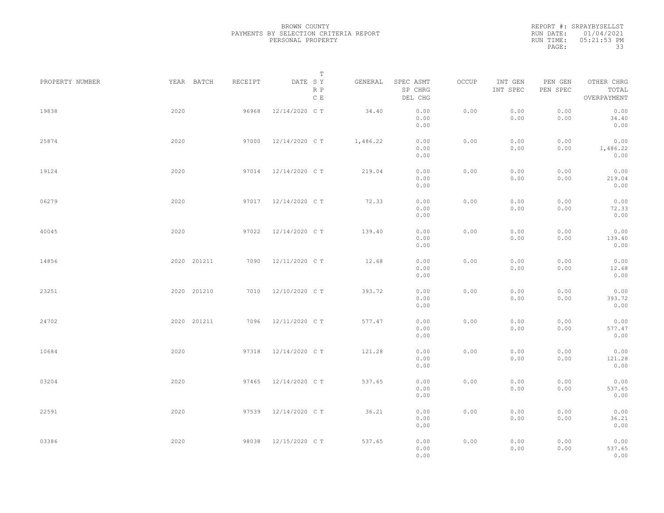|           | REPORT #: SRPAYBYSELLST |
|-----------|-------------------------|
|           | RUN DATE: 01/04/2021    |
| RUN TIME: | $05:21:53$ PM           |
| PAGE:     | 33                      |

|                 |             |         | Т                     |          |                                 |       |                     |                     |                                    |  |
|-----------------|-------------|---------|-----------------------|----------|---------------------------------|-------|---------------------|---------------------|------------------------------------|--|
| PROPERTY NUMBER | YEAR BATCH  | RECEIPT | DATE SY<br>R P<br>C E | GENERAL  | SPEC ASMT<br>SP CHRG<br>DEL CHG | OCCUP | INT GEN<br>INT SPEC | PEN GEN<br>PEN SPEC | OTHER CHRG<br>TOTAL<br>OVERPAYMENT |  |
| 19838           | 2020        | 96968   | 12/14/2020 C T        | 34.40    | 0.00<br>0.00<br>0.00            | 0.00  | 0.00<br>0.00        | 0.00<br>0.00        | 0.00<br>34.40<br>0.00              |  |
| 25874           | 2020        | 97000   | 12/14/2020 C T        | 1,486.22 | 0.00<br>0.00<br>0.00            | 0.00  | 0.00<br>0.00        | 0.00<br>0.00        | 0.00<br>1,486.22<br>0.00           |  |
| 19124           | 2020        |         | 97014 12/14/2020 CT   | 219.04   | 0.00<br>0.00<br>0.00            | 0.00  | 0.00<br>0.00        | 0.00<br>0.00        | 0.00<br>219.04<br>0.00             |  |
| 06279           | 2020        |         | 97017 12/14/2020 CT   | 72.33    | 0.00<br>0.00<br>0.00            | 0.00  | 0.00<br>0.00        | 0.00<br>0.00        | 0.00<br>72.33<br>0.00              |  |
| 40045           | 2020        | 97022   | 12/14/2020 C T        | 139.40   | 0.00<br>0.00<br>0.00            | 0.00  | 0.00<br>0.00        | 0.00<br>0.00        | 0.00<br>139.40<br>0.00             |  |
| 14856           | 2020 201211 | 7090    | 12/11/2020 C T        | 12.68    | 0.00<br>0.00<br>0.00            | 0.00  | 0.00<br>0.00        | 0.00<br>0.00        | 0.00<br>12.68<br>0.00              |  |
| 23251           | 2020 201210 | 7010    | 12/10/2020 C T        | 393.72   | 0.00<br>0.00<br>0.00            | 0.00  | 0.00<br>0.00        | 0.00<br>0.00        | 0.00<br>393.72<br>0.00             |  |
| 24702           | 2020 201211 | 7096    | 12/11/2020 C T        | 577.47   | 0.00<br>0.00<br>0.00            | 0.00  | 0.00<br>0.00        | 0.00<br>0.00        | 0.00<br>577.47<br>0.00             |  |
| 10684           | 2020        | 97318   | 12/14/2020 C T        | 121.28   | 0.00<br>0.00<br>0.00            | 0.00  | 0.00<br>0.00        | 0.00<br>0.00        | 0.00<br>121.28<br>0.00             |  |
| 03204           | 2020        | 97465   | 12/14/2020 C T        | 537.65   | 0.00<br>0.00<br>0.00            | 0.00  | 0.00<br>0.00        | 0.00<br>0.00        | 0.00<br>537.65<br>0.00             |  |
| 22591           | 2020        | 97539   | 12/14/2020 C T        | 36.21    | 0.00<br>0.00<br>0.00            | 0.00  | 0.00<br>0.00        | 0.00<br>0.00        | 0.00<br>36.21<br>0.00              |  |
| 03386           | 2020        | 98038   | 12/15/2020 C T        | 537.65   | 0.00<br>0.00<br>0.00            | 0.00  | 0.00<br>0.00        | 0.00<br>0.00        | 0.00<br>537.65<br>0.00             |  |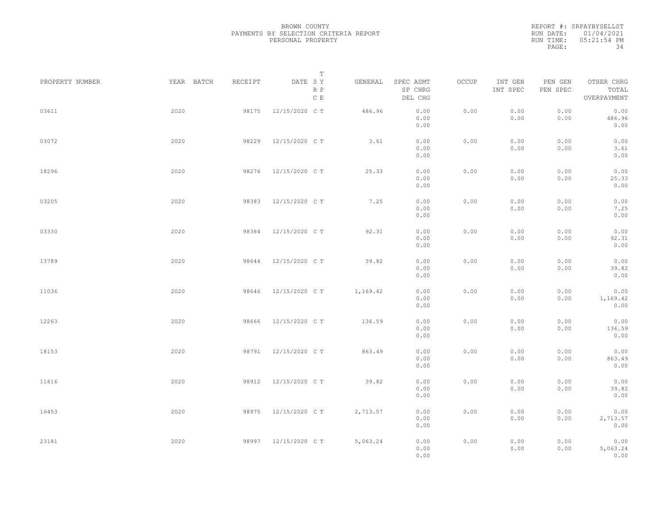|           | REPORT #: SRPAYBYSELLST |
|-----------|-------------------------|
|           | RUN DATE: 01/04/2021    |
| RUN TIME: | 05:21:54 PM             |
| PAGE:     | 34                      |

|                 |            |         | T                               |          |                                 |       |                     |                     |                                    |  |
|-----------------|------------|---------|---------------------------------|----------|---------------------------------|-------|---------------------|---------------------|------------------------------------|--|
| PROPERTY NUMBER | YEAR BATCH | RECEIPT | DATE SY<br>R P<br>$\,$ C $\,$ E | GENERAL  | SPEC ASMT<br>SP CHRG<br>DEL CHG | OCCUP | INT GEN<br>INT SPEC | PEN GEN<br>PEN SPEC | OTHER CHRG<br>TOTAL<br>OVERPAYMENT |  |
| 03611           | 2020       | 98175   | 12/15/2020 C T                  | 486.96   | 0.00<br>0.00<br>0.00            | 0.00  | 0.00<br>0.00        | 0.00<br>0.00        | 0.00<br>486.96<br>0.00             |  |
| 03072           | 2020       | 98229   | 12/15/2020 C T                  | 3.61     | 0.00<br>0.00<br>0.00            | 0.00  | 0.00<br>0.00        | 0.00<br>0.00        | 0.00<br>3.61<br>0.00               |  |
| 18296           | 2020       | 98276   | 12/15/2020 C T                  | 25.33    | 0.00<br>0.00<br>0.00            | 0.00  | 0.00<br>0.00        | 0.00<br>0.00        | 0.00<br>25.33<br>0.00              |  |
| 03205           | 2020       | 98383   | 12/15/2020 C T                  | 7.25     | 0.00<br>0.00<br>0.00            | 0.00  | 0.00<br>0.00        | 0.00<br>0.00        | 0.00<br>7.25<br>0.00               |  |
| 03330           | 2020       | 98384   | 12/15/2020 C T                  | 92.31    | 0.00<br>0.00<br>0.00            | 0.00  | 0.00<br>0.00        | 0.00<br>0.00        | 0.00<br>92.31<br>0.00              |  |
| 13789           | 2020       | 98644   | 12/15/2020 C T                  | 39.82    | 0.00<br>0.00<br>0.00            | 0.00  | 0.00<br>0.00        | 0.00<br>0.00        | 0.00<br>39.82<br>0.00              |  |
| 11036           | 2020       | 98646   | 12/15/2020 C T                  | 1,169.42 | 0.00<br>0.00<br>0.00            | 0.00  | 0.00<br>0.00        | 0.00<br>0.00        | 0.00<br>1,169.42<br>0.00           |  |
| 12263           | 2020       | 98666   | 12/15/2020 C T                  | 136.59   | 0.00<br>0.00<br>0.00            | 0.00  | 0.00<br>0.00        | 0.00<br>0.00        | 0.00<br>136.59<br>0.00             |  |
| 18153           | 2020       | 98791   | 12/15/2020 C T                  | 863.49   | 0.00<br>0.00<br>0.00            | 0.00  | 0.00<br>0.00        | 0.00<br>0.00        | 0.00<br>863.49<br>0.00             |  |
| 11616           | 2020       | 98912   | 12/15/2020 C T                  | 39.82    | 0.00<br>0.00<br>0.00            | 0.00  | 0.00<br>0.00        | 0.00<br>0.00        | 0.00<br>39.82<br>0.00              |  |
| 16453           | 2020       | 98975   | 12/15/2020 C T                  | 2,713.57 | 0.00<br>0.00                    | 0.00  | 0.00<br>0.00        | 0.00<br>0.00        | 0.00<br>2,713.57                   |  |
| 23181           | 2020       |         | 98997 12/15/2020 CT             | 5,063.24 | 0.00<br>0.00<br>0.00<br>0.00    | 0.00  | 0.00<br>0.00        | 0.00<br>0.00        | 0.00<br>0.00<br>5,063.24<br>0.00   |  |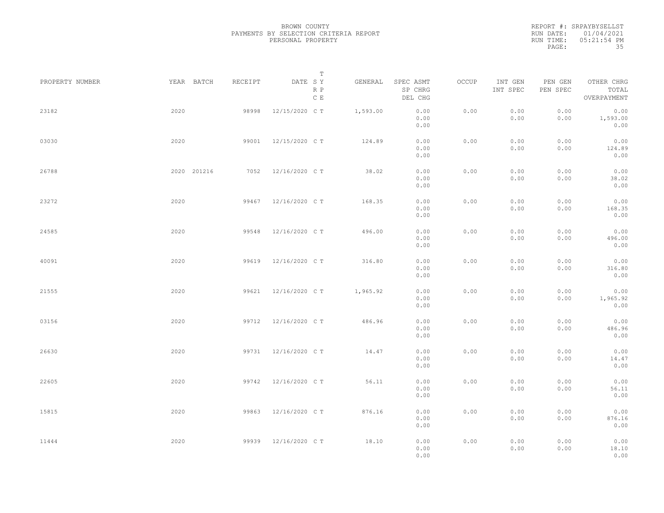|           | REPORT #: SRPAYBYSELLST |
|-----------|-------------------------|
|           | RUN DATE: 01/04/2021    |
| RUN TIME: | 05:21:54 PM             |
| PAGE:     | 35                      |

|                 |             |         | T                               |          |                                 |       |                     |                     |                                    |  |
|-----------------|-------------|---------|---------------------------------|----------|---------------------------------|-------|---------------------|---------------------|------------------------------------|--|
| PROPERTY NUMBER | YEAR BATCH  | RECEIPT | DATE SY<br>R P<br>$\,$ C $\,$ E | GENERAL  | SPEC ASMT<br>SP CHRG<br>DEL CHG | OCCUP | INT GEN<br>INT SPEC | PEN GEN<br>PEN SPEC | OTHER CHRG<br>TOTAL<br>OVERPAYMENT |  |
| 23182           | 2020        | 98998   | 12/15/2020 C T                  | 1,593.00 | 0.00<br>0.00<br>0.00            | 0.00  | 0.00<br>0.00        | 0.00<br>0.00        | 0.00<br>1,593.00<br>0.00           |  |
| 03030           | 2020        | 99001   | 12/15/2020 C T                  | 124.89   | 0.00<br>0.00<br>0.00            | 0.00  | 0.00<br>0.00        | 0.00<br>0.00        | 0.00<br>124.89<br>0.00             |  |
| 26788           | 2020 201216 | 7052    | 12/16/2020 C T                  | 38.02    | 0.00<br>0.00<br>0.00            | 0.00  | 0.00<br>0.00        | 0.00<br>0.00        | 0.00<br>38.02<br>0.00              |  |
| 23272           | 2020        | 99467   | 12/16/2020 C T                  | 168.35   | 0.00<br>0.00<br>0.00            | 0.00  | 0.00<br>0.00        | 0.00<br>0.00        | 0.00<br>168.35<br>0.00             |  |
| 24585           | 2020        | 99548   | 12/16/2020 C T                  | 496.00   | 0.00<br>0.00<br>0.00            | 0.00  | 0.00<br>0.00        | 0.00<br>0.00        | 0.00<br>496.00<br>0.00             |  |
| 40091           | 2020        | 99619   | 12/16/2020 C T                  | 316.80   | 0.00<br>0.00<br>0.00            | 0.00  | 0.00<br>0.00        | 0.00<br>0.00        | 0.00<br>316.80<br>0.00             |  |
| 21555           | 2020        | 99621   | 12/16/2020 C T                  | 1,965.92 | 0.00<br>0.00<br>0.00            | 0.00  | 0.00<br>0.00        | 0.00<br>0.00        | 0.00<br>1,965.92<br>0.00           |  |
| 03156           | 2020        | 99712   | 12/16/2020 C T                  | 486.96   | 0.00<br>0.00<br>0.00            | 0.00  | 0.00<br>0.00        | 0.00<br>0.00        | 0.00<br>486.96<br>0.00             |  |
| 26630           | 2020        | 99731   | 12/16/2020 C T                  | 14.47    | 0.00<br>0.00<br>0.00            | 0.00  | 0.00<br>0.00        | 0.00<br>0.00        | 0.00<br>14.47<br>0.00              |  |
| 22605           | 2020        | 99742   | 12/16/2020 C T                  | 56.11    | 0.00<br>0.00<br>0.00            | 0.00  | 0.00<br>0.00        | 0.00<br>0.00        | 0.00<br>56.11<br>0.00              |  |
| 15815           | 2020        | 99863   | 12/16/2020 C T                  | 876.16   | 0.00<br>0.00<br>0.00            | 0.00  | 0.00<br>0.00        | 0.00<br>0.00        | 0.00<br>876.16<br>0.00             |  |
| 11444           | 2020        | 99939   | 12/16/2020 C T                  | 18.10    | 0.00<br>0.00<br>0.00            | 0.00  | 0.00<br>0.00        | 0.00<br>0.00        | 0.00<br>18.10<br>0.00              |  |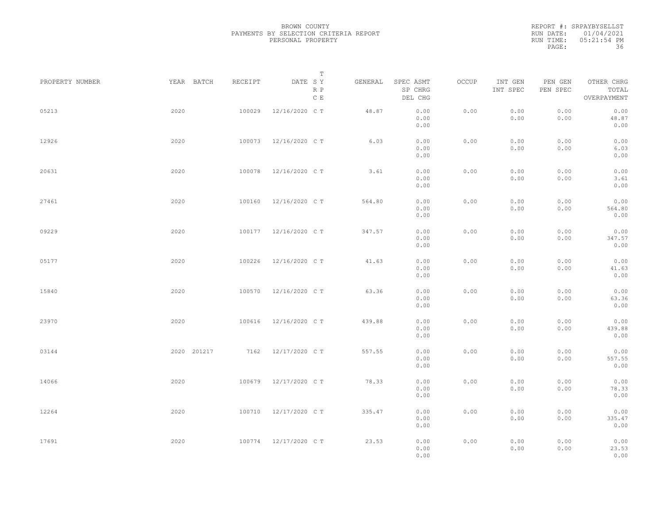REPORT #: SRPAYBYSELLST RUN DATE: 01/04/2021 RUN TIME: 05:21:54 PM PAGE: 36

|                 |             |         | $\mathbb T$           |         |                                 |       |                     |                     |                                    |
|-----------------|-------------|---------|-----------------------|---------|---------------------------------|-------|---------------------|---------------------|------------------------------------|
| PROPERTY NUMBER | YEAR BATCH  | RECEIPT | DATE SY<br>R P<br>C E | GENERAL | SPEC ASMT<br>SP CHRG<br>DEL CHG | OCCUP | INT GEN<br>INT SPEC | PEN GEN<br>PEN SPEC | OTHER CHRG<br>TOTAL<br>OVERPAYMENT |
| 05213           | 2020        | 100029  | 12/16/2020 C T        | 48.87   | 0.00<br>0.00<br>0.00            | 0.00  | 0.00<br>0.00        | 0.00<br>0.00        | 0.00<br>48.87<br>0.00              |
| 12926           | 2020        | 100073  | 12/16/2020 C T        | 6.03    | 0.00<br>0.00<br>0.00            | 0.00  | 0.00<br>0.00        | 0.00<br>0.00        | 0.00<br>6.03<br>0.00               |
| 20631           | 2020        | 100078  | 12/16/2020 C T        | 3.61    | 0.00<br>0.00<br>0.00            | 0.00  | 0.00<br>0.00        | 0.00<br>0.00        | 0.00<br>3.61<br>0.00               |
| 27461           | 2020        | 100160  | 12/16/2020 C T        | 564.80  | 0.00<br>0.00<br>0.00            | 0.00  | 0.00<br>0.00        | 0.00<br>0.00        | 0.00<br>564.80<br>0.00             |
| 09229           | 2020        | 100177  | 12/16/2020 C T        | 347.57  | 0.00<br>0.00<br>0.00            | 0.00  | 0.00<br>0.00        | 0.00<br>0.00        | 0.00<br>347.57<br>0.00             |
| 05177           | 2020        | 100226  | 12/16/2020 C T        | 41.63   | 0.00<br>0.00<br>0.00            | 0.00  | 0.00<br>0.00        | 0.00<br>0.00        | 0.00<br>41.63<br>0.00              |
| 15840           | 2020        | 100570  | 12/16/2020 C T        | 63.36   | 0.00<br>0.00<br>0.00            | 0.00  | 0.00<br>0.00        | 0.00<br>0.00        | 0.00<br>63.36<br>0.00              |
| 23970           | 2020        | 100616  | 12/16/2020 C T        | 439.88  | 0.00<br>0.00<br>0.00            | 0.00  | 0.00<br>0.00        | 0.00<br>0.00        | 0.00<br>439.88<br>0.00             |
| 03144           | 2020 201217 |         | 7162 12/17/2020 CT    | 557.55  | 0.00<br>0.00<br>0.00            | 0.00  | 0.00<br>0.00        | 0.00<br>0.00        | 0.00<br>557.55<br>0.00             |
| 14066           | 2020        | 100679  | 12/17/2020 C T        | 78.33   | 0.00<br>0.00<br>0.00            | 0.00  | 0.00<br>0.00        | 0.00<br>0.00        | 0.00<br>78.33<br>0.00              |
| 12264           | 2020        |         | 100710 12/17/2020 CT  | 335.47  | 0.00<br>0.00<br>0.00            | 0.00  | 0.00<br>0.00        | 0.00<br>0.00        | 0.00<br>335.47<br>0.00             |
| 17691           | 2020        |         | 100774 12/17/2020 CT  | 23.53   | 0.00<br>0.00<br>0.00            | 0.00  | 0.00<br>0.00        | 0.00<br>0.00        | 0.00<br>23.53<br>0.00              |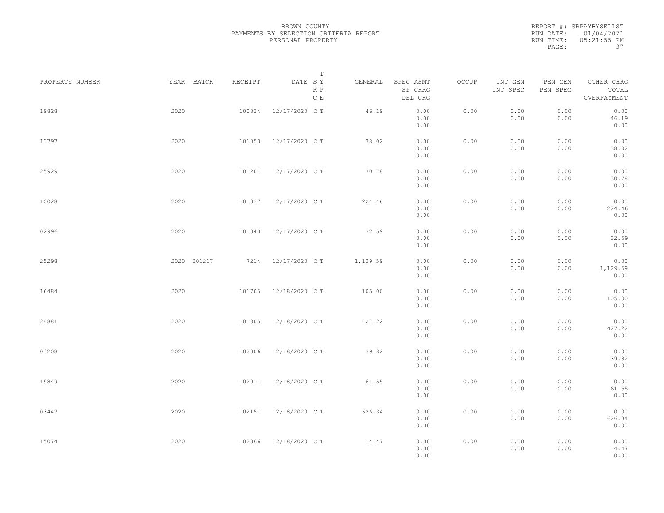|           | REPORT #: SRPAYBYSELLST |
|-----------|-------------------------|
|           | RUN DATE: 01/04/2021    |
| RUN TIME: | 05:21:55 PM             |
| PAGE:     | -37                     |

|                 |             |         | Т                               |          |                                 |       |                     |                     |                                    |  |
|-----------------|-------------|---------|---------------------------------|----------|---------------------------------|-------|---------------------|---------------------|------------------------------------|--|
| PROPERTY NUMBER | YEAR BATCH  | RECEIPT | DATE SY<br>R P<br>$\,$ C $\,$ E | GENERAL  | SPEC ASMT<br>SP CHRG<br>DEL CHG | OCCUP | INT GEN<br>INT SPEC | PEN GEN<br>PEN SPEC | OTHER CHRG<br>TOTAL<br>OVERPAYMENT |  |
| 19828           | 2020        | 100834  | 12/17/2020 C T                  | 46.19    | 0.00<br>0.00<br>0.00            | 0.00  | 0.00<br>0.00        | 0.00<br>0.00        | 0.00<br>46.19<br>0.00              |  |
| 13797           | 2020        | 101053  | 12/17/2020 C T                  | 38.02    | 0.00<br>0.00<br>0.00            | 0.00  | 0.00<br>0.00        | 0.00<br>0.00        | 0.00<br>38.02<br>0.00              |  |
| 25929           | 2020        | 101201  | 12/17/2020 C T                  | 30.78    | 0.00<br>0.00<br>0.00            | 0.00  | 0.00<br>0.00        | 0.00<br>0.00        | 0.00<br>30.78<br>0.00              |  |
| 10028           | 2020        | 101337  | 12/17/2020 C T                  | 224.46   | 0.00<br>0.00<br>0.00            | 0.00  | 0.00<br>0.00        | 0.00<br>0.00        | 0.00<br>224.46<br>0.00             |  |
| 02996           | 2020        | 101340  | 12/17/2020 C T                  | 32.59    | 0.00<br>0.00<br>0.00            | 0.00  | 0.00<br>0.00        | 0.00<br>0.00        | 0.00<br>32.59<br>0.00              |  |
| 25298           | 2020 201217 | 7214    | 12/17/2020 C T                  | 1,129.59 | 0.00<br>0.00<br>0.00            | 0.00  | 0.00<br>0.00        | 0.00<br>0.00        | 0.00<br>1,129.59<br>0.00           |  |
| 16484           | 2020        | 101705  | 12/18/2020 C T                  | 105.00   | 0.00<br>0.00<br>0.00            | 0.00  | 0.00<br>0.00        | 0.00<br>0.00        | 0.00<br>105.00<br>0.00             |  |
| 24881           | 2020        | 101805  | 12/18/2020 C T                  | 427.22   | 0.00<br>0.00<br>0.00            | 0.00  | 0.00<br>0.00        | 0.00<br>0.00        | 0.00<br>427.22<br>0.00             |  |
| 03208           | 2020        | 102006  | 12/18/2020 C T                  | 39.82    | 0.00<br>0.00<br>0.00            | 0.00  | 0.00<br>0.00        | 0.00<br>0.00        | 0.00<br>39.82<br>0.00              |  |
| 19849           | 2020        | 102011  | 12/18/2020 C T                  | 61.55    | 0.00<br>0.00<br>0.00            | 0.00  | 0.00<br>0.00        | 0.00<br>0.00        | 0.00<br>61.55<br>0.00              |  |
| 03447           | 2020        | 102151  | 12/18/2020 C T                  | 626.34   | 0.00<br>0.00<br>0.00            | 0.00  | 0.00<br>0.00        | 0.00<br>0.00        | 0.00<br>626.34<br>0.00             |  |
| 15074           | 2020        | 102366  | 12/18/2020 C T                  | 14.47    | 0.00<br>0.00<br>0.00            | 0.00  | 0.00<br>0.00        | 0.00<br>0.00        | 0.00<br>14.47<br>0.00              |  |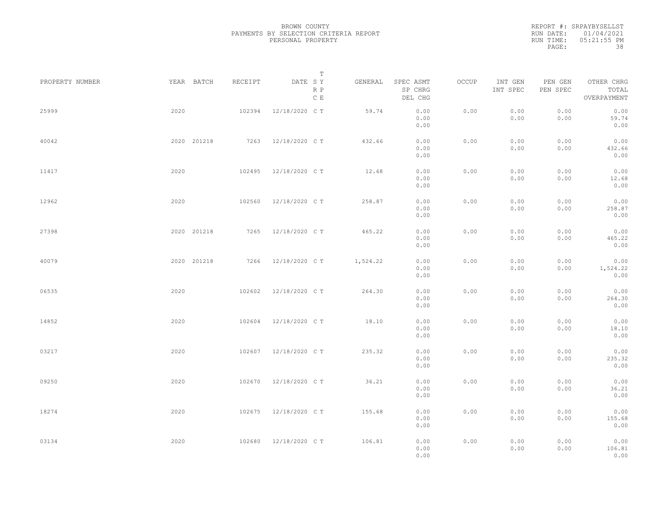|           | REPORT #: SRPAYBYSELLST |
|-----------|-------------------------|
|           | RUN DATE: 01/04/2021    |
| RUN TIME: | $05:21:55$ PM           |
| PAGE:     | 38                      |

|                 |             |         | T                               |          |                                 |       |                     |                     |                                    |  |
|-----------------|-------------|---------|---------------------------------|----------|---------------------------------|-------|---------------------|---------------------|------------------------------------|--|
| PROPERTY NUMBER | YEAR BATCH  | RECEIPT | DATE SY<br>R P<br>$\,$ C $\,$ E | GENERAL  | SPEC ASMT<br>SP CHRG<br>DEL CHG | OCCUP | INT GEN<br>INT SPEC | PEN GEN<br>PEN SPEC | OTHER CHRG<br>TOTAL<br>OVERPAYMENT |  |
| 25999           | 2020        | 102394  | 12/18/2020 C T                  | 59.74    | 0.00<br>0.00<br>0.00            | 0.00  | 0.00<br>0.00        | 0.00<br>0.00        | 0.00<br>59.74<br>0.00              |  |
| 40042           | 2020 201218 | 7263    | 12/18/2020 C T                  | 432.66   | 0.00<br>0.00<br>0.00            | 0.00  | 0.00<br>0.00        | 0.00<br>0.00        | 0.00<br>432.66<br>0.00             |  |
| 11417           | 2020        | 102495  | 12/18/2020 C T                  | 12.68    | 0.00<br>0.00<br>0.00            | 0.00  | 0.00<br>0.00        | 0.00<br>0.00        | 0.00<br>12.68<br>0.00              |  |
| 12962           | 2020        | 102560  | 12/18/2020 C T                  | 258.87   | 0.00<br>0.00<br>0.00            | 0.00  | 0.00<br>0.00        | 0.00<br>0.00        | 0.00<br>258.87<br>0.00             |  |
| 27398           | 2020 201218 | 7265    | 12/18/2020 C T                  | 465.22   | 0.00<br>0.00<br>0.00            | 0.00  | 0.00<br>0.00        | 0.00<br>0.00        | 0.00<br>465.22<br>0.00             |  |
| 40079           | 2020 201218 | 7266    | 12/18/2020 C T                  | 1,524.22 | 0.00<br>0.00<br>0.00            | 0.00  | 0.00<br>0.00        | 0.00<br>0.00        | 0.00<br>1,524.22<br>0.00           |  |
| 06535           | 2020        | 102602  | 12/18/2020 C T                  | 264.30   | 0.00<br>0.00<br>0.00            | 0.00  | 0.00<br>0.00        | 0.00<br>0.00        | 0.00<br>264.30<br>0.00             |  |
| 14852           | 2020        | 102604  | 12/18/2020 C T                  | 18.10    | 0.00<br>0.00<br>0.00            | 0.00  | 0.00<br>0.00        | 0.00<br>0.00        | 0.00<br>18.10<br>0.00              |  |
| 03217           | 2020        | 102607  | 12/18/2020 C T                  | 235.32   | 0.00<br>0.00<br>0.00            | 0.00  | 0.00<br>0.00        | 0.00<br>0.00        | 0.00<br>235.32<br>0.00             |  |
| 09250           | 2020        | 102670  | 12/18/2020 C T                  | 36.21    | 0.00<br>0.00<br>0.00            | 0.00  | 0.00<br>0.00        | 0.00<br>0.00        | 0.00<br>36.21<br>0.00              |  |
| 18274           | 2020        | 102675  | 12/18/2020 C T                  | 155.68   | 0.00<br>0.00<br>0.00            | 0.00  | 0.00<br>0.00        | 0.00<br>0.00        | 0.00<br>155.68<br>0.00             |  |
| 03134           | 2020        | 102680  | 12/18/2020 C T                  | 106.81   | 0.00<br>0.00<br>0.00            | 0.00  | 0.00<br>0.00        | 0.00<br>0.00        | 0.00<br>106.81<br>0.00             |  |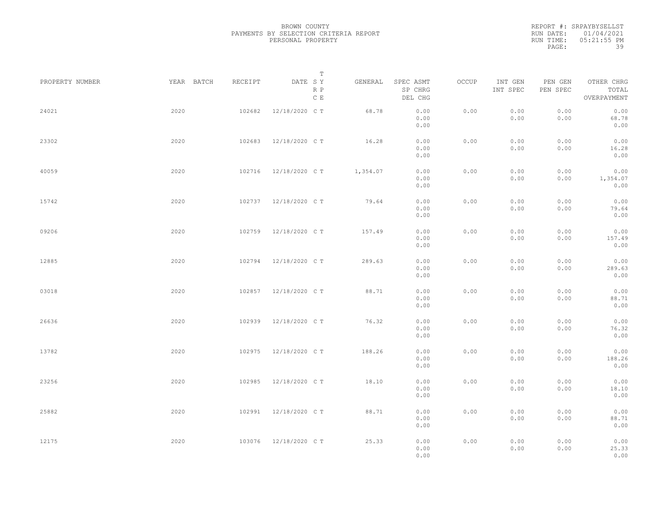|           | REPORT #: SRPAYBYSELLST |
|-----------|-------------------------|
|           | RUN DATE: 01/04/2021    |
| RUN TIME: | $05:21:55$ PM           |
| PAGE:     | 39                      |

|                 |            |         | T                     |          |                                 |       |                     |                     |                                    |  |
|-----------------|------------|---------|-----------------------|----------|---------------------------------|-------|---------------------|---------------------|------------------------------------|--|
| PROPERTY NUMBER | YEAR BATCH | RECEIPT | DATE SY<br>R P<br>C E | GENERAL  | SPEC ASMT<br>SP CHRG<br>DEL CHG | OCCUP | INT GEN<br>INT SPEC | PEN GEN<br>PEN SPEC | OTHER CHRG<br>TOTAL<br>OVERPAYMENT |  |
| 24021           | 2020       | 102682  | 12/18/2020 C T        | 68.78    | 0.00<br>0.00<br>0.00            | 0.00  | 0.00<br>0.00        | 0.00<br>0.00        | 0.00<br>68.78<br>0.00              |  |
| 23302           | 2020       | 102683  | 12/18/2020 C T        | 16.28    | 0.00<br>0.00<br>0.00            | 0.00  | 0.00<br>0.00        | 0.00<br>0.00        | 0.00<br>16.28<br>0.00              |  |
| 40059           | 2020       | 102716  | 12/18/2020 C T        | 1,354.07 | 0.00<br>0.00<br>0.00            | 0.00  | 0.00<br>0.00        | 0.00<br>0.00        | 0.00<br>1,354.07<br>0.00           |  |
| 15742           | 2020       | 102737  | 12/18/2020 C T        | 79.64    | 0.00<br>0.00<br>0.00            | 0.00  | 0.00<br>0.00        | 0.00<br>0.00        | 0.00<br>79.64<br>0.00              |  |
| 09206           | 2020       | 102759  | 12/18/2020 C T        | 157.49   | 0.00<br>0.00<br>0.00            | 0.00  | 0.00<br>0.00        | 0.00<br>0.00        | 0.00<br>157.49<br>0.00             |  |
| 12885           | 2020       | 102794  | 12/18/2020 C T        | 289.63   | 0.00<br>0.00<br>0.00            | 0.00  | 0.00<br>0.00        | 0.00<br>0.00        | 0.00<br>289.63<br>0.00             |  |
| 03018           | 2020       | 102857  | 12/18/2020 C T        | 88.71    | 0.00<br>0.00<br>0.00            | 0.00  | 0.00<br>0.00        | 0.00<br>0.00        | 0.00<br>88.71<br>0.00              |  |
| 26636           | 2020       | 102939  | 12/18/2020 C T        | 76.32    | 0.00<br>0.00<br>0.00            | 0.00  | 0.00<br>0.00        | 0.00<br>0.00        | 0.00<br>76.32<br>0.00              |  |
| 13782           | 2020       | 102975  | 12/18/2020 C T        | 188.26   | 0.00<br>0.00<br>0.00            | 0.00  | 0.00<br>0.00        | 0.00<br>0.00        | 0.00<br>188.26<br>0.00             |  |
| 23256           | 2020       | 102985  | 12/18/2020 C T        | 18.10    | 0.00<br>0.00<br>0.00            | 0.00  | 0.00<br>0.00        | 0.00<br>0.00        | 0.00<br>18.10<br>0.00              |  |
| 25882           | 2020       | 102991  | 12/18/2020 C T        | 88.71    | 0.00<br>0.00<br>0.00            | 0.00  | 0.00<br>0.00        | 0.00<br>0.00        | 0.00<br>88.71<br>0.00              |  |
| 12175           | 2020       | 103076  | 12/18/2020 C T        | 25.33    | 0.00<br>0.00<br>0.00            | 0.00  | 0.00<br>0.00        | 0.00<br>0.00        | 0.00<br>25.33<br>0.00              |  |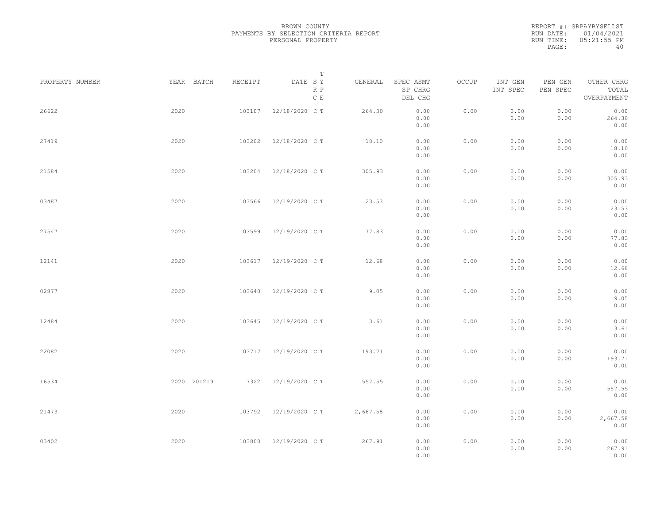|           | REPORT #: SRPAYBYSELLST |
|-----------|-------------------------|
|           | RUN DATE: 01/04/2021    |
| RUN TIME: | 05:21:55 PM             |
| PAGE:     | 40                      |

|                 |             |         | T                               |          |                                 |       |                     |                     |                                    |  |
|-----------------|-------------|---------|---------------------------------|----------|---------------------------------|-------|---------------------|---------------------|------------------------------------|--|
| PROPERTY NUMBER | YEAR BATCH  | RECEIPT | DATE SY<br>R P<br>$\,$ C $\,$ E | GENERAL  | SPEC ASMT<br>SP CHRG<br>DEL CHG | OCCUP | INT GEN<br>INT SPEC | PEN GEN<br>PEN SPEC | OTHER CHRG<br>TOTAL<br>OVERPAYMENT |  |
| 26622           | 2020        | 103107  | 12/18/2020 C T                  | 264.30   | 0.00<br>0.00<br>0.00            | 0.00  | 0.00<br>0.00        | 0.00<br>0.00        | 0.00<br>264.30<br>0.00             |  |
| 27419           | 2020        | 103202  | 12/18/2020 C T                  | 18.10    | 0.00<br>0.00<br>0.00            | 0.00  | 0.00<br>0.00        | 0.00<br>0.00        | 0.00<br>18.10<br>0.00              |  |
| 21584           | 2020        | 103204  | 12/18/2020 C T                  | 305.93   | 0.00<br>0.00<br>0.00            | 0.00  | 0.00<br>0.00        | 0.00<br>0.00        | 0.00<br>305.93<br>0.00             |  |
| 03487           | 2020        | 103566  | 12/19/2020 C T                  | 23.53    | 0.00<br>0.00<br>0.00            | 0.00  | 0.00<br>0.00        | 0.00<br>0.00        | 0.00<br>23.53<br>0.00              |  |
| 27547           | 2020        | 103599  | 12/19/2020 C T                  | 77.83    | 0.00<br>0.00<br>0.00            | 0.00  | 0.00<br>0.00        | 0.00<br>0.00        | 0.00<br>77.83<br>0.00              |  |
| 12141           | 2020        | 103617  | 12/19/2020 C T                  | 12.68    | 0.00<br>0.00<br>0.00            | 0.00  | 0.00<br>0.00        | 0.00<br>0.00        | 0.00<br>12.68<br>0.00              |  |
| 02877           | 2020        | 103640  | 12/19/2020 C T                  | 9.05     | 0.00<br>0.00                    | 0.00  | 0.00<br>0.00        | 0.00<br>0.00        | 0.00<br>9.05                       |  |
| 12484           | 2020        | 103645  | 12/19/2020 C T                  | 3.61     | 0.00<br>0.00<br>0.00            | 0.00  | 0.00<br>0.00        | 0.00<br>0.00        | 0.00<br>0.00<br>3.61               |  |
| 22082           | 2020        | 103717  | 12/19/2020 C T                  | 193.71   | 0.00<br>0.00<br>0.00            | 0.00  | 0.00<br>0.00        | 0.00<br>0.00        | 0.00<br>0.00<br>193.71             |  |
| 16534           | 2020 201219 |         | 7322 12/19/2020 CT              | 557.55   | 0.00<br>0.00<br>0.00            | 0.00  | 0.00<br>0.00        | 0.00<br>0.00        | 0.00<br>0.00<br>557.55             |  |
| 21473           | 2020        | 103792  | 12/19/2020 C T                  | 2,667.58 | 0.00<br>0.00<br>0.00            | 0.00  | 0.00<br>0.00        | 0.00<br>0.00        | 0.00<br>0.00<br>2,667.58           |  |
| 03402           | 2020        | 103800  | 12/19/2020 C T                  | 267.91   | 0.00<br>0.00<br>0.00<br>0.00    | 0.00  | 0.00<br>0.00        | 0.00<br>0.00        | 0.00<br>0.00<br>267.91<br>0.00     |  |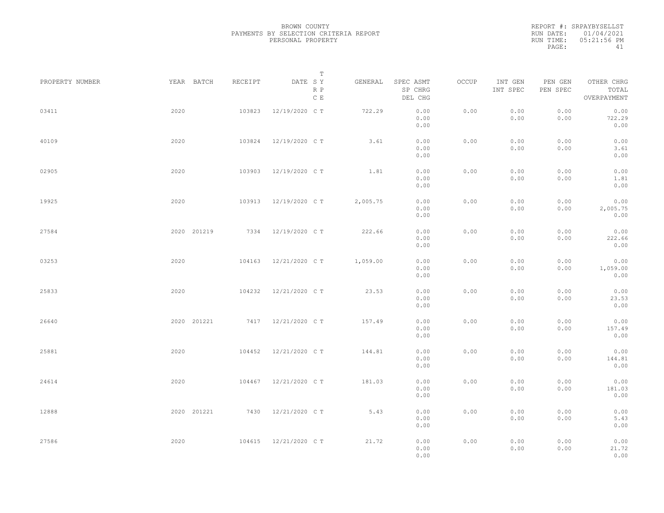REPORT #: SRPAYBYSELLST RUN DATE: 01/04/2021 RUN TIME: 05:21:56 PM PAGE: 41

|                 |             |         | $\mathbb T$           |          |                                 |       |                     |                     |                                    |  |
|-----------------|-------------|---------|-----------------------|----------|---------------------------------|-------|---------------------|---------------------|------------------------------------|--|
| PROPERTY NUMBER | YEAR BATCH  | RECEIPT | DATE SY<br>R P<br>C E | GENERAL  | SPEC ASMT<br>SP CHRG<br>DEL CHG | OCCUP | INT GEN<br>INT SPEC | PEN GEN<br>PEN SPEC | OTHER CHRG<br>TOTAL<br>OVERPAYMENT |  |
| 03411           | 2020        | 103823  | 12/19/2020 C T        | 722.29   | 0.00<br>0.00<br>0.00            | 0.00  | 0.00<br>0.00        | 0.00<br>0.00        | 0.00<br>722.29<br>0.00             |  |
| 40109           | 2020        | 103824  | 12/19/2020 C T        | 3.61     | 0.00<br>0.00<br>0.00            | 0.00  | 0.00<br>0.00        | 0.00<br>0.00        | 0.00<br>3.61<br>0.00               |  |
| 02905           | 2020        | 103903  | 12/19/2020 C T        | 1.81     | 0.00<br>0.00<br>0.00            | 0.00  | 0.00<br>0.00        | 0.00<br>0.00        | 0.00<br>1.81<br>0.00               |  |
| 19925           | 2020        | 103913  | 12/19/2020 C T        | 2,005.75 | 0.00<br>0.00<br>0.00            | 0.00  | 0.00<br>0.00        | 0.00<br>0.00        | 0.00<br>2,005.75<br>0.00           |  |
| 27584           | 2020 201219 |         | 7334 12/19/2020 CT    | 222.66   | 0.00<br>0.00<br>0.00            | 0.00  | 0.00<br>0.00        | 0.00<br>0.00        | 0.00<br>222.66<br>0.00             |  |
| 03253           | 2020        | 104163  | 12/21/2020 C T        | 1,059.00 | 0.00<br>0.00<br>0.00            | 0.00  | 0.00<br>0.00        | 0.00<br>0.00        | 0.00<br>1,059.00<br>0.00           |  |
| 25833           | 2020        | 104232  | 12/21/2020 C T        | 23.53    | 0.00<br>0.00<br>0.00            | 0.00  | 0.00<br>0.00        | 0.00<br>0.00        | 0.00<br>23.53<br>0.00              |  |
| 26640           | 2020 201221 |         | 7417 12/21/2020 CT    | 157.49   | 0.00<br>0.00<br>0.00            | 0.00  | 0.00<br>0.00        | 0.00<br>0.00        | 0.00<br>157.49<br>0.00             |  |
| 25881           | 2020        | 104452  | 12/21/2020 C T        | 144.81   | 0.00<br>0.00<br>0.00            | 0.00  | 0.00<br>0.00        | 0.00<br>0.00        | 0.00<br>144.81<br>0.00             |  |
| 24614           | 2020        | 104467  | 12/21/2020 C T        | 181.03   | 0.00<br>0.00<br>0.00            | 0.00  | 0.00<br>0.00        | 0.00<br>0.00        | 0.00<br>181.03<br>0.00             |  |
| 12888           | 2020 201221 | 7430    | 12/21/2020 C T        | 5.43     | 0.00<br>0.00<br>0.00            | 0.00  | 0.00<br>0.00        | 0.00<br>0.00        | 0.00<br>5.43<br>0.00               |  |
| 27586           | 2020        | 104615  | 12/21/2020 C T        | 21.72    | 0.00<br>0.00<br>0.00            | 0.00  | 0.00<br>0.00        | 0.00<br>0.00        | 0.00<br>21.72<br>0.00              |  |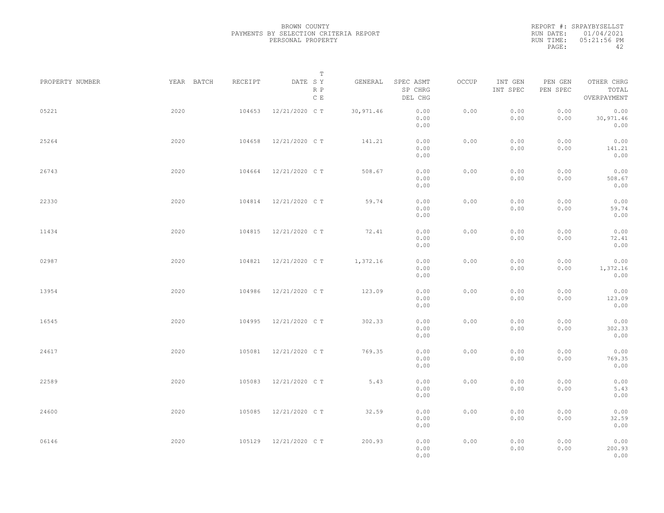REPORT #: SRPAYBYSELLST RUN DATE: 01/04/2021 RUN TIME: 05:21:56 PM PAGE: 42

|                 |            |         | $\mathbb T$                     |           |                                 |       |                     |                     |                                    |  |
|-----------------|------------|---------|---------------------------------|-----------|---------------------------------|-------|---------------------|---------------------|------------------------------------|--|
| PROPERTY NUMBER | YEAR BATCH | RECEIPT | DATE SY<br>R P<br>$\,$ C $\,$ E | GENERAL   | SPEC ASMT<br>SP CHRG<br>DEL CHG | OCCUP | INT GEN<br>INT SPEC | PEN GEN<br>PEN SPEC | OTHER CHRG<br>TOTAL<br>OVERPAYMENT |  |
| 05221           | 2020       | 104653  | 12/21/2020 C T                  | 30,971.46 | 0.00<br>0.00<br>0.00            | 0.00  | 0.00<br>0.00        | 0.00<br>0.00        | 0.00<br>30,971.46<br>0.00          |  |
| 25264           | 2020       | 104658  | 12/21/2020 C T                  | 141.21    | 0.00<br>0.00<br>0.00            | 0.00  | 0.00<br>0.00        | 0.00<br>0.00        | 0.00<br>141.21<br>0.00             |  |
| 26743           | 2020       | 104664  | 12/21/2020 C T                  | 508.67    | 0.00<br>0.00<br>0.00            | 0.00  | 0.00<br>0.00        | 0.00<br>0.00        | 0.00<br>508.67<br>0.00             |  |
| 22330           | 2020       | 104814  | 12/21/2020 C T                  | 59.74     | 0.00<br>0.00<br>0.00            | 0.00  | 0.00<br>0.00        | 0.00<br>0.00        | 0.00<br>59.74<br>0.00              |  |
| 11434           | 2020       | 104815  | 12/21/2020 C T                  | 72.41     | 0.00<br>0.00<br>0.00            | 0.00  | 0.00<br>0.00        | 0.00<br>0.00        | 0.00<br>72.41<br>0.00              |  |
| 02987           | 2020       | 104821  | 12/21/2020 C T                  | 1,372.16  | 0.00<br>0.00<br>0.00            | 0.00  | 0.00<br>0.00        | 0.00<br>0.00        | 0.00<br>1,372.16<br>0.00           |  |
| 13954           | 2020       | 104986  | 12/21/2020 C T                  | 123.09    | 0.00<br>0.00<br>0.00            | 0.00  | 0.00<br>0.00        | 0.00<br>0.00        | 0.00<br>123.09<br>0.00             |  |
| 16545           | 2020       | 104995  | 12/21/2020 C T                  | 302.33    | 0.00<br>0.00<br>0.00            | 0.00  | 0.00<br>0.00        | 0.00<br>0.00        | 0.00<br>302.33<br>0.00             |  |
| 24617           | 2020       | 105081  | 12/21/2020 C T                  | 769.35    | 0.00<br>0.00<br>0.00            | 0.00  | 0.00<br>0.00        | 0.00<br>0.00        | 0.00<br>769.35<br>0.00             |  |
| 22589           | 2020       | 105083  | 12/21/2020 C T                  | 5.43      | 0.00<br>0.00<br>0.00            | 0.00  | 0.00<br>0.00        | 0.00<br>0.00        | 0.00<br>5.43<br>0.00               |  |
| 24600           | 2020       | 105085  | 12/21/2020 C T                  | 32.59     | 0.00<br>0.00<br>0.00            | 0.00  | 0.00<br>0.00        | 0.00<br>0.00        | 0.00<br>32.59<br>0.00              |  |
| 06146           | 2020       | 105129  | 12/21/2020 C T                  | 200.93    | 0.00<br>0.00<br>0.00            | 0.00  | 0.00<br>0.00        | 0.00<br>0.00        | 0.00<br>200.93<br>0.00             |  |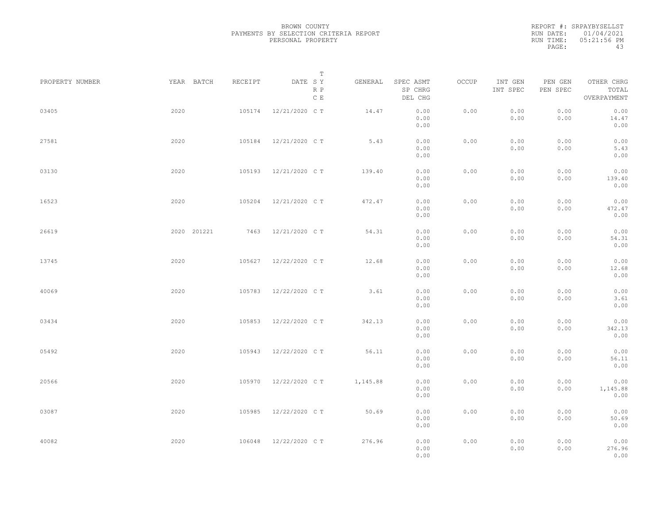REPORT #: SRPAYBYSELLST RUN DATE: 01/04/2021 RUN TIME: 05:21:56 PM PAGE: 43

|                 |             |         | $\mathbb T$           |          |                                 |       |                     |                     |                                    |
|-----------------|-------------|---------|-----------------------|----------|---------------------------------|-------|---------------------|---------------------|------------------------------------|
| PROPERTY NUMBER | YEAR BATCH  | RECEIPT | DATE SY<br>R P<br>C E | GENERAL  | SPEC ASMT<br>SP CHRG<br>DEL CHG | OCCUP | INT GEN<br>INT SPEC | PEN GEN<br>PEN SPEC | OTHER CHRG<br>TOTAL<br>OVERPAYMENT |
| 03405           | 2020        | 105174  | 12/21/2020 C T        | 14.47    | 0.00<br>0.00<br>0.00            | 0.00  | 0.00<br>0.00        | 0.00<br>0.00        | 0.00<br>14.47<br>0.00              |
| 27581           | 2020        | 105184  | 12/21/2020 C T        | 5.43     | 0.00<br>0.00<br>0.00            | 0.00  | 0.00<br>0.00        | 0.00<br>0.00        | 0.00<br>5.43<br>0.00               |
| 03130           | 2020        | 105193  | 12/21/2020 C T        | 139.40   | 0.00<br>0.00<br>0.00            | 0.00  | 0.00<br>0.00        | 0.00<br>0.00        | 0.00<br>139.40<br>0.00             |
| 16523           | 2020        | 105204  | 12/21/2020 C T        | 472.47   | 0.00<br>0.00<br>0.00            | 0.00  | 0.00<br>0.00        | 0.00<br>0.00        | 0.00<br>472.47<br>0.00             |
| 26619           | 2020 201221 | 7463    | 12/21/2020 C T        | 54.31    | 0.00<br>0.00<br>0.00            | 0.00  | 0.00<br>0.00        | 0.00<br>0.00        | 0.00<br>54.31<br>0.00              |
| 13745           | 2020        | 105627  | 12/22/2020 C T        | 12.68    | 0.00<br>0.00<br>0.00            | 0.00  | 0.00<br>0.00        | 0.00<br>0.00        | 0.00<br>12.68<br>0.00              |
| 40069           | 2020        | 105783  | 12/22/2020 C T        | 3.61     | 0.00<br>0.00<br>0.00            | 0.00  | 0.00<br>0.00        | 0.00<br>0.00        | 0.00<br>3.61<br>0.00               |
| 03434           | 2020        | 105853  | 12/22/2020 C T        | 342.13   | 0.00<br>0.00<br>0.00            | 0.00  | 0.00<br>0.00        | 0.00<br>0.00        | 0.00<br>342.13<br>0.00             |
| 05492           | 2020        | 105943  | 12/22/2020 C T        | 56.11    | 0.00<br>0.00<br>0.00            | 0.00  | 0.00<br>0.00        | 0.00<br>0.00        | 0.00<br>56.11<br>0.00              |
| 20566           | 2020        | 105970  | 12/22/2020 C T        | 1,145.88 | 0.00<br>0.00<br>0.00            | 0.00  | 0.00<br>0.00        | 0.00<br>0.00        | 0.00<br>1,145.88<br>0.00           |
| 03087           | 2020        | 105985  | 12/22/2020 C T        | 50.69    | 0.00<br>0.00<br>0.00            | 0.00  | 0.00<br>0.00        | 0.00<br>0.00        | 0.00<br>50.69<br>0.00              |
| 40082           | 2020        | 106048  | 12/22/2020 C T        | 276.96   | 0.00<br>0.00<br>0.00            | 0.00  | 0.00<br>0.00        | 0.00<br>0.00        | 0.00<br>276.96<br>0.00             |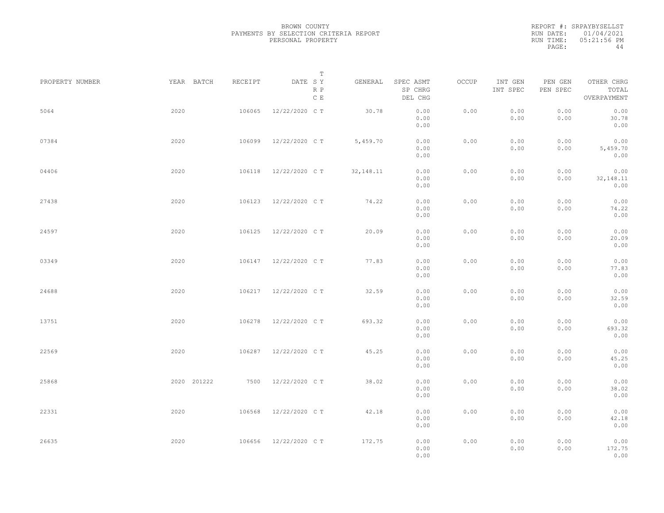|           | REPORT #: SRPAYBYSELLST |
|-----------|-------------------------|
|           | RUN DATE: 01/04/2021    |
| RUN TIME: | 05:21:56 PM             |
| PAGE:     | 44                      |

|                 |             |         | T                               |            |                                 |       |                     |                     |                                    |  |
|-----------------|-------------|---------|---------------------------------|------------|---------------------------------|-------|---------------------|---------------------|------------------------------------|--|
| PROPERTY NUMBER | YEAR BATCH  | RECEIPT | DATE SY<br>R P<br>$\,$ C $\,$ E | GENERAL    | SPEC ASMT<br>SP CHRG<br>DEL CHG | OCCUP | INT GEN<br>INT SPEC | PEN GEN<br>PEN SPEC | OTHER CHRG<br>TOTAL<br>OVERPAYMENT |  |
| 5064            | 2020        | 106065  | 12/22/2020 C T                  | 30.78      | 0.00<br>0.00<br>0.00            | 0.00  | 0.00<br>0.00        | 0.00<br>0.00        | 0.00<br>30.78<br>0.00              |  |
| 07384           | 2020        | 106099  | 12/22/2020 C T                  | 5,459.70   | 0.00<br>0.00<br>0.00            | 0.00  | 0.00<br>0.00        | 0.00<br>0.00        | 0.00<br>5,459.70<br>0.00           |  |
| 04406           | 2020        | 106118  | 12/22/2020 C T                  | 32, 148.11 | 0.00<br>0.00<br>0.00            | 0.00  | 0.00<br>0.00        | 0.00<br>0.00        | 0.00<br>32, 148. 11<br>0.00        |  |
| 27438           | 2020        | 106123  | 12/22/2020 C T                  | 74.22      | 0.00<br>0.00<br>0.00            | 0.00  | 0.00<br>0.00        | 0.00<br>0.00        | 0.00<br>74.22<br>0.00              |  |
| 24597           | 2020        | 106125  | 12/22/2020 C T                  | 20.09      | 0.00<br>0.00<br>0.00            | 0.00  | 0.00<br>0.00        | 0.00<br>0.00        | 0.00<br>20.09<br>0.00              |  |
| 03349           | 2020        | 106147  | 12/22/2020 C T                  | 77.83      | 0.00<br>0.00<br>0.00            | 0.00  | 0.00<br>0.00        | 0.00<br>0.00        | 0.00<br>77.83<br>0.00              |  |
| 24688           | 2020        | 106217  | 12/22/2020 C T                  | 32.59      | 0.00<br>0.00<br>0.00            | 0.00  | 0.00<br>0.00        | 0.00<br>0.00        | 0.00<br>32.59<br>0.00              |  |
| 13751           | 2020        | 106278  | 12/22/2020 C T                  | 693.32     | 0.00<br>0.00<br>0.00            | 0.00  | 0.00<br>0.00        | 0.00<br>0.00        | 0.00<br>693.32<br>0.00             |  |
| 22569           | 2020        | 106287  | 12/22/2020 C T                  | 45.25      | 0.00<br>0.00<br>0.00            | 0.00  | 0.00<br>0.00        | 0.00<br>0.00        | 0.00<br>45.25<br>0.00              |  |
| 25868           | 2020 201222 |         | 7500 12/22/2020 CT              | 38.02      | 0.00<br>0.00<br>0.00            | 0.00  | 0.00<br>0.00        | 0.00<br>0.00        | 0.00<br>38.02<br>0.00              |  |
| 22331           | 2020        | 106568  | 12/22/2020 C T                  | 42.18      | 0.00<br>0.00<br>0.00            | 0.00  | 0.00<br>0.00        | 0.00<br>0.00        | 0.00<br>42.18<br>0.00              |  |
| 26635           | 2020        | 106656  | 12/22/2020 C T                  | 172.75     | 0.00<br>0.00<br>0.00            | 0.00  | 0.00<br>0.00        | 0.00<br>0.00        | 0.00<br>172.75<br>0.00             |  |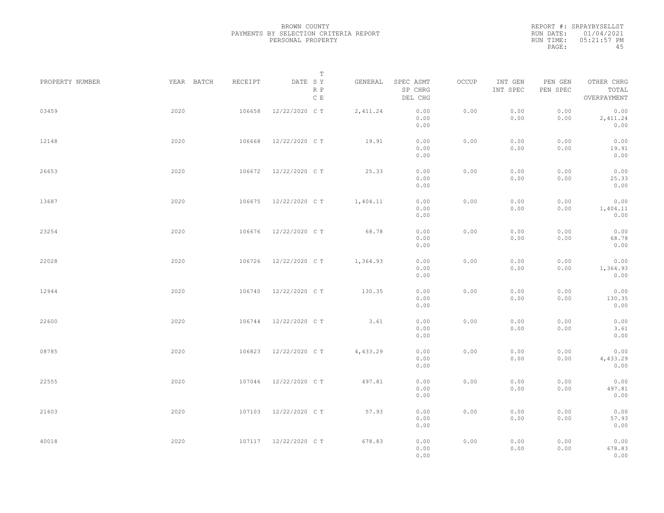REPORT #: SRPAYBYSELLST RUN DATE: 01/04/2021 RUN TIME: 05:21:57 PM PAGE: 45

|                 |            |         | Т                     |           |                                 |       |                     |                     |                                    |  |
|-----------------|------------|---------|-----------------------|-----------|---------------------------------|-------|---------------------|---------------------|------------------------------------|--|
| PROPERTY NUMBER | YEAR BATCH | RECEIPT | DATE SY<br>R P<br>C E | GENERAL   | SPEC ASMT<br>SP CHRG<br>DEL CHG | OCCUP | INT GEN<br>INT SPEC | PEN GEN<br>PEN SPEC | OTHER CHRG<br>TOTAL<br>OVERPAYMENT |  |
| 03459           | 2020       | 106658  | 12/22/2020 C T        | 2, 411.24 | 0.00<br>0.00<br>0.00            | 0.00  | 0.00<br>0.00        | 0.00<br>0.00        | 0.00<br>2,411.24<br>0.00           |  |
| 12148           | 2020       | 106668  | 12/22/2020 C T        | 19.91     | 0.00<br>0.00<br>0.00            | 0.00  | 0.00<br>0.00        | 0.00<br>0.00        | 0.00<br>19.91<br>0.00              |  |
| 26653           | 2020       | 106672  | 12/22/2020 C T        | 25.33     | 0.00<br>0.00<br>0.00            | 0.00  | 0.00<br>0.00        | 0.00<br>0.00        | 0.00<br>25.33<br>0.00              |  |
| 13687           | 2020       | 106675  | 12/22/2020 C T        | 1,404.11  | 0.00<br>0.00<br>0.00            | 0.00  | 0.00<br>0.00        | 0.00<br>0.00        | 0.00<br>1,404.11<br>0.00           |  |
| 23254           | 2020       | 106676  | 12/22/2020 C T        | 68.78     | 0.00<br>0.00<br>0.00            | 0.00  | 0.00<br>0.00        | 0.00<br>0.00        | 0.00<br>68.78<br>0.00              |  |
| 22028           | 2020       | 106726  | 12/22/2020 C T        | 1,364.93  | 0.00<br>0.00<br>0.00            | 0.00  | 0.00<br>0.00        | 0.00<br>0.00        | 0.00<br>1,364.93<br>0.00           |  |
| 12944           | 2020       | 106740  | 12/22/2020 C T        | 130.35    | 0.00<br>0.00<br>0.00            | 0.00  | 0.00<br>0.00        | 0.00<br>0.00        | 0.00<br>130.35<br>0.00             |  |
| 22600           | 2020       | 106744  | 12/22/2020 C T        | 3.61      | 0.00<br>0.00<br>0.00            | 0.00  | 0.00<br>0.00        | 0.00<br>0.00        | 0.00<br>3.61                       |  |
| 08785           | 2020       | 106823  | 12/22/2020 C T        | 4,433.29  | 0.00<br>0.00                    | 0.00  | 0.00<br>0.00        | 0.00<br>0.00        | 0.00<br>0.00<br>4,433.29           |  |
| 22555           | 2020       | 107046  | 12/22/2020 C T        | 497.81    | 0.00<br>0.00<br>0.00            | 0.00  | 0.00<br>0.00        | 0.00<br>0.00        | 0.00<br>0.00<br>497.81             |  |
| 21603           | 2020       |         | 107103 12/22/2020 CT  | 57.93     | 0.00<br>0.00<br>0.00            | 0.00  | 0.00<br>0.00        | 0.00<br>0.00        | 0.00<br>0.00<br>57.93              |  |
| 40018           | 2020       |         | 107117 12/22/2020 CT  | 678.83    | 0.00<br>0.00<br>0.00<br>0.00    | 0.00  | 0.00<br>0.00        | 0.00<br>0.00        | 0.00<br>0.00<br>678.83<br>0.00     |  |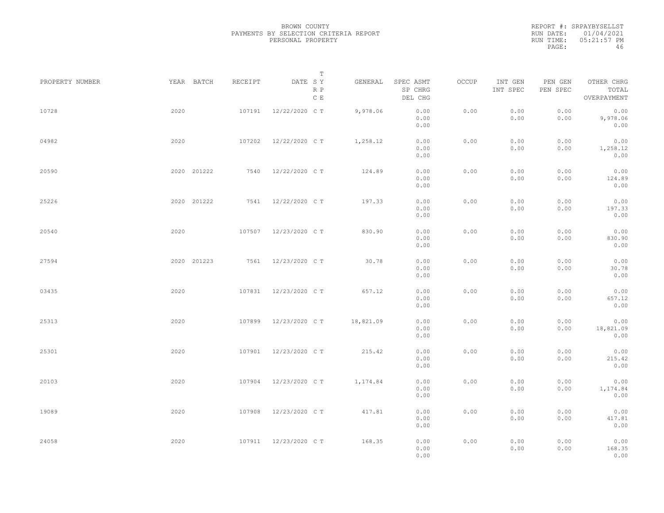REPORT #: SRPAYBYSELLST RUN DATE: 01/04/2021 RUN TIME: 05:21:57 PM PAGE: 46

|                 |      |             |         |                       | $\mathbb T$ |                                 |       |                     |                     |                                    |  |
|-----------------|------|-------------|---------|-----------------------|-------------|---------------------------------|-------|---------------------|---------------------|------------------------------------|--|
| PROPERTY NUMBER |      | YEAR BATCH  | RECEIPT | DATE SY<br>R P<br>C E | GENERAL     | SPEC ASMT<br>SP CHRG<br>DEL CHG | OCCUP | INT GEN<br>INT SPEC | PEN GEN<br>PEN SPEC | OTHER CHRG<br>TOTAL<br>OVERPAYMENT |  |
| 10728           | 2020 |             | 107191  | 12/22/2020 C T        | 9,978.06    | 0.00<br>0.00<br>0.00            | 0.00  | 0.00<br>0.00        | 0.00<br>0.00        | 0.00<br>9,978.06<br>0.00           |  |
| 04982           | 2020 |             | 107202  | 12/22/2020 C T        | 1,258.12    | 0.00<br>0.00<br>0.00            | 0.00  | 0.00<br>0.00        | 0.00<br>0.00        | 0.00<br>1,258.12<br>0.00           |  |
| 20590           |      | 2020 201222 | 7540    | 12/22/2020 C T        | 124.89      | 0.00<br>0.00<br>0.00            | 0.00  | 0.00<br>0.00        | 0.00<br>0.00        | 0.00<br>124.89<br>0.00             |  |
| 25226           |      | 2020 201222 |         | 7541 12/22/2020 CT    | 197.33      | 0.00<br>0.00<br>0.00            | 0.00  | 0.00<br>0.00        | 0.00<br>0.00        | 0.00<br>197.33<br>0.00             |  |
| 20540           | 2020 |             | 107507  | 12/23/2020 C T        | 830.90      | 0.00<br>0.00<br>0.00            | 0.00  | 0.00<br>0.00        | 0.00<br>0.00        | 0.00<br>830.90<br>0.00             |  |
| 27594           |      | 2020 201223 | 7561    | 12/23/2020 C T        | 30.78       | 0.00<br>0.00<br>0.00            | 0.00  | 0.00<br>0.00        | 0.00<br>0.00        | 0.00<br>30.78<br>0.00              |  |
| 03435           | 2020 |             | 107831  | 12/23/2020 C T        | 657.12      | 0.00<br>0.00                    | 0.00  | 0.00<br>0.00        | 0.00<br>0.00        | 0.00<br>657.12<br>0.00             |  |
| 25313           | 2020 |             | 107899  | 12/23/2020 C T        | 18,821.09   | 0.00<br>0.00<br>0.00            | 0.00  | 0.00<br>0.00        | 0.00<br>0.00        | 0.00<br>18,821.09                  |  |
| 25301           | 2020 |             | 107901  | 12/23/2020 C T        | 215.42      | 0.00<br>0.00<br>0.00            | 0.00  | 0.00<br>0.00        | 0.00<br>0.00        | 0.00<br>0.00<br>215.42             |  |
| 20103           | 2020 |             | 107904  | 12/23/2020 C T        | 1,174.84    | 0.00<br>0.00<br>0.00            | 0.00  | 0.00<br>0.00        | 0.00<br>0.00        | 0.00<br>0.00<br>1,174.84           |  |
| 19089           | 2020 |             | 107908  | 12/23/2020 C T        | 417.81      | 0.00<br>0.00<br>0.00            | 0.00  | 0.00<br>0.00        | 0.00<br>0.00        | 0.00<br>0.00<br>417.81             |  |
| 24058           | 2020 |             |         | 107911 12/23/2020 CT  | 168.35      | 0.00<br>0.00<br>0.00<br>0.00    | 0.00  | 0.00<br>0.00        | 0.00<br>0.00        | 0.00<br>0.00<br>168.35<br>0.00     |  |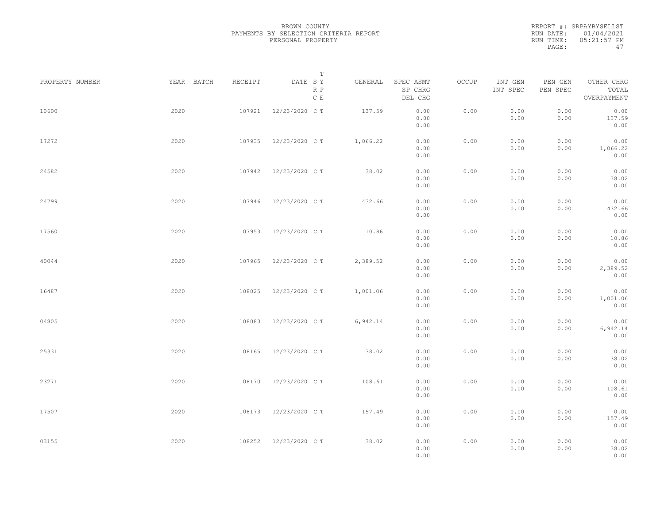|           | REPORT #: SRPAYBYSELLST |
|-----------|-------------------------|
|           | RUN DATE: 01/04/2021    |
| RUN TIME: | 05:21:57 PM             |
| PAGE:     | 47                      |

|                 |            |         | $\mathbb T$           |          |                                 |       |                     |                     |                                    |  |
|-----------------|------------|---------|-----------------------|----------|---------------------------------|-------|---------------------|---------------------|------------------------------------|--|
| PROPERTY NUMBER | YEAR BATCH | RECEIPT | DATE SY<br>R P<br>C E | GENERAL  | SPEC ASMT<br>SP CHRG<br>DEL CHG | OCCUP | INT GEN<br>INT SPEC | PEN GEN<br>PEN SPEC | OTHER CHRG<br>TOTAL<br>OVERPAYMENT |  |
| 10600           | 2020       | 107921  | 12/23/2020 C T        | 137.59   | 0.00<br>0.00<br>0.00            | 0.00  | 0.00<br>0.00        | 0.00<br>0.00        | 0.00<br>137.59<br>0.00             |  |
| 17272           | 2020       | 107935  | 12/23/2020 C T        | 1,066.22 | 0.00<br>0.00<br>0.00            | 0.00  | 0.00<br>0.00        | 0.00<br>0.00        | 0.00<br>1,066.22<br>0.00           |  |
| 24582           | 2020       | 107942  | 12/23/2020 C T        | 38.02    | 0.00<br>0.00<br>0.00            | 0.00  | 0.00<br>0.00        | 0.00<br>0.00        | 0.00<br>38.02<br>0.00              |  |
| 24799           | 2020       | 107946  | 12/23/2020 C T        | 432.66   | 0.00<br>0.00<br>0.00            | 0.00  | 0.00<br>0.00        | 0.00<br>0.00        | 0.00<br>432.66<br>0.00             |  |
| 17560           | 2020       | 107953  | 12/23/2020 C T        | 10.86    | 0.00<br>0.00<br>0.00            | 0.00  | 0.00<br>0.00        | 0.00<br>0.00        | 0.00<br>10.86<br>0.00              |  |
| 40044           | 2020       | 107965  | 12/23/2020 C T        | 2,389.52 | 0.00<br>0.00<br>0.00            | 0.00  | 0.00<br>0.00        | 0.00<br>0.00        | 0.00<br>2,389.52<br>0.00           |  |
| 16487           | 2020       | 108025  | 12/23/2020 C T        | 1,001.06 | 0.00<br>0.00<br>0.00            | 0.00  | 0.00<br>0.00        | 0.00<br>0.00        | 0.00<br>1,001.06<br>0.00           |  |
| 04805           | 2020       | 108083  | 12/23/2020 C T        | 6,942.14 | 0.00<br>0.00<br>0.00            | 0.00  | 0.00<br>0.00        | 0.00<br>0.00        | 0.00<br>6,942.14<br>0.00           |  |
| 25331           | 2020       | 108165  | 12/23/2020 C T        | 38.02    | 0.00<br>0.00<br>0.00            | 0.00  | 0.00<br>0.00        | 0.00<br>0.00        | 0.00<br>38.02<br>0.00              |  |
| 23271           | 2020       | 108170  | 12/23/2020 C T        | 108.61   | 0.00<br>0.00<br>0.00            | 0.00  | 0.00<br>0.00        | 0.00<br>0.00        | 0.00<br>108.61<br>0.00             |  |
| 17507           | 2020       | 108173  | 12/23/2020 C T        | 157.49   | 0.00<br>0.00<br>0.00            | 0.00  | 0.00<br>0.00        | 0.00<br>0.00        | 0.00<br>157.49<br>0.00             |  |
| 03155           | 2020       | 108252  | 12/23/2020 C T        | 38.02    | 0.00<br>0.00<br>0.00            | 0.00  | 0.00<br>0.00        | 0.00<br>0.00        | 0.00<br>38.02<br>0.00              |  |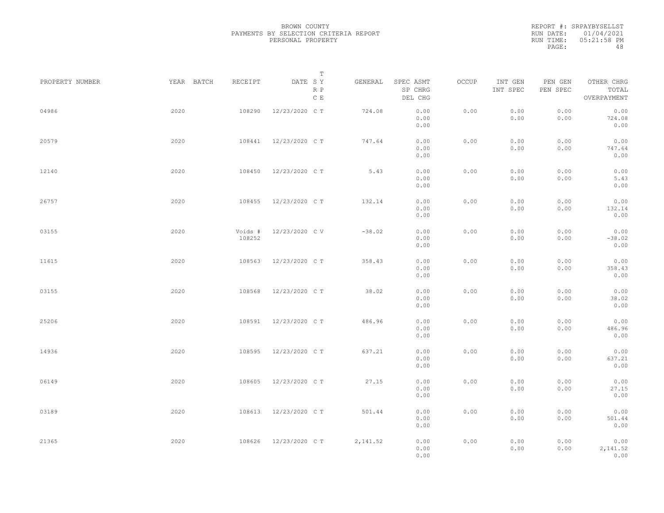|           | REPORT #: SRPAYBYSELLST |
|-----------|-------------------------|
|           | RUN DATE: 01/04/2021    |
| RUN TIME: | 05:21:58 PM             |
| PAGE:     | 48                      |

| PROPERTY NUMBER |      | YEAR BATCH | RECEIPT           | T<br>DATE SY         | GENERAL  | SPEC ASMT            | OCCUP | INT GEN      | PEN GEN      | OTHER CHRG               |  |
|-----------------|------|------------|-------------------|----------------------|----------|----------------------|-------|--------------|--------------|--------------------------|--|
|                 |      |            |                   | R P<br>$\,$ C $\,$ E |          | SP CHRG<br>DEL CHG   |       | INT SPEC     | PEN SPEC     | TOTAL<br>OVERPAYMENT     |  |
| 04986           | 2020 |            | 108290            | 12/23/2020 C T       | 724.08   | 0.00<br>0.00<br>0.00 | 0.00  | 0.00<br>0.00 | 0.00<br>0.00 | 0.00<br>724.08<br>0.00   |  |
| 20579           | 2020 |            | 108441            | 12/23/2020 C T       | 747.64   | 0.00<br>0.00<br>0.00 | 0.00  | 0.00<br>0.00 | 0.00<br>0.00 | 0.00<br>747.64<br>0.00   |  |
| 12140           | 2020 |            | 108450            | 12/23/2020 C T       | 5.43     | 0.00<br>0.00<br>0.00 | 0.00  | 0.00<br>0.00 | 0.00<br>0.00 | 0.00<br>5.43<br>0.00     |  |
| 26757           | 2020 |            | 108455            | 12/23/2020 C T       | 132.14   | 0.00<br>0.00<br>0.00 | 0.00  | 0.00<br>0.00 | 0.00<br>0.00 | 0.00<br>132.14<br>0.00   |  |
| 03155           | 2020 |            | Voids #<br>108252 | 12/23/2020 C V       | $-38.02$ | 0.00<br>0.00<br>0.00 | 0.00  | 0.00<br>0.00 | 0.00<br>0.00 | 0.00<br>$-38.02$<br>0.00 |  |
| 11615           | 2020 |            | 108563            | 12/23/2020 C T       | 358.43   | 0.00<br>0.00<br>0.00 | 0.00  | 0.00<br>0.00 | 0.00<br>0.00 | 0.00<br>358.43<br>0.00   |  |
| 03155           | 2020 |            | 108568            | 12/23/2020 C T       | 38.02    | 0.00<br>0.00<br>0.00 | 0.00  | 0.00<br>0.00 | 0.00<br>0.00 | 0.00<br>38.02<br>0.00    |  |
| 25206           | 2020 |            | 108591            | 12/23/2020 C T       | 486.96   | 0.00<br>0.00<br>0.00 | 0.00  | 0.00<br>0.00 | 0.00<br>0.00 | 0.00<br>486.96<br>0.00   |  |
| 14936           | 2020 |            | 108595            | 12/23/2020 C T       | 637.21   | 0.00<br>0.00<br>0.00 | 0.00  | 0.00<br>0.00 | 0.00<br>0.00 | 0.00<br>637.21<br>0.00   |  |
| 06149           | 2020 |            | 108605            | 12/23/2020 C T       | 27.15    | 0.00<br>0.00<br>0.00 | 0.00  | 0.00<br>0.00 | 0.00<br>0.00 | 0.00<br>27.15<br>0.00    |  |
| 03189           | 2020 |            | 108613            | 12/23/2020 C T       | 501.44   | 0.00<br>0.00<br>0.00 | 0.00  | 0.00<br>0.00 | 0.00<br>0.00 | 0.00<br>501.44<br>0.00   |  |
| 21365           | 2020 |            | 108626            | 12/23/2020 C T       | 2,141.52 | 0.00<br>0.00<br>0.00 | 0.00  | 0.00<br>0.00 | 0.00<br>0.00 | 0.00<br>2,141.52<br>0.00 |  |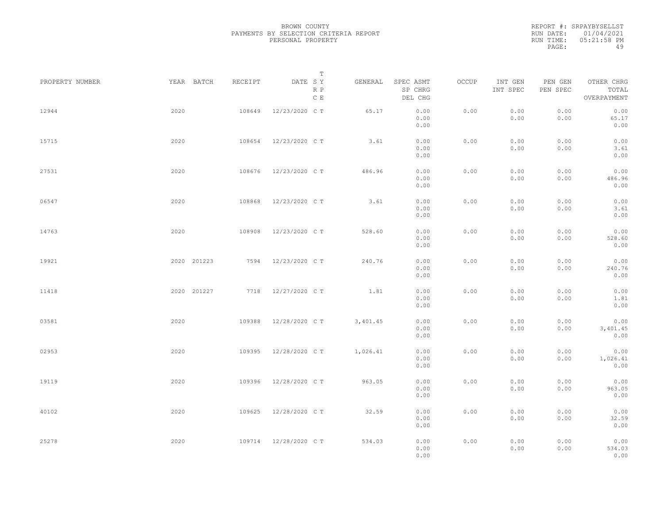REPORT #: SRPAYBYSELLST RUN DATE: 01/04/2021 RUN TIME: 05:21:58 PM PAGE: 49

|                 |      |                       | $\mathbb T$           |          |                                 |       |                     |                     |                                    |  |
|-----------------|------|-----------------------|-----------------------|----------|---------------------------------|-------|---------------------|---------------------|------------------------------------|--|
| PROPERTY NUMBER |      | YEAR BATCH<br>RECEIPT | DATE SY<br>R P<br>C E | GENERAL  | SPEC ASMT<br>SP CHRG<br>DEL CHG | OCCUP | INT GEN<br>INT SPEC | PEN GEN<br>PEN SPEC | OTHER CHRG<br>TOTAL<br>OVERPAYMENT |  |
| 12944           | 2020 | 108649                | 12/23/2020 C T        | 65.17    | 0.00<br>0.00<br>0.00            | 0.00  | 0.00<br>0.00        | 0.00<br>0.00        | 0.00<br>65.17<br>0.00              |  |
| 15715           | 2020 | 108654                | 12/23/2020 C T        | 3.61     | 0.00<br>0.00<br>0.00            | 0.00  | 0.00<br>0.00        | 0.00<br>0.00        | 0.00<br>3.61<br>0.00               |  |
| 27531           | 2020 | 108676                | 12/23/2020 C T        | 486.96   | 0.00<br>0.00<br>0.00            | 0.00  | 0.00<br>0.00        | 0.00<br>0.00        | 0.00<br>486.96<br>0.00             |  |
| 06547           | 2020 | 108868                | 12/23/2020 C T        | 3.61     | 0.00<br>0.00<br>0.00            | 0.00  | 0.00<br>0.00        | 0.00<br>0.00        | 0.00<br>3.61<br>0.00               |  |
| 14763           | 2020 | 108908                | 12/23/2020 C T        | 528.60   | 0.00<br>0.00<br>0.00            | 0.00  | 0.00<br>0.00        | 0.00<br>0.00        | 0.00<br>528.60<br>0.00             |  |
| 19921           |      | 2020 201223<br>7594   | 12/23/2020 C T        | 240.76   | 0.00<br>0.00<br>0.00            | 0.00  | 0.00<br>0.00        | 0.00<br>0.00        | 0.00<br>240.76<br>0.00             |  |
| 11418           |      | 2020 201227<br>7718   | 12/27/2020 C T        | 1.81     | 0.00<br>0.00<br>0.00            | 0.00  | 0.00<br>0.00        | 0.00<br>0.00        | 0.00<br>1.81<br>0.00               |  |
| 03581           | 2020 | 109388                | 12/28/2020 C T        | 3,401.45 | 0.00<br>0.00<br>0.00            | 0.00  | 0.00<br>0.00        | 0.00<br>0.00        | 0.00<br>3,401.45<br>0.00           |  |
| 02953           | 2020 | 109395                | 12/28/2020 C T        | 1,026.41 | 0.00<br>0.00<br>0.00            | 0.00  | 0.00<br>0.00        | 0.00<br>0.00        | 0.00<br>1,026.41<br>0.00           |  |
| 19119           | 2020 | 109396                | 12/28/2020 C T        | 963.05   | 0.00<br>0.00<br>0.00            | 0.00  | 0.00<br>0.00        | 0.00<br>0.00        | 0.00<br>963.05<br>0.00             |  |
| 40102           | 2020 | 109625                | 12/28/2020 C T        | 32.59    | 0.00<br>0.00<br>0.00            | 0.00  | 0.00<br>0.00        | 0.00<br>0.00        | 0.00<br>32.59<br>0.00              |  |
| 25278           | 2020 | 109714                | 12/28/2020 C T        | 534.03   | 0.00<br>0.00<br>0.00            | 0.00  | 0.00<br>0.00        | 0.00<br>0.00        | 0.00<br>534.03<br>0.00             |  |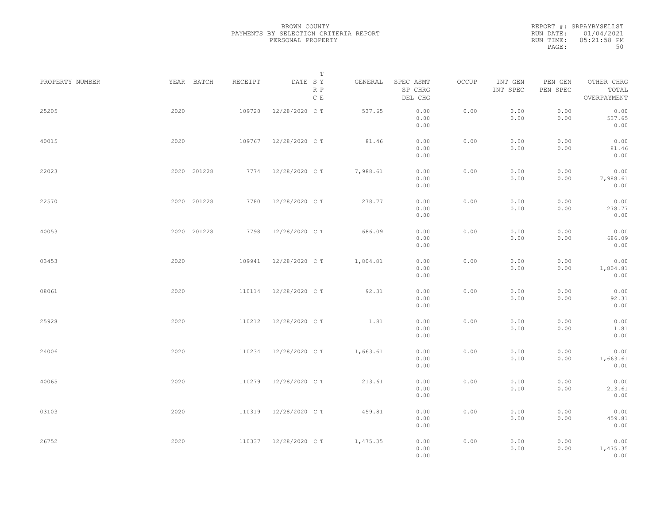REPORT #: SRPAYBYSELLST RUN DATE: 01/04/2021 RUN TIME: 05:21:58 PM PAGE: 50

|                 |             |         | $\mathbb T$                     |          |                                 |       |                     |                     |                                    |  |
|-----------------|-------------|---------|---------------------------------|----------|---------------------------------|-------|---------------------|---------------------|------------------------------------|--|
| PROPERTY NUMBER | YEAR BATCH  | RECEIPT | DATE SY<br>R P<br>$\,$ C $\,$ E | GENERAL  | SPEC ASMT<br>SP CHRG<br>DEL CHG | OCCUP | INT GEN<br>INT SPEC | PEN GEN<br>PEN SPEC | OTHER CHRG<br>TOTAL<br>OVERPAYMENT |  |
| 25205           | 2020        | 109720  | 12/28/2020 C T                  | 537.65   | 0.00<br>0.00<br>0.00            | 0.00  | 0.00<br>0.00        | 0.00<br>0.00        | 0.00<br>537.65<br>0.00             |  |
| 40015           | 2020        | 109767  | 12/28/2020 C T                  | 81.46    | 0.00<br>0.00<br>0.00            | 0.00  | 0.00<br>0.00        | 0.00<br>0.00        | 0.00<br>81.46<br>0.00              |  |
| 22023           | 2020 201228 | 7774    | 12/28/2020 C T                  | 7,988.61 | 0.00<br>0.00<br>0.00            | 0.00  | 0.00<br>0.00        | 0.00<br>0.00        | 0.00<br>7,988.61<br>0.00           |  |
| 22570           | 2020 201228 | 7780    | 12/28/2020 C T                  | 278.77   | 0.00<br>0.00<br>0.00            | 0.00  | 0.00<br>0.00        | 0.00<br>0.00        | 0.00<br>278.77<br>0.00             |  |
| 40053           | 2020 201228 | 7798    | 12/28/2020 C T                  | 686.09   | 0.00<br>0.00<br>0.00            | 0.00  | 0.00<br>0.00        | 0.00<br>0.00        | 0.00<br>686.09<br>0.00             |  |
| 03453           | 2020        | 109941  | 12/28/2020 C T                  | 1,804.81 | 0.00<br>0.00<br>0.00            | 0.00  | 0.00<br>0.00        | 0.00<br>0.00        | 0.00<br>1,804.81<br>0.00           |  |
| 08061           | 2020        | 110114  | 12/28/2020 C T                  | 92.31    | 0.00<br>0.00<br>0.00            | 0.00  | 0.00<br>0.00        | 0.00<br>0.00        | 0.00<br>92.31<br>0.00              |  |
| 25928           | 2020        | 110212  | 12/28/2020 C T                  | 1.81     | 0.00<br>0.00<br>0.00            | 0.00  | 0.00<br>0.00        | 0.00<br>0.00        | 0.00<br>1.81<br>0.00               |  |
| 24006           | 2020        | 110234  | 12/28/2020 C T                  | 1,663.61 | 0.00<br>0.00<br>0.00            | 0.00  | 0.00<br>0.00        | 0.00<br>0.00        | 0.00<br>1,663.61<br>0.00           |  |
| 40065           | 2020        | 110279  | 12/28/2020 C T                  | 213.61   | 0.00<br>0.00<br>0.00            | 0.00  | 0.00<br>0.00        | 0.00<br>0.00        | 0.00<br>213.61<br>0.00             |  |
| 03103           | 2020        | 110319  | 12/28/2020 C T                  | 459.81   | 0.00<br>0.00<br>0.00            | 0.00  | 0.00<br>0.00        | 0.00<br>0.00        | 0.00<br>459.81<br>0.00             |  |
| 26752           | 2020        |         | 110337 12/28/2020 CT            | 1,475.35 | 0.00<br>0.00<br>0.00            | 0.00  | 0.00<br>0.00        | 0.00<br>0.00        | 0.00<br>1,475.35<br>0.00           |  |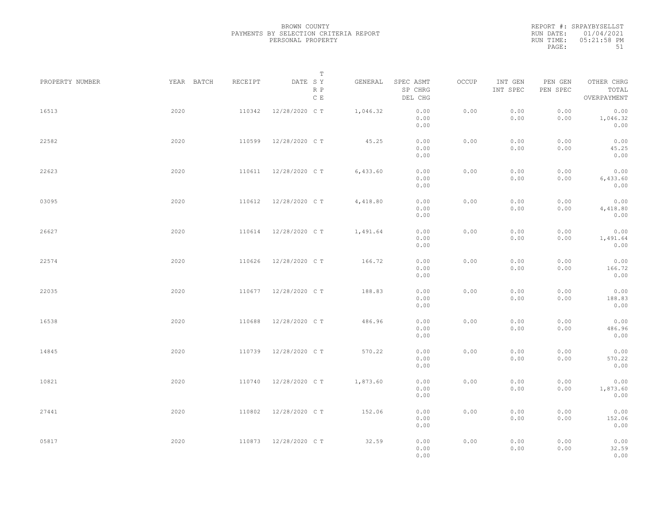REPORT #: SRPAYBYSELLST RUN DATE: 01/04/2021 RUN TIME: 05:21:58 PM PAGE: 51

|                 |            |         | $\mathbb T$                     |          |                                 |       |                     |                     |                                    |  |
|-----------------|------------|---------|---------------------------------|----------|---------------------------------|-------|---------------------|---------------------|------------------------------------|--|
| PROPERTY NUMBER | YEAR BATCH | RECEIPT | DATE SY<br>R P<br>$\,$ C $\,$ E | GENERAL  | SPEC ASMT<br>SP CHRG<br>DEL CHG | OCCUP | INT GEN<br>INT SPEC | PEN GEN<br>PEN SPEC | OTHER CHRG<br>TOTAL<br>OVERPAYMENT |  |
| 16513           | 2020       | 110342  | 12/28/2020 C T                  | 1,046.32 | 0.00<br>0.00<br>0.00            | 0.00  | 0.00<br>0.00        | 0.00<br>0.00        | 0.00<br>1,046.32<br>0.00           |  |
| 22582           | 2020       | 110599  | 12/28/2020 C T                  | 45.25    | 0.00<br>0.00<br>0.00            | 0.00  | 0.00<br>0.00        | 0.00<br>0.00        | 0.00<br>45.25<br>0.00              |  |
| 22623           | 2020       | 110611  | 12/28/2020 C T                  | 6,433.60 | 0.00<br>0.00<br>0.00            | 0.00  | 0.00<br>0.00        | 0.00<br>0.00        | 0.00<br>6,433.60<br>0.00           |  |
| 03095           | 2020       | 110612  | 12/28/2020 C T                  | 4,418.80 | 0.00<br>0.00<br>0.00            | 0.00  | 0.00<br>0.00        | 0.00<br>0.00        | 0.00<br>4,418.80<br>0.00           |  |
| 26627           | 2020       | 110614  | 12/28/2020 C T                  | 1,491.64 | 0.00<br>0.00<br>0.00            | 0.00  | 0.00<br>0.00        | 0.00<br>0.00        | 0.00<br>1,491.64<br>0.00           |  |
| 22574           | 2020       | 110626  | 12/28/2020 C T                  | 166.72   | 0.00<br>0.00<br>0.00            | 0.00  | 0.00<br>0.00        | 0.00<br>0.00        | 0.00<br>166.72<br>0.00             |  |
| 22035           | 2020       | 110677  | 12/28/2020 C T                  | 188.83   | 0.00<br>0.00<br>0.00            | 0.00  | 0.00<br>0.00        | 0.00<br>0.00        | 0.00<br>188.83<br>0.00             |  |
| 16538           | 2020       | 110688  | 12/28/2020 C T                  | 486.96   | 0.00<br>0.00<br>0.00            | 0.00  | 0.00<br>0.00        | 0.00<br>0.00        | 0.00<br>486.96<br>0.00             |  |
| 14845           | 2020       | 110739  | 12/28/2020 C T                  | 570.22   | 0.00<br>0.00<br>0.00            | 0.00  | 0.00<br>0.00        | 0.00<br>0.00        | 0.00<br>570.22<br>0.00             |  |
| 10821           | 2020       | 110740  | 12/28/2020 C T                  | 1,873.60 | 0.00<br>0.00<br>0.00            | 0.00  | 0.00<br>0.00        | 0.00<br>0.00        | 0.00<br>1,873.60<br>0.00           |  |
| 27441           | 2020       | 110802  | 12/28/2020 C T                  | 152.06   | 0.00<br>0.00<br>0.00            | 0.00  | 0.00<br>0.00        | 0.00<br>0.00        | 0.00<br>152.06<br>0.00             |  |
| 05817           | 2020       | 110873  | 12/28/2020 C T                  | 32.59    | 0.00<br>0.00<br>0.00            | 0.00  | 0.00<br>0.00        | 0.00<br>0.00        | 0.00<br>32.59<br>0.00              |  |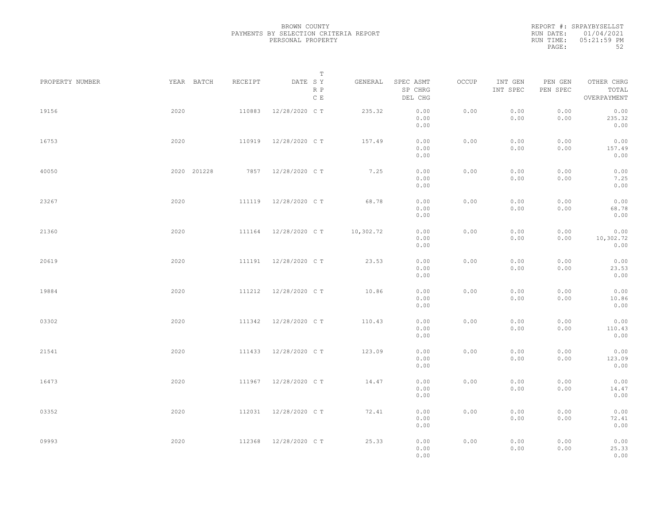|           | REPORT #: SRPAYBYSELLST |
|-----------|-------------------------|
|           | RUN DATE: 01/04/2021    |
| RUN TIME: | $05:21:59$ PM           |
| PAGE:     | 52                      |

|                 |             |         | $\mathbb T$           |           |                                 |       |                     |                     |                                    |  |
|-----------------|-------------|---------|-----------------------|-----------|---------------------------------|-------|---------------------|---------------------|------------------------------------|--|
| PROPERTY NUMBER | YEAR BATCH  | RECEIPT | DATE SY<br>R P<br>C E | GENERAL   | SPEC ASMT<br>SP CHRG<br>DEL CHG | OCCUP | INT GEN<br>INT SPEC | PEN GEN<br>PEN SPEC | OTHER CHRG<br>TOTAL<br>OVERPAYMENT |  |
| 19156           | 2020        | 110883  | 12/28/2020 C T        | 235.32    | 0.00<br>0.00<br>0.00            | 0.00  | 0.00<br>0.00        | 0.00<br>0.00        | 0.00<br>235.32<br>0.00             |  |
| 16753           | 2020        | 110919  | 12/28/2020 C T        | 157.49    | 0.00<br>0.00<br>0.00            | 0.00  | 0.00<br>0.00        | 0.00<br>0.00        | 0.00<br>157.49<br>0.00             |  |
| 40050           | 2020 201228 |         | 7857 12/28/2020 CT    | 7.25      | 0.00<br>0.00<br>0.00            | 0.00  | 0.00<br>0.00        | 0.00<br>0.00        | 0.00<br>7.25<br>0.00               |  |
| 23267           | 2020        |         | 111119 12/28/2020 CT  | 68.78     | 0.00<br>0.00<br>0.00            | 0.00  | 0.00<br>0.00        | 0.00<br>0.00        | 0.00<br>68.78<br>0.00              |  |
| 21360           | 2020        | 111164  | 12/28/2020 C T        | 10,302.72 | 0.00<br>0.00<br>0.00            | 0.00  | 0.00<br>0.00        | 0.00<br>0.00        | 0.00<br>10,302.72<br>0.00          |  |
| 20619           | 2020        | 111191  | 12/28/2020 C T        | 23.53     | 0.00<br>0.00<br>0.00            | 0.00  | 0.00<br>0.00        | 0.00<br>0.00        | 0.00<br>23.53<br>0.00              |  |
| 19884           | 2020        | 111212  | 12/28/2020 C T        | 10.86     | 0.00<br>0.00<br>0.00            | 0.00  | 0.00<br>0.00        | 0.00<br>0.00        | 0.00<br>10.86<br>0.00              |  |
| 03302           | 2020        | 111342  | 12/28/2020 C T        | 110.43    | 0.00<br>0.00<br>0.00            | 0.00  | 0.00<br>0.00        | 0.00<br>0.00        | 0.00<br>110.43<br>0.00             |  |
| 21541           | 2020        | 111433  | 12/28/2020 C T        | 123.09    | 0.00<br>0.00<br>0.00            | 0.00  | 0.00<br>0.00        | 0.00<br>0.00        | 0.00<br>123.09<br>0.00             |  |
| 16473           | 2020        | 111967  | 12/28/2020 C T        | 14.47     | 0.00<br>0.00<br>0.00            | 0.00  | 0.00<br>0.00        | 0.00<br>0.00        | 0.00<br>14.47<br>0.00              |  |
| 03352           | 2020        | 112031  | 12/28/2020 C T        | 72.41     | 0.00<br>0.00<br>0.00            | 0.00  | 0.00<br>0.00        | 0.00<br>0.00        | 0.00<br>72.41<br>0.00              |  |
| 09993           | 2020        | 112368  | 12/28/2020 C T        | 25.33     | 0.00<br>0.00<br>0.00            | 0.00  | 0.00<br>0.00        | 0.00<br>0.00        | 0.00<br>25.33<br>0.00              |  |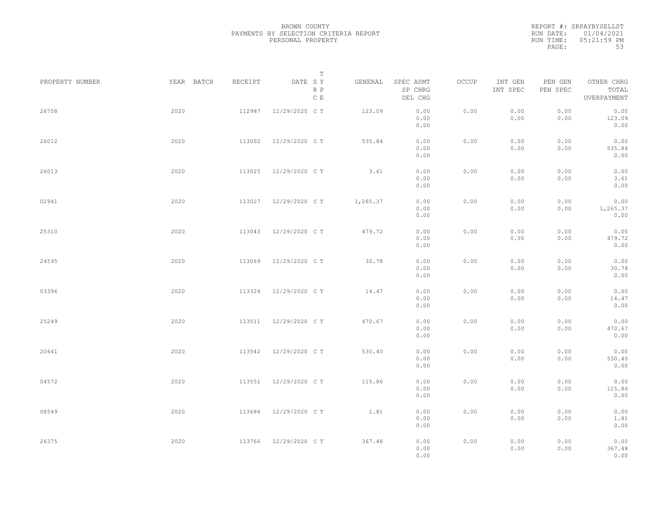| REPORT #: SRPAYBYSELLST<br>RUN DATE: 01/04/2021<br>05:21:59 PM<br>RUN TIME: |    |  |  |  |
|-----------------------------------------------------------------------------|----|--|--|--|
|                                                                             |    |  |  |  |
|                                                                             |    |  |  |  |
| PAGE:                                                                       | 53 |  |  |  |

|                 |            |         | T                               |          |                                 |       |                     |                     |                                    |  |
|-----------------|------------|---------|---------------------------------|----------|---------------------------------|-------|---------------------|---------------------|------------------------------------|--|
| PROPERTY NUMBER | YEAR BATCH | RECEIPT | DATE SY<br>R P<br>$\,$ C $\,$ E | GENERAL  | SPEC ASMT<br>SP CHRG<br>DEL CHG | OCCUP | INT GEN<br>INT SPEC | PEN GEN<br>PEN SPEC | OTHER CHRG<br>TOTAL<br>OVERPAYMENT |  |
| 26758           | 2020       | 112987  | 12/29/2020 C T                  | 123.09   | 0.00<br>0.00<br>0.00            | 0.00  | 0.00<br>0.00        | 0.00<br>0.00        | 0.00<br>123.09<br>0.00             |  |
| 26012           | 2020       | 113002  | 12/29/2020 C T                  | 535.84   | 0.00<br>0.00<br>0.00            | 0.00  | 0.00<br>0.00        | 0.00<br>0.00        | 0.00<br>535.84<br>0.00             |  |
| 26013           | 2020       | 113025  | 12/29/2020 C T                  | 3.61     | 0.00<br>0.00<br>0.00            | 0.00  | 0.00<br>0.00        | 0.00<br>0.00        | 0.00<br>3.61<br>0.00               |  |
| 02941           | 2020       | 113027  | 12/29/2020 C T                  | 1,265.37 | 0.00<br>0.00<br>0.00            | 0.00  | 0.00<br>0.00        | 0.00<br>0.00        | 0.00<br>1,265.37<br>0.00           |  |
| 25310           | 2020       | 113043  | 12/29/2020 C T                  | 479.72   | 0.00<br>0.00<br>0.00            | 0.00  | 0.00<br>0.00        | 0.00<br>0.00        | 0.00<br>479.72<br>0.00             |  |
| 24595           | 2020       | 113069  | 12/29/2020 C T                  | 30.78    | 0.00<br>0.00<br>0.00            | 0.00  | 0.00<br>0.00        | 0.00<br>0.00        | 0.00<br>30.78<br>0.00              |  |
| 03396           | 2020       | 113324  | 12/29/2020 C T                  | 14.47    | 0.00<br>0.00<br>0.00            | 0.00  | 0.00<br>0.00        | 0.00<br>0.00        | 0.00<br>14.47<br>0.00              |  |
| 25249           | 2020       | 113511  | 12/29/2020 C T                  | 470.67   | 0.00<br>0.00<br>0.00            | 0.00  | 0.00<br>0.00        | 0.00<br>0.00        | 0.00<br>470.67<br>0.00             |  |
| 20641           | 2020       | 113542  | 12/29/2020 C T                  | 530.40   | 0.00<br>0.00<br>0.00            | 0.00  | 0.00<br>0.00        | 0.00<br>0.00        | 0.00<br>530.40<br>0.00             |  |
| 04572           | 2020       | 113551  | 12/29/2020 C T                  | 115.86   | 0.00<br>0.00<br>0.00            | 0.00  | 0.00<br>0.00        | 0.00<br>0.00        | 0.00<br>115.86<br>0.00             |  |
| 08549           | 2020       | 113686  | 12/29/2020 C T                  | 1.81     | 0.00<br>0.00<br>0.00            | 0.00  | 0.00<br>0.00        | 0.00<br>0.00        | 0.00<br>1.81<br>0.00               |  |
| 26375           | 2020       |         | 113766 12/29/2020 CT            | 367.48   | 0.00<br>0.00<br>0.00            | 0.00  | 0.00<br>0.00        | 0.00<br>0.00        | 0.00<br>367.48<br>0.00             |  |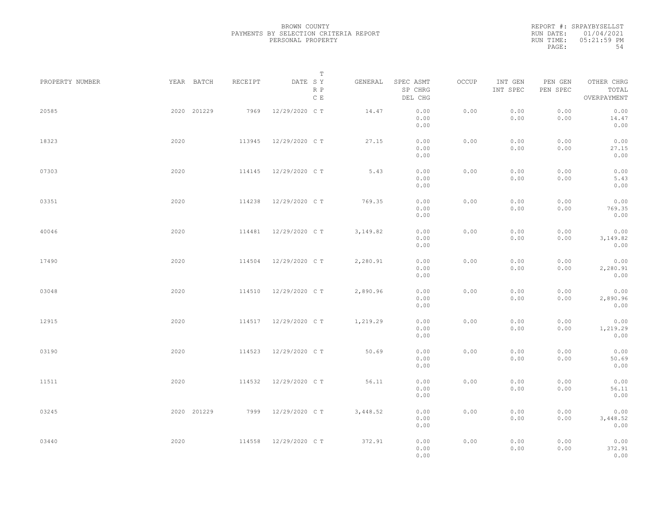REPORT #: SRPAYBYSELLST RUN DATE: 01/04/2021 RUN TIME: 05:21:59 PM PAGE: 54

|                 |             |         | $\mathbb T$           |          |                                 |       |                     |                     |                                    |
|-----------------|-------------|---------|-----------------------|----------|---------------------------------|-------|---------------------|---------------------|------------------------------------|
| PROPERTY NUMBER | YEAR BATCH  | RECEIPT | DATE SY<br>R P<br>C E | GENERAL  | SPEC ASMT<br>SP CHRG<br>DEL CHG | OCCUP | INT GEN<br>INT SPEC | PEN GEN<br>PEN SPEC | OTHER CHRG<br>TOTAL<br>OVERPAYMENT |
| 20585           | 2020 201229 | 7969    | 12/29/2020 C T        | 14.47    | 0.00<br>0.00<br>0.00            | 0.00  | 0.00<br>0.00        | 0.00<br>0.00        | 0.00<br>14.47<br>0.00              |
| 18323           | 2020        | 113945  | 12/29/2020 C T        | 27.15    | 0.00<br>0.00<br>0.00            | 0.00  | 0.00<br>0.00        | 0.00<br>0.00        | 0.00<br>27.15<br>0.00              |
| 07303           | 2020        | 114145  | 12/29/2020 C T        | 5.43     | 0.00<br>0.00<br>0.00            | 0.00  | 0.00<br>0.00        | 0.00<br>0.00        | 0.00<br>5.43<br>0.00               |
| 03351           | 2020        | 114238  | 12/29/2020 C T        | 769.35   | 0.00<br>0.00<br>0.00            | 0.00  | 0.00<br>0.00        | 0.00<br>0.00        | 0.00<br>769.35<br>0.00             |
| 40046           | 2020        | 114481  | 12/29/2020 C T        | 3,149.82 | 0.00<br>0.00<br>0.00            | 0.00  | 0.00<br>0.00        | 0.00<br>0.00        | 0.00<br>3,149.82<br>0.00           |
| 17490           | 2020        | 114504  | 12/29/2020 C T        | 2,280.91 | 0.00<br>0.00<br>0.00            | 0.00  | 0.00<br>0.00        | 0.00<br>0.00        | 0.00<br>2,280.91<br>0.00           |
| 03048           | 2020        | 114510  | 12/29/2020 C T        | 2,890.96 | 0.00<br>0.00<br>0.00            | 0.00  | 0.00<br>0.00        | 0.00<br>0.00        | 0.00<br>2,890.96<br>0.00           |
| 12915           | 2020        | 114517  | 12/29/2020 C T        | 1,219.29 | 0.00<br>0.00<br>0.00            | 0.00  | 0.00<br>0.00        | 0.00<br>0.00        | 0.00<br>1,219.29<br>0.00           |
| 03190           | 2020        | 114523  | 12/29/2020 C T        | 50.69    | 0.00<br>0.00<br>0.00            | 0.00  | 0.00<br>0.00        | 0.00<br>0.00        | 0.00<br>50.69                      |
| 11511           | 2020        | 114532  | 12/29/2020 C T        | 56.11    | 0.00<br>0.00<br>0.00            | 0.00  | 0.00<br>0.00        | 0.00<br>0.00        | 0.00<br>0.00<br>56.11<br>0.00      |
| 03245           | 2020 201229 | 7999    | 12/29/2020 C T        | 3,448.52 | 0.00<br>0.00<br>0.00            | 0.00  | 0.00<br>0.00        | 0.00<br>0.00        | 0.00<br>3,448.52<br>0.00           |
| 03440           | 2020        | 114558  | 12/29/2020 C T        | 372.91   | 0.00<br>0.00<br>0.00            | 0.00  | 0.00<br>0.00        | 0.00<br>0.00        | 0.00<br>372.91<br>0.00             |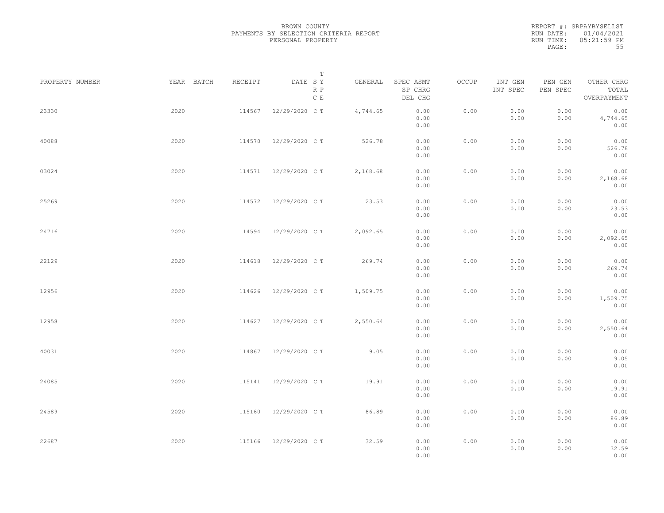REPORT #: SRPAYBYSELLST RUN DATE: 01/04/2021 RUN TIME: 05:21:59 PM PAGE: 55

|                 |            |         | $\mathbb T$           |          |                                 |       |                     |                     |                                    |  |
|-----------------|------------|---------|-----------------------|----------|---------------------------------|-------|---------------------|---------------------|------------------------------------|--|
| PROPERTY NUMBER | YEAR BATCH | RECEIPT | DATE SY<br>R P<br>C E | GENERAL  | SPEC ASMT<br>SP CHRG<br>DEL CHG | OCCUP | INT GEN<br>INT SPEC | PEN GEN<br>PEN SPEC | OTHER CHRG<br>TOTAL<br>OVERPAYMENT |  |
| 23330           | 2020       | 114567  | 12/29/2020 C T        | 4,744.65 | 0.00<br>0.00<br>0.00            | 0.00  | 0.00<br>0.00        | 0.00<br>0.00        | 0.00<br>4,744.65<br>0.00           |  |
| 40088           | 2020       | 114570  | 12/29/2020 C T        | 526.78   | 0.00<br>0.00<br>0.00            | 0.00  | 0.00<br>0.00        | 0.00<br>0.00        | 0.00<br>526.78<br>0.00             |  |
| 03024           | 2020       |         | 114571 12/29/2020 CT  | 2,168.68 | 0.00<br>0.00<br>0.00            | 0.00  | 0.00<br>0.00        | 0.00<br>0.00        | 0.00<br>2,168.68<br>0.00           |  |
| 25269           | 2020       | 114572  | 12/29/2020 C T        | 23.53    | 0.00<br>0.00<br>0.00            | 0.00  | 0.00<br>0.00        | 0.00<br>0.00        | 0.00<br>23.53<br>0.00              |  |
| 24716           | 2020       | 114594  | 12/29/2020 C T        | 2,092.65 | 0.00<br>0.00<br>0.00            | 0.00  | 0.00<br>0.00        | 0.00<br>0.00        | 0.00<br>2,092.65<br>0.00           |  |
| 22129           | 2020       | 114618  | 12/29/2020 C T        | 269.74   | 0.00<br>0.00<br>0.00            | 0.00  | 0.00<br>0.00        | 0.00<br>0.00        | 0.00<br>269.74<br>0.00             |  |
| 12956           | 2020       | 114626  | 12/29/2020 C T        | 1,509.75 | 0.00<br>0.00<br>0.00            | 0.00  | 0.00<br>0.00        | 0.00<br>0.00        | 0.00<br>1,509.75<br>0.00           |  |
| 12958           | 2020       | 114627  | 12/29/2020 C T        | 2,550.64 | 0.00<br>0.00<br>0.00            | 0.00  | 0.00<br>0.00        | 0.00<br>0.00        | 0.00<br>2,550.64<br>0.00           |  |
| 40031           | 2020       | 114867  | 12/29/2020 C T        | 9.05     | 0.00<br>0.00<br>0.00            | 0.00  | 0.00<br>0.00        | 0.00<br>0.00        | 0.00<br>9.05<br>0.00               |  |
| 24085           | 2020       | 115141  | 12/29/2020 C T        | 19.91    | 0.00<br>0.00<br>0.00            | 0.00  | 0.00<br>0.00        | 0.00<br>0.00        | 0.00<br>19.91<br>0.00              |  |
| 24589           | 2020       | 115160  | 12/29/2020 C T        | 86.89    | 0.00<br>0.00<br>0.00            | 0.00  | 0.00<br>0.00        | 0.00<br>0.00        | 0.00<br>86.89<br>0.00              |  |
| 22687           | 2020       | 115166  | 12/29/2020 C T        | 32.59    | 0.00<br>0.00<br>0.00            | 0.00  | 0.00<br>0.00        | 0.00<br>0.00        | 0.00<br>32.59<br>0.00              |  |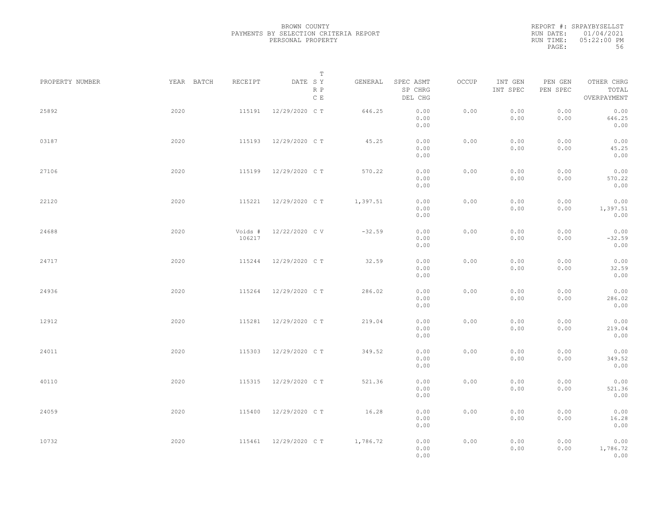|           | REPORT #: SRPAYBYSELLST |
|-----------|-------------------------|
|           | RUN DATE: 01/04/2021    |
| RUN TIME: | $05:22:00$ PM           |
| PAGE:     | 56                      |

|                 |            |                   | T                               |          |                                 |       |                     |                     |                                    |  |
|-----------------|------------|-------------------|---------------------------------|----------|---------------------------------|-------|---------------------|---------------------|------------------------------------|--|
| PROPERTY NUMBER | YEAR BATCH | RECEIPT           | DATE SY<br>R P<br>$\,$ C $\,$ E | GENERAL  | SPEC ASMT<br>SP CHRG<br>DEL CHG | OCCUP | INT GEN<br>INT SPEC | PEN GEN<br>PEN SPEC | OTHER CHRG<br>TOTAL<br>OVERPAYMENT |  |
| 25892           | 2020       | 115191            | 12/29/2020 C T                  | 646.25   | 0.00<br>0.00<br>0.00            | 0.00  | 0.00<br>0.00        | 0.00<br>0.00        | 0.00<br>646.25<br>0.00             |  |
| 03187           | 2020       | 115193            | 12/29/2020 C T                  | 45.25    | 0.00<br>0.00<br>0.00            | 0.00  | 0.00<br>0.00        | 0.00<br>0.00        | 0.00<br>45.25<br>0.00              |  |
| 27106           | 2020       | 115199            | 12/29/2020 C T                  | 570.22   | 0.00<br>0.00<br>0.00            | 0.00  | 0.00<br>0.00        | 0.00<br>0.00        | 0.00<br>570.22<br>0.00             |  |
| 22120           | 2020       | 115221            | 12/29/2020 C T                  | 1,397.51 | 0.00<br>0.00<br>0.00            | 0.00  | 0.00<br>0.00        | 0.00<br>0.00        | 0.00<br>1,397.51<br>0.00           |  |
| 24688           | 2020       | Voids #<br>106217 | 12/22/2020 CV                   | $-32.59$ | 0.00<br>0.00<br>0.00            | 0.00  | 0.00<br>0.00        | 0.00<br>0.00        | 0.00<br>$-32.59$<br>0.00           |  |
| 24717           | 2020       | 115244            | 12/29/2020 C T                  | 32.59    | 0.00<br>0.00<br>0.00            | 0.00  | 0.00<br>0.00        | 0.00<br>0.00        | 0.00<br>32.59<br>0.00              |  |
| 24936           | 2020       | 115264            | 12/29/2020 C T                  | 286.02   | 0.00<br>0.00<br>0.00            | 0.00  | 0.00<br>0.00        | 0.00<br>0.00        | 0.00<br>286.02<br>0.00             |  |
| 12912           | 2020       | 115281            | 12/29/2020 C T                  | 219.04   | 0.00<br>0.00<br>0.00            | 0.00  | 0.00<br>0.00        | 0.00<br>0.00        | 0.00<br>219.04<br>0.00             |  |
| 24011           | 2020       | 115303            | 12/29/2020 C T                  | 349.52   | 0.00<br>0.00<br>0.00            | 0.00  | 0.00<br>0.00        | 0.00<br>0.00        | 0.00<br>349.52<br>0.00             |  |
| 40110           | 2020       | 115315            | 12/29/2020 C T                  | 521.36   | 0.00<br>0.00<br>0.00            | 0.00  | 0.00<br>0.00        | 0.00<br>0.00        | 0.00<br>521.36<br>0.00             |  |
| 24059           | 2020       | 115400            | 12/29/2020 C T                  | 16.28    | 0.00<br>0.00<br>0.00            | 0.00  | 0.00<br>0.00        | 0.00<br>0.00        | 0.00<br>16.28<br>0.00              |  |
| 10732           | 2020       | 115461            | 12/29/2020 C T                  | 1,786.72 | 0.00<br>0.00<br>0.00            | 0.00  | 0.00<br>0.00        | 0.00<br>0.00        | 0.00<br>1,786.72<br>0.00           |  |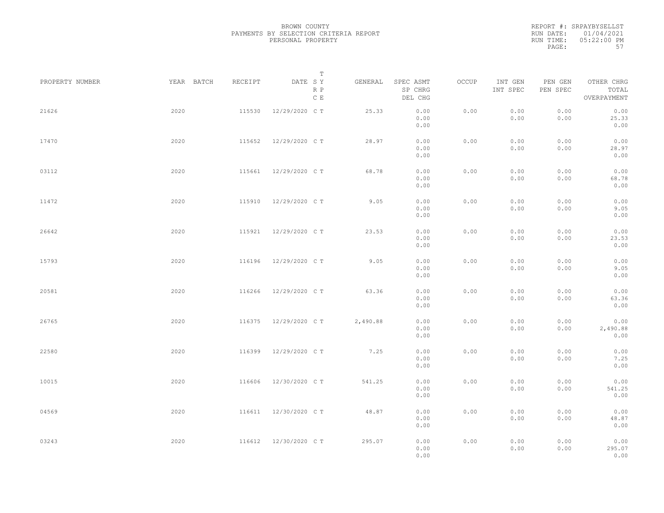|           | REPORT #: SRPAYBYSELLST |
|-----------|-------------------------|
|           | RUN DATE: 01/04/2021    |
| RUN TIME: | $0.5:22:00$ PM          |
| PAGE:     | 57                      |

|                 |            |         | T                               |          |                                 |       |                     |                                         |                                    |  |
|-----------------|------------|---------|---------------------------------|----------|---------------------------------|-------|---------------------|-----------------------------------------|------------------------------------|--|
| PROPERTY NUMBER | YEAR BATCH | RECEIPT | DATE SY<br>R P<br>$\,$ C $\,$ E | GENERAL  | SPEC ASMT<br>SP CHRG<br>DEL CHG | OCCUP | INT GEN<br>INT SPEC | PEN GEN<br>PEN SPEC                     | OTHER CHRG<br>TOTAL<br>OVERPAYMENT |  |
| 21626           | 2020       | 115530  | 12/29/2020 C T                  | 25.33    | 0.00<br>0.00<br>0.00            | 0.00  | 0.00<br>0.00        | 0.00<br>0.00                            | 0.00<br>25.33<br>0.00              |  |
| 17470           | 2020       | 115652  | 12/29/2020 C T                  | 28.97    | 0.00<br>0.00<br>0.00            | 0.00  | 0.00<br>0.00        | 0.00<br>0.00                            | 0.00<br>28.97<br>0.00              |  |
| 03112           | 2020       |         | 115661 12/29/2020 CT            | 68.78    | 0.00<br>0.00<br>0.00            | 0.00  | 0.00<br>0.00        | 0.00<br>0.00                            | 0.00<br>68.78<br>0.00              |  |
| 11472           | 2020       | 115910  | 12/29/2020 C T                  | 9.05     | 0.00<br>0.00<br>0.00            | 0.00  | 0.00<br>0.00        | 0.00<br>0.00                            | 0.00<br>9.05<br>0.00               |  |
| 26642           | 2020       | 115921  | 12/29/2020 C T                  | 23.53    | 0.00<br>0.00<br>0.00            | 0.00  | 0.00<br>0.00        | 0.00<br>0.00                            | 0.00<br>23.53<br>0.00              |  |
| 15793           | 2020       | 116196  | 12/29/2020 C T                  | 9.05     | 0.00<br>0.00<br>0.00            | 0.00  | 0.00<br>0.00        | 0.00<br>0.00                            | 0.00<br>9.05<br>0.00               |  |
| 20581           | 2020       | 116266  | 12/29/2020 C T                  | 63.36    | 0.00<br>0.00<br>0.00            | 0.00  | 0.00<br>0.00        | 0.00<br>0.00                            | 0.00<br>63.36<br>0.00              |  |
| 26765           | 2020       | 116375  | 12/29/2020 C T                  | 2,490.88 | 0.00<br>0.00<br>0.00            | 0.00  | 0.00<br>0.00        | 0.00<br>0.00                            | 0.00<br>2,490.88<br>0.00           |  |
| 22580           | 2020       | 116399  | 12/29/2020 C T                  | 7.25     | 0.00<br>0.00<br>0.00            | 0.00  | 0.00<br>0.00        | 0.00<br>0.00                            | 0.00<br>7.25<br>0.00               |  |
| 10015           | 2020       | 116606  | 12/30/2020 C T                  | 541.25   | 0.00<br>0.00<br>0.00            | 0.00  | 0.00<br>0.00        | 0.00<br>0.00                            | 0.00<br>541.25<br>0.00             |  |
| 04569           | 2020       |         | 116611 12/30/2020 CT            | 48.87    | 0.00<br>0.00<br>0.00            | 0.00  | 0.00<br>0.00        | 0.00<br>0.00                            | 0.00<br>48.87<br>0.00              |  |
| 03243           | 2020       | 116612  | 12/30/2020 C T                  | 295.07   | 0.00<br>0.00<br>0.00            | 0.00  | 0.00<br>0.00        | ${\bf 0}$ . ${\bf 0}$ ${\bf 0}$<br>0.00 | 0.00<br>295.07<br>0.00             |  |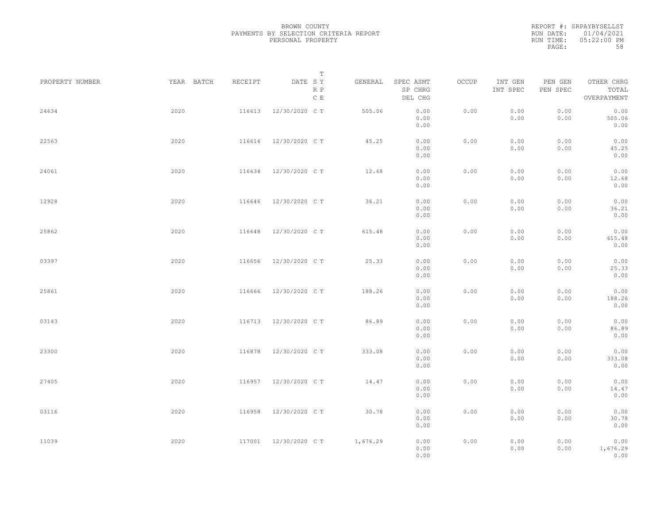|           | REPORT #: SRPAYBYSELLST |
|-----------|-------------------------|
|           | RUN DATE: 01/04/2021    |
| RUN TIME: | $05:22:00$ PM           |
| PAGE:     | 58                      |

|                 |            |         | T                               |          |                                                                                                |       |                     |                     |                                    |  |
|-----------------|------------|---------|---------------------------------|----------|------------------------------------------------------------------------------------------------|-------|---------------------|---------------------|------------------------------------|--|
| PROPERTY NUMBER | YEAR BATCH | RECEIPT | DATE SY<br>R P<br>$\,$ C $\,$ E | GENERAL  | SPEC ASMT<br>SP CHRG<br>DEL CHG                                                                | OCCUP | INT GEN<br>INT SPEC | PEN GEN<br>PEN SPEC | OTHER CHRG<br>TOTAL<br>OVERPAYMENT |  |
| 24634           | 2020       | 116613  | 12/30/2020 C T                  | 505.06   | 0.00<br>0.00<br>0.00                                                                           | 0.00  | 0.00<br>0.00        | 0.00<br>0.00        | 0.00<br>505.06<br>0.00             |  |
| 22563           | 2020       | 116614  | 12/30/2020 C T                  | 45.25    | 0.00<br>0.00<br>0.00                                                                           | 0.00  | 0.00<br>0.00        | 0.00<br>0.00        | 0.00<br>45.25<br>0.00              |  |
| 24061           | 2020       | 116634  | 12/30/2020 C T                  | 12.68    | 0.00<br>0.00<br>0.00                                                                           | 0.00  | 0.00<br>0.00        | 0.00<br>0.00        | 0.00<br>12.68<br>0.00              |  |
| 12928           | 2020       | 116646  | 12/30/2020 C T                  | 36.21    | 0.00<br>0.00<br>0.00                                                                           | 0.00  | 0.00<br>0.00        | 0.00<br>0.00        | 0.00<br>36.21<br>0.00              |  |
| 25862           | 2020       | 116648  | 12/30/2020 C T                  | 615.48   | 0.00<br>0.00<br>0.00                                                                           | 0.00  | 0.00<br>0.00        | 0.00<br>0.00        | 0.00<br>615.48<br>0.00             |  |
| 03397           | 2020       | 116656  | 12/30/2020 C T                  | 25.33    | 0.00<br>0.00<br>0.00                                                                           | 0.00  | 0.00<br>0.00        | 0.00<br>0.00        | 0.00<br>25.33<br>0.00              |  |
| 25861           | 2020       | 116666  | 12/30/2020 C T                  | 188.26   | 0.00<br>0.00<br>0.00                                                                           | 0.00  | 0.00<br>0.00        | 0.00<br>0.00        | 0.00<br>188.26<br>0.00             |  |
| 03143           | 2020       | 116713  | 12/30/2020 C T                  | 86.89    | 0.00<br>0.00<br>0.00                                                                           | 0.00  | 0.00<br>0.00        | 0.00<br>0.00        | 0.00<br>86.89<br>0.00              |  |
| 23300           | 2020       | 116878  | 12/30/2020 C T                  | 333.08   | 0.00<br>0.00<br>0.00                                                                           | 0.00  | 0.00<br>0.00        | 0.00<br>0.00        | 0.00<br>333.08<br>0.00             |  |
| 27405           | 2020       | 116957  | 12/30/2020 C T                  | 14.47    | 0.00<br>0.00<br>0.00                                                                           | 0.00  | 0.00<br>0.00        | 0.00<br>0.00        | 0.00<br>14.47<br>0.00              |  |
| 03116           | 2020       | 116958  | 12/30/2020 C T                  | 30.78    | 0.00<br>0.00<br>0.00                                                                           | 0.00  | 0.00<br>0.00        | 0.00<br>0.00        | 0.00<br>30.78<br>0.00              |  |
| 11039           | 2020       |         | 117001 12/30/2020 CT            | 1,676.29 | $\ensuremath{\mathbf{0}}$ . $\ensuremath{\mathbf{0}}\,\ensuremath{\mathbf{0}}$<br>0.00<br>0.00 | 0.00  | 0.00<br>0.00        | 0.00<br>0.00        | 0.00<br>1,676.29<br>0.00           |  |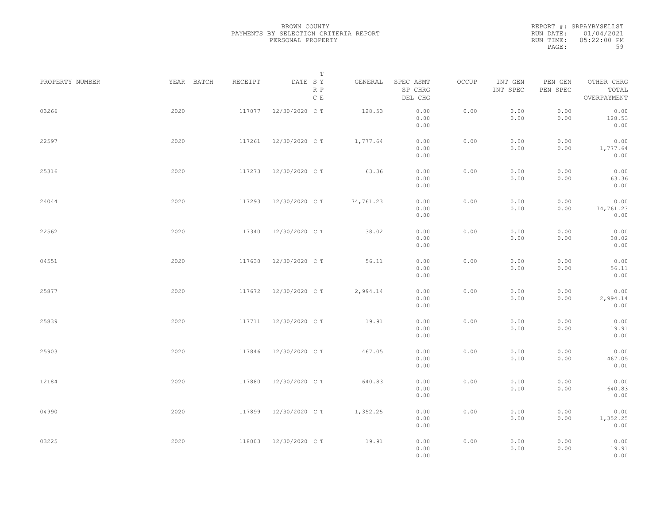|           | REPORT #: SRPAYBYSELLST |
|-----------|-------------------------|
|           | RUN DATE: 01/04/2021    |
| RUN TIME: | $0.5:22:00$ PM          |
| PAGE:     | 59                      |

|                 |            |         | $\mathbb T$                     |           |                                 |       |                     |                     |                                    |  |
|-----------------|------------|---------|---------------------------------|-----------|---------------------------------|-------|---------------------|---------------------|------------------------------------|--|
| PROPERTY NUMBER | YEAR BATCH | RECEIPT | DATE SY<br>R P<br>$\,$ C $\,$ E | GENERAL   | SPEC ASMT<br>SP CHRG<br>DEL CHG | OCCUP | INT GEN<br>INT SPEC | PEN GEN<br>PEN SPEC | OTHER CHRG<br>TOTAL<br>OVERPAYMENT |  |
| 03266           | 2020       | 117077  | 12/30/2020 C T                  | 128.53    | 0.00<br>0.00<br>0.00            | 0.00  | 0.00<br>0.00        | 0.00<br>0.00        | 0.00<br>128.53<br>0.00             |  |
| 22597           | 2020       | 117261  | 12/30/2020 C T                  | 1,777.64  | 0.00<br>0.00<br>0.00            | 0.00  | 0.00<br>0.00        | 0.00<br>0.00        | 0.00<br>1,777.64<br>0.00           |  |
| 25316           | 2020       |         | 117273 12/30/2020 CT            | 63.36     | 0.00<br>0.00<br>0.00            | 0.00  | 0.00<br>0.00        | 0.00<br>0.00        | 0.00<br>63.36<br>0.00              |  |
| 24044           | 2020       | 117293  | 12/30/2020 C T                  | 74,761.23 | 0.00<br>0.00<br>0.00            | 0.00  | 0.00<br>0.00        | 0.00<br>0.00        | 0.00<br>74,761.23<br>0.00          |  |
| 22562           | 2020       | 117340  | 12/30/2020 C T                  | 38.02     | 0.00<br>0.00<br>0.00            | 0.00  | 0.00<br>0.00        | 0.00<br>0.00        | 0.00<br>38.02<br>0.00              |  |
| 04551           | 2020       | 117630  | 12/30/2020 C T                  | 56.11     | 0.00<br>0.00<br>0.00            | 0.00  | 0.00<br>0.00        | 0.00<br>0.00        | 0.00<br>56.11<br>0.00              |  |
| 25877           | 2020       | 117672  | 12/30/2020 C T                  | 2,994.14  | 0.00<br>0.00<br>0.00            | 0.00  | 0.00<br>0.00        | 0.00<br>0.00        | 0.00<br>2,994.14<br>0.00           |  |
| 25839           | 2020       |         | 117711 12/30/2020 CT            | 19.91     | 0.00<br>0.00<br>0.00            | 0.00  | 0.00<br>0.00        | 0.00<br>0.00        | 0.00<br>19.91<br>0.00              |  |
| 25903           | 2020       | 117846  | 12/30/2020 C T                  | 467.05    | 0.00<br>0.00<br>0.00            | 0.00  | 0.00<br>0.00        | 0.00<br>0.00        | 0.00<br>467.05<br>0.00             |  |
| 12184           | 2020       | 117880  | 12/30/2020 C T                  | 640.83    | 0.00<br>0.00<br>0.00            | 0.00  | 0.00<br>0.00        | 0.00<br>0.00        | 0.00<br>640.83<br>0.00             |  |
| 04990           | 2020       | 117899  | 12/30/2020 C T                  | 1,352.25  | 0.00<br>0.00<br>0.00            | 0.00  | 0.00<br>0.00        | 0.00<br>0.00        | 0.00<br>1,352.25<br>0.00           |  |
| 03225           | 2020       | 118003  | 12/30/2020 C T                  | 19.91     | 0.00<br>0.00<br>0.00            | 0.00  | 0.00<br>0.00        | 0.00<br>0.00        | 0.00<br>19.91<br>0.00              |  |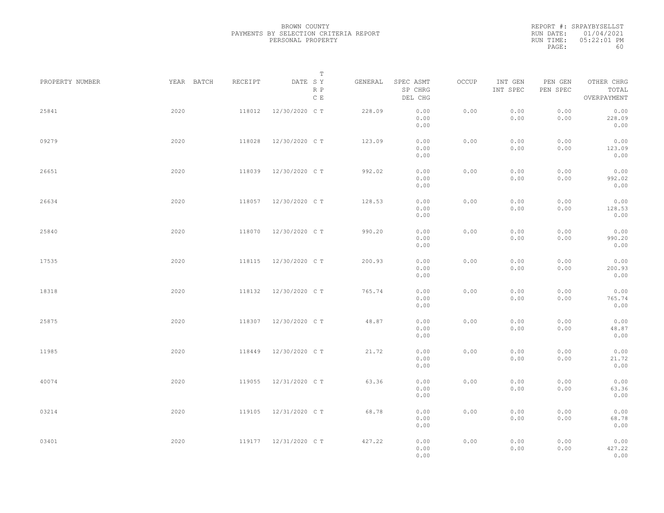|           | REPORT #: SRPAYBYSELLST |
|-----------|-------------------------|
|           | RUN DATE: 01/04/2021    |
| RUN TIME: | $0.5:22:01$ PM          |
| PAGE:     | 60                      |

|                 |      |                       | T                               |         |                                 |       |                     |                     |                                    |  |
|-----------------|------|-----------------------|---------------------------------|---------|---------------------------------|-------|---------------------|---------------------|------------------------------------|--|
| PROPERTY NUMBER |      | YEAR BATCH<br>RECEIPT | DATE SY<br>R P<br>$\,$ C $\,$ E | GENERAL | SPEC ASMT<br>SP CHRG<br>DEL CHG | OCCUP | INT GEN<br>INT SPEC | PEN GEN<br>PEN SPEC | OTHER CHRG<br>TOTAL<br>OVERPAYMENT |  |
| 25841           | 2020 | 118012                | 12/30/2020 C T                  | 228.09  | 0.00<br>0.00<br>0.00            | 0.00  | 0.00<br>0.00        | 0.00<br>0.00        | 0.00<br>228.09<br>0.00             |  |
| 09279           | 2020 | 118028                | 12/30/2020 C T                  | 123.09  | 0.00<br>0.00<br>0.00            | 0.00  | 0.00<br>0.00        | 0.00<br>0.00        | 0.00<br>123.09<br>0.00             |  |
| 26651           | 2020 | 118039                | 12/30/2020 C T                  | 992.02  | 0.00<br>0.00<br>0.00            | 0.00  | 0.00<br>0.00        | 0.00<br>0.00        | 0.00<br>992.02<br>0.00             |  |
| 26634           | 2020 | 118057                | 12/30/2020 C T                  | 128.53  | 0.00<br>0.00<br>0.00            | 0.00  | 0.00<br>0.00        | 0.00<br>0.00        | 0.00<br>128.53<br>0.00             |  |
| 25840           | 2020 | 118070                | 12/30/2020 C T                  | 990.20  | 0.00<br>0.00<br>0.00            | 0.00  | 0.00<br>0.00        | 0.00<br>0.00        | 0.00<br>990.20<br>0.00             |  |
| 17535           | 2020 | 118115                | 12/30/2020 C T                  | 200.93  | 0.00<br>0.00                    | 0.00  | 0.00<br>0.00        | 0.00<br>0.00        | 0.00<br>200.93                     |  |
| 18318           | 2020 | 118132                | 12/30/2020 C T                  | 765.74  | 0.00<br>0.00<br>0.00            | 0.00  | 0.00<br>0.00        | 0.00<br>0.00        | 0.00<br>0.00<br>765.74             |  |
| 25875           | 2020 | 118307                | 12/30/2020 C T                  | 48.87   | 0.00<br>0.00<br>0.00            | 0.00  | 0.00<br>0.00        | 0.00<br>0.00        | 0.00<br>0.00<br>48.87              |  |
| 11985           | 2020 | 118449                | 12/30/2020 C T                  | 21.72   | 0.00<br>0.00<br>0.00            | 0.00  | 0.00<br>0.00        | 0.00<br>0.00        | 0.00<br>0.00<br>21.72              |  |
| 40074           | 2020 | 119055                | 12/31/2020 C T                  | 63.36   | 0.00<br>0.00<br>0.00            | 0.00  | 0.00<br>0.00        | 0.00<br>0.00        | 0.00<br>0.00<br>63.36              |  |
| 03214           | 2020 | 119105                | 12/31/2020 C T                  | 68.78   | 0.00<br>0.00<br>0.00            | 0.00  | 0.00<br>0.00        | 0.00<br>0.00        | 0.00<br>0.00<br>68.78              |  |
| 03401           | 2020 |                       | 119177 12/31/2020 CT            | 427.22  | 0.00<br>0.00                    | 0.00  | 0.00                | 0.00                | 0.00<br>0.00                       |  |
|                 |      |                       |                                 |         | 0.00<br>0.00                    |       | 0.00                | 0.00                | 427.22<br>0.00                     |  |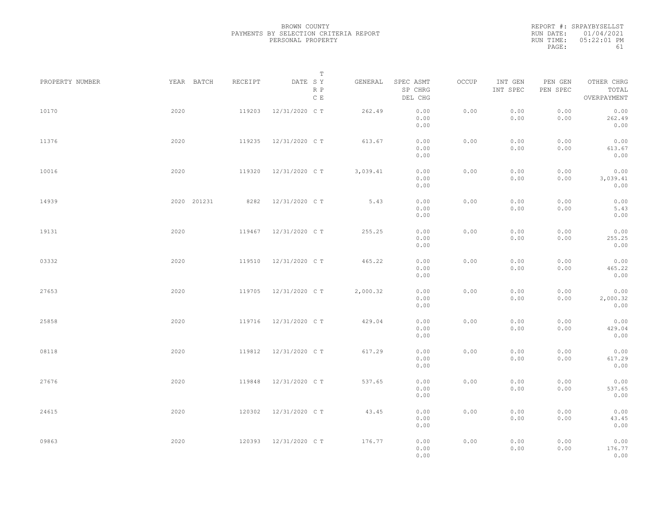|           | REPORT #: SRPAYBYSELLST |
|-----------|-------------------------|
|           | RUN DATE: 01/04/2021    |
| RUN TIME: | $0.5:22:01$ PM          |
| PAGE:     | 61                      |

| PROPERTY NUMBER |      | YEAR BATCH  | RECEIPT | DATE SY        | Т                    | GENERAL  | SPEC ASMT            | OCCUP | INT GEN      | PEN GEN      | OTHER CHRG               |  |
|-----------------|------|-------------|---------|----------------|----------------------|----------|----------------------|-------|--------------|--------------|--------------------------|--|
|                 |      |             |         |                | R P<br>$\,$ C $\,$ E |          | SP CHRG<br>DEL CHG   |       | INT SPEC     | PEN SPEC     | TOTAL<br>OVERPAYMENT     |  |
| 10170           | 2020 |             | 119203  | 12/31/2020 C T |                      | 262.49   | 0.00<br>0.00<br>0.00 | 0.00  | 0.00<br>0.00 | 0.00<br>0.00 | 0.00<br>262.49<br>0.00   |  |
| 11376           | 2020 |             | 119235  | 12/31/2020 C T |                      | 613.67   | 0.00<br>0.00<br>0.00 | 0.00  | 0.00<br>0.00 | 0.00<br>0.00 | 0.00<br>613.67<br>0.00   |  |
| 10016           | 2020 |             | 119320  | 12/31/2020 C T |                      | 3,039.41 | 0.00<br>0.00<br>0.00 | 0.00  | 0.00<br>0.00 | 0.00<br>0.00 | 0.00<br>3,039.41<br>0.00 |  |
| 14939           |      | 2020 201231 | 8282    | 12/31/2020 C T |                      | 5.43     | 0.00<br>0.00<br>0.00 | 0.00  | 0.00<br>0.00 | 0.00<br>0.00 | 0.00<br>5.43<br>0.00     |  |
| 19131           | 2020 |             | 119467  | 12/31/2020 C T |                      | 255.25   | 0.00<br>0.00<br>0.00 | 0.00  | 0.00<br>0.00 | 0.00<br>0.00 | 0.00<br>255.25<br>0.00   |  |
| 03332           | 2020 |             | 119510  | 12/31/2020 C T |                      | 465.22   | 0.00<br>0.00<br>0.00 | 0.00  | 0.00<br>0.00 | 0.00<br>0.00 | 0.00<br>465.22<br>0.00   |  |
| 27653           | 2020 |             | 119705  | 12/31/2020 C T |                      | 2,000.32 | 0.00<br>0.00<br>0.00 | 0.00  | 0.00<br>0.00 | 0.00<br>0.00 | 0.00<br>2,000.32<br>0.00 |  |
| 25858           | 2020 |             | 119716  | 12/31/2020 C T |                      | 429.04   | 0.00<br>0.00<br>0.00 | 0.00  | 0.00<br>0.00 | 0.00<br>0.00 | 0.00<br>429.04<br>0.00   |  |
| 08118           | 2020 |             | 119812  | 12/31/2020 C T |                      | 617.29   | 0.00<br>0.00<br>0.00 | 0.00  | 0.00<br>0.00 | 0.00<br>0.00 | 0.00<br>617.29<br>0.00   |  |
| 27676           | 2020 |             | 119848  | 12/31/2020 C T |                      | 537.65   | 0.00<br>0.00<br>0.00 | 0.00  | 0.00<br>0.00 | 0.00<br>0.00 | 0.00<br>537.65<br>0.00   |  |
| 24615           | 2020 |             | 120302  | 12/31/2020 C T |                      | 43.45    | 0.00<br>0.00<br>0.00 | 0.00  | 0.00<br>0.00 | 0.00<br>0.00 | 0.00<br>43.45<br>0.00    |  |
| 09863           | 2020 |             | 120393  | 12/31/2020 C T |                      | 176.77   | 0.00<br>0.00<br>0.00 | 0.00  | 0.00<br>0.00 | 0.00<br>0.00 | 0.00<br>176.77<br>0.00   |  |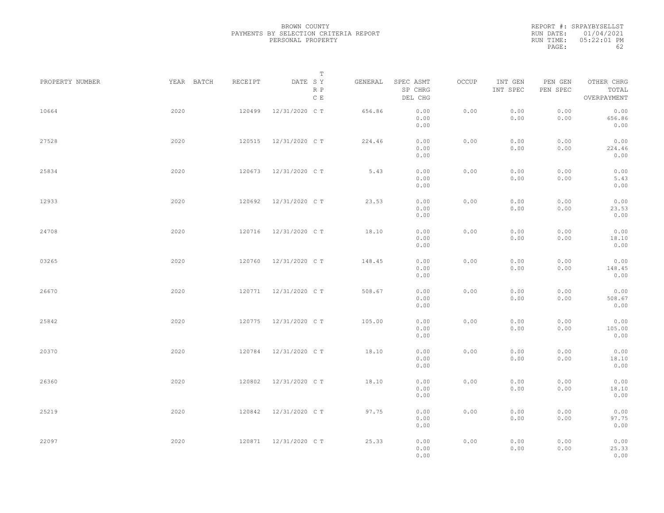|           | REPORT #: SRPAYBYSELLST |
|-----------|-------------------------|
|           | RUN DATE: 01/04/2021    |
| RUN TIME: | $05:22:01$ PM           |
| PAGE:     | 62                      |

|                 |            |         | T                     |         |                                 |       |                     |                     |                                    |  |
|-----------------|------------|---------|-----------------------|---------|---------------------------------|-------|---------------------|---------------------|------------------------------------|--|
| PROPERTY NUMBER | YEAR BATCH | RECEIPT | DATE SY<br>R P<br>C E | GENERAL | SPEC ASMT<br>SP CHRG<br>DEL CHG | OCCUP | INT GEN<br>INT SPEC | PEN GEN<br>PEN SPEC | OTHER CHRG<br>TOTAL<br>OVERPAYMENT |  |
| 10664           | 2020       | 120499  | 12/31/2020 C T        | 656.86  | 0.00<br>0.00<br>0.00            | 0.00  | 0.00<br>0.00        | 0.00<br>0.00        | 0.00<br>656.86<br>0.00             |  |
| 27528           | 2020       | 120515  | 12/31/2020 C T        | 224.46  | 0.00<br>0.00<br>0.00            | 0.00  | 0.00<br>0.00        | 0.00<br>0.00        | 0.00<br>224.46<br>0.00             |  |
| 25834           | 2020       |         | 120673 12/31/2020 CT  | 5.43    | 0.00<br>0.00<br>0.00            | 0.00  | 0.00<br>0.00        | 0.00<br>0.00        | 0.00<br>5.43<br>0.00               |  |
| 12933           | 2020       | 120692  | 12/31/2020 C T        | 23.53   | 0.00<br>0.00<br>0.00            | 0.00  | 0.00<br>0.00        | 0.00<br>0.00        | 0.00<br>23.53<br>0.00              |  |
| 24708           | 2020       | 120716  | 12/31/2020 C T        | 18.10   | 0.00<br>0.00<br>0.00            | 0.00  | 0.00<br>0.00        | 0.00<br>0.00        | 0.00<br>18.10<br>0.00              |  |
| 03265           | 2020       | 120760  | 12/31/2020 C T        | 148.45  | 0.00<br>0.00<br>0.00            | 0.00  | 0.00<br>0.00        | 0.00<br>0.00        | 0.00<br>148.45<br>0.00             |  |
| 26670           | 2020       | 120771  | 12/31/2020 C T        | 508.67  | 0.00<br>0.00<br>0.00            | 0.00  | 0.00<br>0.00        | 0.00<br>0.00        | 0.00<br>508.67<br>0.00             |  |
| 25842           | 2020       | 120775  | 12/31/2020 C T        | 105.00  | 0.00<br>0.00<br>0.00            | 0.00  | 0.00<br>0.00        | 0.00<br>0.00        | 0.00<br>105.00<br>0.00             |  |
| 20370           | 2020       | 120784  | 12/31/2020 C T        | 18.10   | 0.00<br>0.00<br>0.00            | 0.00  | 0.00<br>0.00        | 0.00<br>0.00        | 0.00<br>18.10<br>0.00              |  |
| 26360           | 2020       | 120802  | 12/31/2020 C T        | 18.10   | 0.00<br>0.00<br>0.00            | 0.00  | 0.00<br>0.00        | 0.00<br>0.00        | 0.00<br>18.10<br>0.00              |  |
| 25219           | 2020       | 120842  | 12/31/2020 C T        | 97.75   | 0.00<br>0.00<br>0.00            | 0.00  | 0.00<br>0.00        | 0.00<br>0.00        | 0.00<br>97.75<br>0.00              |  |
| 22097           | 2020       |         | 120871 12/31/2020 CT  | 25.33   | 0.00<br>0.00<br>0.00            | 0.00  | 0.00<br>0.00        | 0.00<br>0.00        | 0.00<br>25.33<br>0.00              |  |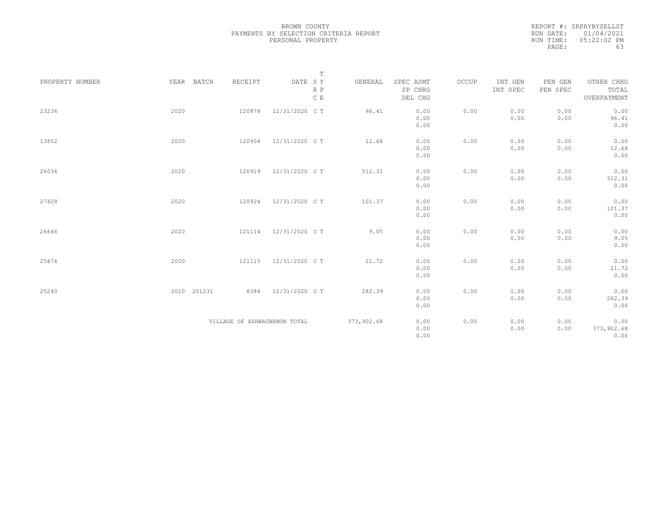|           | REPORT #: SRPAYBYSELLST |
|-----------|-------------------------|
|           | RUN DATE: 01/04/2021    |
| RUN TIME: | $05:22:02$ PM           |
| PAGE:     | 63                      |

|                 |             |                              | $\mathbb T$                                                             |            |                      |       |                     |                     |                     |
|-----------------|-------------|------------------------------|-------------------------------------------------------------------------|------------|----------------------|-------|---------------------|---------------------|---------------------|
| PROPERTY NUMBER | YEAR BATCH  | RECEIPT                      | $\begin{tabular}{lllll} \bf{DATE} & \tt S & \tt Y \end{tabular}$<br>R P | GENERAL    | SPEC ASMT<br>SP CHRG | OCCUP | INT GEN<br>INT SPEC | PEN GEN<br>PEN SPEC | OTHER CHRG<br>TOTAL |
|                 |             |                              | C E                                                                     |            | DEL CHG              |       |                     |                     | OVERPAYMENT         |
| 23236           | 2020        | 120878                       | 12/31/2020 C T                                                          | 96.41      | 0.00                 | 0.00  | 0.00                | 0.00                | 0.00                |
|                 |             |                              |                                                                         |            | 0.00                 |       | 0.00                | 0.00                | 96.41               |
|                 |             |                              |                                                                         |            | 0.00                 |       |                     |                     | 0.00                |
| 13852           | 2020        | 120904                       | 12/31/2020 C T                                                          | 12.68      | 0.00                 | 0.00  | 0.00                | 0.00                | 0.00                |
|                 |             |                              |                                                                         |            | 0.00                 |       | 0.00                | 0.00                | 12.68               |
|                 |             |                              |                                                                         |            | 0.00                 |       |                     |                     | 0.00                |
| 26036           | 2020        | 120919                       | 12/31/2020 C T                                                          | 512.31     | 0.00                 | 0.00  | 0.00                | 0.00                | 0.00                |
|                 |             |                              |                                                                         |            | 0.00                 |       | 0.00                | 0.00                | 512.31              |
|                 |             |                              |                                                                         |            | 0.00                 |       |                     |                     | 0.00                |
| 27428           | 2020        | 120924                       | 12/31/2020 C T                                                          | 101.37     | 0.00                 | 0.00  | 0.00                | 0.00                | 0.00                |
|                 |             |                              |                                                                         |            | 0.00                 |       | 0.00                | 0.00                | 101.37              |
|                 |             |                              |                                                                         |            | 0.00                 |       |                     |                     | 0.00                |
| 26646           | 2020        | 121114                       | 12/31/2020 C T                                                          | 9.05       | 0.00                 | 0.00  | 0.00                | 0.00                | 0.00                |
|                 |             |                              |                                                                         |            | 0.00                 |       | 0.00                | 0.00                | 9.05                |
|                 |             |                              |                                                                         |            | 0.00                 |       |                     |                     | 0.00                |
| 25876           | 2020        | 121115                       | 12/31/2020 C T                                                          | 21.72      | 0.00                 | 0.00  | 0.00                | 0.00                | 0.00                |
|                 |             |                              |                                                                         |            | 0.00                 |       | 0.00                | 0.00                | 21.72               |
|                 |             |                              |                                                                         |            | 0.00                 |       |                     |                     | 0.00                |
| 25240           | 2020 201231 | 8384                         | 12/31/2020 C T                                                          | 282.39     | 0.00                 | 0.00  | 0.00                | 0.00                | 0.00                |
|                 |             |                              |                                                                         |            | 0.00                 |       | 0.00                | 0.00                | 282.39              |
|                 |             |                              |                                                                         |            | 0.00                 |       |                     |                     | 0.00                |
|                 |             | VILLAGE OF ASHWAUBENON TOTAL |                                                                         | 373,902.68 | 0.00                 | 0.00  | 0.00                | 0.00                | 0.00                |
|                 |             |                              |                                                                         |            | 0.00                 |       | 0.00                | 0.00                | 373,902.68          |
|                 |             |                              |                                                                         |            | 0.00                 |       |                     |                     | 0.00                |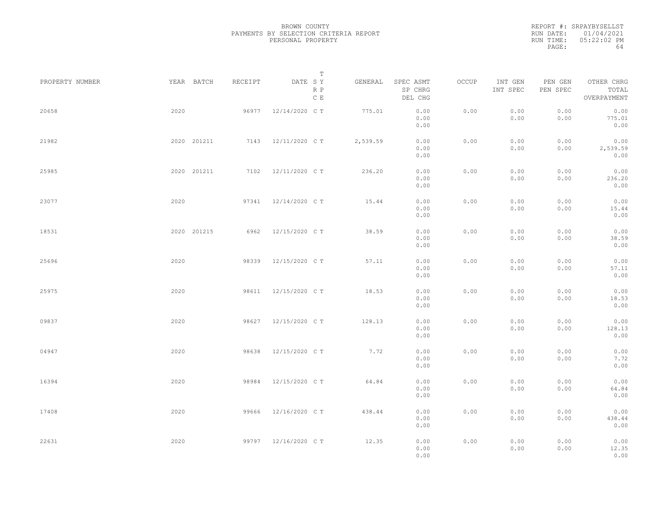REPORT #: SRPAYBYSELLST RUN DATE: 01/04/2021 RUN TIME: 05:22:02 PM PAGE: 64

|                 |             |         | Т                               |          |                                 |       |                     |                     |                                    |  |
|-----------------|-------------|---------|---------------------------------|----------|---------------------------------|-------|---------------------|---------------------|------------------------------------|--|
| PROPERTY NUMBER | YEAR BATCH  | RECEIPT | DATE SY<br>R P<br>$\,$ C $\,$ E | GENERAL  | SPEC ASMT<br>SP CHRG<br>DEL CHG | OCCUP | INT GEN<br>INT SPEC | PEN GEN<br>PEN SPEC | OTHER CHRG<br>TOTAL<br>OVERPAYMENT |  |
| 20658           | 2020        | 96977   | 12/14/2020 C T                  | 775.01   | 0.00<br>0.00<br>0.00            | 0.00  | 0.00<br>0.00        | 0.00<br>0.00        | 0.00<br>775.01<br>0.00             |  |
| 21982           | 2020 201211 |         | 7143 12/11/2020 CT              | 2,539.59 | 0.00<br>0.00<br>0.00            | 0.00  | 0.00<br>0.00        | 0.00<br>0.00        | 0.00<br>2,539.59<br>0.00           |  |
| 25985           | 2020 201211 |         | 7102 12/11/2020 CT              | 236.20   | 0.00<br>0.00<br>0.00            | 0.00  | 0.00<br>0.00        | 0.00<br>0.00        | 0.00<br>236.20<br>0.00             |  |
| 23077           | 2020        | 97341   | 12/14/2020 C T                  | 15.44    | 0.00<br>0.00<br>0.00            | 0.00  | 0.00<br>0.00        | 0.00<br>0.00        | 0.00<br>15.44<br>0.00              |  |
| 18531           | 2020 201215 | 6962    | 12/15/2020 C T                  | 38.59    | 0.00<br>0.00<br>0.00            | 0.00  | 0.00<br>0.00        | 0.00<br>0.00        | 0.00<br>38.59<br>0.00              |  |
| 25696           | 2020        | 98339   | 12/15/2020 C T                  | 57.11    | 0.00<br>0.00<br>0.00            | 0.00  | 0.00<br>0.00        | 0.00<br>0.00        | 0.00<br>57.11<br>0.00              |  |
| 25975           | 2020        | 98611   | 12/15/2020 C T                  | 18.53    | 0.00<br>0.00<br>0.00            | 0.00  | 0.00<br>0.00        | 0.00<br>0.00        | 0.00<br>18.53<br>0.00              |  |
| 09837           | 2020        | 98627   | 12/15/2020 C T                  | 128.13   | 0.00<br>0.00<br>0.00            | 0.00  | 0.00<br>0.00        | 0.00<br>0.00        | 0.00<br>128.13<br>0.00             |  |
| 04947           | 2020        | 98638   | 12/15/2020 C T                  | 7.72     | 0.00<br>0.00<br>0.00            | 0.00  | 0.00<br>0.00        | 0.00<br>0.00        | 0.00<br>7.72<br>0.00               |  |
| 16394           | 2020        | 98984   | 12/15/2020 C T                  | 64.84    | 0.00<br>0.00<br>0.00            | 0.00  | 0.00<br>0.00        | 0.00<br>0.00        | 0.00<br>64.84<br>0.00              |  |
| 17408           | 2020        | 99666   | 12/16/2020 C T                  | 438.44   | 0.00<br>0.00<br>0.00            | 0.00  | 0.00<br>0.00        | 0.00<br>0.00        | 0.00<br>438.44<br>0.00             |  |
| 22631           | 2020        |         | 99797 12/16/2020 CT             | 12.35    | 0.00<br>0.00<br>0.00            | 0.00  | 0.00<br>0.00        | 0.00<br>0.00        | 0.00<br>12.35<br>0.00              |  |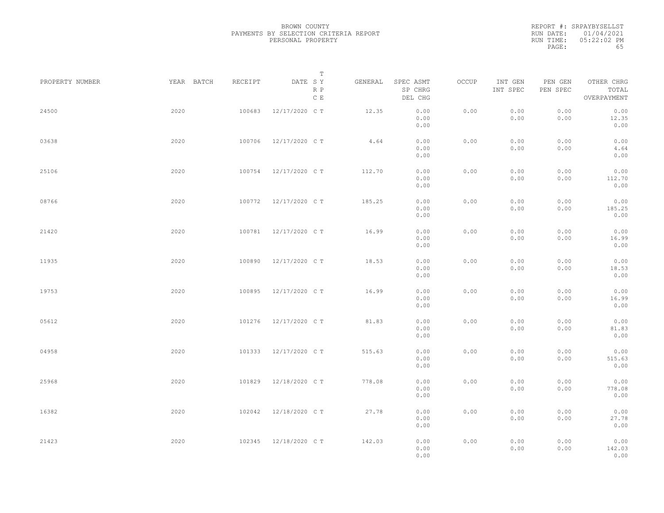|           | REPORT #: SRPAYBYSELLST |
|-----------|-------------------------|
|           | RUN DATE: 01/04/2021    |
| RUN TIME: | $05:22:02$ PM           |
| PAGE:     | 65                      |

|                 |            |         | Т                               |         |                                 |       |                     |                     |                                    |  |
|-----------------|------------|---------|---------------------------------|---------|---------------------------------|-------|---------------------|---------------------|------------------------------------|--|
| PROPERTY NUMBER | YEAR BATCH | RECEIPT | DATE SY<br>R P<br>$\,$ C $\,$ E | GENERAL | SPEC ASMT<br>SP CHRG<br>DEL CHG | OCCUP | INT GEN<br>INT SPEC | PEN GEN<br>PEN SPEC | OTHER CHRG<br>TOTAL<br>OVERPAYMENT |  |
| 24500           | 2020       | 100683  | 12/17/2020 C T                  | 12.35   | 0.00<br>0.00<br>0.00            | 0.00  | 0.00<br>0.00        | 0.00<br>0.00        | 0.00<br>12.35<br>0.00              |  |
| 03638           | 2020       | 100706  | 12/17/2020 C T                  | 4.64    | 0.00<br>0.00<br>0.00            | 0.00  | 0.00<br>0.00        | 0.00<br>0.00        | 0.00<br>4.64<br>0.00               |  |
| 25106           | 2020       | 100754  | 12/17/2020 C T                  | 112.70  | 0.00<br>0.00<br>0.00            | 0.00  | 0.00<br>0.00        | 0.00<br>0.00        | 0.00<br>112.70<br>0.00             |  |
| 08766           | 2020       | 100772  | 12/17/2020 C T                  | 185.25  | 0.00<br>0.00<br>0.00            | 0.00  | 0.00<br>0.00        | 0.00<br>0.00        | 0.00<br>185.25<br>0.00             |  |
| 21420           | 2020       | 100781  | 12/17/2020 C T                  | 16.99   | 0.00<br>0.00<br>0.00            | 0.00  | 0.00<br>0.00        | 0.00<br>0.00        | 0.00<br>16.99<br>0.00              |  |
| 11935           | 2020       | 100890  | 12/17/2020 C T                  | 18.53   | 0.00<br>0.00<br>0.00            | 0.00  | 0.00<br>0.00        | 0.00<br>0.00        | 0.00<br>18.53<br>0.00              |  |
| 19753           | 2020       | 100895  | 12/17/2020 C T                  | 16.99   | 0.00<br>0.00<br>0.00            | 0.00  | 0.00<br>0.00        | 0.00<br>0.00        | 0.00<br>16.99<br>0.00              |  |
| 05612           | 2020       | 101276  | 12/17/2020 C T                  | 81.83   | 0.00<br>0.00                    | 0.00  | 0.00<br>0.00        | 0.00<br>0.00        | 0.00<br>81.83                      |  |
| 04958           | 2020       | 101333  | 12/17/2020 C T                  | 515.63  | 0.00<br>0.00<br>0.00            | 0.00  | 0.00<br>0.00        | 0.00<br>0.00        | 0.00<br>0.00<br>515.63             |  |
| 25968           | 2020       | 101829  | 12/18/2020 C T                  | 778.08  | 0.00<br>0.00<br>0.00            | 0.00  | 0.00<br>0.00        | 0.00<br>0.00        | 0.00<br>0.00<br>778.08             |  |
| 16382           | 2020       | 102042  | 12/18/2020 C T                  | 27.78   | 0.00<br>0.00<br>0.00            | 0.00  | 0.00<br>0.00        | 0.00<br>0.00        | 0.00<br>0.00<br>27.78              |  |
| 21423           | 2020       | 102345  | 12/18/2020 C T                  | 142.03  | 0.00<br>0.00<br>0.00<br>0.00    | 0.00  | 0.00<br>0.00        | 0.00<br>0.00        | 0.00<br>0.00<br>142.03<br>0.00     |  |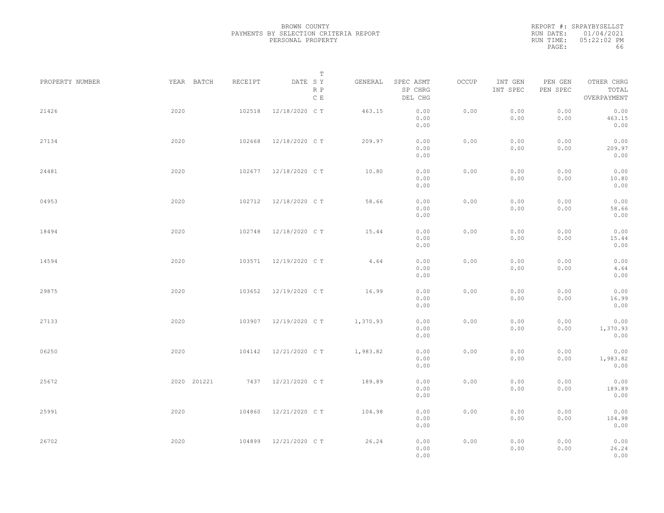|           | REPORT #: SRPAYBYSELLST |
|-----------|-------------------------|
|           | RUN DATE: 01/04/2021    |
| RUN TIME: | 05:22:02 PM             |
| PAGE:     | 66                      |

|                 |             |         | T                               |          |                                 |       |                     |                     |                                    |  |
|-----------------|-------------|---------|---------------------------------|----------|---------------------------------|-------|---------------------|---------------------|------------------------------------|--|
| PROPERTY NUMBER | YEAR BATCH  | RECEIPT | DATE SY<br>R P<br>$\,$ C $\,$ E | GENERAL  | SPEC ASMT<br>SP CHRG<br>DEL CHG | OCCUP | INT GEN<br>INT SPEC | PEN GEN<br>PEN SPEC | OTHER CHRG<br>TOTAL<br>OVERPAYMENT |  |
| 21426           | 2020        | 102518  | 12/18/2020 C T                  | 463.15   | 0.00<br>0.00<br>0.00            | 0.00  | 0.00<br>0.00        | 0.00<br>0.00        | 0.00<br>463.15<br>0.00             |  |
| 27134           | 2020        | 102668  | 12/18/2020 C T                  | 209.97   | 0.00<br>0.00<br>0.00            | 0.00  | 0.00<br>0.00        | 0.00<br>0.00        | 0.00<br>209.97<br>0.00             |  |
| 24481           | 2020        |         | 102677 12/18/2020 CT            | 10.80    | 0.00<br>0.00<br>0.00            | 0.00  | 0.00<br>0.00        | 0.00<br>0.00        | 0.00<br>10.80<br>0.00              |  |
| 04953           | 2020        | 102712  | 12/18/2020 C T                  | 58.66    | 0.00<br>0.00<br>0.00            | 0.00  | 0.00<br>0.00        | 0.00<br>0.00        | 0.00<br>58.66<br>0.00              |  |
| 18494           | 2020        | 102748  | 12/18/2020 C T                  | 15.44    | 0.00<br>0.00<br>0.00            | 0.00  | 0.00<br>0.00        | 0.00<br>0.00        | 0.00<br>15.44<br>0.00              |  |
| 14594           | 2020        | 103571  | 12/19/2020 C T                  | 4.64     | 0.00<br>0.00<br>0.00            | 0.00  | 0.00<br>0.00        | 0.00<br>0.00        | 0.00<br>4.64<br>0.00               |  |
| 29875           | 2020        | 103652  | 12/19/2020 C T                  | 16.99    | 0.00<br>0.00                    | 0.00  | 0.00<br>0.00        | 0.00<br>0.00        | 0.00<br>16.99                      |  |
| 27133           | 2020        | 103907  | 12/19/2020 C T                  | 1,370.93 | 0.00<br>0.00<br>0.00            | 0.00  | 0.00<br>0.00        | 0.00<br>0.00        | 0.00<br>0.00<br>1,370.93           |  |
| 06250           | 2020        | 104142  | 12/21/2020 C T                  | 1,983.82 | 0.00<br>0.00<br>0.00            | 0.00  | 0.00<br>0.00        | 0.00<br>0.00        | 0.00<br>0.00<br>1,983.82           |  |
| 25672           | 2020 201221 |         | 7437 12/21/2020 CT              | 189.89   | 0.00<br>0.00<br>0.00            | 0.00  | 0.00<br>0.00        | 0.00<br>0.00        | 0.00<br>0.00<br>189.89             |  |
| 25991           | 2020        | 104860  | 12/21/2020 C T                  | 104.98   | 0.00<br>0.00<br>0.00            | 0.00  | 0.00<br>0.00        | 0.00<br>0.00        | 0.00<br>0.00<br>104.98             |  |
| 26702           | 2020        | 104899  | 12/21/2020 C T                  | 26.24    | 0.00<br>0.00<br>0.00<br>0.00    | 0.00  | 0.00<br>0.00        | 0.00<br>0.00        | 0.00<br>0.00<br>26.24<br>0.00      |  |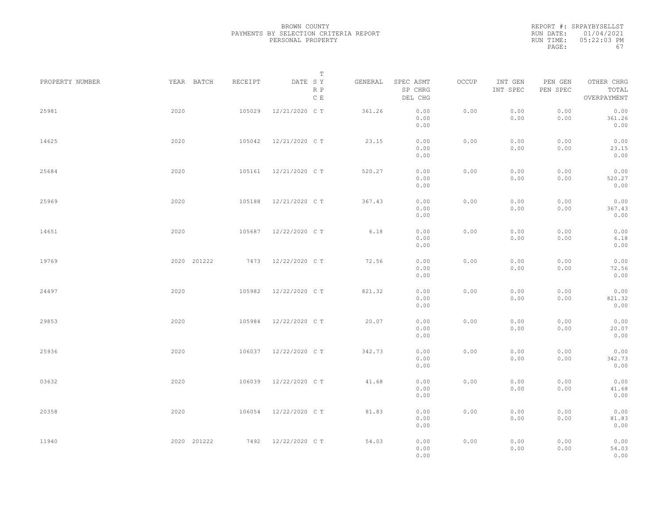|           | REPORT #: SRPAYBYSELLST |
|-----------|-------------------------|
|           | RUN DATE: 01/04/2021    |
| RUN TIME: | $0.5:22:0.3$ PM         |
| PAGE:     | 67                      |

|                 |             |         | T                               |         |                                 |       |                     |                     |                                    |  |
|-----------------|-------------|---------|---------------------------------|---------|---------------------------------|-------|---------------------|---------------------|------------------------------------|--|
| PROPERTY NUMBER | YEAR BATCH  | RECEIPT | DATE SY<br>R P<br>$\,$ C $\,$ E | GENERAL | SPEC ASMT<br>SP CHRG<br>DEL CHG | OCCUP | INT GEN<br>INT SPEC | PEN GEN<br>PEN SPEC | OTHER CHRG<br>TOTAL<br>OVERPAYMENT |  |
| 25981           | 2020        | 105029  | 12/21/2020 C T                  | 361.26  | 0.00<br>0.00<br>0.00            | 0.00  | 0.00<br>0.00        | 0.00<br>0.00        | 0.00<br>361.26<br>0.00             |  |
| 14625           | 2020        | 105042  | 12/21/2020 C T                  | 23.15   | 0.00<br>0.00<br>0.00            | 0.00  | 0.00<br>0.00        | 0.00<br>0.00        | 0.00<br>23.15<br>0.00              |  |
| 25684           | 2020        | 105161  | 12/21/2020 C T                  | 520.27  | 0.00<br>0.00<br>0.00            | 0.00  | 0.00<br>0.00        | 0.00<br>0.00        | 0.00<br>520.27<br>0.00             |  |
| 25969           | 2020        | 105188  | 12/21/2020 C T                  | 367.43  | 0.00<br>0.00<br>0.00            | 0.00  | 0.00<br>0.00        | 0.00<br>0.00        | 0.00<br>367.43<br>0.00             |  |
| 14651           | 2020        | 105687  | 12/22/2020 C T                  | 6.18    | 0.00<br>0.00<br>0.00            | 0.00  | 0.00<br>0.00        | 0.00<br>0.00        | 0.00<br>6.18<br>0.00               |  |
| 19769           | 2020 201222 | 7473    | 12/22/2020 C T                  | 72.56   | 0.00<br>0.00<br>0.00            | 0.00  | 0.00<br>0.00        | 0.00<br>0.00        | 0.00<br>72.56<br>0.00              |  |
| 24497           | 2020        | 105982  | 12/22/2020 C T                  | 821.32  | 0.00<br>0.00<br>0.00            | 0.00  | 0.00<br>0.00        | 0.00<br>0.00        | 0.00<br>821.32<br>0.00             |  |
| 29853           | 2020        | 105984  | 12/22/2020 C T                  | 20.07   | 0.00<br>0.00<br>0.00            | 0.00  | 0.00<br>0.00        | 0.00<br>0.00        | 0.00<br>20.07<br>0.00              |  |
| 25936           | 2020        | 106037  | 12/22/2020 C T                  | 342.73  | 0.00<br>0.00<br>0.00            | 0.00  | 0.00<br>0.00        | 0.00<br>0.00        | 0.00<br>342.73<br>0.00             |  |
| 03632           | 2020        | 106039  | 12/22/2020 C T                  | 41.68   | 0.00<br>0.00<br>0.00            | 0.00  | 0.00<br>0.00        | 0.00<br>0.00        | 0.00<br>41.68<br>0.00              |  |
| 20358           | 2020        | 106054  | 12/22/2020 C T                  | 81.83   | 0.00<br>0.00<br>0.00            | 0.00  | 0.00<br>0.00        | 0.00<br>0.00        | 0.00<br>81.83<br>0.00              |  |
| 11940           | 2020 201222 |         | 7492 12/22/2020 CT              | 54.03   | 0.00<br>0.00<br>0.00            | 0.00  | 0.00<br>0.00        | 0.00<br>0.00        | 0.00<br>54.03<br>0.00              |  |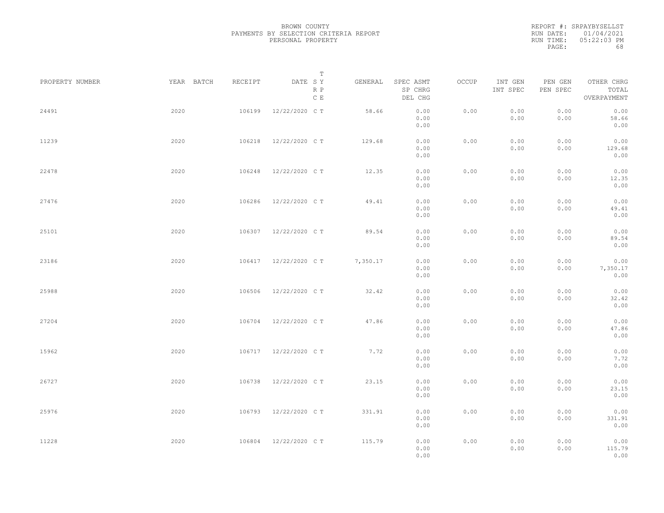|           | REPORT #: SRPAYBYSELLST |
|-----------|-------------------------|
|           | RUN DATE: 01/04/2021    |
| RUN TIME: | $0.5:22:0.3$ PM         |
| PAGE:     | 68                      |

|                 |            |         | T                     |          |                                 |       |                     |                     |                                    |  |
|-----------------|------------|---------|-----------------------|----------|---------------------------------|-------|---------------------|---------------------|------------------------------------|--|
| PROPERTY NUMBER | YEAR BATCH | RECEIPT | DATE SY<br>R P<br>C E | GENERAL  | SPEC ASMT<br>SP CHRG<br>DEL CHG | OCCUP | INT GEN<br>INT SPEC | PEN GEN<br>PEN SPEC | OTHER CHRG<br>TOTAL<br>OVERPAYMENT |  |
| 24491           | 2020       | 106199  | 12/22/2020 C T        | 58.66    | 0.00<br>0.00<br>0.00            | 0.00  | 0.00<br>0.00        | 0.00<br>0.00        | 0.00<br>58.66<br>0.00              |  |
| 11239           | 2020       | 106218  | 12/22/2020 C T        | 129.68   | 0.00<br>0.00<br>0.00            | 0.00  | 0.00<br>0.00        | 0.00<br>0.00        | 0.00<br>129.68<br>0.00             |  |
| 22478           | 2020       | 106248  | 12/22/2020 C T        | 12.35    | 0.00<br>0.00<br>0.00            | 0.00  | 0.00<br>0.00        | 0.00<br>0.00        | 0.00<br>12.35<br>0.00              |  |
| 27476           | 2020       | 106286  | 12/22/2020 C T        | 49.41    | 0.00<br>0.00<br>0.00            | 0.00  | 0.00<br>0.00        | 0.00<br>0.00        | 0.00<br>49.41<br>0.00              |  |
| 25101           | 2020       | 106307  | 12/22/2020 C T        | 89.54    | 0.00<br>0.00<br>0.00            | 0.00  | 0.00<br>0.00        | 0.00<br>0.00        | 0.00<br>89.54<br>0.00              |  |
| 23186           | 2020       | 106417  | 12/22/2020 C T        | 7,350.17 | 0.00<br>0.00<br>0.00            | 0.00  | 0.00<br>0.00        | 0.00<br>0.00        | 0.00<br>7,350.17<br>0.00           |  |
| 25988           | 2020       | 106506  | 12/22/2020 C T        | 32.42    | 0.00<br>0.00<br>0.00            | 0.00  | 0.00<br>0.00        | 0.00<br>0.00        | 0.00<br>32.42<br>0.00              |  |
| 27204           | 2020       | 106704  | 12/22/2020 C T        | 47.86    | 0.00<br>0.00<br>0.00            | 0.00  | 0.00<br>0.00        | 0.00<br>0.00        | 0.00<br>47.86<br>0.00              |  |
| 15962           | 2020       | 106717  | 12/22/2020 C T        | 7.72     | 0.00<br>0.00<br>0.00            | 0.00  | 0.00<br>0.00        | 0.00<br>0.00        | 0.00<br>7.72<br>0.00               |  |
| 26727           | 2020       | 106738  | 12/22/2020 C T        | 23.15    | 0.00<br>0.00<br>0.00            | 0.00  | 0.00<br>0.00        | 0.00<br>0.00        | 0.00<br>23.15<br>0.00              |  |
| 25976           | 2020       | 106793  | 12/22/2020 C T        | 331.91   | 0.00<br>0.00<br>0.00            | 0.00  | 0.00<br>0.00        | 0.00<br>0.00        | 0.00<br>331.91<br>0.00             |  |
| 11228           | 2020       | 106804  | 12/22/2020 C T        | 115.79   | 0.00<br>0.00<br>0.00            | 0.00  | 0.00<br>0.00        | 0.00<br>0.00        | 0.00<br>115.79<br>0.00             |  |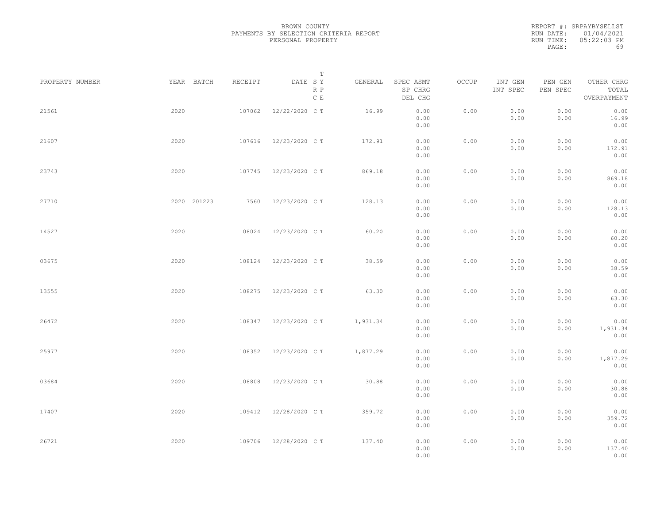REPORT #: SRPAYBYSELLST RUN DATE: 01/04/2021 RUN TIME: 05:22:03 PM PAGE: 69

|                 |             |         | $\mathbb T$           |          |                                 |       |                     |                     |                                    |  |
|-----------------|-------------|---------|-----------------------|----------|---------------------------------|-------|---------------------|---------------------|------------------------------------|--|
| PROPERTY NUMBER | YEAR BATCH  | RECEIPT | DATE SY<br>R P<br>C E | GENERAL  | SPEC ASMT<br>SP CHRG<br>DEL CHG | OCCUP | INT GEN<br>INT SPEC | PEN GEN<br>PEN SPEC | OTHER CHRG<br>TOTAL<br>OVERPAYMENT |  |
| 21561           | 2020        | 107062  | 12/22/2020 C T        | 16.99    | 0.00<br>0.00<br>0.00            | 0.00  | 0.00<br>0.00        | 0.00<br>0.00        | 0.00<br>16.99<br>0.00              |  |
| 21607           | 2020        | 107616  | 12/23/2020 C T        | 172.91   | 0.00<br>0.00<br>0.00            | 0.00  | 0.00<br>0.00        | 0.00<br>0.00        | 0.00<br>172.91<br>0.00             |  |
| 23743           | 2020        | 107745  | 12/23/2020 C T        | 869.18   | 0.00<br>0.00<br>0.00            | 0.00  | 0.00<br>0.00        | 0.00<br>0.00        | 0.00<br>869.18<br>0.00             |  |
| 27710           | 2020 201223 | 7560    | 12/23/2020 C T        | 128.13   | 0.00<br>0.00<br>0.00            | 0.00  | 0.00<br>0.00        | 0.00<br>0.00        | 0.00<br>128.13<br>0.00             |  |
| 14527           | 2020        | 108024  | 12/23/2020 C T        | 60.20    | 0.00<br>0.00<br>0.00            | 0.00  | 0.00<br>0.00        | 0.00<br>0.00        | 0.00<br>60.20<br>0.00              |  |
| 03675           | 2020        | 108124  | 12/23/2020 C T        | 38.59    | 0.00<br>0.00<br>0.00            | 0.00  | 0.00<br>0.00        | 0.00<br>0.00        | 0.00<br>38.59<br>0.00              |  |
| 13555           | 2020        | 108275  | 12/23/2020 C T        | 63.30    | 0.00<br>0.00<br>0.00            | 0.00  | 0.00<br>0.00        | 0.00<br>0.00        | 0.00<br>63.30<br>0.00              |  |
| 26472           | 2020        | 108347  | 12/23/2020 C T        | 1,931.34 | 0.00<br>0.00<br>0.00            | 0.00  | 0.00<br>0.00        | 0.00<br>0.00        | 0.00<br>1,931.34<br>0.00           |  |
| 25977           | 2020        | 108352  | 12/23/2020 C T        | 1,877.29 | 0.00<br>0.00<br>0.00            | 0.00  | 0.00<br>0.00        | 0.00<br>0.00        | 0.00<br>1,877.29<br>0.00           |  |
| 03684           | 2020        | 108808  | 12/23/2020 C T        | 30.88    | 0.00<br>0.00<br>0.00            | 0.00  | 0.00<br>0.00        | 0.00<br>0.00        | 0.00<br>30.88<br>0.00              |  |
| 17407           | 2020        | 109412  | 12/28/2020 C T        | 359.72   | 0.00<br>0.00<br>0.00            | 0.00  | 0.00<br>0.00        | 0.00<br>0.00        | 0.00<br>359.72<br>0.00             |  |
| 26721           | 2020        | 109706  | 12/28/2020 C T        | 137.40   | 0.00<br>0.00<br>0.00            | 0.00  | 0.00<br>0.00        | 0.00<br>0.00        | 0.00<br>137.40<br>0.00             |  |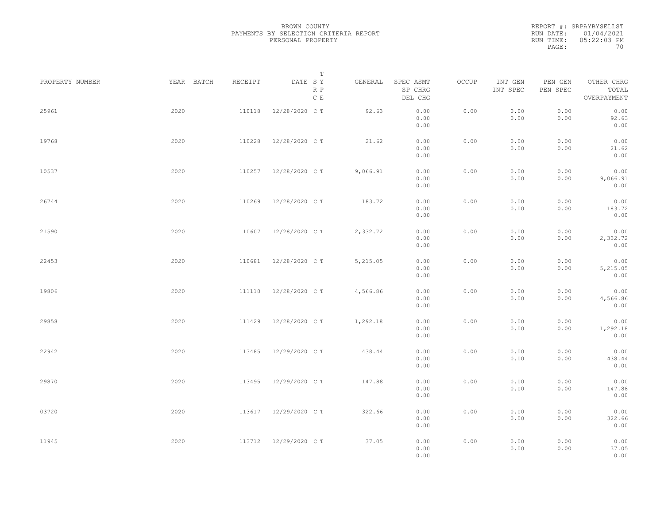REPORT #: SRPAYBYSELLST RUN DATE: 01/04/2021 RUN TIME: 05:22:03 PM PAGE: 70

|                 |            |         | $\mathbb T$                     |          |                                 |       |                     |                     |                                    |  |
|-----------------|------------|---------|---------------------------------|----------|---------------------------------|-------|---------------------|---------------------|------------------------------------|--|
| PROPERTY NUMBER | YEAR BATCH | RECEIPT | DATE SY<br>R P<br>$\,$ C $\,$ E | GENERAL  | SPEC ASMT<br>SP CHRG<br>DEL CHG | OCCUP | INT GEN<br>INT SPEC | PEN GEN<br>PEN SPEC | OTHER CHRG<br>TOTAL<br>OVERPAYMENT |  |
| 25961           | 2020       | 110118  | 12/28/2020 C T                  | 92.63    | 0.00<br>0.00<br>0.00            | 0.00  | 0.00<br>0.00        | 0.00<br>0.00        | 0.00<br>92.63<br>0.00              |  |
| 19768           | 2020       | 110228  | 12/28/2020 C T                  | 21.62    | 0.00<br>0.00<br>0.00            | 0.00  | 0.00<br>0.00        | 0.00<br>0.00        | 0.00<br>21.62<br>0.00              |  |
| 10537           | 2020       | 110257  | 12/28/2020 C T                  | 9,066.91 | 0.00<br>0.00<br>0.00            | 0.00  | 0.00<br>0.00        | 0.00<br>0.00        | 0.00<br>9,066.91<br>0.00           |  |
| 26744           | 2020       | 110269  | 12/28/2020 C T                  | 183.72   | 0.00<br>0.00<br>0.00            | 0.00  | 0.00<br>0.00        | 0.00<br>0.00        | 0.00<br>183.72<br>0.00             |  |
| 21590           | 2020       | 110607  | 12/28/2020 C T                  | 2,332.72 | 0.00<br>0.00<br>0.00            | 0.00  | 0.00<br>0.00        | 0.00<br>0.00        | 0.00<br>2,332.72<br>0.00           |  |
| 22453           | 2020       | 110681  | 12/28/2020 C T                  | 5,215.05 | 0.00<br>0.00<br>0.00            | 0.00  | 0.00<br>0.00        | 0.00<br>0.00        | 0.00<br>5,215.05<br>0.00           |  |
| 19806           | 2020       | 111110  | 12/28/2020 C T                  | 4,566.86 | 0.00<br>0.00<br>0.00            | 0.00  | 0.00<br>0.00        | 0.00<br>0.00        | 0.00<br>4,566.86<br>0.00           |  |
| 29858           | 2020       | 111429  | 12/28/2020 C T                  | 1,292.18 | 0.00<br>0.00<br>0.00            | 0.00  | 0.00<br>0.00        | 0.00<br>0.00        | 0.00<br>1,292.18<br>0.00           |  |
| 22942           | 2020       | 113485  | 12/29/2020 C T                  | 438.44   | 0.00<br>0.00<br>0.00            | 0.00  | 0.00<br>0.00        | 0.00<br>0.00        | 0.00<br>438.44<br>0.00             |  |
| 29870           | 2020       | 113495  | 12/29/2020 C T                  | 147.88   | 0.00<br>0.00<br>0.00            | 0.00  | 0.00<br>0.00        | 0.00<br>0.00        | 0.00<br>147.88<br>0.00             |  |
| 03720           | 2020       | 113617  | 12/29/2020 C T                  | 322.66   | 0.00<br>0.00<br>0.00            | 0.00  | 0.00<br>0.00        | 0.00<br>0.00        | 0.00<br>322.66<br>0.00             |  |
| 11945           | 2020       | 113712  | 12/29/2020 C T                  | 37.05    | 0.00<br>0.00<br>0.00            | 0.00  | 0.00<br>0.00        | 0.00<br>0.00        | 0.00<br>37.05<br>0.00              |  |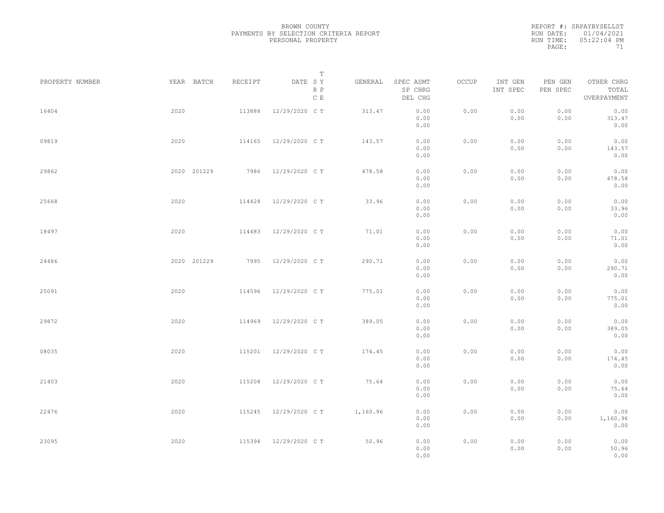| REPORT #: SRPAYBYSELLST |
|-------------------------|
| RUN DATE: 01/04/2021    |
| $0.5:22:04$ PM          |
| 71                      |
|                         |

| PROPERTY NUMBER |      | YEAR BATCH  | RECEIPT | DATE SY        | T<br>R P<br>$\,$ C $\,$ E | GENERAL  | SPEC ASMT<br>SP CHRG<br>DEL CHG | OCCUP | INT GEN<br>INT SPEC | PEN GEN<br>PEN SPEC | OTHER CHRG<br>TOTAL<br>OVERPAYMENT |  |
|-----------------|------|-------------|---------|----------------|---------------------------|----------|---------------------------------|-------|---------------------|---------------------|------------------------------------|--|
| 16404           | 2020 |             | 113888  | 12/29/2020 C T |                           | 313.47   | 0.00<br>0.00<br>0.00            | 0.00  | 0.00<br>0.00        | 0.00<br>0.00        | 0.00<br>313.47<br>0.00             |  |
| 09819           | 2020 |             | 114165  | 12/29/2020 C T |                           | 143.57   | 0.00<br>0.00<br>0.00            | 0.00  | 0.00<br>0.00        | 0.00<br>0.00        | 0.00<br>143.57<br>0.00             |  |
| 29862           |      | 2020 201229 | 7986    | 12/29/2020 C T |                           | 478.58   | 0.00<br>0.00<br>0.00            | 0.00  | 0.00<br>0.00        | 0.00<br>0.00        | 0.00<br>478.58<br>0.00             |  |
| 25668           | 2020 |             | 114428  | 12/29/2020 C T |                           | 33.96    | 0.00<br>0.00<br>0.00            | 0.00  | 0.00<br>0.00        | 0.00<br>0.00        | 0.00<br>33.96<br>0.00              |  |
| 18497           | 2020 |             | 114483  | 12/29/2020 C T |                           | 71.01    | 0.00<br>0.00<br>0.00            | 0.00  | 0.00<br>0.00        | 0.00<br>0.00        | 0.00<br>71.01<br>0.00              |  |
| 24486           |      | 2020 201229 | 7995    | 12/29/2020 C T |                           | 290.71   | 0.00<br>0.00<br>0.00            | 0.00  | 0.00<br>0.00        | 0.00<br>0.00        | 0.00<br>290.71<br>0.00             |  |
| 25091           | 2020 |             | 114596  | 12/29/2020 C T |                           | 775.01   | 0.00<br>0.00<br>0.00            | 0.00  | 0.00<br>0.00        | 0.00<br>0.00        | 0.00<br>775.01<br>0.00             |  |
| 29872           | 2020 |             | 114969  | 12/29/2020 C T |                           | 389.05   | 0.00<br>0.00<br>0.00            | 0.00  | 0.00<br>0.00        | 0.00<br>0.00        | 0.00<br>389.05<br>0.00             |  |
| 08035           | 2020 |             | 115201  | 12/29/2020 C T |                           | 174.45   | 0.00<br>0.00<br>0.00            | 0.00  | 0.00<br>0.00        | 0.00<br>0.00        | 0.00<br>174.45<br>0.00             |  |
| 21403           | 2020 |             | 115208  | 12/29/2020 C T |                           | 75.64    | 0.00<br>0.00<br>0.00            | 0.00  | 0.00<br>0.00        | 0.00<br>0.00        | 0.00<br>75.64<br>0.00              |  |
| 22476           | 2020 |             | 115245  | 12/29/2020 C T |                           | 1,160.96 | 0.00<br>0.00<br>0.00            | 0.00  | 0.00<br>0.00        | 0.00<br>0.00        | 0.00<br>1,160.96<br>0.00           |  |
| 23095           | 2020 |             | 115394  | 12/29/2020 C T |                           | 50.96    | 0.00<br>0.00<br>0.00            | 0.00  | 0.00<br>0.00        | 0.00<br>0.00        | 0.00<br>50.96<br>0.00              |  |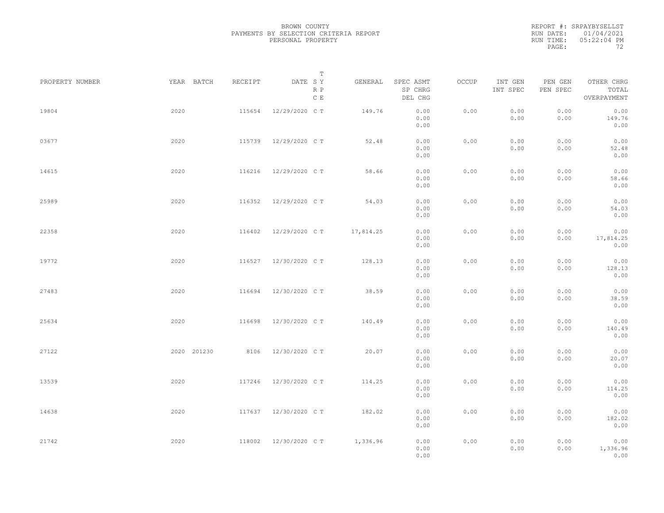|           | REPORT #: SRPAYBYSELLST |
|-----------|-------------------------|
|           | RUN DATE: 01/04/2021    |
| RUN TIME: | $05:22:04$ PM           |
| PAGE:     | フク                      |

|                 |             |         | T                     |           |                                 |       |                     |                     |                                    |  |
|-----------------|-------------|---------|-----------------------|-----------|---------------------------------|-------|---------------------|---------------------|------------------------------------|--|
| PROPERTY NUMBER | YEAR BATCH  | RECEIPT | DATE SY<br>R P<br>C E | GENERAL   | SPEC ASMT<br>SP CHRG<br>DEL CHG | OCCUP | INT GEN<br>INT SPEC | PEN GEN<br>PEN SPEC | OTHER CHRG<br>TOTAL<br>OVERPAYMENT |  |
| 19804           | 2020        | 115654  | 12/29/2020 C T        | 149.76    | 0.00<br>0.00<br>0.00            | 0.00  | 0.00<br>0.00        | 0.00<br>0.00        | 0.00<br>149.76<br>0.00             |  |
| 03677           | 2020        | 115739  | 12/29/2020 C T        | 52.48     | 0.00<br>0.00<br>0.00            | 0.00  | 0.00<br>0.00        | 0.00<br>0.00        | 0.00<br>52.48<br>0.00              |  |
| 14615           | 2020        | 116216  | 12/29/2020 C T        | 58.66     | 0.00<br>0.00<br>0.00            | 0.00  | 0.00<br>0.00        | 0.00<br>0.00        | 0.00<br>58.66<br>0.00              |  |
| 25989           | 2020        | 116352  | 12/29/2020 C T        | 54.03     | 0.00<br>0.00<br>0.00            | 0.00  | 0.00<br>0.00        | 0.00<br>0.00        | 0.00<br>54.03<br>0.00              |  |
| 22358           | 2020        | 116402  | 12/29/2020 C T        | 17,814.25 | 0.00<br>0.00<br>0.00            | 0.00  | 0.00<br>0.00        | 0.00<br>0.00        | 0.00<br>17,814.25<br>0.00          |  |
| 19772           | 2020        | 116527  | 12/30/2020 C T        | 128.13    | 0.00<br>0.00<br>0.00            | 0.00  | 0.00<br>0.00        | 0.00<br>0.00        | 0.00<br>128.13<br>0.00             |  |
| 27483           | 2020        | 116694  | 12/30/2020 C T        | 38.59     | 0.00<br>0.00<br>0.00            | 0.00  | 0.00<br>0.00        | 0.00<br>0.00        | 0.00<br>38.59<br>0.00              |  |
| 25634           | 2020        | 116698  | 12/30/2020 C T        | 140.49    | 0.00<br>0.00<br>0.00            | 0.00  | 0.00<br>0.00        | 0.00<br>0.00        | 0.00<br>140.49<br>0.00             |  |
| 27122           | 2020 201230 | 8106    | 12/30/2020 C T        | 20.07     | 0.00<br>0.00                    | 0.00  | 0.00<br>0.00        | 0.00<br>0.00        | 0.00<br>20.07                      |  |
| 13539           | 2020        | 117246  | 12/30/2020 C T        | 114.25    | 0.00<br>0.00<br>0.00<br>0.00    | 0.00  | 0.00<br>0.00        | 0.00<br>0.00        | 0.00<br>0.00<br>114.25<br>0.00     |  |
| 14638           | 2020        |         | 117637 12/30/2020 CT  | 182.02    | 0.00<br>0.00<br>0.00            | 0.00  | 0.00<br>0.00        | 0.00<br>0.00        | 0.00<br>182.02<br>0.00             |  |
| 21742           | 2020        | 118002  | 12/30/2020 C T        | 1,336.96  | 0.00<br>0.00<br>0.00            | 0.00  | 0.00<br>0.00        | 0.00<br>0.00        | 0.00<br>1,336.96<br>0.00           |  |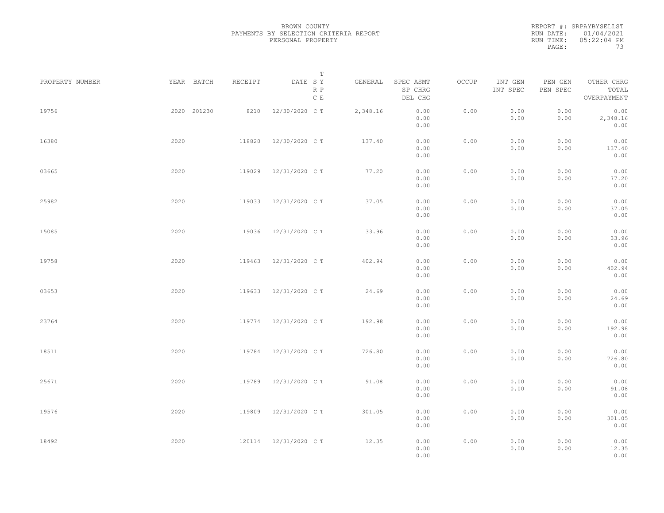REPORT #: SRPAYBYSELLST RUN DATE: 01/04/2021 RUN TIME: 05:22:04 PM PAGE: 73

|                 |             |         | $\mathbb T$           |          |                                 |       |                     |                     |                                    |  |
|-----------------|-------------|---------|-----------------------|----------|---------------------------------|-------|---------------------|---------------------|------------------------------------|--|
| PROPERTY NUMBER | YEAR BATCH  | RECEIPT | DATE SY<br>R P<br>C E | GENERAL  | SPEC ASMT<br>SP CHRG<br>DEL CHG | OCCUP | INT GEN<br>INT SPEC | PEN GEN<br>PEN SPEC | OTHER CHRG<br>TOTAL<br>OVERPAYMENT |  |
| 19756           | 2020 201230 | 8210    | 12/30/2020 C T        | 2,348.16 | 0.00<br>0.00<br>0.00            | 0.00  | 0.00<br>0.00        | 0.00<br>0.00        | 0.00<br>2,348.16<br>0.00           |  |
| 16380           | 2020        | 118820  | 12/30/2020 C T        | 137.40   | 0.00<br>0.00<br>0.00            | 0.00  | 0.00<br>0.00        | 0.00<br>0.00        | 0.00<br>137.40<br>0.00             |  |
| 03665           | 2020        | 119029  | 12/31/2020 C T        | 77.20    | 0.00<br>0.00<br>0.00            | 0.00  | 0.00<br>0.00        | 0.00<br>0.00        | 0.00<br>77.20<br>0.00              |  |
| 25982           | 2020        | 119033  | 12/31/2020 C T        | 37.05    | 0.00<br>0.00<br>0.00            | 0.00  | 0.00<br>0.00        | 0.00<br>0.00        | 0.00<br>37.05<br>0.00              |  |
| 15085           | 2020        | 119036  | 12/31/2020 C T        | 33.96    | 0.00<br>0.00<br>0.00            | 0.00  | 0.00<br>0.00        | 0.00<br>0.00        | 0.00<br>33.96<br>0.00              |  |
| 19758           | 2020        | 119463  | 12/31/2020 C T        | 402.94   | 0.00<br>0.00<br>0.00            | 0.00  | 0.00<br>0.00        | 0.00<br>0.00        | 0.00<br>402.94<br>0.00             |  |
| 03653           | 2020        | 119633  | 12/31/2020 C T        | 24.69    | 0.00<br>0.00<br>0.00            | 0.00  | 0.00<br>0.00        | 0.00<br>0.00        | 0.00<br>24.69<br>0.00              |  |
| 23764           | 2020        | 119774  | 12/31/2020 C T        | 192.98   | 0.00<br>0.00<br>0.00            | 0.00  | 0.00<br>0.00        | 0.00<br>0.00        | 0.00<br>192.98<br>0.00             |  |
| 18511           | 2020        | 119784  | 12/31/2020 C T        | 726.80   | 0.00<br>0.00<br>0.00            | 0.00  | 0.00<br>0.00        | 0.00<br>0.00        | 0.00<br>726.80<br>0.00             |  |
| 25671           | 2020        | 119789  | 12/31/2020 C T        | 91.08    | 0.00<br>0.00<br>0.00            | 0.00  | 0.00<br>0.00        | 0.00<br>0.00        | 0.00<br>91.08<br>0.00              |  |
| 19576           | 2020        | 119809  | 12/31/2020 C T        | 301.05   | 0.00<br>0.00<br>0.00            | 0.00  | 0.00<br>0.00        | 0.00<br>0.00        | 0.00<br>301.05<br>0.00             |  |
| 18492           | 2020        |         | 120114 12/31/2020 CT  | 12.35    | 0.00<br>0.00<br>0.00            | 0.00  | 0.00<br>0.00        | 0.00<br>0.00        | 0.00<br>12.35<br>0.00              |  |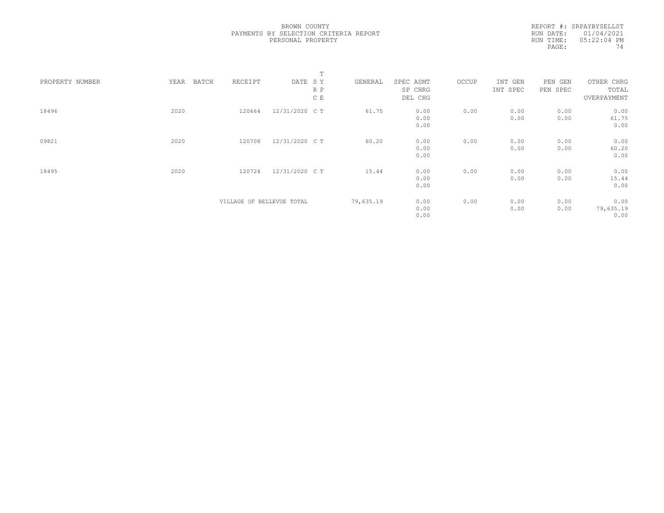REPORT #: SRPAYBYSELLST RUN DATE: 01/04/2021 RUN TIME: 05:22:04 PM PAGE: 74

|                 |      |                           |                | T   |           |           |       |          |          |             |  |
|-----------------|------|---------------------------|----------------|-----|-----------|-----------|-------|----------|----------|-------------|--|
| PROPERTY NUMBER | YEAR | BATCH<br>RECEIPT          | DATE SY        |     | GENERAL   | SPEC ASMT | OCCUP | INT GEN  | PEN GEN  | OTHER CHRG  |  |
|                 |      |                           |                | R P |           | SP CHRG   |       | INT SPEC | PEN SPEC | TOTAL       |  |
|                 |      |                           |                | C E |           | DEL CHG   |       |          |          | OVERPAYMENT |  |
| 18496           | 2020 | 120664                    | 12/31/2020 C T |     | 61.75     | 0.00      | 0.00  | 0.00     | 0.00     | 0.00        |  |
|                 |      |                           |                |     |           | 0.00      |       | 0.00     | 0.00     | 61.75       |  |
|                 |      |                           |                |     |           | 0.00      |       |          |          | 0.00        |  |
| 09821           | 2020 | 120708                    | 12/31/2020 C T |     | 60.20     | 0.00      | 0.00  | 0.00     | 0.00     | 0.00        |  |
|                 |      |                           |                |     |           | 0.00      |       | 0.00     | 0.00     | 60.20       |  |
|                 |      |                           |                |     |           | 0.00      |       |          |          | 0.00        |  |
| 18495           | 2020 | 120724                    | 12/31/2020 C T |     | 15.44     | 0.00      | 0.00  | 0.00     | 0.00     | 0.00        |  |
|                 |      |                           |                |     |           | 0.00      |       | 0.00     | 0.00     | 15.44       |  |
|                 |      |                           |                |     |           | 0.00      |       |          |          | 0.00        |  |
|                 |      | VILLAGE OF BELLEVUE TOTAL |                |     | 79,635.19 | 0.00      | 0.00  | 0.00     | 0.00     | 0.00        |  |
|                 |      |                           |                |     |           | 0.00      |       | 0.00     | 0.00     | 79,635.19   |  |
|                 |      |                           |                |     |           | 0.00      |       |          |          | 0.00        |  |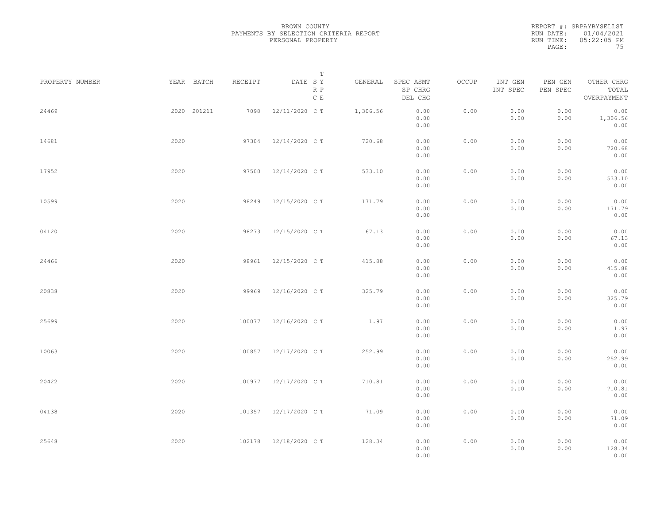REPORT #: SRPAYBYSELLST RUN DATE: 01/04/2021 RUN TIME: 05:22:05 PM PAGE: 75

|                 |             |         | $\mathbb T$                     |          |                                 |       |                     |                     |                                    |
|-----------------|-------------|---------|---------------------------------|----------|---------------------------------|-------|---------------------|---------------------|------------------------------------|
| PROPERTY NUMBER | YEAR BATCH  | RECEIPT | DATE SY<br>R P<br>$\,$ C $\,$ E | GENERAL  | SPEC ASMT<br>SP CHRG<br>DEL CHG | OCCUP | INT GEN<br>INT SPEC | PEN GEN<br>PEN SPEC | OTHER CHRG<br>TOTAL<br>OVERPAYMENT |
| 24469           | 2020 201211 | 7098    | 12/11/2020 C T                  | 1,306.56 | 0.00<br>0.00<br>0.00            | 0.00  | 0.00<br>0.00        | 0.00<br>0.00        | 0.00<br>1,306.56<br>0.00           |
| 14681           | 2020        | 97304   | 12/14/2020 C T                  | 720.68   | 0.00<br>0.00<br>0.00            | 0.00  | 0.00<br>0.00        | 0.00<br>0.00        | 0.00<br>720.68<br>0.00             |
| 17952           | 2020        | 97500   | 12/14/2020 C T                  | 533.10   | 0.00<br>0.00<br>0.00            | 0.00  | 0.00<br>0.00        | 0.00<br>0.00        | 0.00<br>533.10<br>0.00             |
| 10599           | 2020        | 98249   | 12/15/2020 C T                  | 171.79   | 0.00<br>0.00<br>0.00            | 0.00  | 0.00<br>0.00        | 0.00<br>0.00        | 0.00<br>171.79<br>0.00             |
| 04120           | 2020        | 98273   | 12/15/2020 C T                  | 67.13    | 0.00<br>0.00<br>0.00            | 0.00  | 0.00<br>0.00        | 0.00<br>0.00        | 0.00<br>67.13<br>0.00              |
| 24466           | 2020        | 98961   | 12/15/2020 C T                  | 415.88   | 0.00<br>0.00<br>0.00            | 0.00  | 0.00<br>0.00        | 0.00<br>0.00        | 0.00<br>415.88<br>0.00             |
| 20838           | 2020        | 99969   | 12/16/2020 C T                  | 325.79   | 0.00<br>0.00<br>0.00            | 0.00  | 0.00<br>0.00        | 0.00<br>0.00        | 0.00<br>325.79<br>0.00             |
| 25699           | 2020        | 100077  | 12/16/2020 C T                  | 1.97     | 0.00<br>0.00<br>0.00            | 0.00  | 0.00<br>0.00        | 0.00<br>0.00        | 0.00<br>1.97<br>0.00               |
| 10063           | 2020        | 100857  | 12/17/2020 C T                  | 252.99   | 0.00<br>0.00<br>0.00            | 0.00  | 0.00<br>0.00        | 0.00<br>0.00        | 0.00<br>252.99<br>0.00             |
| 20422           | 2020        | 100977  | 12/17/2020 C T                  | 710.81   | 0.00<br>0.00<br>0.00            | 0.00  | 0.00<br>0.00        | 0.00<br>0.00        | 0.00<br>710.81<br>0.00             |
| 04138           | 2020        |         | 101357 12/17/2020 CT            | 71.09    | 0.00<br>0.00                    | 0.00  | 0.00<br>0.00        | 0.00<br>0.00        | 0.00<br>71.09<br>0.00              |
| 25648           | 2020        |         | 102178 12/18/2020 CT            | 128.34   | 0.00<br>0.00<br>0.00<br>0.00    | 0.00  | 0.00<br>0.00        | 0.00<br>0.00        | 0.00<br>128.34<br>0.00             |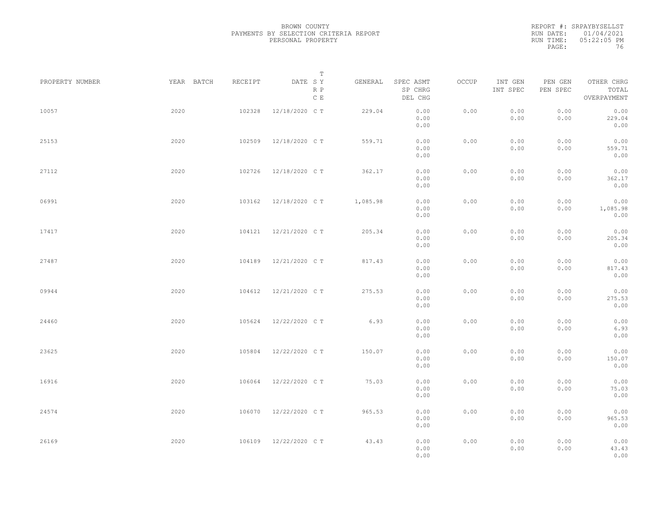REPORT #: SRPAYBYSELLST RUN DATE: 01/04/2021 RUN TIME: 05:22:05 PM PAGE: 76

|                 |            |         | $\mathbb T$           |          |                                 |       |                     |                     |                                    |  |
|-----------------|------------|---------|-----------------------|----------|---------------------------------|-------|---------------------|---------------------|------------------------------------|--|
| PROPERTY NUMBER | YEAR BATCH | RECEIPT | DATE SY<br>R P<br>C E | GENERAL  | SPEC ASMT<br>SP CHRG<br>DEL CHG | OCCUP | INT GEN<br>INT SPEC | PEN GEN<br>PEN SPEC | OTHER CHRG<br>TOTAL<br>OVERPAYMENT |  |
| 10057           | 2020       | 102328  | 12/18/2020 C T        | 229.04   | 0.00<br>0.00<br>0.00            | 0.00  | 0.00<br>0.00        | 0.00<br>0.00        | 0.00<br>229.04<br>0.00             |  |
| 25153           | 2020       | 102509  | 12/18/2020 C T        | 559.71   | 0.00<br>0.00<br>0.00            | 0.00  | 0.00<br>0.00        | 0.00<br>0.00        | 0.00<br>559.71<br>0.00             |  |
| 27112           | 2020       | 102726  | 12/18/2020 C T        | 362.17   | 0.00<br>0.00<br>0.00            | 0.00  | 0.00<br>0.00        | 0.00<br>0.00        | 0.00<br>362.17<br>0.00             |  |
| 06991           | 2020       | 103162  | 12/18/2020 C T        | 1,085.98 | 0.00<br>0.00<br>0.00            | 0.00  | 0.00<br>0.00        | 0.00<br>0.00        | 0.00<br>1,085.98<br>0.00           |  |
| 17417           | 2020       | 104121  | 12/21/2020 C T        | 205.34   | 0.00<br>0.00<br>0.00            | 0.00  | 0.00<br>0.00        | 0.00<br>0.00        | 0.00<br>205.34<br>0.00             |  |
| 27487           | 2020       | 104189  | 12/21/2020 C T        | 817.43   | 0.00<br>0.00<br>0.00            | 0.00  | 0.00<br>0.00        | 0.00<br>0.00        | 0.00<br>817.43<br>0.00             |  |
| 09944           | 2020       | 104612  | 12/21/2020 C T        | 275.53   | 0.00<br>0.00<br>0.00            | 0.00  | 0.00<br>0.00        | 0.00<br>0.00        | 0.00<br>275.53<br>0.00             |  |
| 24460           | 2020       | 105624  | 12/22/2020 C T        | 6.93     | 0.00<br>0.00<br>0.00            | 0.00  | 0.00<br>0.00        | 0.00<br>0.00        | 0.00<br>6.93<br>0.00               |  |
| 23625           | 2020       | 105804  | 12/22/2020 C T        | 150.07   | 0.00<br>0.00                    | 0.00  | 0.00<br>0.00        | 0.00<br>0.00        | 0.00<br>150.07<br>0.00             |  |
| 16916           | 2020       | 106064  | 12/22/2020 C T        | 75.03    | 0.00<br>0.00<br>0.00<br>0.00    | 0.00  | 0.00<br>0.00        | 0.00<br>0.00        | 0.00<br>75.03<br>0.00              |  |
| 24574           | 2020       | 106070  | 12/22/2020 C T        | 965.53   | 0.00<br>0.00<br>0.00            | 0.00  | 0.00<br>0.00        | 0.00<br>0.00        | 0.00<br>965.53<br>0.00             |  |
| 26169           | 2020       | 106109  | 12/22/2020 C T        | 43.43    | 0.00<br>0.00<br>0.00            | 0.00  | 0.00<br>0.00        | 0.00<br>0.00        | 0.00<br>43.43<br>0.00              |  |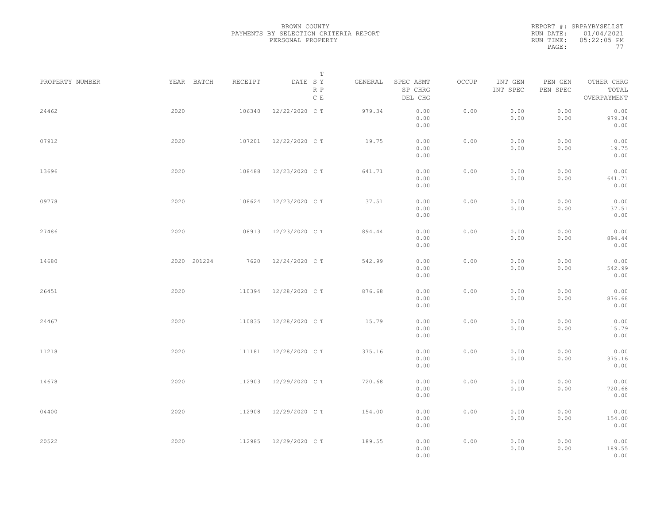|           | REPORT #: SRPAYBYSELLST |
|-----------|-------------------------|
|           | RUN DATE: 01/04/2021    |
| RUN TIME: | $05:22:05$ PM           |
| PAGE:     | 77                      |

|                 |             |         | T                               |         |                                 |       |                     |                     |                                    |  |
|-----------------|-------------|---------|---------------------------------|---------|---------------------------------|-------|---------------------|---------------------|------------------------------------|--|
| PROPERTY NUMBER | YEAR BATCH  | RECEIPT | DATE SY<br>R P<br>$\,$ C $\,$ E | GENERAL | SPEC ASMT<br>SP CHRG<br>DEL CHG | OCCUP | INT GEN<br>INT SPEC | PEN GEN<br>PEN SPEC | OTHER CHRG<br>TOTAL<br>OVERPAYMENT |  |
| 24462           | 2020        | 106340  | 12/22/2020 C T                  | 979.34  | 0.00<br>0.00<br>0.00            | 0.00  | 0.00<br>0.00        | 0.00<br>0.00        | 0.00<br>979.34<br>0.00             |  |
| 07912           | 2020        | 107201  | 12/22/2020 C T                  | 19.75   | 0.00<br>0.00<br>0.00            | 0.00  | 0.00<br>0.00        | 0.00<br>0.00        | 0.00<br>19.75<br>0.00              |  |
| 13696           | 2020        | 108488  | 12/23/2020 C T                  | 641.71  | 0.00<br>0.00<br>0.00            | 0.00  | 0.00<br>0.00        | 0.00<br>0.00        | 0.00<br>641.71<br>0.00             |  |
| 09778           | 2020        | 108624  | 12/23/2020 C T                  | 37.51   | 0.00<br>0.00<br>0.00            | 0.00  | 0.00<br>0.00        | 0.00<br>0.00        | 0.00<br>37.51<br>0.00              |  |
| 27486           | 2020        | 108913  | 12/23/2020 C T                  | 894.44  | 0.00<br>0.00<br>0.00            | 0.00  | 0.00<br>0.00        | 0.00<br>0.00        | 0.00<br>894.44<br>0.00             |  |
| 14680           | 2020 201224 | 7620    | 12/24/2020 C T                  | 542.99  | 0.00<br>0.00<br>0.00            | 0.00  | 0.00<br>0.00        | 0.00<br>0.00        | 0.00<br>542.99<br>0.00             |  |
| 26451           | 2020        | 110394  | 12/28/2020 C T                  | 876.68  | 0.00<br>0.00<br>0.00            | 0.00  | 0.00<br>0.00        | 0.00<br>0.00        | 0.00<br>876.68<br>0.00             |  |
| 24467           | 2020        | 110835  | 12/28/2020 C T                  | 15.79   | 0.00<br>0.00<br>0.00            | 0.00  | 0.00<br>0.00        | 0.00<br>0.00        | 0.00<br>15.79<br>0.00              |  |
| 11218           | 2020        | 111181  | 12/28/2020 C T                  | 375.16  | 0.00<br>0.00<br>0.00            | 0.00  | 0.00<br>0.00        | 0.00<br>0.00        | 0.00<br>375.16<br>0.00             |  |
| 14678           | 2020        | 112903  | 12/29/2020 C T                  | 720.68  | 0.00<br>0.00<br>0.00            | 0.00  | 0.00<br>0.00        | 0.00<br>0.00        | 0.00<br>720.68<br>0.00             |  |
| 04400           | 2020        | 112908  | 12/29/2020 C T                  | 154.00  | 0.00<br>0.00<br>0.00            | 0.00  | 0.00<br>0.00        | 0.00<br>0.00        | 0.00<br>154.00<br>0.00             |  |
| 20522           | 2020        | 112985  | 12/29/2020 C T                  | 189.55  | 0.00<br>0.00<br>0.00            | 0.00  | 0.00<br>0.00        | 0.00<br>0.00        | 0.00<br>189.55<br>0.00             |  |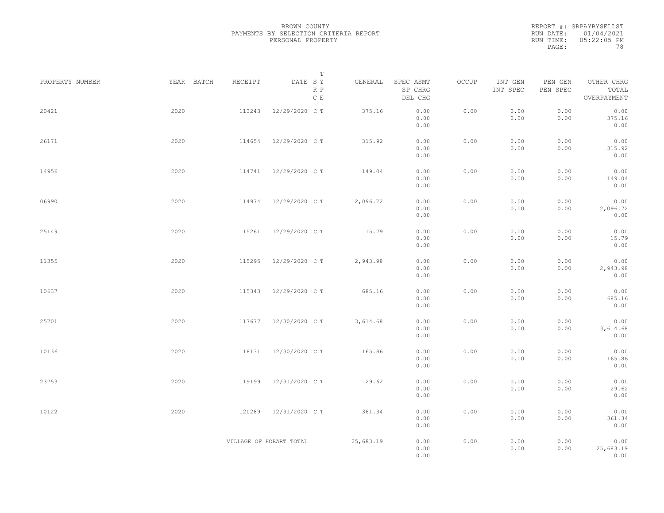|           | REPORT #: SRPAYBYSELLST |
|-----------|-------------------------|
|           | RUN DATE: 01/04/2021    |
| RUN TIME: | $05:22:05$ PM           |
| PAGE:     | 78                      |

| PROPERTY NUMBER | YEAR BATCH | RECEIPT | T<br>DATE SY            | GENERAL   | SPEC ASMT            | OCCUP | INT GEN      | PEN GEN      | OTHER CHRG                |  |
|-----------------|------------|---------|-------------------------|-----------|----------------------|-------|--------------|--------------|---------------------------|--|
|                 |            |         | R P<br>C E              |           | SP CHRG<br>DEL CHG   |       | INT SPEC     | PEN SPEC     | TOTAL<br>OVERPAYMENT      |  |
| 20421           | 2020       | 113243  | 12/29/2020 C T          | 375.16    | 0.00<br>0.00<br>0.00 | 0.00  | 0.00<br>0.00 | 0.00<br>0.00 | 0.00<br>375.16<br>0.00    |  |
| 26171           | 2020       | 114654  | 12/29/2020 C T          | 315.92    | 0.00<br>0.00<br>0.00 | 0.00  | 0.00<br>0.00 | 0.00<br>0.00 | 0.00<br>315.92<br>0.00    |  |
| 14956           | 2020       |         | 114741 12/29/2020 CT    | 149.04    | 0.00<br>0.00<br>0.00 | 0.00  | 0.00<br>0.00 | 0.00<br>0.00 | 0.00<br>149.04<br>0.00    |  |
| 06990           | 2020       | 114974  | 12/29/2020 C T          | 2,096.72  | 0.00<br>0.00<br>0.00 | 0.00  | 0.00<br>0.00 | 0.00<br>0.00 | 0.00<br>2,096.72<br>0.00  |  |
| 25149           | 2020       | 115261  | 12/29/2020 C T          | 15.79     | 0.00<br>0.00<br>0.00 | 0.00  | 0.00<br>0.00 | 0.00<br>0.00 | 0.00<br>15.79<br>0.00     |  |
| 11355           | 2020       | 115295  | 12/29/2020 C T          | 2,943.98  | 0.00<br>0.00<br>0.00 | 0.00  | 0.00<br>0.00 | 0.00<br>0.00 | 0.00<br>2,943.98<br>0.00  |  |
| 10637           | 2020       | 115343  | 12/29/2020 C T          | 685.16    | 0.00<br>0.00<br>0.00 | 0.00  | 0.00<br>0.00 | 0.00<br>0.00 | 0.00<br>685.16<br>0.00    |  |
| 25701           | 2020       | 117677  | 12/30/2020 C T          | 3,614.68  | 0.00<br>0.00<br>0.00 | 0.00  | 0.00<br>0.00 | 0.00<br>0.00 | 0.00<br>3,614.68<br>0.00  |  |
| 10136           | 2020       | 118131  | 12/30/2020 C T          | 165.86    | 0.00<br>0.00<br>0.00 | 0.00  | 0.00<br>0.00 | 0.00<br>0.00 | 0.00<br>165.86<br>0.00    |  |
| 23753           | 2020       | 119199  | 12/31/2020 C T          | 29.62     | 0.00<br>0.00<br>0.00 | 0.00  | 0.00<br>0.00 | 0.00<br>0.00 | 0.00<br>29.62<br>0.00     |  |
| 10122           | 2020       | 120289  | 12/31/2020 C T          | 361.34    | 0.00<br>0.00<br>0.00 | 0.00  | 0.00<br>0.00 | 0.00<br>0.00 | 0.00<br>361.34<br>0.00    |  |
|                 |            |         | VILLAGE OF HOBART TOTAL | 25,683.19 | 0.00<br>0.00<br>0.00 | 0.00  | 0.00<br>0.00 | 0.00<br>0.00 | 0.00<br>25,683.19<br>0.00 |  |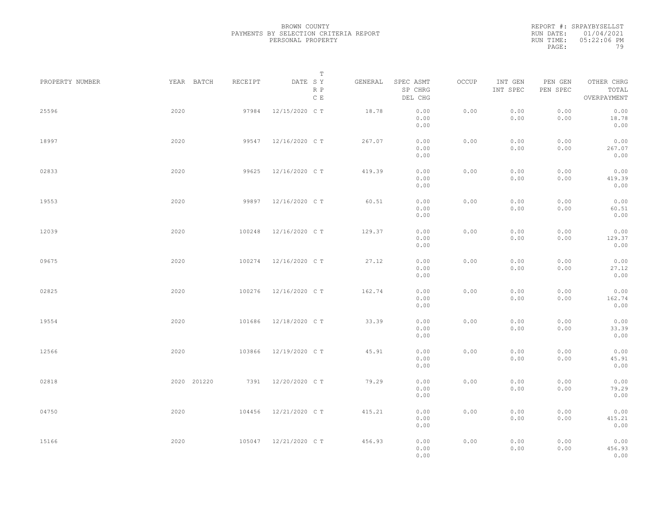REPORT #: SRPAYBYSELLST RUN DATE: 01/04/2021 RUN TIME: 05:22:06 PM PAGE: 79

|                 |             |         | $\mathbb T$           |         |                                 |       |                     |                     |                                    |  |
|-----------------|-------------|---------|-----------------------|---------|---------------------------------|-------|---------------------|---------------------|------------------------------------|--|
| PROPERTY NUMBER | YEAR BATCH  | RECEIPT | DATE SY<br>R P<br>C E | GENERAL | SPEC ASMT<br>SP CHRG<br>DEL CHG | OCCUP | INT GEN<br>INT SPEC | PEN GEN<br>PEN SPEC | OTHER CHRG<br>TOTAL<br>OVERPAYMENT |  |
| 25596           | 2020        | 97984   | 12/15/2020 C T        | 18.78   | 0.00<br>0.00<br>0.00            | 0.00  | 0.00<br>0.00        | 0.00<br>0.00        | 0.00<br>18.78<br>0.00              |  |
| 18997           | 2020        | 99547   | 12/16/2020 C T        | 267.07  | 0.00<br>0.00<br>0.00            | 0.00  | 0.00<br>0.00        | 0.00<br>0.00        | 0.00<br>267.07<br>0.00             |  |
| 02833           | 2020        | 99625   | 12/16/2020 C T        | 419.39  | 0.00<br>0.00<br>0.00            | 0.00  | 0.00<br>0.00        | 0.00<br>0.00        | 0.00<br>419.39<br>0.00             |  |
| 19553           | 2020        | 99897   | 12/16/2020 C T        | 60.51   | 0.00<br>0.00<br>0.00            | 0.00  | 0.00<br>0.00        | 0.00<br>0.00        | 0.00<br>60.51<br>0.00              |  |
| 12039           | 2020        | 100248  | 12/16/2020 C T        | 129.37  | 0.00<br>0.00<br>0.00            | 0.00  | 0.00<br>0.00        | 0.00<br>0.00        | 0.00<br>129.37<br>0.00             |  |
| 09675           | 2020        | 100274  | 12/16/2020 C T        | 27.12   | 0.00<br>0.00<br>0.00            | 0.00  | 0.00<br>0.00        | 0.00<br>0.00        | 0.00<br>27.12<br>0.00              |  |
| 02825           | 2020        | 100276  | 12/16/2020 C T        | 162.74  | 0.00<br>0.00<br>0.00            | 0.00  | 0.00<br>0.00        | 0.00<br>0.00        | 0.00<br>162.74<br>0.00             |  |
| 19554           | 2020        | 101686  | 12/18/2020 C T        | 33.39   | 0.00<br>0.00<br>0.00            | 0.00  | 0.00<br>0.00        | 0.00<br>0.00        | 0.00<br>33.39<br>0.00              |  |
| 12566           | 2020        | 103866  | 12/19/2020 C T        | 45.91   | 0.00<br>0.00<br>0.00            | 0.00  | 0.00<br>0.00        | 0.00<br>0.00        | 0.00<br>45.91<br>0.00              |  |
| 02818           | 2020 201220 | 7391    | 12/20/2020 C T        | 79.29   | 0.00<br>0.00<br>0.00            | 0.00  | 0.00<br>0.00        | 0.00<br>0.00        | 0.00<br>79.29<br>0.00              |  |
| 04750           | 2020        | 104456  | 12/21/2020 C T        | 415.21  | 0.00<br>0.00<br>0.00            | 0.00  | 0.00<br>0.00        | 0.00<br>0.00        | 0.00<br>415.21<br>0.00             |  |
| 15166           | 2020        |         | 105047 12/21/2020 CT  | 456.93  | 0.00<br>0.00<br>0.00            | 0.00  | 0.00<br>0.00        | 0.00<br>0.00        | 0.00<br>456.93<br>0.00             |  |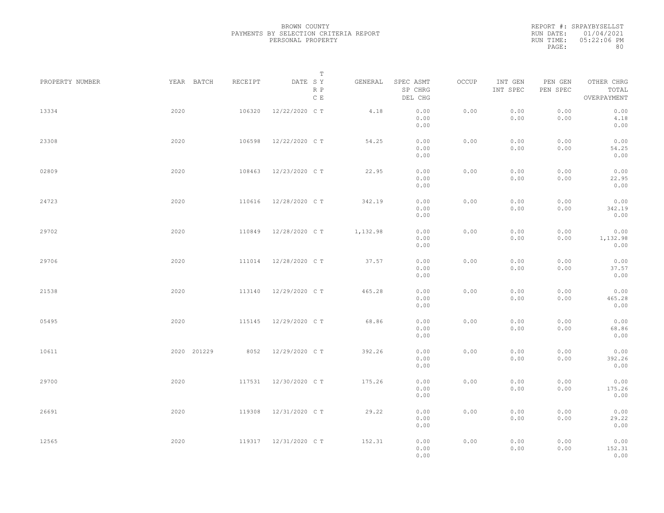|           | REPORT #: SRPAYBYSELLST |
|-----------|-------------------------|
|           | RUN DATE: 01/04/2021    |
| RUN TIME: | 05:22:06 PM             |
| PAGE:     | 80                      |

|      |         | T                         |                                                                     |                                 |                                                      |                     |                     |                                    |                                                      |
|------|---------|---------------------------|---------------------------------------------------------------------|---------------------------------|------------------------------------------------------|---------------------|---------------------|------------------------------------|------------------------------------------------------|
|      | RECEIPT | R P<br>$\,$ C $\,$ E      | GENERAL                                                             | SPEC ASMT<br>SP CHRG<br>DEL CHG | OCCUP                                                | INT GEN<br>INT SPEC | PEN GEN<br>PEN SPEC | OTHER CHRG<br>TOTAL<br>OVERPAYMENT |                                                      |
| 2020 | 106320  | 12/22/2020 C T            | 4.18                                                                | 0.00<br>0.00<br>0.00            | 0.00                                                 | 0.00<br>0.00        | 0.00<br>0.00        | 0.00<br>4.18<br>0.00               |                                                      |
| 2020 | 106598  | 12/22/2020 C T            | 54.25                                                               | 0.00<br>0.00<br>0.00            | 0.00                                                 | 0.00<br>0.00        | 0.00<br>0.00        | 0.00<br>54.25<br>0.00              |                                                      |
| 2020 | 108463  |                           | 22.95                                                               | 0.00<br>0.00<br>0.00            | 0.00                                                 | 0.00<br>0.00        | 0.00<br>0.00        | 0.00<br>22.95<br>0.00              |                                                      |
| 2020 | 110616  | 12/28/2020 C T            | 342.19                                                              | 0.00<br>0.00                    | 0.00                                                 | 0.00<br>0.00        | 0.00<br>0.00        | 0.00<br>342.19                     |                                                      |
| 2020 | 110849  | 12/28/2020 C T            | 1,132.98                                                            | 0.00<br>0.00                    | 0.00                                                 | 0.00<br>0.00        | 0.00<br>0.00        | 0.00<br>1,132.98                   |                                                      |
| 2020 | 111014  | 12/28/2020 C T            | 37.57                                                               | 0.00<br>0.00                    | 0.00                                                 | 0.00<br>0.00        | 0.00<br>0.00        | 0.00<br>37.57                      |                                                      |
| 2020 | 113140  | 12/29/2020 C T            | 465.28                                                              | 0.00<br>0.00                    | 0.00                                                 | 0.00<br>0.00        | 0.00<br>0.00        | 0.00<br>465.28                     |                                                      |
| 2020 | 115145  | 12/29/2020 C T            | 68.86                                                               | 0.00<br>0.00                    | 0.00                                                 | 0.00<br>0.00        | 0.00<br>0.00        | 0.00<br>68.86                      |                                                      |
|      | 8052    |                           | 392.26                                                              | 0.00<br>0.00                    | 0.00                                                 | 0.00<br>0.00        | 0.00<br>0.00        | 0.00<br>392.26                     |                                                      |
| 2020 | 117531  | 12/30/2020 C T            | 175.26                                                              | 0.00<br>0.00                    | 0.00                                                 | 0.00<br>0.00        | 0.00<br>0.00        | 0.00<br>175.26                     |                                                      |
| 2020 | 119308  | 12/31/2020 C T            | 29.22                                                               | 0.00<br>0.00<br>0.00            | 0.00                                                 | 0.00<br>0.00        | 0.00<br>0.00        | 0.00<br>0.00<br>29.22              |                                                      |
| 2020 |         |                           | 152.31                                                              | 0.00<br>0.00<br>0.00            | 0.00                                                 | 0.00<br>0.00        | 0.00<br>0.00        | 0.00<br>0.00<br>152.31             |                                                      |
|      |         | YEAR BATCH<br>2020 201229 | DATE SY<br>12/23/2020 C T<br>12/29/2020 C T<br>119317 12/31/2020 CT |                                 | 0.00<br>0.00<br>0.00<br>0.00<br>0.00<br>0.00<br>0.00 |                     |                     |                                    | 0.00<br>0.00<br>0.00<br>0.00<br>0.00<br>0.00<br>0.00 |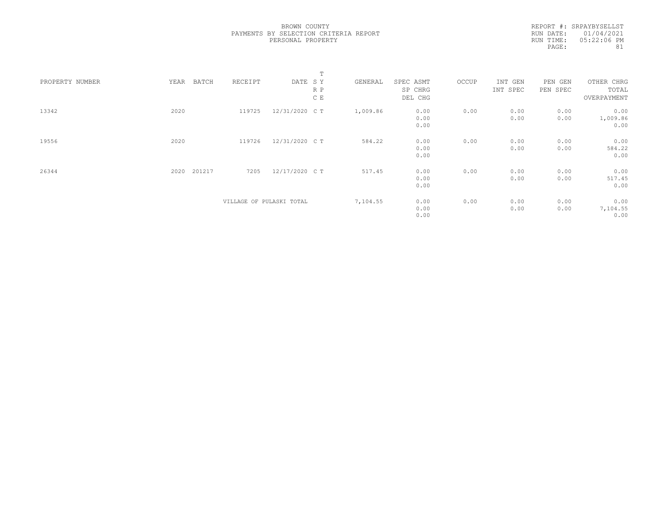REPORT #: SRPAYBYSELLST RUN DATE: 01/04/2021 RUN TIME: 05:22:06 PM PAGE: 81

|                 |                |                          | $\mathbb T$    |          |                      |       |                     |                     |                          |  |
|-----------------|----------------|--------------------------|----------------|----------|----------------------|-------|---------------------|---------------------|--------------------------|--|
| PROPERTY NUMBER | YEAR<br>BATCH  | RECEIPT                  | DATE SY<br>R P | GENERAL  | SPEC ASMT<br>SP CHRG | OCCUP | INT GEN<br>INT SPEC | PEN GEN<br>PEN SPEC | OTHER CHRG<br>TOTAL      |  |
|                 |                |                          | C E            |          | DEL CHG              |       |                     |                     | OVERPAYMENT              |  |
| 13342           | 2020           | 119725                   | 12/31/2020 C T | 1,009.86 | 0.00<br>0.00<br>0.00 | 0.00  | 0.00<br>0.00        | 0.00<br>0.00        | 0.00<br>1,009.86<br>0.00 |  |
| 19556           | 2020           | 119726                   | 12/31/2020 C T | 584.22   | 0.00<br>0.00<br>0.00 | 0.00  | 0.00<br>0.00        | 0.00<br>0.00        | 0.00<br>584.22<br>0.00   |  |
| 26344           | 201217<br>2020 | 7205                     | 12/17/2020 C T | 517.45   | 0.00<br>0.00<br>0.00 | 0.00  | 0.00<br>0.00        | 0.00<br>0.00        | 0.00<br>517.45<br>0.00   |  |
|                 |                | VILLAGE OF PULASKI TOTAL |                | 7,104.55 | 0.00<br>0.00<br>0.00 | 0.00  | 0.00<br>0.00        | 0.00<br>0.00        | 0.00<br>7,104.55<br>0.00 |  |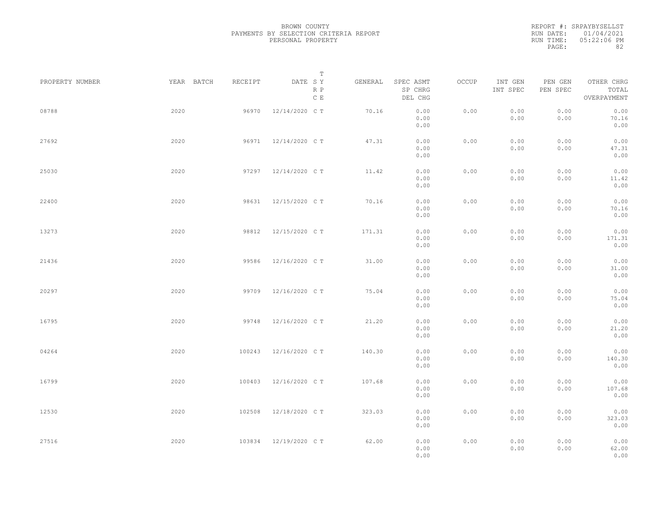|           | REPORT #: SRPAYBYSELLST |
|-----------|-------------------------|
|           | RUN DATE: 01/04/2021    |
| RUN TIME: | $05:22:06$ PM           |
| PAGE:     | 82                      |

|                 |            |         | T                     |         |                                 |       |                     |                     |                                    |  |
|-----------------|------------|---------|-----------------------|---------|---------------------------------|-------|---------------------|---------------------|------------------------------------|--|
| PROPERTY NUMBER | YEAR BATCH | RECEIPT | DATE SY<br>R P<br>C E | GENERAL | SPEC ASMT<br>SP CHRG<br>DEL CHG | OCCUP | INT GEN<br>INT SPEC | PEN GEN<br>PEN SPEC | OTHER CHRG<br>TOTAL<br>OVERPAYMENT |  |
| 08788           | 2020       | 96970   | 12/14/2020 C T        | 70.16   | 0.00<br>0.00<br>0.00            | 0.00  | 0.00<br>0.00        | 0.00<br>0.00        | 0.00<br>70.16<br>0.00              |  |
| 27692           | 2020       | 96971   | 12/14/2020 C T        | 47.31   | 0.00<br>0.00<br>0.00            | 0.00  | 0.00<br>0.00        | 0.00<br>0.00        | 0.00<br>47.31<br>0.00              |  |
| 25030           | 2020       |         | 97297 12/14/2020 CT   | 11.42   | 0.00<br>0.00<br>0.00            | 0.00  | 0.00<br>0.00        | 0.00<br>0.00        | 0.00<br>11.42<br>0.00              |  |
| 22400           | 2020       | 98631   | 12/15/2020 C T        | 70.16   | 0.00<br>0.00<br>0.00            | 0.00  | 0.00<br>0.00        | 0.00<br>0.00        | 0.00<br>70.16<br>0.00              |  |
| 13273           | 2020       | 98812   | 12/15/2020 C T        | 171.31  | 0.00<br>0.00<br>0.00            | 0.00  | 0.00<br>0.00        | 0.00<br>0.00        | 0.00<br>171.31<br>0.00             |  |
| 21436           | 2020       | 99586   | 12/16/2020 C T        | 31.00   | 0.00<br>0.00<br>0.00            | 0.00  | 0.00<br>0.00        | 0.00<br>0.00        | 0.00<br>31.00<br>0.00              |  |
| 20297           | 2020       | 99709   | 12/16/2020 C T        | 75.04   | 0.00<br>0.00<br>0.00            | 0.00  | 0.00<br>0.00        | 0.00<br>0.00        | 0.00<br>75.04<br>0.00              |  |
| 16795           | 2020       | 99748   | 12/16/2020 C T        | 21.20   | 0.00<br>0.00<br>0.00            | 0.00  | 0.00<br>0.00        | 0.00<br>0.00        | 0.00<br>21.20<br>0.00              |  |
| 04264           | 2020       | 100243  | 12/16/2020 C T        | 140.30  | 0.00<br>0.00<br>0.00            | 0.00  | 0.00<br>0.00        | 0.00<br>0.00        | 0.00<br>140.30<br>0.00             |  |
| 16799           | 2020       | 100403  | 12/16/2020 C T        | 107.68  | 0.00<br>0.00<br>0.00            | 0.00  | 0.00<br>0.00        | 0.00<br>0.00        | 0.00<br>107.68<br>0.00             |  |
| 12530           | 2020       | 102508  | 12/18/2020 C T        | 323.03  | 0.00<br>0.00<br>0.00            | 0.00  | 0.00<br>0.00        | 0.00<br>0.00        | 0.00<br>323.03<br>0.00             |  |
| 27516           | 2020       | 103834  | 12/19/2020 C T        | 62.00   | 0.00<br>0.00<br>0.00            | 0.00  | 0.00<br>0.00        | 0.00<br>0.00        | 0.00<br>62.00<br>0.00              |  |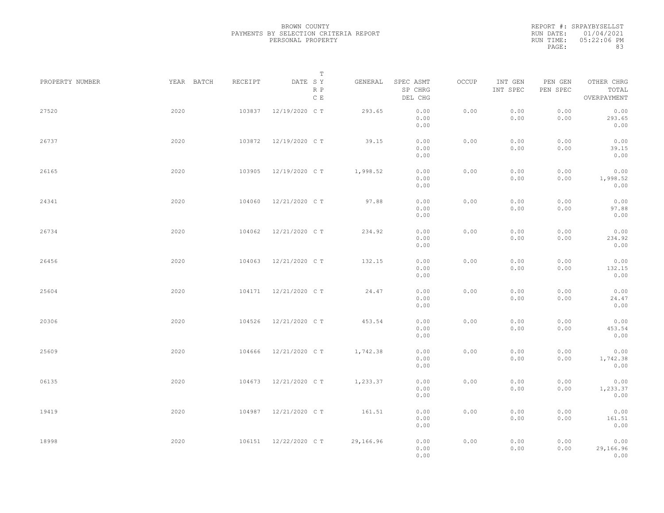|           | REPORT #: SRPAYBYSELLST |
|-----------|-------------------------|
|           | RUN DATE: 01/04/2021    |
| RUN TIME: | 05:22:06 PM             |
| PAGE:     | 83                      |
|           |                         |

|                 |            |         | T                               |           |                                 |       |                     |                     |                                    |  |
|-----------------|------------|---------|---------------------------------|-----------|---------------------------------|-------|---------------------|---------------------|------------------------------------|--|
| PROPERTY NUMBER | YEAR BATCH | RECEIPT | DATE SY<br>R P<br>$\,$ C $\,$ E | GENERAL   | SPEC ASMT<br>SP CHRG<br>DEL CHG | OCCUP | INT GEN<br>INT SPEC | PEN GEN<br>PEN SPEC | OTHER CHRG<br>TOTAL<br>OVERPAYMENT |  |
| 27520           | 2020       | 103837  | 12/19/2020 C T                  | 293.65    | 0.00<br>0.00<br>0.00            | 0.00  | 0.00<br>0.00        | 0.00<br>0.00        | 0.00<br>293.65<br>0.00             |  |
| 26737           | 2020       | 103872  | 12/19/2020 C T                  | 39.15     | 0.00<br>0.00<br>0.00            | 0.00  | 0.00<br>0.00        | 0.00<br>0.00        | 0.00<br>39.15<br>0.00              |  |
| 26165           | 2020       | 103905  | 12/19/2020 C T                  | 1,998.52  | 0.00<br>0.00<br>0.00            | 0.00  | 0.00<br>0.00        | 0.00<br>0.00        | 0.00<br>1,998.52<br>0.00           |  |
| 24341           | 2020       | 104060  | 12/21/2020 C T                  | 97.88     | 0.00<br>0.00<br>0.00            | 0.00  | 0.00<br>0.00        | 0.00<br>0.00        | 0.00<br>97.88<br>0.00              |  |
| 26734           | 2020       | 104062  | 12/21/2020 C T                  | 234.92    | 0.00<br>0.00<br>0.00            | 0.00  | 0.00<br>0.00        | 0.00<br>0.00        | 0.00<br>234.92<br>0.00             |  |
| 26456           | 2020       | 104063  | 12/21/2020 C T                  | 132.15    | 0.00<br>0.00<br>0.00            | 0.00  | 0.00<br>0.00        | 0.00<br>0.00        | 0.00<br>132.15<br>0.00             |  |
| 25604           | 2020       | 104171  | 12/21/2020 C T                  | 24.47     | 0.00<br>0.00<br>0.00            | 0.00  | 0.00<br>0.00        | 0.00<br>0.00        | 0.00<br>24.47<br>0.00              |  |
| 20306           | 2020       | 104526  | 12/21/2020 C T                  | 453.54    | 0.00<br>0.00<br>0.00            | 0.00  | 0.00<br>0.00        | 0.00<br>0.00        | 0.00<br>453.54<br>0.00             |  |
| 25609           | 2020       | 104666  | 12/21/2020 C T                  | 1,742.38  | 0.00<br>0.00<br>0.00            | 0.00  | 0.00<br>0.00        | 0.00<br>0.00        | 0.00<br>1,742.38<br>0.00           |  |
| 06135           | 2020       | 104673  | 12/21/2020 C T                  | 1,233.37  | 0.00<br>0.00<br>0.00            | 0.00  | 0.00<br>0.00        | 0.00<br>0.00        | 0.00<br>1,233.37<br>0.00           |  |
| 19419           | 2020       | 104987  | 12/21/2020 C T                  | 161.51    | 0.00<br>0.00<br>0.00            | 0.00  | 0.00<br>0.00        | 0.00<br>0.00        | 0.00<br>161.51<br>0.00             |  |
| 18998           | 2020       |         | 106151 12/22/2020 CT            | 29,166.96 | 0.00<br>0.00<br>0.00            | 0.00  | 0.00<br>0.00        | 0.00<br>0.00        | 0.00<br>29,166.96<br>0.00          |  |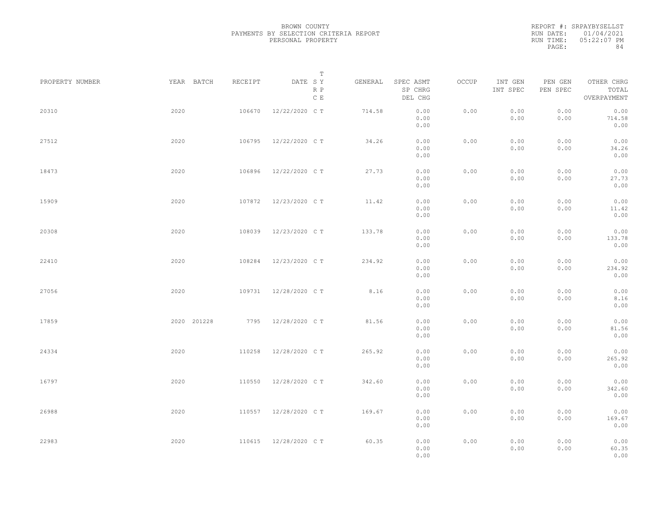|           | REPORT #: SRPAYBYSELLST |
|-----------|-------------------------|
|           | RUN DATE: 01/04/2021    |
| RUN TIME: | $05:22:07$ PM           |
| PAGE:     | 84                      |

|                 |             |         | T                     |         |                                 |       |                     |                     |                                    |  |
|-----------------|-------------|---------|-----------------------|---------|---------------------------------|-------|---------------------|---------------------|------------------------------------|--|
| PROPERTY NUMBER | YEAR BATCH  | RECEIPT | DATE SY<br>R P<br>C E | GENERAL | SPEC ASMT<br>SP CHRG<br>DEL CHG | OCCUP | INT GEN<br>INT SPEC | PEN GEN<br>PEN SPEC | OTHER CHRG<br>TOTAL<br>OVERPAYMENT |  |
| 20310           | 2020        | 106670  | 12/22/2020 C T        | 714.58  | 0.00<br>0.00<br>0.00            | 0.00  | 0.00<br>0.00        | 0.00<br>0.00        | 0.00<br>714.58<br>0.00             |  |
| 27512           | 2020        | 106795  | 12/22/2020 C T        | 34.26   | 0.00<br>0.00<br>0.00            | 0.00  | 0.00<br>0.00        | 0.00<br>0.00        | 0.00<br>34.26<br>0.00              |  |
| 18473           | 2020        | 106896  | 12/22/2020 C T        | 27.73   | 0.00<br>0.00<br>0.00            | 0.00  | 0.00<br>0.00        | 0.00<br>0.00        | 0.00<br>27.73<br>0.00              |  |
| 15909           | 2020        | 107872  | 12/23/2020 C T        | 11.42   | 0.00<br>0.00<br>0.00            | 0.00  | 0.00<br>0.00        | 0.00<br>0.00        | 0.00<br>11.42<br>0.00              |  |
| 20308           | 2020        | 108039  | 12/23/2020 C T        | 133.78  | 0.00<br>0.00<br>0.00            | 0.00  | 0.00<br>0.00        | 0.00<br>0.00        | 0.00<br>133.78<br>0.00             |  |
| 22410           | 2020        | 108284  | 12/23/2020 C T        | 234.92  | 0.00<br>0.00<br>0.00            | 0.00  | 0.00<br>0.00        | 0.00<br>0.00        | 0.00<br>234.92<br>0.00             |  |
| 27056           | 2020        | 109731  | 12/28/2020 C T        | 8.16    | 0.00<br>0.00<br>0.00            | 0.00  | 0.00<br>0.00        | 0.00<br>0.00        | 0.00<br>8.16<br>0.00               |  |
| 17859           | 2020 201228 | 7795    | 12/28/2020 C T        | 81.56   | 0.00<br>0.00<br>0.00            | 0.00  | 0.00<br>0.00        | 0.00<br>0.00        | 0.00<br>81.56<br>0.00              |  |
| 24334           | 2020        | 110258  | 12/28/2020 C T        | 265.92  | 0.00<br>0.00<br>0.00            | 0.00  | 0.00<br>0.00        | 0.00<br>0.00        | 0.00<br>265.92<br>0.00             |  |
| 16797           | 2020        | 110550  | 12/28/2020 C T        | 342.60  | 0.00<br>0.00<br>0.00            | 0.00  | 0.00<br>0.00        | 0.00<br>0.00        | 0.00<br>342.60<br>0.00             |  |
| 26988           | 2020        | 110557  | 12/28/2020 C T        | 169.67  | 0.00<br>0.00<br>0.00            | 0.00  | 0.00<br>0.00        | 0.00<br>0.00        | 0.00<br>169.67<br>0.00             |  |
| 22983           | 2020        |         | 110615 12/28/2020 CT  | 60.35   | 0.00<br>0.00<br>0.00            | 0.00  | 0.00<br>0.00        | 0.00<br>0.00        | 0.00<br>60.35<br>0.00              |  |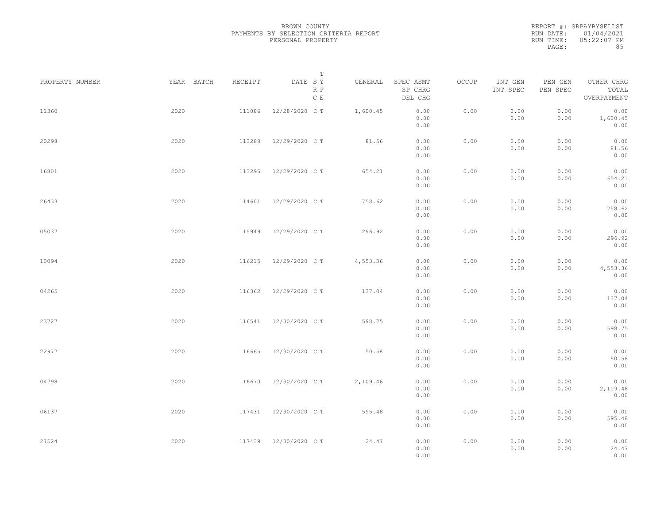|           | REPORT #: SRPAYBYSELLST |
|-----------|-------------------------|
|           | RUN DATE: 01/04/2021    |
| RUN TIME: | 05:22:07 PM             |
| PAGE:     | 85                      |

|                 |            |         | $\mathbb T$           |          |                                 |       |                     |                     |                                    |  |
|-----------------|------------|---------|-----------------------|----------|---------------------------------|-------|---------------------|---------------------|------------------------------------|--|
| PROPERTY NUMBER | YEAR BATCH | RECEIPT | DATE SY<br>R P<br>C E | GENERAL  | SPEC ASMT<br>SP CHRG<br>DEL CHG | OCCUP | INT GEN<br>INT SPEC | PEN GEN<br>PEN SPEC | OTHER CHRG<br>TOTAL<br>OVERPAYMENT |  |
| 11360           | 2020       | 111086  | 12/28/2020 C T        | 1,600.45 | 0.00<br>0.00<br>0.00            | 0.00  | 0.00<br>0.00        | 0.00<br>0.00        | 0.00<br>1,600.45<br>0.00           |  |
| 20298           | 2020       | 113288  | 12/29/2020 C T        | 81.56    | 0.00<br>0.00<br>0.00            | 0.00  | 0.00<br>0.00        | 0.00<br>0.00        | 0.00<br>81.56<br>0.00              |  |
| 16801           | 2020       | 113295  | 12/29/2020 C T        | 654.21   | 0.00<br>0.00<br>0.00            | 0.00  | 0.00<br>0.00        | 0.00<br>0.00        | 0.00<br>654.21<br>0.00             |  |
| 26433           | 2020       | 114601  | 12/29/2020 C T        | 758.62   | 0.00<br>0.00<br>0.00            | 0.00  | 0.00<br>0.00        | 0.00<br>0.00        | 0.00<br>758.62<br>0.00             |  |
| 05037           | 2020       | 115949  | 12/29/2020 C T        | 296.92   | 0.00<br>0.00<br>0.00            | 0.00  | 0.00<br>0.00        | 0.00<br>0.00        | 0.00<br>296.92<br>0.00             |  |
| 10094           | 2020       | 116215  | 12/29/2020 C T        | 4,553.36 | 0.00<br>0.00<br>0.00            | 0.00  | 0.00<br>0.00        | 0.00<br>0.00        | 0.00<br>4,553.36<br>0.00           |  |
| 04265           | 2020       | 116362  | 12/29/2020 C T        | 137.04   | 0.00<br>0.00<br>0.00            | 0.00  | 0.00<br>0.00        | 0.00<br>0.00        | 0.00<br>137.04<br>0.00             |  |
| 23727           | 2020       | 116541  | 12/30/2020 C T        | 598.75   | 0.00<br>0.00<br>0.00            | 0.00  | 0.00<br>0.00        | 0.00<br>0.00        | 0.00<br>598.75<br>0.00             |  |
| 22977           | 2020       | 116665  | 12/30/2020 C T        | 50.58    | 0.00<br>0.00<br>0.00            | 0.00  | 0.00<br>0.00        | 0.00<br>0.00        | 0.00<br>50.58<br>0.00              |  |
| 04798           | 2020       | 116670  | 12/30/2020 C T        | 2,109.46 | 0.00<br>0.00<br>0.00            | 0.00  | 0.00<br>0.00        | 0.00<br>0.00        | 0.00<br>2,109.46<br>0.00           |  |
| 06137           | 2020       |         | 117431 12/30/2020 CT  | 595.48   | 0.00<br>0.00<br>0.00            | 0.00  | 0.00<br>0.00        | 0.00<br>0.00        | 0.00<br>595.48<br>0.00             |  |
| 27524           | 2020       |         | 117439 12/30/2020 CT  | 24.47    | 0.00<br>0.00<br>0.00            | 0.00  | 0.00<br>0.00        | 0.00<br>0.00        | 0.00<br>24.47<br>0.00              |  |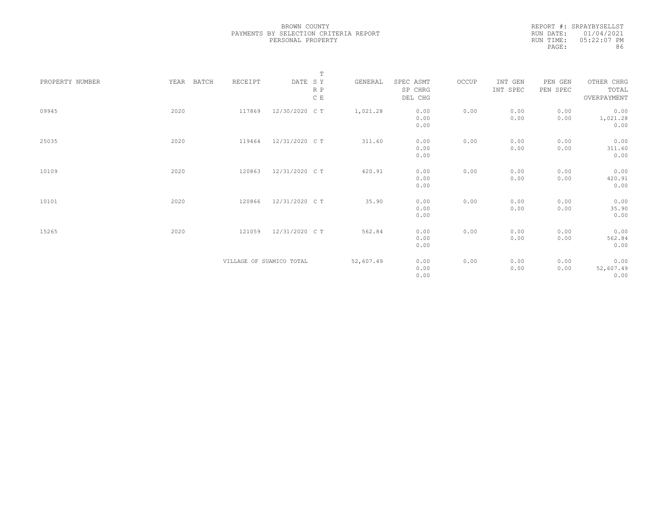REPORT #: SRPAYBYSELLST RUN DATE: 01/04/2021 RUN TIME: 05:22:07 PM PAGE: 86

|                 |               |                          |                | $\mathbb T$ |           |                                 |       |                     |                     |                                    |
|-----------------|---------------|--------------------------|----------------|-------------|-----------|---------------------------------|-------|---------------------|---------------------|------------------------------------|
| PROPERTY NUMBER | YEAR<br>BATCH | RECEIPT                  | DATE SY        | R P<br>C E  | GENERAL   | SPEC ASMT<br>SP CHRG<br>DEL CHG | OCCUP | INT GEN<br>INT SPEC | PEN GEN<br>PEN SPEC | OTHER CHRG<br>TOTAL<br>OVERPAYMENT |
| 09945           | 2020          | 117869                   | 12/30/2020 C T |             | 1,021.28  | 0.00<br>0.00<br>0.00            | 0.00  | 0.00<br>0.00        | 0.00<br>0.00        | 0.00<br>1,021.28<br>0.00           |
| 25035           | 2020          | 119464                   | 12/31/2020 C T |             | 311.60    | 0.00<br>0.00<br>0.00            | 0.00  | 0.00<br>0.00        | 0.00<br>0.00        | 0.00<br>311.60<br>0.00             |
| 10109           | 2020          | 120863                   | 12/31/2020 C T |             | 420.91    | 0.00<br>0.00<br>0.00            | 0.00  | 0.00<br>0.00        | 0.00<br>0.00        | 0.00<br>420.91<br>0.00             |
| 10101           | 2020          | 120866                   | 12/31/2020 C T |             | 35.90     | 0.00<br>0.00<br>0.00            | 0.00  | 0.00<br>0.00        | 0.00<br>0.00        | 0.00<br>35.90<br>0.00              |
| 15265           | 2020          | 121059                   | 12/31/2020 C T |             | 562.84    | 0.00<br>0.00<br>0.00            | 0.00  | 0.00<br>0.00        | 0.00<br>0.00        | 0.00<br>562.84<br>0.00             |
|                 |               | VILLAGE OF SUAMICO TOTAL |                |             | 52,607.49 | 0.00<br>0.00<br>0.00            | 0.00  | 0.00<br>0.00        | 0.00<br>0.00        | 0.00<br>52,607.49<br>0.00          |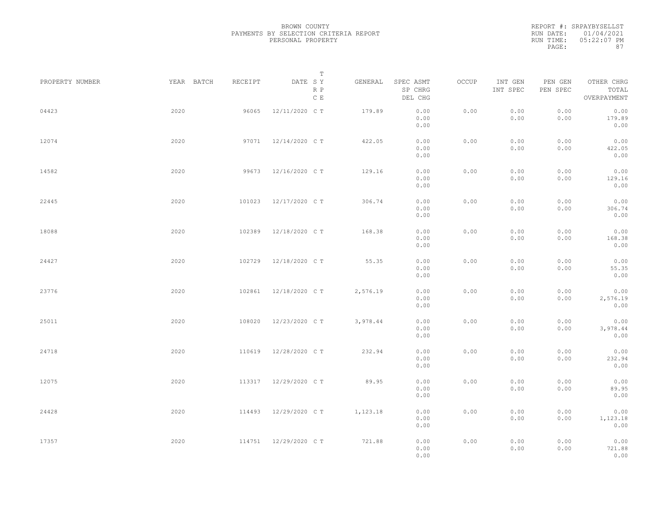|           | REPORT #: SRPAYBYSELLST |
|-----------|-------------------------|
|           | RUN DATE: 01/04/2021    |
| RUN TIME: | $05:22:07$ PM           |
| PAGE:     | 87                      |

|                 |            |         | T                               |          |                                 |       |                     |                     |                                    |  |
|-----------------|------------|---------|---------------------------------|----------|---------------------------------|-------|---------------------|---------------------|------------------------------------|--|
| PROPERTY NUMBER | YEAR BATCH | RECEIPT | DATE SY<br>R P<br>$\,$ C $\,$ E | GENERAL  | SPEC ASMT<br>SP CHRG<br>DEL CHG | OCCUP | INT GEN<br>INT SPEC | PEN GEN<br>PEN SPEC | OTHER CHRG<br>TOTAL<br>OVERPAYMENT |  |
| 04423           | 2020       | 96065   | 12/11/2020 C T                  | 179.89   | 0.00<br>0.00<br>0.00            | 0.00  | 0.00<br>0.00        | 0.00<br>0.00        | 0.00<br>179.89<br>0.00             |  |
| 12074           | 2020       | 97071   | 12/14/2020 C T                  | 422.05   | 0.00<br>0.00<br>0.00            | 0.00  | 0.00<br>0.00        | 0.00<br>0.00        | 0.00<br>422.05<br>0.00             |  |
| 14582           | 2020       |         | 99673 12/16/2020 CT             | 129.16   | 0.00<br>0.00<br>0.00            | 0.00  | 0.00<br>0.00        | 0.00<br>0.00        | 0.00<br>129.16<br>0.00             |  |
| 22445           | 2020       | 101023  | 12/17/2020 C T                  | 306.74   | 0.00<br>0.00<br>0.00            | 0.00  | 0.00<br>0.00        | 0.00<br>0.00        | 0.00<br>306.74<br>0.00             |  |
| 18088           | 2020       | 102389  | 12/18/2020 C T                  | 168.38   | 0.00<br>0.00<br>0.00            | 0.00  | 0.00<br>0.00        | 0.00<br>0.00        | 0.00<br>168.38<br>0.00             |  |
| 24427           | 2020       | 102729  | 12/18/2020 C T                  | 55.35    | 0.00<br>0.00<br>0.00            | 0.00  | 0.00<br>0.00        | 0.00<br>0.00        | 0.00<br>55.35<br>0.00              |  |
| 23776           | 2020       | 102861  | 12/18/2020 C T                  | 2,576.19 | 0.00<br>0.00<br>0.00            | 0.00  | 0.00<br>0.00        | 0.00<br>0.00        | 0.00<br>2,576.19<br>0.00           |  |
| 25011           | 2020       | 108020  | 12/23/2020 C T                  | 3,978.44 | 0.00<br>0.00<br>0.00            | 0.00  | 0.00<br>0.00        | 0.00<br>0.00        | 0.00<br>3,978.44<br>0.00           |  |
| 24718           | 2020       | 110619  | 12/28/2020 C T                  | 232.94   | 0.00<br>0.00<br>0.00            | 0.00  | 0.00<br>0.00        | 0.00<br>0.00        | 0.00<br>232.94<br>0.00             |  |
| 12075           | 2020       | 113317  | 12/29/2020 C T                  | 89.95    | 0.00<br>0.00<br>0.00            | 0.00  | 0.00<br>0.00        | 0.00<br>0.00        | 0.00<br>89.95<br>0.00              |  |
| 24428           | 2020       | 114493  | 12/29/2020 C T                  | 1,123.18 | 0.00<br>0.00<br>0.00            | 0.00  | 0.00<br>0.00        | 0.00<br>0.00        | 0.00<br>1,123.18<br>0.00           |  |
| 17357           | 2020       |         | 114751 12/29/2020 CT            | 721.88   | 0.00<br>0.00<br>0.00            | 0.00  | 0.00<br>0.00        | 0.00<br>0.00        | 0.00<br>721.88<br>0.00             |  |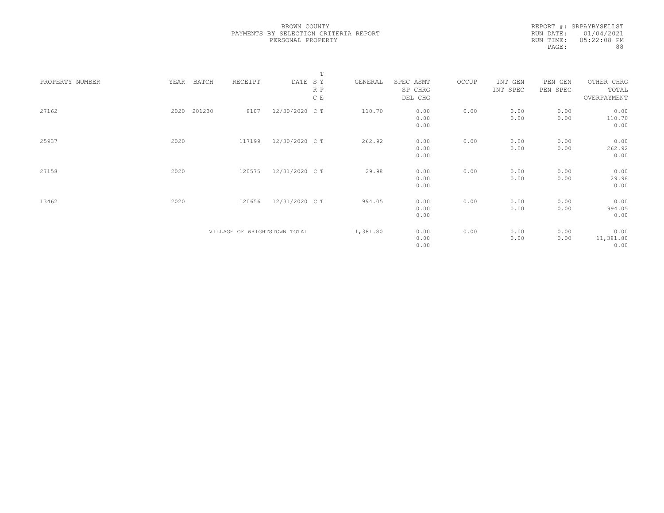REPORT #: SRPAYBYSELLST RUN DATE: 01/04/2021 RUN TIME: 05:22:08 PM PAGE: 88

|                 |      |        |                              |                | $\mathbb T$ |           |           |       |          |          |             |  |
|-----------------|------|--------|------------------------------|----------------|-------------|-----------|-----------|-------|----------|----------|-------------|--|
| PROPERTY NUMBER | YEAR | BATCH  | RECEIPT                      | DATE SY        |             | GENERAL   | SPEC ASMT | OCCUP | INT GEN  | PEN GEN  | OTHER CHRG  |  |
|                 |      |        |                              |                | R P         |           | SP CHRG   |       | INT SPEC | PEN SPEC | TOTAL       |  |
|                 |      |        |                              |                | C E         |           | DEL CHG   |       |          |          | OVERPAYMENT |  |
|                 |      |        |                              |                |             |           |           |       |          |          |             |  |
| 27162           | 2020 | 201230 | 8107                         | 12/30/2020 C T |             | 110.70    | 0.00      | 0.00  | 0.00     | 0.00     | 0.00        |  |
|                 |      |        |                              |                |             |           | 0.00      |       | 0.00     | 0.00     | 110.70      |  |
|                 |      |        |                              |                |             |           | 0.00      |       |          |          | 0.00        |  |
|                 |      |        |                              |                |             |           |           |       |          |          |             |  |
| 25937           | 2020 |        | 117199                       | 12/30/2020 C T |             | 262.92    | 0.00      | 0.00  | 0.00     | 0.00     | 0.00        |  |
|                 |      |        |                              |                |             |           | 0.00      |       | 0.00     | 0.00     | 262.92      |  |
|                 |      |        |                              |                |             |           | 0.00      |       |          |          | 0.00        |  |
|                 |      |        |                              |                |             |           |           |       |          |          |             |  |
| 27158           | 2020 |        | 120575                       | 12/31/2020 C T |             | 29.98     | 0.00      | 0.00  | 0.00     | 0.00     | 0.00        |  |
|                 |      |        |                              |                |             |           | 0.00      |       | 0.00     | 0.00     | 29.98       |  |
|                 |      |        |                              |                |             |           | 0.00      |       |          |          | 0.00        |  |
|                 |      |        |                              |                |             |           |           |       |          |          |             |  |
| 13462           | 2020 |        | 120656                       | 12/31/2020 C T |             | 994.05    | 0.00      | 0.00  | 0.00     | 0.00     | 0.00        |  |
|                 |      |        |                              |                |             |           | 0.00      |       | 0.00     | 0.00     | 994.05      |  |
|                 |      |        |                              |                |             |           | 0.00      |       |          |          | 0.00        |  |
|                 |      |        |                              |                |             |           |           |       |          |          |             |  |
|                 |      |        | VILLAGE OF WRIGHTSTOWN TOTAL |                |             | 11,381.80 | 0.00      | 0.00  | 0.00     | 0.00     | 0.00        |  |
|                 |      |        |                              |                |             |           | 0.00      |       | 0.00     | 0.00     | 11,381.80   |  |
|                 |      |        |                              |                |             |           | 0.00      |       |          |          | 0.00        |  |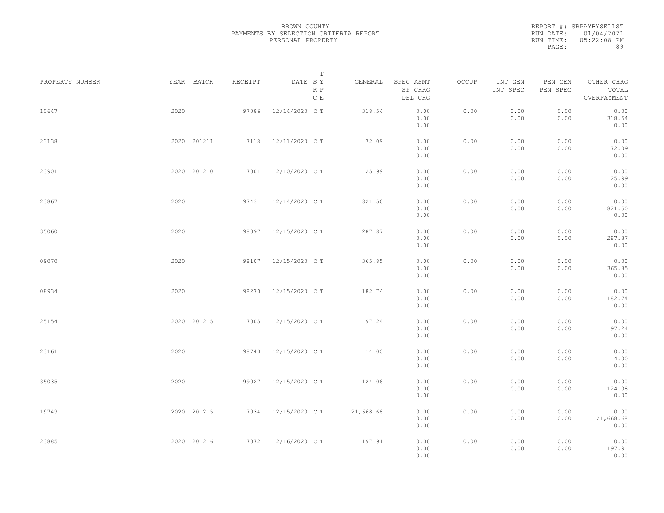| REPORT #: SRPAYBYSELLST |
|-------------------------|
| RUN DATE: 01/04/2021    |
| $05:22:08$ PM           |
| 89                      |
|                         |

| PROPERTY NUMBER | YEAR BATCH  | RECEIPT | Т<br>DATE SY<br>R P | GENERAL   | SPEC ASMT<br>SP CHRG         | OCCUP | INT GEN<br>INT SPEC | PEN GEN<br>PEN SPEC | OTHER CHRG<br>TOTAL               |  |
|-----------------|-------------|---------|---------------------|-----------|------------------------------|-------|---------------------|---------------------|-----------------------------------|--|
|                 |             |         | $\,$ C $\,$ E       |           | DEL CHG                      |       |                     |                     | OVERPAYMENT                       |  |
| 10647           | 2020        | 97086   | 12/14/2020 C T      | 318.54    | 0.00<br>0.00<br>0.00         | 0.00  | 0.00<br>0.00        | 0.00<br>0.00        | 0.00<br>318.54<br>0.00            |  |
| 23138           | 2020 201211 |         | 7118 12/11/2020 CT  | 72.09     | 0.00<br>0.00<br>0.00         | 0.00  | 0.00<br>0.00        | 0.00<br>0.00        | 0.00<br>72.09<br>0.00             |  |
| 23901           | 2020 201210 |         | 7001 12/10/2020 CT  | 25.99     | 0.00<br>0.00<br>0.00         | 0.00  | 0.00<br>0.00        | 0.00<br>0.00        | 0.00<br>25.99<br>0.00             |  |
| 23867           | 2020        |         | 97431 12/14/2020 CT | 821.50    | 0.00<br>0.00<br>0.00         | 0.00  | 0.00<br>0.00        | 0.00<br>0.00        | 0.00<br>821.50<br>0.00            |  |
| 35060           | 2020        | 98097   | 12/15/2020 C T      | 287.87    | 0.00<br>0.00<br>0.00         | 0.00  | 0.00<br>0.00        | 0.00<br>0.00        | 0.00<br>287.87<br>0.00            |  |
| 09070           | 2020        | 98107   | 12/15/2020 C T      | 365.85    | 0.00<br>0.00<br>0.00         | 0.00  | 0.00<br>0.00        | 0.00<br>0.00        | 0.00<br>365.85<br>0.00            |  |
| 08934           | 2020        | 98270   | 12/15/2020 C T      | 182.74    | 0.00<br>0.00                 | 0.00  | 0.00<br>0.00        | 0.00<br>0.00        | 0.00<br>182.74                    |  |
| 25154           | 2020 201215 | 7005    | 12/15/2020 C T      | 97.24     | 0.00<br>0.00<br>0.00         | 0.00  | 0.00<br>0.00        | 0.00<br>0.00        | 0.00<br>0.00<br>97.24             |  |
| 23161           | 2020        | 98740   | 12/15/2020 C T      | 14.00     | 0.00<br>0.00<br>0.00         | 0.00  | 0.00<br>0.00        | 0.00<br>0.00        | 0.00<br>0.00<br>14.00             |  |
| 35035           | 2020        | 99027   | 12/15/2020 C T      | 124.08    | 0.00<br>0.00<br>0.00         | 0.00  | 0.00<br>0.00        | 0.00<br>0.00        | 0.00<br>0.00<br>124.08            |  |
| 19749           | 2020 201215 |         | 7034 12/15/2020 CT  | 21,668.68 | 0.00<br>0.00<br>0.00<br>0.00 | 0.00  | 0.00<br>0.00        | 0.00<br>0.00        | 0.00<br>0.00<br>21,668.68<br>0.00 |  |
| 23885           | 2020 201216 |         | 7072 12/16/2020 CT  | 197.91    | 0.00<br>0.00<br>0.00         | 0.00  | 0.00<br>0.00        | 0.00<br>0.00        | 0.00<br>197.91<br>0.00            |  |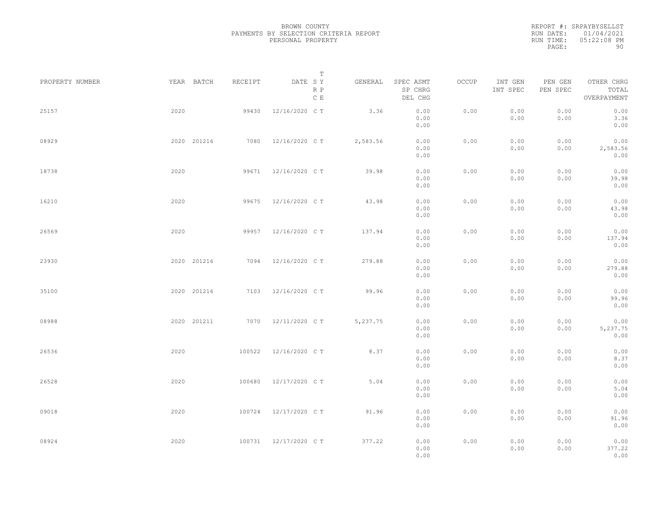|           | REPORT #: SRPAYBYSELLST |
|-----------|-------------------------|
|           | RUN DATE: 01/04/2021    |
| RUN TIME: | $05:22:08$ PM           |
| PAGE:     | 90                      |

|                 |      |             |         |                                 | Т        |                                 |       |                     |                     |                                    |  |
|-----------------|------|-------------|---------|---------------------------------|----------|---------------------------------|-------|---------------------|---------------------|------------------------------------|--|
| PROPERTY NUMBER |      | YEAR BATCH  | RECEIPT | DATE SY<br>R P<br>$\,$ C $\,$ E | GENERAL  | SPEC ASMT<br>SP CHRG<br>DEL CHG | OCCUP | INT GEN<br>INT SPEC | PEN GEN<br>PEN SPEC | OTHER CHRG<br>TOTAL<br>OVERPAYMENT |  |
| 25157           | 2020 |             | 99430   | 12/16/2020 C T                  | 3.36     | 0.00<br>0.00<br>0.00            | 0.00  | 0.00<br>0.00        | 0.00<br>0.00        | 0.00<br>3.36<br>0.00               |  |
| 08929           |      | 2020 201216 | 7080    | 12/16/2020 C T                  | 2,583.56 | 0.00<br>0.00<br>0.00            | 0.00  | 0.00<br>0.00        | 0.00<br>0.00        | 0.00<br>2,583.56<br>0.00           |  |
| 18738           | 2020 |             |         | 99671 12/16/2020 CT             | 39.98    | 0.00<br>0.00<br>0.00            | 0.00  | 0.00<br>0.00        | 0.00<br>0.00        | 0.00<br>39.98<br>0.00              |  |
| 16210           | 2020 |             | 99675   | 12/16/2020 C T                  | 43.98    | 0.00<br>0.00<br>0.00            | 0.00  | 0.00<br>0.00        | 0.00<br>0.00        | 0.00<br>43.98<br>0.00              |  |
| 26569           | 2020 |             | 99957   | 12/16/2020 C T                  | 137.94   | 0.00<br>0.00<br>0.00            | 0.00  | 0.00<br>0.00        | 0.00<br>0.00        | 0.00<br>137.94<br>0.00             |  |
| 23930           |      | 2020 201216 | 7094    | 12/16/2020 C T                  | 279.88   | 0.00<br>0.00<br>0.00            | 0.00  | 0.00<br>0.00        | 0.00<br>0.00        | 0.00<br>279.88<br>0.00             |  |
| 35100           |      | 2020 201216 | 7103    | 12/16/2020 C T                  | 99.96    | 0.00<br>0.00<br>0.00            | 0.00  | 0.00<br>0.00        | 0.00<br>0.00        | 0.00<br>99.96<br>0.00              |  |
| 08988           |      | 2020 201211 |         | 7070 12/11/2020 CT              | 5,237.75 | 0.00<br>0.00<br>0.00            | 0.00  | 0.00<br>0.00        | 0.00<br>0.00        | 0.00<br>5,237.75<br>0.00           |  |
| 26536           | 2020 |             | 100522  | 12/16/2020 C T                  | 8.37     | 0.00<br>0.00<br>0.00            | 0.00  | 0.00<br>0.00        | 0.00<br>0.00        | 0.00<br>8.37<br>0.00               |  |
| 26528           | 2020 |             | 100680  | 12/17/2020 C T                  | 5.04     | 0.00<br>0.00<br>0.00            | 0.00  | 0.00<br>0.00        | 0.00<br>0.00        | 0.00<br>5.04<br>0.00               |  |
| 09018           | 2020 |             |         | 100724 12/17/2020 CT            | 91.96    | 0.00<br>0.00<br>0.00            | 0.00  | 0.00<br>0.00        | 0.00<br>0.00        | 0.00<br>91.96<br>0.00              |  |
| 08924           | 2020 |             |         | 100731 12/17/2020 CT            | 377.22   | 0.00<br>0.00<br>0.00            | 0.00  | 0.00<br>0.00        | 0.00<br>0.00        | 0.00<br>377.22<br>0.00             |  |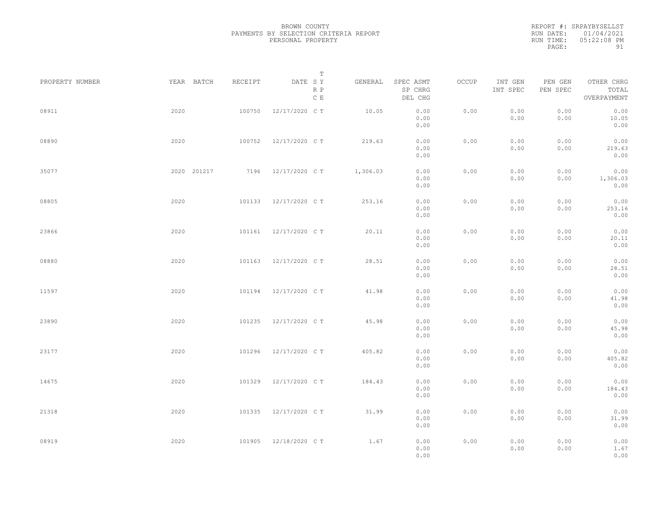|           | REPORT #: SRPAYBYSELLST |
|-----------|-------------------------|
|           | RUN DATE: 01/04/2021    |
| RUN TIME: | $05:22:08$ PM           |
| PAGE:     | 91                      |

|                 |             |         | T                     |          |                                 |       |                     |                     |                                    |  |
|-----------------|-------------|---------|-----------------------|----------|---------------------------------|-------|---------------------|---------------------|------------------------------------|--|
| PROPERTY NUMBER | YEAR BATCH  | RECEIPT | DATE SY<br>R P<br>C E | GENERAL  | SPEC ASMT<br>SP CHRG<br>DEL CHG | OCCUP | INT GEN<br>INT SPEC | PEN GEN<br>PEN SPEC | OTHER CHRG<br>TOTAL<br>OVERPAYMENT |  |
| 08911           | 2020        | 100750  | 12/17/2020 C T        | 10.05    | 0.00<br>0.00<br>0.00            | 0.00  | 0.00<br>0.00        | 0.00<br>0.00        | 0.00<br>10.05<br>0.00              |  |
| 08890           | 2020        | 100752  | 12/17/2020 C T        | 219.63   | 0.00<br>0.00<br>0.00            | 0.00  | 0.00<br>0.00        | 0.00<br>0.00        | 0.00<br>219.63<br>0.00             |  |
| 35077           | 2020 201217 |         | 7196 12/17/2020 CT    | 1,306.03 | 0.00<br>0.00<br>0.00            | 0.00  | 0.00<br>0.00        | 0.00<br>0.00        | 0.00<br>1,306.03<br>0.00           |  |
| 08805           | 2020        | 101133  | 12/17/2020 C T        | 253.16   | 0.00<br>0.00<br>0.00            | 0.00  | 0.00<br>0.00        | 0.00<br>0.00        | 0.00<br>253.16<br>0.00             |  |
| 23866           | 2020        | 101161  | 12/17/2020 C T        | 20.11    | 0.00<br>0.00<br>0.00            | 0.00  | 0.00<br>0.00        | 0.00<br>0.00        | 0.00<br>20.11<br>0.00              |  |
| 08880           | 2020        | 101163  | 12/17/2020 C T        | 28.51    | 0.00<br>0.00<br>0.00            | 0.00  | 0.00<br>0.00        | 0.00<br>0.00        | 0.00<br>28.51<br>0.00              |  |
| 11597           | 2020        | 101194  | 12/17/2020 C T        | 41.98    | 0.00<br>0.00<br>0.00            | 0.00  | 0.00<br>0.00        | 0.00<br>0.00        | 0.00<br>41.98<br>0.00              |  |
| 23890           | 2020        | 101235  | 12/17/2020 C T        | 45.98    | 0.00<br>0.00<br>0.00            | 0.00  | 0.00<br>0.00        | 0.00<br>0.00        | 0.00<br>45.98<br>0.00              |  |
| 23177           | 2020        | 101296  | 12/17/2020 C T        | 405.82   | 0.00<br>0.00<br>0.00            | 0.00  | 0.00<br>0.00        | 0.00<br>0.00        | 0.00<br>405.82<br>0.00             |  |
| 14675           | 2020        | 101329  | 12/17/2020 C T        | 184.43   | 0.00<br>0.00<br>0.00            | 0.00  | 0.00<br>0.00        | 0.00<br>0.00        | 0.00<br>184.43<br>0.00             |  |
| 21318           | 2020        | 101335  | 12/17/2020 C T        | 31.99    | 0.00<br>0.00<br>0.00            | 0.00  | 0.00<br>0.00        | 0.00<br>0.00        | 0.00<br>31.99<br>0.00              |  |
| 08919           | 2020        | 101905  | 12/18/2020 C T        | 1.67     | 0.00<br>0.00<br>0.00            | 0.00  | 0.00<br>0.00        | 0.00<br>0.00        | 0.00<br>1.67<br>0.00               |  |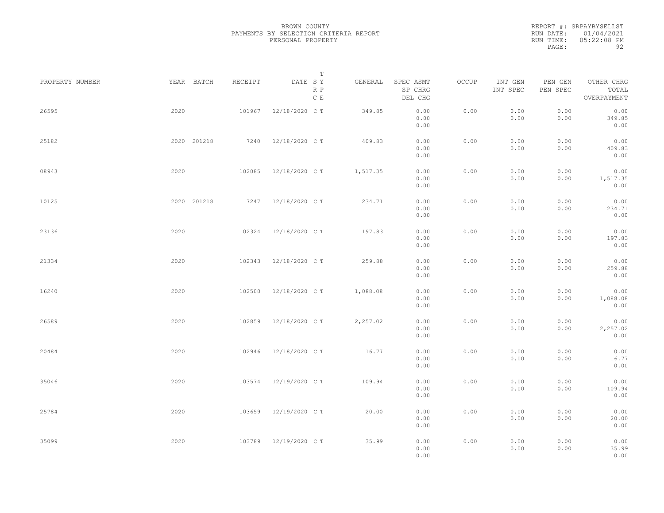REPORT #: SRPAYBYSELLST RUN DATE: 01/04/2021 RUN TIME: 05:22:08 PM PAGE: 92

|                 |             |         | $\mathbb T$           |          |                                 |       |                     |                     |                                    |  |
|-----------------|-------------|---------|-----------------------|----------|---------------------------------|-------|---------------------|---------------------|------------------------------------|--|
| PROPERTY NUMBER | YEAR BATCH  | RECEIPT | DATE SY<br>R P<br>C E | GENERAL  | SPEC ASMT<br>SP CHRG<br>DEL CHG | OCCUP | INT GEN<br>INT SPEC | PEN GEN<br>PEN SPEC | OTHER CHRG<br>TOTAL<br>OVERPAYMENT |  |
| 26595           | 2020        | 101967  | 12/18/2020 C T        | 349.85   | 0.00<br>0.00<br>0.00            | 0.00  | 0.00<br>0.00        | 0.00<br>0.00        | 0.00<br>349.85<br>0.00             |  |
| 25182           | 2020 201218 | 7240    | 12/18/2020 C T        | 409.83   | 0.00<br>0.00<br>0.00            | 0.00  | 0.00<br>0.00        | 0.00<br>0.00        | 0.00<br>409.83<br>0.00             |  |
| 08943           | 2020        | 102085  | 12/18/2020 C T        | 1,517.35 | 0.00<br>0.00<br>0.00            | 0.00  | 0.00<br>0.00        | 0.00<br>0.00        | 0.00<br>1,517.35<br>0.00           |  |
| 10125           | 2020 201218 |         | 7247 12/18/2020 CT    | 234.71   | 0.00<br>0.00<br>0.00            | 0.00  | 0.00<br>0.00        | 0.00<br>0.00        | 0.00<br>234.71<br>0.00             |  |
| 23136           | 2020        | 102324  | 12/18/2020 C T        | 197.83   | 0.00<br>0.00<br>0.00            | 0.00  | 0.00<br>0.00        | 0.00<br>0.00        | 0.00<br>197.83<br>0.00             |  |
| 21334           | 2020        | 102343  | 12/18/2020 C T        | 259.88   | 0.00<br>0.00<br>0.00            | 0.00  | 0.00<br>0.00        | 0.00<br>0.00        | 0.00<br>259.88<br>0.00             |  |
| 16240           | 2020        | 102500  | 12/18/2020 C T        | 1,088.08 | 0.00<br>0.00<br>0.00            | 0.00  | 0.00<br>0.00        | 0.00<br>0.00        | 0.00<br>1,088.08<br>0.00           |  |
| 26589           | 2020        | 102859  | 12/18/2020 C T        | 2,257.02 | 0.00<br>0.00<br>0.00            | 0.00  | 0.00<br>0.00        | 0.00<br>0.00        | 0.00<br>2,257.02<br>0.00           |  |
| 20484           | 2020        | 102946  | 12/18/2020 C T        | 16.77    | 0.00<br>0.00<br>0.00            | 0.00  | 0.00<br>0.00        | 0.00<br>0.00        | 0.00<br>16.77<br>0.00              |  |
| 35046           | 2020        | 103574  | 12/19/2020 C T        | 109.94   | 0.00<br>0.00<br>0.00            | 0.00  | 0.00<br>0.00        | 0.00<br>0.00        | 0.00<br>109.94<br>0.00             |  |
| 25784           | 2020        | 103659  | 12/19/2020 C T        | 20.00    | 0.00<br>0.00<br>0.00            | 0.00  | 0.00<br>0.00        | 0.00<br>0.00        | 0.00<br>20.00<br>0.00              |  |
| 35099           | 2020        | 103789  | 12/19/2020 C T        | 35.99    | 0.00<br>0.00<br>0.00            | 0.00  | 0.00<br>0.00        | 0.00<br>0.00        | 0.00<br>35.99<br>0.00              |  |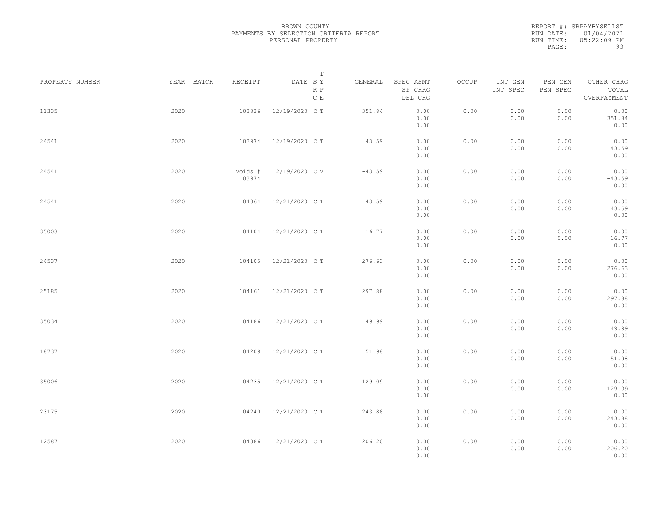REPORT #: SRPAYBYSELLST RUN DATE: 01/04/2021 RUN TIME: 05:22:09 PM PAGE: 93

|                 |            |                   | $\mathbb T$           |          |                                 |       |                     |                     |                                    |  |
|-----------------|------------|-------------------|-----------------------|----------|---------------------------------|-------|---------------------|---------------------|------------------------------------|--|
| PROPERTY NUMBER | YEAR BATCH | RECEIPT           | DATE SY<br>R P<br>C E | GENERAL  | SPEC ASMT<br>SP CHRG<br>DEL CHG | OCCUP | INT GEN<br>INT SPEC | PEN GEN<br>PEN SPEC | OTHER CHRG<br>TOTAL<br>OVERPAYMENT |  |
| 11335           | 2020       | 103836            | 12/19/2020 C T        | 351.84   | 0.00<br>0.00<br>0.00            | 0.00  | 0.00<br>0.00        | 0.00<br>0.00        | 0.00<br>351.84<br>0.00             |  |
| 24541           | 2020       | 103974            | 12/19/2020 C T        | 43.59    | 0.00<br>0.00<br>0.00            | 0.00  | 0.00<br>0.00        | 0.00<br>0.00        | 0.00<br>43.59<br>0.00              |  |
| 24541           | 2020       | Voids #<br>103974 | 12/19/2020 CV         | $-43.59$ | 0.00<br>0.00<br>0.00            | 0.00  | 0.00<br>0.00        | 0.00<br>0.00        | 0.00<br>$-43.59$<br>0.00           |  |
| 24541           | 2020       | 104064            | 12/21/2020 C T        | 43.59    | 0.00<br>0.00<br>0.00            | 0.00  | 0.00<br>0.00        | 0.00<br>0.00        | 0.00<br>43.59<br>0.00              |  |
| 35003           | 2020       | 104104            | 12/21/2020 C T        | 16.77    | 0.00<br>0.00<br>0.00            | 0.00  | 0.00<br>0.00        | 0.00<br>0.00        | 0.00<br>16.77<br>0.00              |  |
| 24537           | 2020       | 104105            | 12/21/2020 C T        | 276.63   | 0.00<br>0.00<br>0.00            | 0.00  | 0.00<br>0.00        | 0.00<br>0.00        | 0.00<br>276.63<br>0.00             |  |
| 25185           | 2020       | 104161            | 12/21/2020 C T        | 297.88   | 0.00<br>0.00<br>0.00            | 0.00  | 0.00<br>0.00        | 0.00<br>0.00        | 0.00<br>297.88<br>0.00             |  |
| 35034           | 2020       | 104186            | 12/21/2020 C T        | 49.99    | 0.00<br>0.00<br>0.00            | 0.00  | 0.00<br>0.00        | 0.00<br>0.00        | 0.00<br>49.99<br>0.00              |  |
| 18737           | 2020       | 104209            | 12/21/2020 C T        | 51.98    | 0.00<br>0.00<br>0.00            | 0.00  | 0.00<br>0.00        | 0.00<br>0.00        | 0.00<br>51.98<br>0.00              |  |
| 35006           | 2020       | 104235            | 12/21/2020 C T        | 129.09   | 0.00<br>0.00<br>0.00            | 0.00  | 0.00<br>0.00        | 0.00<br>0.00        | 0.00<br>129.09<br>0.00             |  |
| 23175           | 2020       | 104240            | 12/21/2020 C T        | 243.88   | 0.00<br>0.00<br>0.00            | 0.00  | 0.00<br>0.00        | 0.00<br>0.00        | 0.00<br>243.88<br>0.00             |  |
| 12587           | 2020       | 104386            | 12/21/2020 C T        | 206.20   | 0.00<br>0.00<br>0.00            | 0.00  | 0.00<br>0.00        | 0.00<br>0.00        | 0.00<br>206.20<br>0.00             |  |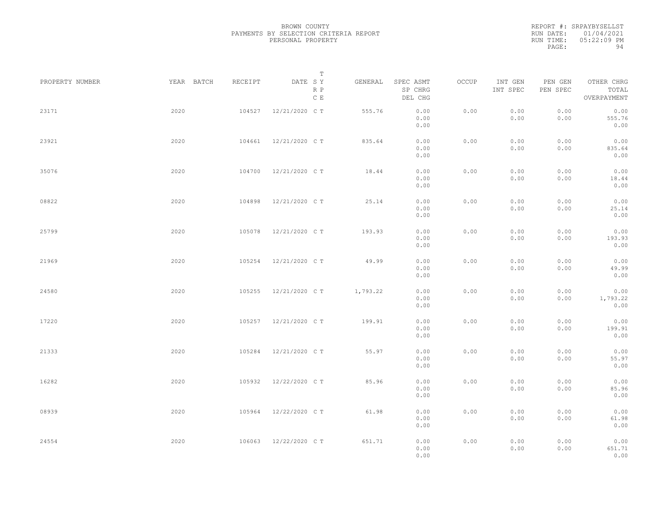|           | REPORT #: SRPAYBYSELLST |
|-----------|-------------------------|
|           | RUN DATE: 01/04/2021    |
| RUN TIME: | $05:22:09$ PM           |
| PAGE:     | 94                      |

|                 |            |         | T                               |          |                                 |       |                     |                     |                                    |  |
|-----------------|------------|---------|---------------------------------|----------|---------------------------------|-------|---------------------|---------------------|------------------------------------|--|
| PROPERTY NUMBER | YEAR BATCH | RECEIPT | DATE SY<br>R P<br>$\,$ C $\,$ E | GENERAL  | SPEC ASMT<br>SP CHRG<br>DEL CHG | OCCUP | INT GEN<br>INT SPEC | PEN GEN<br>PEN SPEC | OTHER CHRG<br>TOTAL<br>OVERPAYMENT |  |
| 23171           | 2020       | 104527  | 12/21/2020 C T                  | 555.76   | 0.00<br>0.00<br>0.00            | 0.00  | 0.00<br>0.00        | 0.00<br>0.00        | 0.00<br>555.76<br>0.00             |  |
| 23921           | 2020       | 104661  | 12/21/2020 C T                  | 835.64   | 0.00<br>0.00<br>0.00            | 0.00  | 0.00<br>0.00        | 0.00<br>0.00        | 0.00<br>835.64<br>0.00             |  |
| 35076           | 2020       | 104700  | 12/21/2020 C T                  | 18.44    | 0.00<br>0.00<br>0.00            | 0.00  | 0.00<br>0.00        | 0.00<br>0.00        | 0.00<br>18.44<br>0.00              |  |
| 08822           | 2020       | 104898  | 12/21/2020 C T                  | 25.14    | 0.00<br>0.00<br>0.00            | 0.00  | 0.00<br>0.00        | 0.00<br>0.00        | 0.00<br>25.14<br>0.00              |  |
| 25799           | 2020       | 105078  | 12/21/2020 C T                  | 193.93   | 0.00<br>0.00<br>0.00            | 0.00  | 0.00<br>0.00        | 0.00<br>0.00        | 0.00<br>193.93<br>0.00             |  |
| 21969           | 2020       | 105254  | 12/21/2020 C T                  | 49.99    | 0.00<br>0.00<br>0.00            | 0.00  | 0.00<br>0.00        | 0.00<br>0.00        | 0.00<br>49.99<br>0.00              |  |
| 24580           | 2020       | 105255  | 12/21/2020 C T                  | 1,793.22 | 0.00<br>0.00<br>0.00            | 0.00  | 0.00<br>0.00        | 0.00<br>0.00        | 0.00<br>1,793.22<br>0.00           |  |
| 17220           | 2020       | 105257  | 12/21/2020 C T                  | 199.91   | 0.00<br>0.00<br>0.00            | 0.00  | 0.00<br>0.00        | 0.00<br>0.00        | 0.00<br>199.91<br>0.00             |  |
| 21333           | 2020       | 105284  | 12/21/2020 C T                  | 55.97    | 0.00<br>0.00                    | 0.00  | 0.00<br>0.00        | 0.00<br>0.00        | 0.00<br>55.97                      |  |
| 16282           | 2020       | 105932  | 12/22/2020 C T                  | 85.96    | 0.00<br>0.00<br>0.00<br>0.00    | 0.00  | 0.00<br>0.00        | 0.00<br>0.00        | 0.00<br>0.00<br>85.96<br>0.00      |  |
| 08939           | 2020       | 105964  | 12/22/2020 C T                  | 61.98    | 0.00<br>0.00                    | 0.00  | 0.00<br>0.00        | 0.00<br>0.00        | 0.00<br>61.98                      |  |
| 24554           | 2020       | 106063  | 12/22/2020 C T                  | 651.71   | 0.00<br>0.00<br>0.00<br>0.00    | 0.00  | 0.00<br>0.00        | 0.00<br>0.00        | 0.00<br>0.00<br>651.71<br>0.00     |  |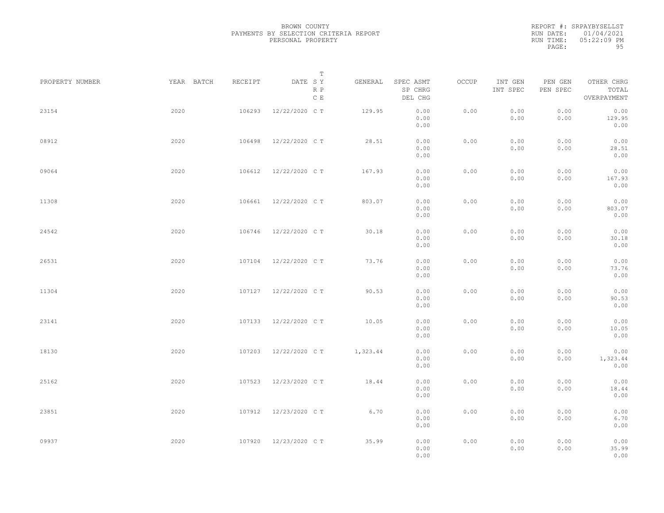|           | REPORT #: SRPAYBYSELLST |
|-----------|-------------------------|
|           | RUN DATE: 01/04/2021    |
| RUN TIME: | $05:22:09$ PM           |
| PAGE:     | 95                      |

|                 |            |         | T                     |          |                                 |       |                     |                     |                                    |  |
|-----------------|------------|---------|-----------------------|----------|---------------------------------|-------|---------------------|---------------------|------------------------------------|--|
| PROPERTY NUMBER | YEAR BATCH | RECEIPT | DATE SY<br>R P<br>C E | GENERAL  | SPEC ASMT<br>SP CHRG<br>DEL CHG | OCCUP | INT GEN<br>INT SPEC | PEN GEN<br>PEN SPEC | OTHER CHRG<br>TOTAL<br>OVERPAYMENT |  |
| 23154           | 2020       | 106293  | 12/22/2020 C T        | 129.95   | 0.00<br>0.00<br>0.00            | 0.00  | 0.00<br>0.00        | 0.00<br>0.00        | 0.00<br>129.95<br>0.00             |  |
| 08912           | 2020       | 106498  | 12/22/2020 C T        | 28.51    | 0.00<br>0.00<br>0.00            | 0.00  | 0.00<br>0.00        | 0.00<br>0.00        | 0.00<br>28.51<br>0.00              |  |
| 09064           | 2020       | 106612  | 12/22/2020 C T        | 167.93   | 0.00<br>0.00<br>0.00            | 0.00  | 0.00<br>0.00        | 0.00<br>0.00        | 0.00<br>167.93<br>0.00             |  |
| 11308           | 2020       | 106661  | 12/22/2020 C T        | 803.07   | 0.00<br>0.00<br>0.00            | 0.00  | 0.00<br>0.00        | 0.00<br>0.00        | 0.00<br>803.07<br>0.00             |  |
| 24542           | 2020       | 106746  | 12/22/2020 C T        | 30.18    | 0.00<br>0.00<br>0.00            | 0.00  | 0.00<br>0.00        | 0.00<br>0.00        | 0.00<br>30.18<br>0.00              |  |
| 26531           | 2020       | 107104  | 12/22/2020 C T        | 73.76    | 0.00<br>0.00<br>0.00            | 0.00  | 0.00<br>0.00        | 0.00<br>0.00        | 0.00<br>73.76<br>0.00              |  |
| 11304           | 2020       | 107127  | 12/22/2020 C T        | 90.53    | 0.00<br>0.00<br>0.00            | 0.00  | 0.00<br>0.00        | 0.00<br>0.00        | 0.00<br>90.53<br>0.00              |  |
| 23141           | 2020       | 107133  | 12/22/2020 C T        | 10.05    | 0.00<br>0.00<br>0.00            | 0.00  | 0.00<br>0.00        | 0.00<br>0.00        | 0.00<br>10.05<br>0.00              |  |
| 18130           | 2020       | 107203  | 12/22/2020 C T        | 1,323.44 | 0.00<br>0.00                    | 0.00  | 0.00<br>0.00        | 0.00<br>0.00        | 0.00<br>1,323.44                   |  |
| 25162           | 2020       | 107523  | 12/23/2020 C T        | 18.44    | 0.00<br>0.00<br>0.00<br>0.00    | 0.00  | 0.00<br>0.00        | 0.00<br>0.00        | 0.00<br>0.00<br>18.44<br>0.00      |  |
| 23851           | 2020       | 107912  | 12/23/2020 C T        | 6.70     | 0.00<br>0.00<br>0.00            | 0.00  | 0.00<br>0.00        | 0.00<br>0.00        | 0.00<br>6.70<br>0.00               |  |
| 09937           | 2020       | 107920  | 12/23/2020 C T        | 35.99    | 0.00<br>0.00<br>0.00            | 0.00  | 0.00<br>0.00        | 0.00<br>0.00        | 0.00<br>35.99<br>0.00              |  |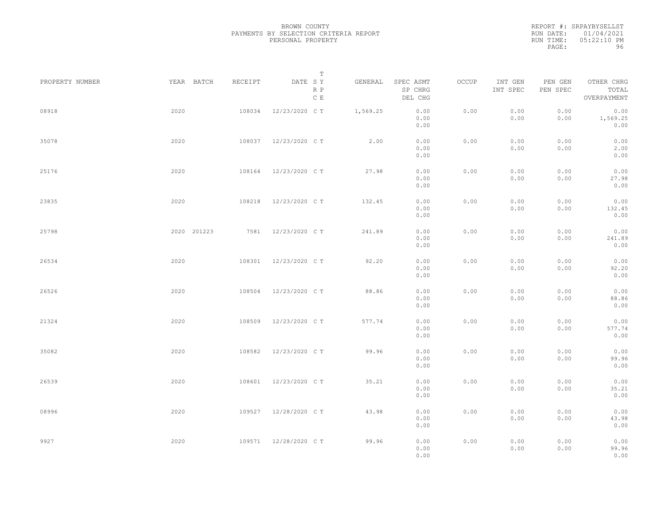|           | REPORT #: SRPAYBYSELLST |
|-----------|-------------------------|
|           | RUN DATE: 01/04/2021    |
| RUN TIME: | $05:22:10$ PM           |
| PAGE:     | 96                      |
|           |                         |

|                 |             |         | $\mathbb T$           |          |                                 |       |                     |                     |                                    |  |
|-----------------|-------------|---------|-----------------------|----------|---------------------------------|-------|---------------------|---------------------|------------------------------------|--|
| PROPERTY NUMBER | YEAR BATCH  | RECEIPT | DATE SY<br>R P<br>C E | GENERAL  | SPEC ASMT<br>SP CHRG<br>DEL CHG | OCCUP | INT GEN<br>INT SPEC | PEN GEN<br>PEN SPEC | OTHER CHRG<br>TOTAL<br>OVERPAYMENT |  |
| 08918           | 2020        | 108034  | 12/23/2020 C T        | 1,569.25 | 0.00<br>0.00<br>0.00            | 0.00  | 0.00<br>0.00        | 0.00<br>0.00        | 0.00<br>1,569.25<br>0.00           |  |
| 35078           | 2020        | 108037  | 12/23/2020 C T        | 2.00     | 0.00<br>0.00<br>0.00            | 0.00  | 0.00<br>0.00        | 0.00<br>0.00        | 0.00<br>2.00<br>0.00               |  |
| 25176           | 2020        | 108164  | 12/23/2020 C T        | 27.98    | 0.00<br>0.00<br>0.00            | 0.00  | 0.00<br>0.00        | 0.00<br>0.00        | 0.00<br>27.98<br>0.00              |  |
| 23835           | 2020        | 108218  | 12/23/2020 C T        | 132.45   | 0.00<br>0.00<br>0.00            | 0.00  | 0.00<br>0.00        | 0.00<br>0.00        | 0.00<br>132.45<br>0.00             |  |
| 25798           | 2020 201223 | 7581    | 12/23/2020 C T        | 241.89   | 0.00<br>0.00<br>0.00            | 0.00  | 0.00<br>0.00        | 0.00<br>0.00        | 0.00<br>241.89<br>0.00             |  |
| 26534           | 2020        | 108301  | 12/23/2020 C T        | 92.20    | 0.00<br>0.00<br>0.00            | 0.00  | 0.00<br>0.00        | 0.00<br>0.00        | 0.00<br>92.20<br>0.00              |  |
| 26526           | 2020        | 108504  | 12/23/2020 C T        | 88.86    | 0.00<br>0.00<br>0.00            | 0.00  | 0.00<br>0.00        | 0.00<br>0.00        | 0.00<br>88.86<br>0.00              |  |
| 21324           | 2020        | 108509  | 12/23/2020 C T        | 577.74   | 0.00<br>0.00<br>0.00            | 0.00  | 0.00<br>0.00        | 0.00<br>0.00        | 0.00<br>577.74<br>0.00             |  |
| 35082           | 2020        | 108582  | 12/23/2020 C T        | 99.96    | 0.00<br>0.00<br>0.00            | 0.00  | 0.00<br>0.00        | 0.00<br>0.00        | 0.00<br>99.96<br>0.00              |  |
| 26539           | 2020        | 108601  | 12/23/2020 C T        | 35.21    | 0.00<br>0.00<br>0.00            | 0.00  | 0.00<br>0.00        | 0.00<br>0.00        | 0.00<br>35.21<br>0.00              |  |
| 08996           | 2020        | 109527  | 12/28/2020 C T        | 43.98    | 0.00<br>0.00<br>0.00            | 0.00  | 0.00<br>0.00        | 0.00<br>0.00        | 0.00<br>43.98<br>0.00              |  |
| 9927            | 2020        |         | 109571 12/28/2020 CT  | 99.96    | 0.00<br>0.00<br>0.00            | 0.00  | 0.00<br>0.00        | 0.00<br>0.00        | 0.00<br>99.96<br>0.00              |  |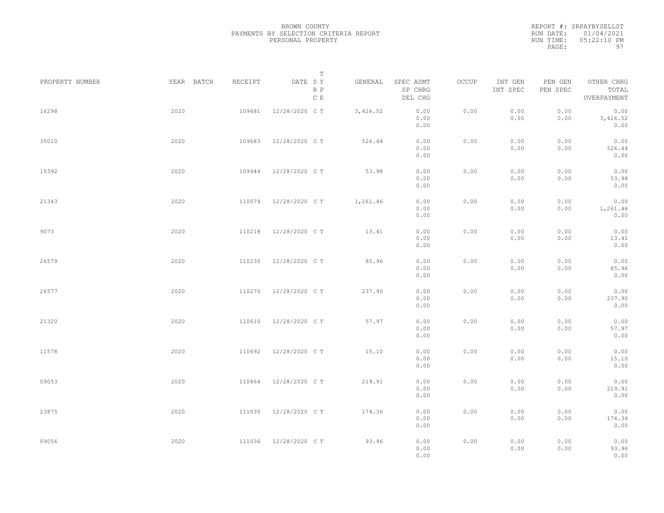|           | REPORT #: SRPAYBYSELLST |
|-----------|-------------------------|
|           | RUN DATE: 01/04/2021    |
| RUN TIME: | $05:22:10$ PM           |
| PAGE:     | 97                      |

|                 |            |         | $\mathbb T$           |          |                                 |       |                     |                     |                                    |  |
|-----------------|------------|---------|-----------------------|----------|---------------------------------|-------|---------------------|---------------------|------------------------------------|--|
| PROPERTY NUMBER | YEAR BATCH | RECEIPT | DATE SY<br>R P<br>C E | GENERAL  | SPEC ASMT<br>SP CHRG<br>DEL CHG | OCCUP | INT GEN<br>INT SPEC | PEN GEN<br>PEN SPEC | OTHER CHRG<br>TOTAL<br>OVERPAYMENT |  |
| 16298           | 2020       | 109681  | 12/28/2020 C T        | 3,426.52 | 0.00<br>0.00<br>0.00            | 0.00  | 0.00<br>0.00        | 0.00<br>0.00        | 0.00<br>3,426.52<br>0.00           |  |
| 35010           | 2020       | 109683  | 12/28/2020 C T        | 526.44   | 0.00<br>0.00<br>0.00            | 0.00  | 0.00<br>0.00        | 0.00<br>0.00        | 0.00<br>526.44<br>0.00             |  |
| 15392           | 2020       | 109944  | 12/28/2020 C T        | 53.98    | 0.00<br>0.00<br>0.00            | 0.00  | 0.00<br>0.00        | 0.00<br>0.00        | 0.00<br>53.98<br>0.00              |  |
| 21343           | 2020       | 110079  | 12/28/2020 C T        | 1,261.46 | 0.00<br>0.00<br>0.00            | 0.00  | 0.00<br>0.00        | 0.00<br>0.00        | 0.00<br>1,261.46<br>0.00           |  |
| 9073            | 2020       | 110218  | 12/28/2020 C T        | 13.41    | 0.00<br>0.00<br>0.00            | 0.00  | 0.00<br>0.00        | 0.00<br>0.00        | 0.00<br>13.41<br>0.00              |  |
| 26579           | 2020       | 110230  | 12/28/2020 C T        | 85.96    | 0.00<br>0.00<br>0.00            | 0.00  | 0.00<br>0.00        | 0.00<br>0.00        | 0.00<br>85.96<br>0.00              |  |
| 26577           | 2020       | 110270  | 12/28/2020 C T        | 237.90   | 0.00<br>0.00<br>0.00            | 0.00  | 0.00<br>0.00        | 0.00<br>0.00        | 0.00<br>237.90<br>0.00             |  |
| 21320           | 2020       | 110610  | 12/28/2020 C T        | 57.97    | 0.00<br>0.00<br>0.00            | 0.00  | 0.00<br>0.00        | 0.00<br>0.00        | 0.00<br>57.97<br>0.00              |  |
| 11578           | 2020       | 110692  | 12/28/2020 C T        | 15.10    | 0.00<br>0.00<br>0.00            | 0.00  | 0.00<br>0.00        | 0.00<br>0.00        | 0.00<br>15.10<br>0.00              |  |
| 09053           | 2020       | 110864  | 12/28/2020 C T        | 219.91   | 0.00<br>0.00<br>0.00            | 0.00  | 0.00<br>0.00        | 0.00<br>0.00        | 0.00<br>219.91<br>0.00             |  |
| 23875           | 2020       | 111035  | 12/28/2020 C T        | 174.36   | 0.00<br>0.00<br>0.00            | 0.00  | 0.00<br>0.00        | 0.00<br>0.00        | 0.00<br>174.36<br>0.00             |  |
| 09056           | 2020       | 111036  | 12/28/2020 C T        | 93.96    | 0.00<br>0.00<br>0.00            | 0.00  | 0.00<br>0.00        | 0.00<br>0.00        | 0.00<br>93.96<br>0.00              |  |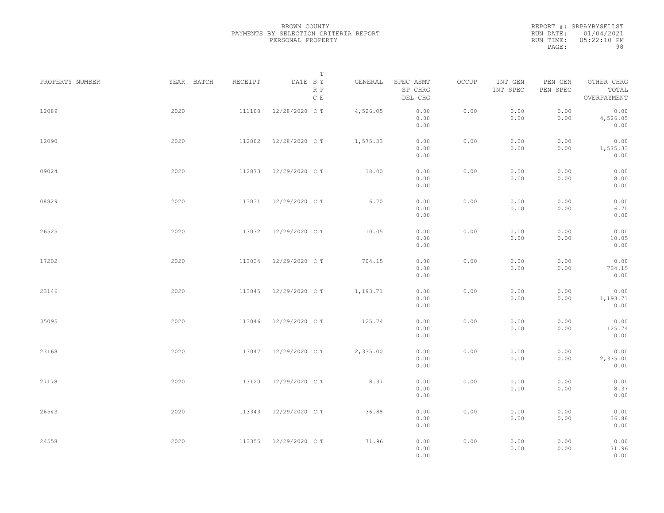|           | REPORT #: SRPAYBYSELLST |
|-----------|-------------------------|
|           | RUN DATE: 01/04/2021    |
| RUN TIME: | $05:22:10$ PM           |
| PAGE:     | 98                      |

|                 |            |         | $\mathbb T$                     |          |                                 |       |                     |                     |                                    |  |
|-----------------|------------|---------|---------------------------------|----------|---------------------------------|-------|---------------------|---------------------|------------------------------------|--|
| PROPERTY NUMBER | YEAR BATCH | RECEIPT | DATE SY<br>R P<br>$\,$ C $\,$ E | GENERAL  | SPEC ASMT<br>SP CHRG<br>DEL CHG | OCCUP | INT GEN<br>INT SPEC | PEN GEN<br>PEN SPEC | OTHER CHRG<br>TOTAL<br>OVERPAYMENT |  |
| 12089           | 2020       | 111108  | 12/28/2020 C T                  | 4,526.05 | 0.00<br>0.00<br>0.00            | 0.00  | 0.00<br>0.00        | 0.00<br>0.00        | 0.00<br>4,526.05<br>0.00           |  |
| 12090           | 2020       | 112002  | 12/28/2020 C T                  | 1,575.33 | 0.00<br>0.00<br>0.00            | 0.00  | 0.00<br>0.00        | 0.00<br>0.00        | 0.00<br>1,575.33<br>0.00           |  |
| 09024           | 2020       | 112873  | 12/29/2020 C T                  | 18.00    | 0.00<br>0.00<br>0.00            | 0.00  | 0.00<br>0.00        | 0.00<br>0.00        | 0.00<br>18.00<br>0.00              |  |
| 08829           | 2020       | 113031  | 12/29/2020 C T                  | 6.70     | 0.00<br>0.00<br>0.00            | 0.00  | 0.00<br>0.00        | 0.00<br>0.00        | 0.00<br>6.70<br>0.00               |  |
| 26525           | 2020       | 113032  | 12/29/2020 C T                  | 10.05    | 0.00<br>0.00<br>0.00            | 0.00  | 0.00<br>0.00        | 0.00<br>0.00        | 0.00<br>10.05<br>0.00              |  |
| 17202           | 2020       | 113034  | 12/29/2020 C T                  | 704.15   | 0.00<br>0.00<br>0.00            | 0.00  | 0.00<br>0.00        | 0.00<br>0.00        | 0.00<br>704.15<br>0.00             |  |
| 23146           | 2020       | 113045  | 12/29/2020 C T                  | 1,193.71 | 0.00<br>0.00<br>0.00            | 0.00  | 0.00<br>0.00        | 0.00<br>0.00        | 0.00<br>1,193.71<br>0.00           |  |
| 35095           | 2020       | 113046  | 12/29/2020 C T                  | 125.74   | 0.00<br>0.00<br>0.00            | 0.00  | 0.00<br>0.00        | 0.00<br>0.00        | 0.00<br>125.74<br>0.00             |  |
| 23168           | 2020       | 113047  | 12/29/2020 C T                  | 2,335.00 | 0.00<br>0.00<br>0.00            | 0.00  | 0.00<br>0.00        | 0.00<br>0.00        | 0.00<br>2,335.00<br>0.00           |  |
| 27178           | 2020       | 113120  | 12/29/2020 C T                  | 8.37     | 0.00<br>0.00<br>0.00            | 0.00  | 0.00<br>0.00        | 0.00<br>0.00        | 0.00<br>8.37<br>0.00               |  |
| 26543           | 2020       | 113343  | 12/29/2020 C T                  | 36.88    | 0.00<br>0.00<br>0.00            | 0.00  | 0.00<br>0.00        | 0.00<br>0.00        | 0.00<br>36.88<br>0.00              |  |
| 24558           | 2020       | 113355  | 12/29/2020 C T                  | 71.96    | 0.00<br>0.00<br>0.00            | 0.00  | 0.00<br>0.00        | 0.00<br>0.00        | 0.00<br>71.96<br>0.00              |  |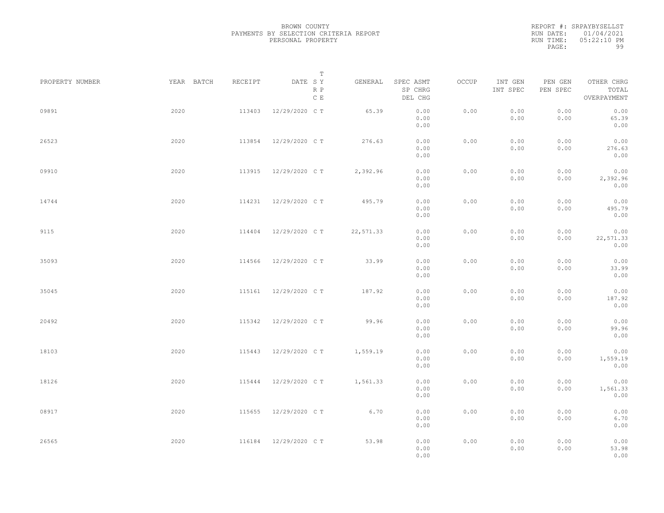|           | REPORT #: SRPAYBYSELLST |
|-----------|-------------------------|
|           | RUN DATE: 01/04/2021    |
| RUN TIME: | $05:22:10$ PM           |
| PAGE:     | 99                      |

|                 |            |         | T                     |           |                                 |       |                     |                     |                                    |  |
|-----------------|------------|---------|-----------------------|-----------|---------------------------------|-------|---------------------|---------------------|------------------------------------|--|
| PROPERTY NUMBER | YEAR BATCH | RECEIPT | DATE SY<br>R P<br>C E | GENERAL   | SPEC ASMT<br>SP CHRG<br>DEL CHG | OCCUP | INT GEN<br>INT SPEC | PEN GEN<br>PEN SPEC | OTHER CHRG<br>TOTAL<br>OVERPAYMENT |  |
| 09891           | 2020       | 113403  | 12/29/2020 C T        | 65.39     | 0.00<br>0.00<br>0.00            | 0.00  | 0.00<br>0.00        | 0.00<br>0.00        | 0.00<br>65.39<br>0.00              |  |
| 26523           | 2020       | 113854  | 12/29/2020 C T        | 276.63    | 0.00<br>0.00<br>0.00            | 0.00  | 0.00<br>0.00        | 0.00<br>0.00        | 0.00<br>276.63<br>0.00             |  |
| 09910           | 2020       | 113915  | 12/29/2020 C T        | 2,392.96  | 0.00<br>0.00<br>0.00            | 0.00  | 0.00<br>0.00        | 0.00<br>0.00        | 0.00<br>2,392.96<br>0.00           |  |
| 14744           | 2020       | 114231  | 12/29/2020 C T        | 495.79    | 0.00<br>0.00<br>0.00            | 0.00  | 0.00<br>0.00        | 0.00<br>0.00        | 0.00<br>495.79<br>0.00             |  |
| 9115            | 2020       | 114404  | 12/29/2020 C T        | 22,571.33 | 0.00<br>0.00<br>0.00            | 0.00  | 0.00<br>0.00        | 0.00<br>0.00        | 0.00<br>22,571.33<br>0.00          |  |
| 35093           | 2020       | 114566  | 12/29/2020 C T        | 33.99     | 0.00<br>0.00<br>0.00            | 0.00  | 0.00<br>0.00        | 0.00<br>0.00        | 0.00<br>33.99<br>0.00              |  |
| 35045           | 2020       | 115161  | 12/29/2020 C T        | 187.92    | 0.00<br>0.00<br>0.00            | 0.00  | 0.00<br>0.00        | 0.00<br>0.00        | 0.00<br>187.92<br>0.00             |  |
| 20492           | 2020       | 115342  | 12/29/2020 C T        | 99.96     | 0.00<br>0.00<br>0.00            | 0.00  | 0.00<br>0.00        | 0.00<br>0.00        | 0.00<br>99.96<br>0.00              |  |
| 18103           | 2020       | 115443  | 12/29/2020 C T        | 1,559.19  | 0.00<br>0.00<br>0.00            | 0.00  | 0.00<br>0.00        | 0.00<br>0.00        | 0.00<br>1,559.19<br>0.00           |  |
| 18126           | 2020       | 115444  | 12/29/2020 C T        | 1,561.33  | 0.00<br>0.00<br>0.00            | 0.00  | 0.00<br>0.00        | 0.00<br>0.00        | 0.00<br>1,561.33<br>0.00           |  |
| 08917           | 2020       | 115655  | 12/29/2020 C T        | 6.70      | 0.00<br>0.00<br>0.00            | 0.00  | 0.00<br>0.00        | 0.00<br>0.00        | 0.00<br>6.70<br>0.00               |  |
| 26565           | 2020       | 116184  | 12/29/2020 C T        | 53.98     | 0.00<br>0.00<br>0.00            | 0.00  | 0.00<br>0.00        | 0.00<br>0.00        | 0.00<br>53.98<br>0.00              |  |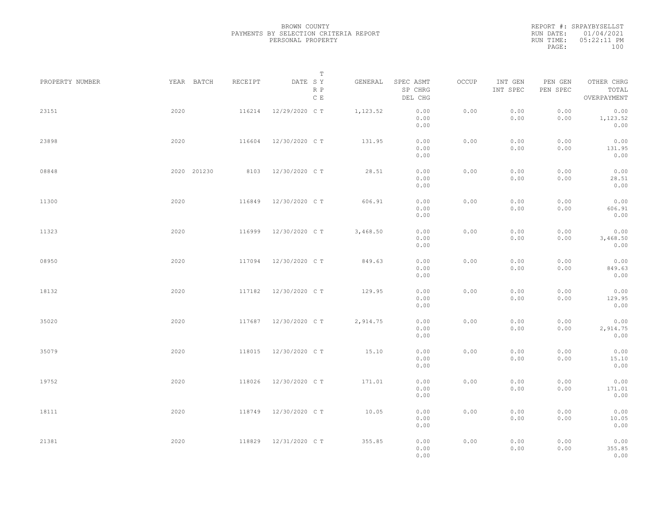REPORT #: SRPAYBYSELLST RUN DATE: 01/04/2021 RUN TIME: 05:22:11 PM PAGE: 100

| PROPERTY NUMBER | YEAR BATCH  | RECEIPT | $\mathbb T$<br>DATE SY | GENERAL  | SPEC ASMT            | OCCUP | INT GEN      | PEN GEN      | OTHER CHRG               |  |
|-----------------|-------------|---------|------------------------|----------|----------------------|-------|--------------|--------------|--------------------------|--|
|                 |             |         | R P<br>C E             |          | SP CHRG<br>DEL CHG   |       | INT SPEC     | PEN SPEC     | TOTAL<br>OVERPAYMENT     |  |
| 23151           | 2020        | 116214  | 12/29/2020 C T         | 1,123.52 | 0.00<br>0.00<br>0.00 | 0.00  | 0.00<br>0.00 | 0.00<br>0.00 | 0.00<br>1,123.52<br>0.00 |  |
| 23898           | 2020        | 116604  | 12/30/2020 C T         | 131.95   | 0.00<br>0.00<br>0.00 | 0.00  | 0.00<br>0.00 | 0.00<br>0.00 | 0.00<br>131.95<br>0.00   |  |
| 08848           | 2020 201230 | 8103    | 12/30/2020 C T         | 28.51    | 0.00<br>0.00<br>0.00 | 0.00  | 0.00<br>0.00 | 0.00<br>0.00 | 0.00<br>28.51<br>0.00    |  |
| 11300           | 2020        | 116849  | 12/30/2020 C T         | 606.91   | 0.00<br>0.00<br>0.00 | 0.00  | 0.00<br>0.00 | 0.00<br>0.00 | 0.00<br>606.91<br>0.00   |  |
| 11323           | 2020        | 116999  | 12/30/2020 C T         | 3,468.50 | 0.00<br>0.00<br>0.00 | 0.00  | 0.00<br>0.00 | 0.00<br>0.00 | 0.00<br>3,468.50<br>0.00 |  |
| 08950           | 2020        | 117094  | 12/30/2020 C T         | 849.63   | 0.00<br>0.00<br>0.00 | 0.00  | 0.00<br>0.00 | 0.00<br>0.00 | 0.00<br>849.63<br>0.00   |  |
| 18132           | 2020        | 117182  | 12/30/2020 C T         | 129.95   | 0.00<br>0.00<br>0.00 | 0.00  | 0.00<br>0.00 | 0.00<br>0.00 | 0.00<br>129.95<br>0.00   |  |
| 35020           | 2020        | 117687  | 12/30/2020 C T         | 2,914.75 | 0.00<br>0.00<br>0.00 | 0.00  | 0.00<br>0.00 | 0.00<br>0.00 | 0.00<br>2,914.75<br>0.00 |  |
| 35079           | 2020        | 118015  | 12/30/2020 C T         | 15.10    | 0.00<br>0.00<br>0.00 | 0.00  | 0.00<br>0.00 | 0.00<br>0.00 | 0.00<br>15.10<br>0.00    |  |
| 19752           | 2020        | 118026  | 12/30/2020 C T         | 171.01   | 0.00<br>0.00<br>0.00 | 0.00  | 0.00<br>0.00 | 0.00<br>0.00 | 0.00<br>171.01<br>0.00   |  |
| 18111           | 2020        | 118749  | 12/30/2020 C T         | 10.05    | 0.00<br>0.00<br>0.00 | 0.00  | 0.00<br>0.00 | 0.00<br>0.00 | 0.00<br>10.05<br>0.00    |  |
| 21381           | 2020        | 118829  | 12/31/2020 C T         | 355.85   | 0.00<br>0.00<br>0.00 | 0.00  | 0.00<br>0.00 | 0.00<br>0.00 | 0.00<br>355.85<br>0.00   |  |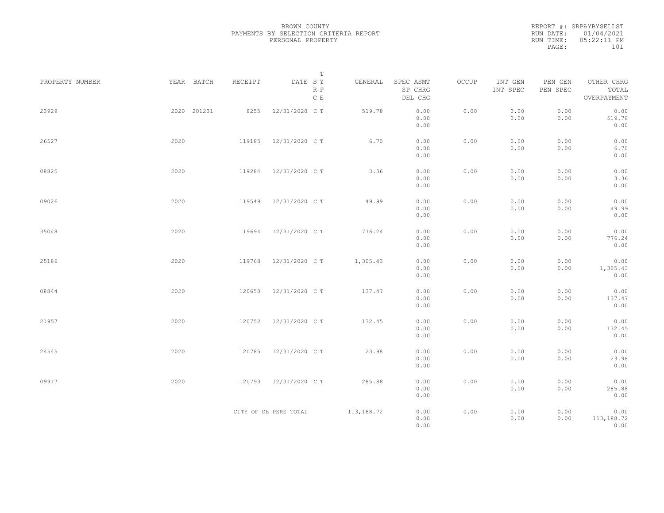REPORT #: SRPAYBYSELLST RUN DATE: 01/04/2021 RUN TIME: 05:22:11 PM PAGE: 101

|                 |             |         | $\mathbb T$                                                                                                  |            |                                 |       |                     |                     |                                    |
|-----------------|-------------|---------|--------------------------------------------------------------------------------------------------------------|------------|---------------------------------|-------|---------------------|---------------------|------------------------------------|
| PROPERTY NUMBER | YEAR BATCH  | RECEIPT | $\begin{tabular}{lllll} \bf{DATE} & \tt S & \tt Y \end{tabular}$<br>$\mathbb R$ $\mathbb P$<br>$\,$ C $\,$ E | GENERAL    | SPEC ASMT<br>SP CHRG<br>DEL CHG | OCCUP | INT GEN<br>INT SPEC | PEN GEN<br>PEN SPEC | OTHER CHRG<br>TOTAL<br>OVERPAYMENT |
| 23929           | 2020 201231 | 8255    | 12/31/2020 C T                                                                                               | 519.78     | 0.00<br>0.00<br>0.00            | 0.00  | 0.00<br>0.00        | 0.00<br>0.00        | 0.00<br>519.78<br>0.00             |
| 26527           | 2020        | 119185  | 12/31/2020 C T                                                                                               | 6.70       | 0.00<br>0.00<br>0.00            | 0.00  | 0.00<br>0.00        | 0.00<br>0.00        | 0.00<br>6.70<br>0.00               |
| 08825           | 2020        | 119284  | 12/31/2020 C T                                                                                               | 3.36       | 0.00<br>0.00<br>0.00            | 0.00  | 0.00<br>0.00        | 0.00<br>0.00        | 0.00<br>3.36<br>0.00               |
| 09026           | 2020        | 119549  | 12/31/2020 C T                                                                                               | 49.99      | 0.00<br>0.00<br>0.00            | 0.00  | 0.00<br>0.00        | 0.00<br>0.00        | 0.00<br>49.99<br>0.00              |
| 35048           | 2020        | 119694  | 12/31/2020 C T                                                                                               | 776.24     | 0.00<br>0.00<br>0.00            | 0.00  | 0.00<br>0.00        | 0.00<br>0.00        | 0.00<br>776.24<br>0.00             |
| 25186           | 2020        | 119768  | 12/31/2020 C T                                                                                               | 1,305.43   | 0.00<br>0.00<br>0.00            | 0.00  | 0.00<br>0.00        | 0.00<br>0.00        | 0.00<br>1,305.43<br>0.00           |
| 08844           | 2020        | 120650  | 12/31/2020 C T                                                                                               | 137.47     | 0.00<br>0.00<br>0.00            | 0.00  | 0.00<br>0.00        | 0.00<br>0.00        | 0.00<br>137.47<br>0.00             |
| 21957           | 2020        | 120752  | 12/31/2020 C T                                                                                               | 132.45     | 0.00<br>0.00<br>0.00            | 0.00  | 0.00<br>0.00        | 0.00<br>0.00        | 0.00<br>132.45<br>0.00             |
| 24545           | 2020        | 120785  | 12/31/2020 C T                                                                                               | 23.98      | 0.00<br>0.00<br>0.00            | 0.00  | 0.00<br>0.00        | 0.00<br>0.00        | 0.00<br>23.98<br>0.00              |
| 09917           | 2020        | 120793  | 12/31/2020 C T                                                                                               | 285.88     | 0.00<br>0.00<br>0.00            | 0.00  | 0.00<br>0.00        | 0.00<br>0.00        | 0.00<br>285.88<br>0.00             |
|                 |             |         | CITY OF DE PERE TOTAL                                                                                        | 113,188.72 | 0.00<br>0.00<br>0.00            | 0.00  | 0.00<br>0.00        | 0.00<br>0.00        | 0.00<br>113,188.72<br>0.00         |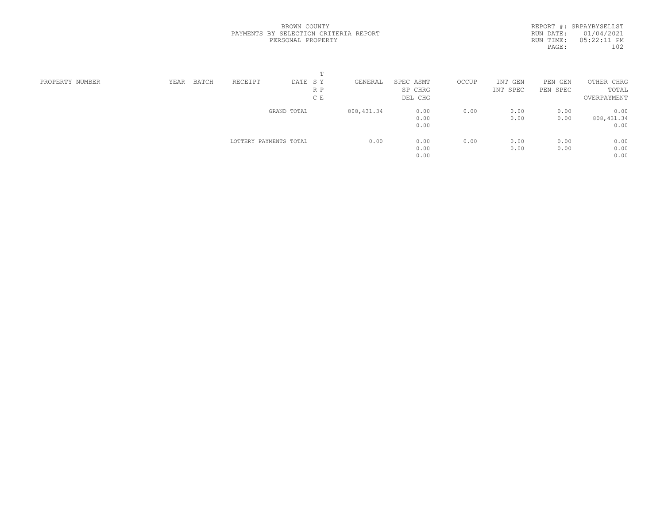REPORT #: SRPAYBYSELLST RUN DATE: 01/04/2021 RUN TIME: 05:22:11 PM PAGE: 102

| PROPERTY NUMBER | YEAR | BATCH | RECEIPT                | DATE SY     | GENERAL     | SPEC ASMT | OCCUP | INT<br>GEN | PEN GEN  | OTHER CHRG  |  |
|-----------------|------|-------|------------------------|-------------|-------------|-----------|-------|------------|----------|-------------|--|
|                 |      |       |                        | R P         |             | SP CHRG   |       | INT SPEC   | PEN SPEC | TOTAL       |  |
|                 |      |       |                        | C E         |             | DEL CHG   |       |            |          | OVERPAYMENT |  |
|                 |      |       |                        | GRAND TOTAL | 808, 431.34 | 0.00      | 0.00  | 0.00       | 0.00     | 0.00        |  |
|                 |      |       |                        |             |             | 0.00      |       | 0.00       | 0.00     | 808, 431.34 |  |
|                 |      |       |                        |             |             | 0.00      |       |            |          | 0.00        |  |
|                 |      |       | LOTTERY PAYMENTS TOTAL |             | 0.00        | 0.00      | 0.00  | 0.00       | 0.00     | 0.00        |  |
|                 |      |       |                        |             |             | 0.00      |       | 0.00       | 0.00     | 0.00        |  |
|                 |      |       |                        |             |             | 0.00      |       |            |          | 0.00        |  |